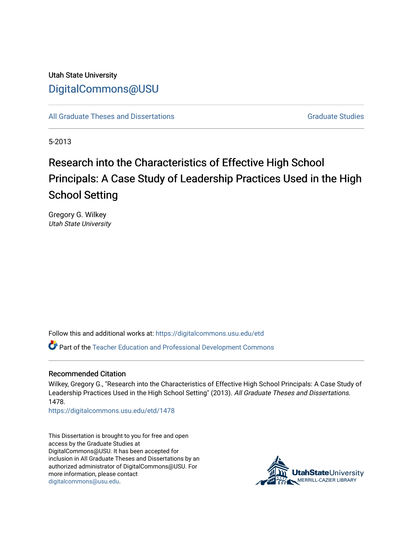## Utah State University [DigitalCommons@USU](https://digitalcommons.usu.edu/)

[All Graduate Theses and Dissertations](https://digitalcommons.usu.edu/etd) [Graduate Studies](https://digitalcommons.usu.edu/gradstudies) Graduate Studies

5-2013

# Research into the Characteristics of Effective High School Principals: A Case Study of Leadership Practices Used in the High School Setting

Gregory G. Wilkey Utah State University

Follow this and additional works at: [https://digitalcommons.usu.edu/etd](https://digitalcommons.usu.edu/etd?utm_source=digitalcommons.usu.edu%2Fetd%2F1478&utm_medium=PDF&utm_campaign=PDFCoverPages) 

Part of the [Teacher Education and Professional Development Commons](http://network.bepress.com/hgg/discipline/803?utm_source=digitalcommons.usu.edu%2Fetd%2F1478&utm_medium=PDF&utm_campaign=PDFCoverPages) 

### Recommended Citation

Wilkey, Gregory G., "Research into the Characteristics of Effective High School Principals: A Case Study of Leadership Practices Used in the High School Setting" (2013). All Graduate Theses and Dissertations. 1478.

[https://digitalcommons.usu.edu/etd/1478](https://digitalcommons.usu.edu/etd/1478?utm_source=digitalcommons.usu.edu%2Fetd%2F1478&utm_medium=PDF&utm_campaign=PDFCoverPages)

This Dissertation is brought to you for free and open access by the Graduate Studies at DigitalCommons@USU. It has been accepted for inclusion in All Graduate Theses and Dissertations by an authorized administrator of DigitalCommons@USU. For more information, please contact [digitalcommons@usu.edu.](mailto:digitalcommons@usu.edu)

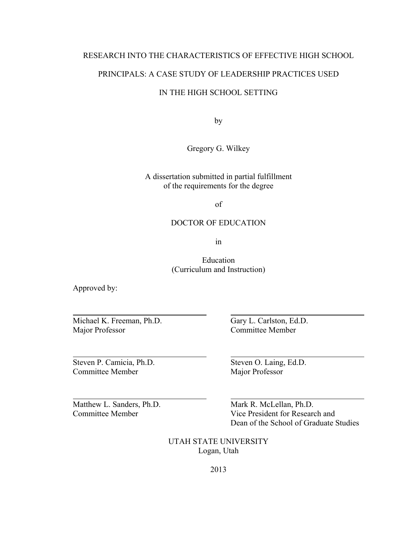### RESEARCH INTO THE CHARACTERISTICS OF EFFECTIVE HIGH SCHOOL

### PRINCIPALS: A CASE STUDY OF LEADERSHIP PRACTICES USED

### IN THE HIGH SCHOOL SETTING

by

Gregory G. Wilkey

A dissertation submitted in partial fulfillment of the requirements for the degree

of

### DOCTOR OF EDUCATION

in

Education (Curriculum and Instruction)

Approved by:

 $\overline{a}$ 

l

 $\overline{a}$ 

Michael K. Freeman, Ph.D. Gary L. Carlston, Ed.D. Major Professor Committee Member

Steven P. Camicia, Ph.D. Steven O. Laing, Ed.D. Committee Member Major Professor

Matthew L. Sanders, Ph.D. Mark R. McLellan, Ph.D. Committee Member Vice President for Research and Dean of the School of Graduate Studies

> UTAH STATE UNIVERSITY Logan, Utah

> > 2013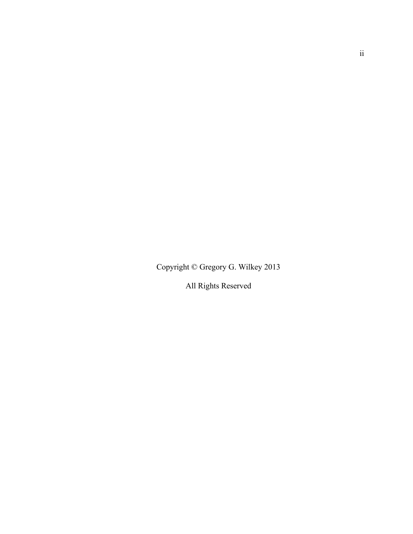Copyright © Gregory G. Wilkey 2013

All Rights Reserved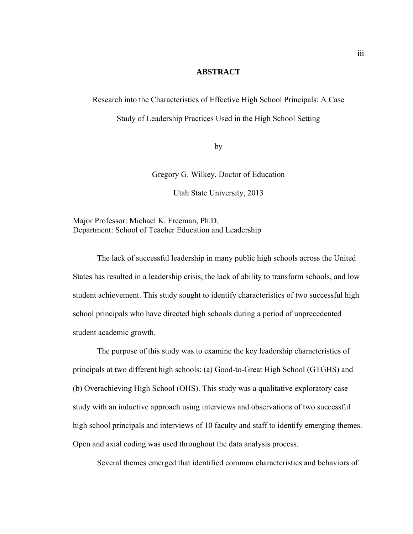### **ABSTRACT**

Research into the Characteristics of Effective High School Principals: A Case

Study of Leadership Practices Used in the High School Setting

by

Gregory G. Wilkey, Doctor of Education

Utah State University, 2013

Major Professor: Michael K. Freeman, Ph.D. Department: School of Teacher Education and Leadership

 The lack of successful leadership in many public high schools across the United States has resulted in a leadership crisis, the lack of ability to transform schools, and low student achievement. This study sought to identify characteristics of two successful high school principals who have directed high schools during a period of unprecedented student academic growth.

The purpose of this study was to examine the key leadership characteristics of principals at two different high schools: (a) Good-to-Great High School (GTGHS) and (b) Overachieving High School (OHS). This study was a qualitative exploratory case study with an inductive approach using interviews and observations of two successful high school principals and interviews of 10 faculty and staff to identify emerging themes. Open and axial coding was used throughout the data analysis process.

Several themes emerged that identified common characteristics and behaviors of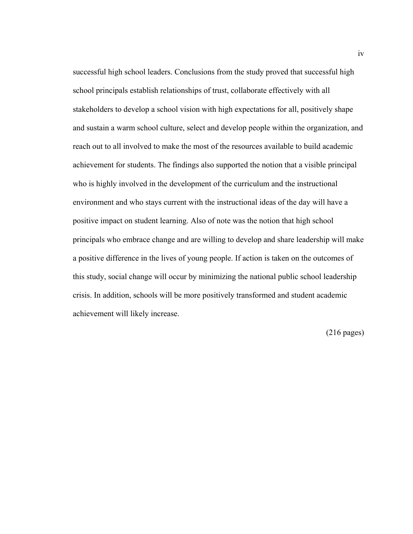successful high school leaders. Conclusions from the study proved that successful high school principals establish relationships of trust, collaborate effectively with all stakeholders to develop a school vision with high expectations for all, positively shape and sustain a warm school culture, select and develop people within the organization, and reach out to all involved to make the most of the resources available to build academic achievement for students. The findings also supported the notion that a visible principal who is highly involved in the development of the curriculum and the instructional environment and who stays current with the instructional ideas of the day will have a positive impact on student learning. Also of note was the notion that high school principals who embrace change and are willing to develop and share leadership will make a positive difference in the lives of young people. If action is taken on the outcomes of this study, social change will occur by minimizing the national public school leadership crisis. In addition, schools will be more positively transformed and student academic achievement will likely increase.

(216 pages)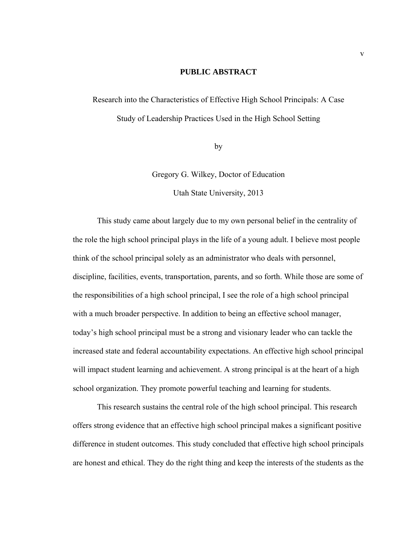### **PUBLIC ABSTRACT**

Research into the Characteristics of Effective High School Principals: A Case Study of Leadership Practices Used in the High School Setting

by

Gregory G. Wilkey, Doctor of Education

Utah State University, 2013

 This study came about largely due to my own personal belief in the centrality of the role the high school principal plays in the life of a young adult. I believe most people think of the school principal solely as an administrator who deals with personnel, discipline, facilities, events, transportation, parents, and so forth. While those are some of the responsibilities of a high school principal, I see the role of a high school principal with a much broader perspective. In addition to being an effective school manager, today's high school principal must be a strong and visionary leader who can tackle the increased state and federal accountability expectations. An effective high school principal will impact student learning and achievement. A strong principal is at the heart of a high school organization. They promote powerful teaching and learning for students.

This research sustains the central role of the high school principal. This research offers strong evidence that an effective high school principal makes a significant positive difference in student outcomes. This study concluded that effective high school principals are honest and ethical. They do the right thing and keep the interests of the students as the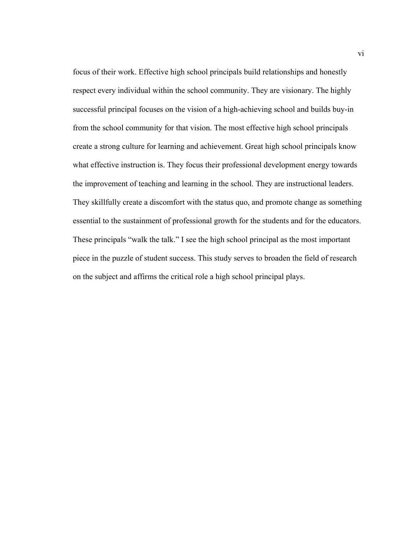focus of their work. Effective high school principals build relationships and honestly respect every individual within the school community. They are visionary. The highly successful principal focuses on the vision of a high-achieving school and builds buy-in from the school community for that vision. The most effective high school principals create a strong culture for learning and achievement. Great high school principals know what effective instruction is. They focus their professional development energy towards the improvement of teaching and learning in the school. They are instructional leaders. They skillfully create a discomfort with the status quo, and promote change as something essential to the sustainment of professional growth for the students and for the educators. These principals "walk the talk." I see the high school principal as the most important piece in the puzzle of student success. This study serves to broaden the field of research on the subject and affirms the critical role a high school principal plays.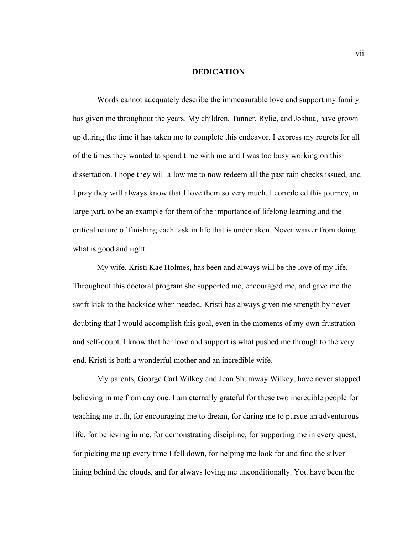#### **DEDICATION**

Words cannot adequately describe the immeasurable love and support my family has given me throughout the years. My children, Tanner, Rylie, and Joshua, have grown up during the time it has taken me to complete this endeavor. I express my regrets for all of the times they wanted to spend time with me and I was too busy working on this dissertation. I hope they will allow me to now redeem all the past rain checks issued, and I pray they will always know that I love them so very much. I completed this journey, in large part, to be an example for them of the importance of lifelong learning and the critical nature of finishing each task in life that is undertaken. Never waiver from doing what is good and right.

My wife, Kristi Kae Holmes, has been and always will be the love of my life. Throughout this doctoral program she supported me, encouraged me, and gave me the swift kick to the backside when needed. Kristi has always given me strength by never doubting that I would accomplish this goal, even in the moments of my own frustration and self-doubt. I know that her love and support is what pushed me through to the very end. Kristi is both a wonderful mother and an incredible wife.

My parents, George Carl Wilkey and Jean Shumway Wilkey, have never stopped believing in me from day one. I am eternally grateful for these two incredible people for teaching me truth, for encouraging me to dream, for daring me to pursue an adventurous life, for believing in me, for demonstrating discipline, for supporting me in every quest, for picking me up every time I fell down, for helping me look for and find the silver lining behind the clouds, and for always loving me unconditionally. You have been the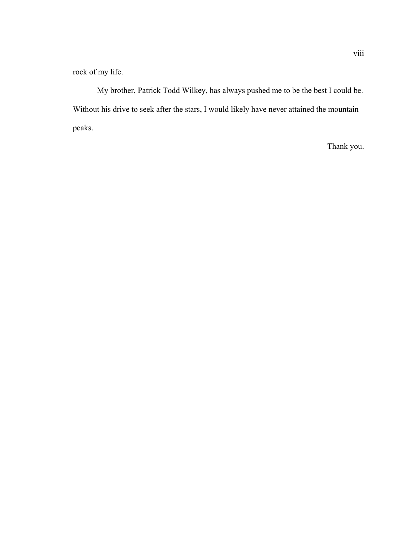rock of my life.

My brother, Patrick Todd Wilkey, has always pushed me to be the best I could be. Without his drive to seek after the stars, I would likely have never attained the mountain peaks.

Thank you.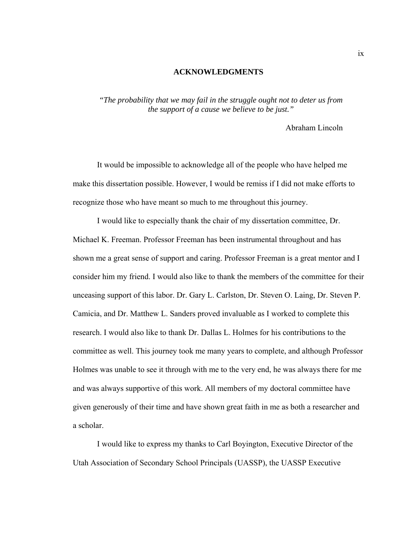#### **ACKNOWLEDGMENTS**

*"The probability that we may fail in the struggle ought not to deter us from the support of a cause we believe to be just."* 

Abraham Lincoln

 It would be impossible to acknowledge all of the people who have helped me make this dissertation possible. However, I would be remiss if I did not make efforts to recognize those who have meant so much to me throughout this journey.

 I would like to especially thank the chair of my dissertation committee, Dr. Michael K. Freeman. Professor Freeman has been instrumental throughout and has shown me a great sense of support and caring. Professor Freeman is a great mentor and I consider him my friend. I would also like to thank the members of the committee for their unceasing support of this labor. Dr. Gary L. Carlston, Dr. Steven O. Laing, Dr. Steven P. Camicia, and Dr. Matthew L. Sanders proved invaluable as I worked to complete this research. I would also like to thank Dr. Dallas L. Holmes for his contributions to the committee as well. This journey took me many years to complete, and although Professor Holmes was unable to see it through with me to the very end, he was always there for me and was always supportive of this work. All members of my doctoral committee have given generously of their time and have shown great faith in me as both a researcher and a scholar.

 I would like to express my thanks to Carl Boyington, Executive Director of the Utah Association of Secondary School Principals (UASSP), the UASSP Executive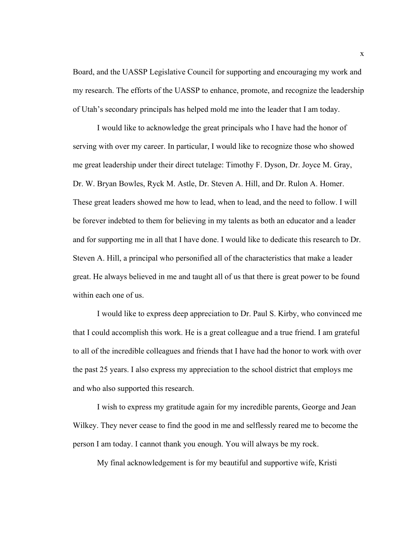Board, and the UASSP Legislative Council for supporting and encouraging my work and my research. The efforts of the UASSP to enhance, promote, and recognize the leadership of Utah's secondary principals has helped mold me into the leader that I am today.

 I would like to acknowledge the great principals who I have had the honor of serving with over my career. In particular, I would like to recognize those who showed me great leadership under their direct tutelage: Timothy F. Dyson, Dr. Joyce M. Gray, Dr. W. Bryan Bowles, Ryck M. Astle, Dr. Steven A. Hill, and Dr. Rulon A. Homer. These great leaders showed me how to lead, when to lead, and the need to follow. I will be forever indebted to them for believing in my talents as both an educator and a leader and for supporting me in all that I have done. I would like to dedicate this research to Dr. Steven A. Hill, a principal who personified all of the characteristics that make a leader great. He always believed in me and taught all of us that there is great power to be found within each one of us.

 I would like to express deep appreciation to Dr. Paul S. Kirby, who convinced me that I could accomplish this work. He is a great colleague and a true friend. I am grateful to all of the incredible colleagues and friends that I have had the honor to work with over the past 25 years. I also express my appreciation to the school district that employs me and who also supported this research.

 I wish to express my gratitude again for my incredible parents, George and Jean Wilkey. They never cease to find the good in me and selflessly reared me to become the person I am today. I cannot thank you enough. You will always be my rock.

My final acknowledgement is for my beautiful and supportive wife, Kristi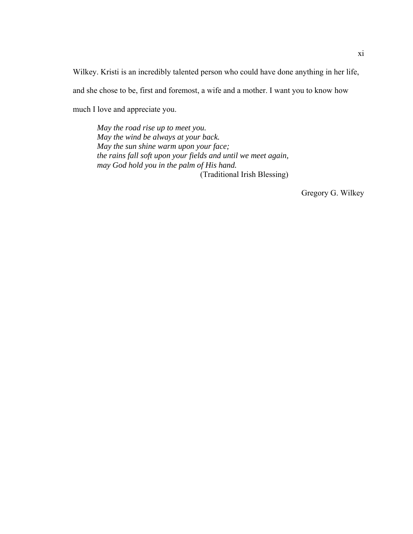Wilkey. Kristi is an incredibly talented person who could have done anything in her life, and she chose to be, first and foremost, a wife and a mother. I want you to know how much I love and appreciate you.

*May the road rise up to meet you. May the wind be always at your back. May the sun shine warm upon your face; the rains fall soft upon your fields and until we meet again, may God hold you in the palm of His hand.*  (Traditional Irish Blessing)

Gregory G. Wilkey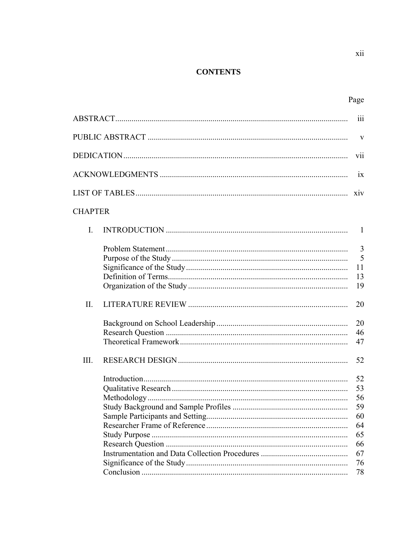### **CONTENTS**

|                |  | $\overline{111}$                                         |
|----------------|--|----------------------------------------------------------|
|                |  |                                                          |
| V11            |  |                                                          |
|                |  | 1X                                                       |
|                |  |                                                          |
| <b>CHAPTER</b> |  |                                                          |
| I.             |  | -1                                                       |
|                |  | $\overline{3}$<br>5<br>11<br>13                          |
|                |  | 19                                                       |
| II.            |  | 20                                                       |
|                |  | 20<br>46<br>47                                           |
| III.           |  | 52                                                       |
|                |  | 52<br>53<br>56<br>59<br>60<br>64<br>65<br>66<br>67<br>76 |
|                |  | 78                                                       |

xii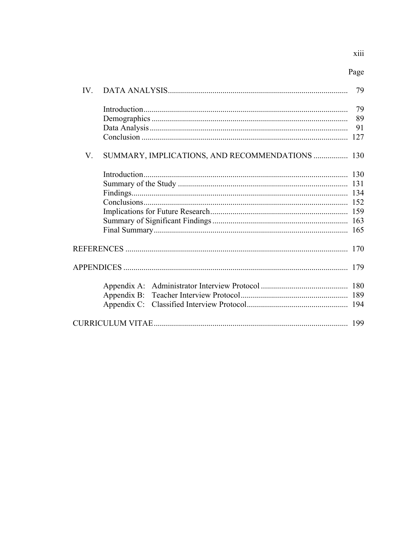| IV — |                                                 | 79                    |
|------|-------------------------------------------------|-----------------------|
|      |                                                 | 79<br>89<br>91<br>127 |
| V.   | SUMMARY, IMPLICATIONS, AND RECOMMENDATIONS  130 |                       |
|      |                                                 | 152<br>165            |
|      |                                                 | 170                   |
|      |                                                 | 179                   |
|      |                                                 |                       |
|      |                                                 | 199                   |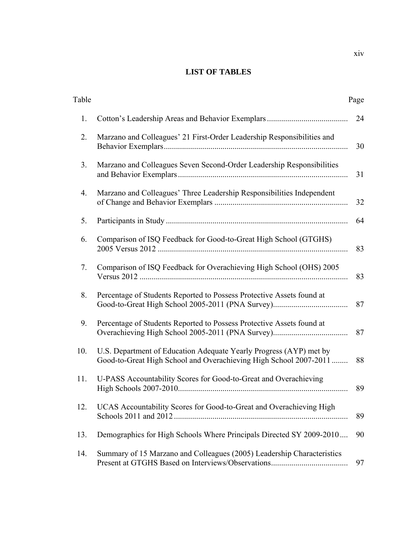### **LIST OF TABLES**

| Table |                                                                                                                                         | Page |
|-------|-----------------------------------------------------------------------------------------------------------------------------------------|------|
| 1.    |                                                                                                                                         | 24   |
| 2.    | Marzano and Colleagues' 21 First-Order Leadership Responsibilities and                                                                  | 30   |
| 3.    | Marzano and Colleagues Seven Second-Order Leadership Responsibilities                                                                   | 31   |
| 4.    | Marzano and Colleagues' Three Leadership Responsibilities Independent                                                                   | 32   |
| 5.    |                                                                                                                                         | 64   |
| 6.    | Comparison of ISQ Feedback for Good-to-Great High School (GTGHS)                                                                        | 83   |
| 7.    | Comparison of ISQ Feedback for Overachieving High School (OHS) 2005                                                                     | 83   |
| 8.    | Percentage of Students Reported to Possess Protective Assets found at                                                                   | 87   |
| 9.    | Percentage of Students Reported to Possess Protective Assets found at                                                                   | 87   |
| 10.   | U.S. Department of Education Adequate Yearly Progress (AYP) met by<br>Good-to-Great High School and Overachieving High School 2007-2011 | 88   |
| 11.   | U-PASS Accountability Scores for Good-to-Great and Overachieving                                                                        | 89   |
| 12.   | UCAS Accountability Scores for Good-to-Great and Overachieving High<br>Schools 2011 and 2012.                                           | 89   |
| 13.   | Demographics for High Schools Where Principals Directed SY 2009-2010                                                                    | 90   |
| 14.   | Summary of 15 Marzano and Colleagues (2005) Leadership Characteristics                                                                  | 97   |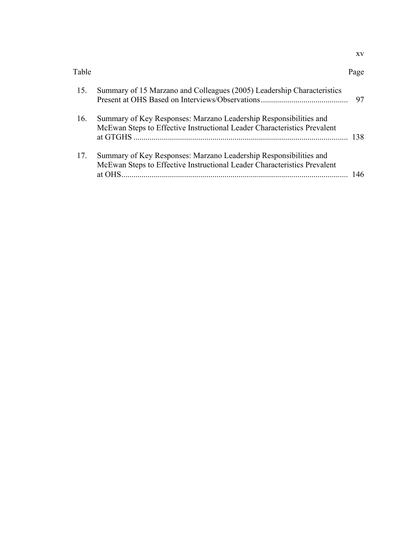| Page |
|------|
|      |

| 15. | Summary of 15 Marzano and Colleagues (2005) Leadership Characteristics                                                                                  | 97  |
|-----|---------------------------------------------------------------------------------------------------------------------------------------------------------|-----|
| 16. | Summary of Key Responses: Marzano Leadership Responsibilities and<br>McEwan Steps to Effective Instructional Leader Characteristics Prevalent           | 138 |
| 17. | Summary of Key Responses: Marzano Leadership Responsibilities and<br>McEwan Steps to Effective Instructional Leader Characteristics Prevalent<br>at OHS | 46  |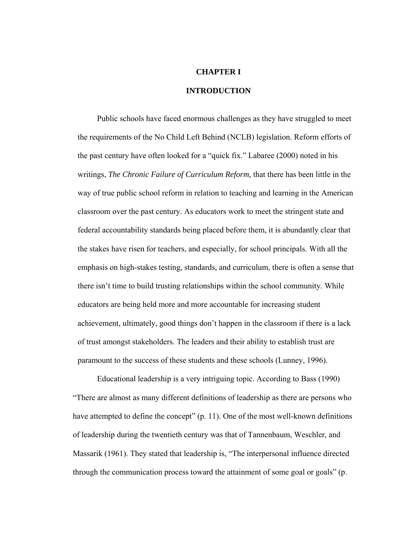### **CHAPTER I**

### **INTRODUCTION**

Public schools have faced enormous challenges as they have struggled to meet the requirements of the No Child Left Behind (NCLB) legislation. Reform efforts of the past century have often looked for a "quick fix." Labaree (2000) noted in his writings, *The Chronic Failure of Curriculum Reform,* that there has been little in the way of true public school reform in relation to teaching and learning in the American classroom over the past century. As educators work to meet the stringent state and federal accountability standards being placed before them, it is abundantly clear that the stakes have risen for teachers, and especially, for school principals. With all the emphasis on high-stakes testing, standards, and curriculum, there is often a sense that there isn't time to build trusting relationships within the school community. While educators are being held more and more accountable for increasing student achievement, ultimately, good things don't happen in the classroom if there is a lack of trust amongst stakeholders. The leaders and their ability to establish trust are paramount to the success of these students and these schools (Lunney, 1996).

 Educational leadership is a very intriguing topic. According to Bass (1990) "There are almost as many different definitions of leadership as there are persons who have attempted to define the concept" (p. 11). One of the most well-known definitions of leadership during the twentieth century was that of Tannenbaum, Weschler, and Massarik (1961). They stated that leadership is, "The interpersonal influence directed through the communication process toward the attainment of some goal or goals" (p.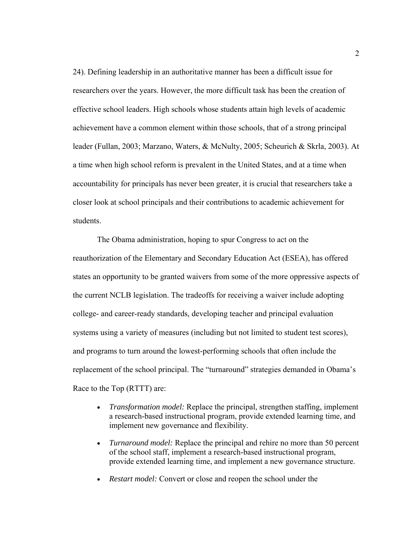24). Defining leadership in an authoritative manner has been a difficult issue for researchers over the years. However, the more difficult task has been the creation of effective school leaders. High schools whose students attain high levels of academic achievement have a common element within those schools, that of a strong principal leader (Fullan, 2003; Marzano, Waters, & McNulty, 2005; Scheurich & Skrla, 2003). At a time when high school reform is prevalent in the United States, and at a time when accountability for principals has never been greater, it is crucial that researchers take a closer look at school principals and their contributions to academic achievement for students.

The Obama administration, hoping to spur Congress to act on the reauthorization of the Elementary and Secondary Education Act (ESEA), has offered states an opportunity to be granted waivers from some of the more oppressive aspects of the current NCLB legislation. The tradeoffs for receiving a waiver include adopting college- and career-ready standards, developing teacher and principal evaluation systems using a variety of measures (including but not limited to student test scores), and programs to turn around the lowest-performing schools that often include the replacement of the school principal. The "turnaround" strategies demanded in Obama's Race to the Top (RTTT) are:

- *Transformation model:* Replace the principal, strengthen staffing, implement a research-based instructional program, provide extended learning time, and implement new governance and flexibility.
- *Turnaround model:* Replace the principal and rehire no more than 50 percent of the school staff, implement a research-based instructional program, provide extended learning time, and implement a new governance structure.
- *Restart model:* Convert or close and reopen the school under the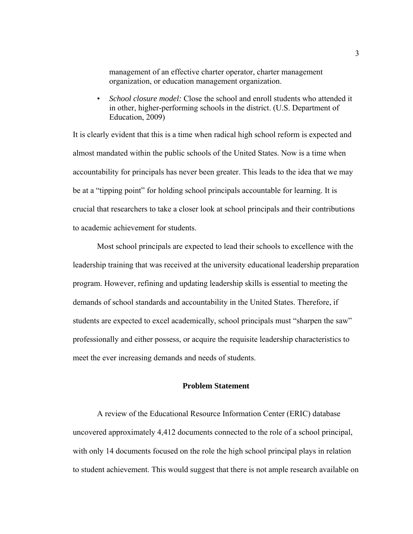management of an effective charter operator, charter management organization, or education management organization.

• *School closure model:* Close the school and enroll students who attended it in other, higher-performing schools in the district. (U.S. Department of Education, 2009)

It is clearly evident that this is a time when radical high school reform is expected and almost mandated within the public schools of the United States. Now is a time when accountability for principals has never been greater. This leads to the idea that we may be at a "tipping point" for holding school principals accountable for learning. It is crucial that researchers to take a closer look at school principals and their contributions to academic achievement for students.

 Most school principals are expected to lead their schools to excellence with the leadership training that was received at the university educational leadership preparation program. However, refining and updating leadership skills is essential to meeting the demands of school standards and accountability in the United States. Therefore, if students are expected to excel academically, school principals must "sharpen the saw" professionally and either possess, or acquire the requisite leadership characteristics to meet the ever increasing demands and needs of students.

### **Problem Statement**

 A review of the Educational Resource Information Center (ERIC) database uncovered approximately 4,412 documents connected to the role of a school principal, with only 14 documents focused on the role the high school principal plays in relation to student achievement. This would suggest that there is not ample research available on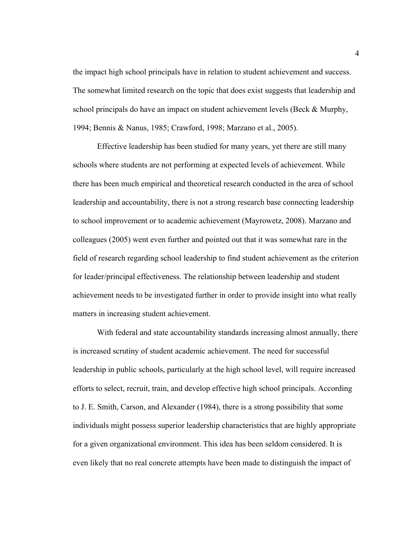the impact high school principals have in relation to student achievement and success. The somewhat limited research on the topic that does exist suggests that leadership and school principals do have an impact on student achievement levels (Beck & Murphy, 1994; Bennis & Nanus, 1985; Crawford, 1998; Marzano et al., 2005).

 Effective leadership has been studied for many years, yet there are still many schools where students are not performing at expected levels of achievement. While there has been much empirical and theoretical research conducted in the area of school leadership and accountability, there is not a strong research base connecting leadership to school improvement or to academic achievement (Mayrowetz, 2008). Marzano and colleagues (2005) went even further and pointed out that it was somewhat rare in the field of research regarding school leadership to find student achievement as the criterion for leader/principal effectiveness. The relationship between leadership and student achievement needs to be investigated further in order to provide insight into what really matters in increasing student achievement.

With federal and state accountability standards increasing almost annually, there is increased scrutiny of student academic achievement. The need for successful leadership in public schools, particularly at the high school level, will require increased efforts to select, recruit, train, and develop effective high school principals. According to J. E. Smith, Carson, and Alexander (1984), there is a strong possibility that some individuals might possess superior leadership characteristics that are highly appropriate for a given organizational environment. This idea has been seldom considered. It is even likely that no real concrete attempts have been made to distinguish the impact of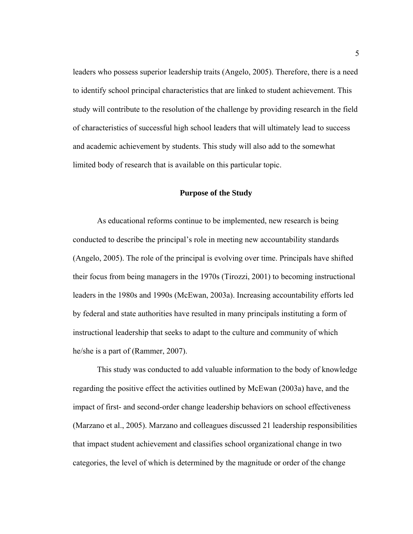leaders who possess superior leadership traits (Angelo, 2005). Therefore, there is a need to identify school principal characteristics that are linked to student achievement. This study will contribute to the resolution of the challenge by providing research in the field of characteristics of successful high school leaders that will ultimately lead to success and academic achievement by students. This study will also add to the somewhat limited body of research that is available on this particular topic.

### **Purpose of the Study**

 As educational reforms continue to be implemented, new research is being conducted to describe the principal's role in meeting new accountability standards (Angelo, 2005). The role of the principal is evolving over time. Principals have shifted their focus from being managers in the 1970s (Tirozzi, 2001) to becoming instructional leaders in the 1980s and 1990s (McEwan, 2003a). Increasing accountability efforts led by federal and state authorities have resulted in many principals instituting a form of instructional leadership that seeks to adapt to the culture and community of which he/she is a part of (Rammer, 2007).

This study was conducted to add valuable information to the body of knowledge regarding the positive effect the activities outlined by McEwan (2003a) have, and the impact of first- and second-order change leadership behaviors on school effectiveness (Marzano et al., 2005). Marzano and colleagues discussed 21 leadership responsibilities that impact student achievement and classifies school organizational change in two categories, the level of which is determined by the magnitude or order of the change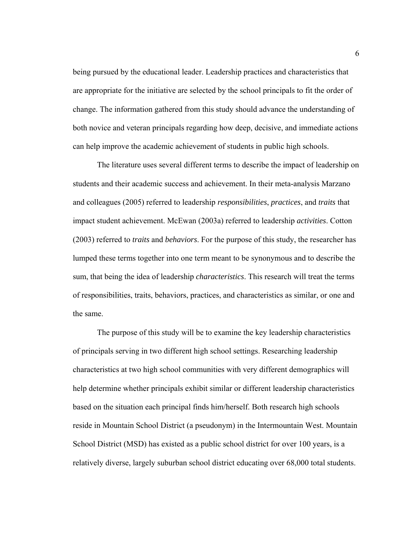being pursued by the educational leader. Leadership practices and characteristics that are appropriate for the initiative are selected by the school principals to fit the order of change. The information gathered from this study should advance the understanding of both novice and veteran principals regarding how deep, decisive, and immediate actions can help improve the academic achievement of students in public high schools.

 The literature uses several different terms to describe the impact of leadership on students and their academic success and achievement. In their meta-analysis Marzano and colleagues (2005) referred to leadership *responsibilities*, *practices*, and *traits* that impact student achievement. McEwan (2003a) referred to leadership *activities*. Cotton (2003) referred to *traits* and *behaviors*. For the purpose of this study, the researcher has lumped these terms together into one term meant to be synonymous and to describe the sum, that being the idea of leadership *characteristics*. This research will treat the terms of responsibilities, traits, behaviors, practices, and characteristics as similar, or one and the same.

 The purpose of this study will be to examine the key leadership characteristics of principals serving in two different high school settings. Researching leadership characteristics at two high school communities with very different demographics will help determine whether principals exhibit similar or different leadership characteristics based on the situation each principal finds him/herself. Both research high schools reside in Mountain School District (a pseudonym) in the Intermountain West. Mountain School District (MSD) has existed as a public school district for over 100 years, is a relatively diverse, largely suburban school district educating over 68,000 total students.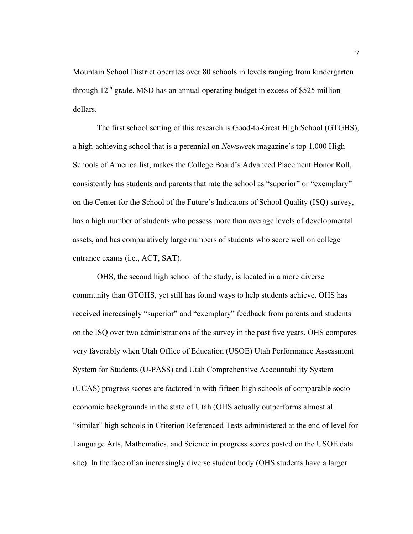Mountain School District operates over 80 schools in levels ranging from kindergarten through  $12<sup>th</sup>$  grade. MSD has an annual operating budget in excess of \$525 million dollars.

 The first school setting of this research is Good-to-Great High School (GTGHS), a high-achieving school that is a perennial on *Newsweek* magazine's top 1,000 High Schools of America list, makes the College Board's Advanced Placement Honor Roll, consistently has students and parents that rate the school as "superior" or "exemplary" on the Center for the School of the Future's Indicators of School Quality (ISQ) survey, has a high number of students who possess more than average levels of developmental assets, and has comparatively large numbers of students who score well on college entrance exams (i.e., ACT, SAT).

 OHS, the second high school of the study, is located in a more diverse community than GTGHS, yet still has found ways to help students achieve. OHS has received increasingly "superior" and "exemplary" feedback from parents and students on the ISQ over two administrations of the survey in the past five years. OHS compares very favorably when Utah Office of Education (USOE) Utah Performance Assessment System for Students (U-PASS) and Utah Comprehensive Accountability System (UCAS) progress scores are factored in with fifteen high schools of comparable socioeconomic backgrounds in the state of Utah (OHS actually outperforms almost all "similar" high schools in Criterion Referenced Tests administered at the end of level for Language Arts, Mathematics, and Science in progress scores posted on the USOE data site). In the face of an increasingly diverse student body (OHS students have a larger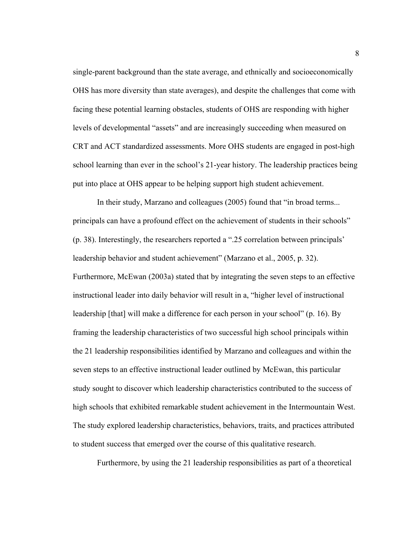single-parent background than the state average, and ethnically and socioeconomically OHS has more diversity than state averages), and despite the challenges that come with facing these potential learning obstacles, students of OHS are responding with higher levels of developmental "assets" and are increasingly succeeding when measured on CRT and ACT standardized assessments. More OHS students are engaged in post-high school learning than ever in the school's 21-year history. The leadership practices being put into place at OHS appear to be helping support high student achievement.

 In their study, Marzano and colleagues (2005) found that "in broad terms... principals can have a profound effect on the achievement of students in their schools" (p. 38). Interestingly, the researchers reported a ".25 correlation between principals' leadership behavior and student achievement" (Marzano et al., 2005, p. 32). Furthermore, McEwan (2003a) stated that by integrating the seven steps to an effective instructional leader into daily behavior will result in a, "higher level of instructional leadership [that] will make a difference for each person in your school" (p. 16). By framing the leadership characteristics of two successful high school principals within the 21 leadership responsibilities identified by Marzano and colleagues and within the seven steps to an effective instructional leader outlined by McEwan, this particular study sought to discover which leadership characteristics contributed to the success of high schools that exhibited remarkable student achievement in the Intermountain West. The study explored leadership characteristics, behaviors, traits, and practices attributed to student success that emerged over the course of this qualitative research.

Furthermore, by using the 21 leadership responsibilities as part of a theoretical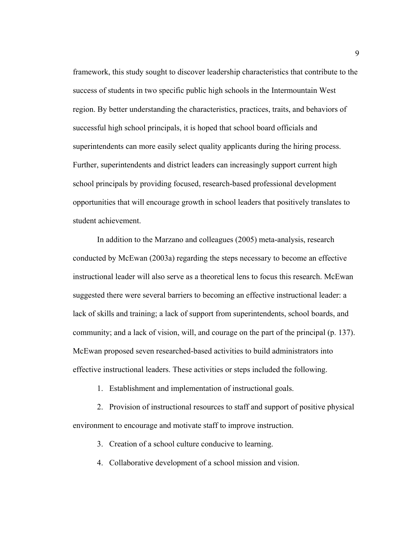framework, this study sought to discover leadership characteristics that contribute to the success of students in two specific public high schools in the Intermountain West region. By better understanding the characteristics, practices, traits, and behaviors of successful high school principals, it is hoped that school board officials and superintendents can more easily select quality applicants during the hiring process. Further, superintendents and district leaders can increasingly support current high school principals by providing focused, research-based professional development opportunities that will encourage growth in school leaders that positively translates to student achievement.

In addition to the Marzano and colleagues (2005) meta-analysis, research conducted by McEwan (2003a) regarding the steps necessary to become an effective instructional leader will also serve as a theoretical lens to focus this research. McEwan suggested there were several barriers to becoming an effective instructional leader: a lack of skills and training; a lack of support from superintendents, school boards, and community; and a lack of vision, will, and courage on the part of the principal (p. 137). McEwan proposed seven researched-based activities to build administrators into effective instructional leaders. These activities or steps included the following.

1. Establishment and implementation of instructional goals.

2. Provision of instructional resources to staff and support of positive physical environment to encourage and motivate staff to improve instruction.

3. Creation of a school culture conducive to learning.

4. Collaborative development of a school mission and vision.

9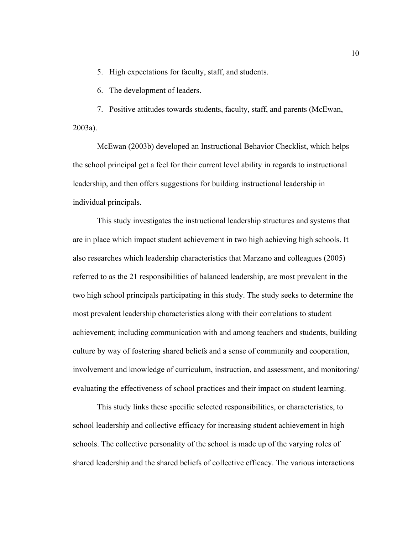5. High expectations for faculty, staff, and students.

6. The development of leaders.

7. Positive attitudes towards students, faculty, staff, and parents (McEwan, 2003a).

McEwan (2003b) developed an Instructional Behavior Checklist, which helps the school principal get a feel for their current level ability in regards to instructional leadership, and then offers suggestions for building instructional leadership in individual principals.

This study investigates the instructional leadership structures and systems that are in place which impact student achievement in two high achieving high schools. It also researches which leadership characteristics that Marzano and colleagues (2005) referred to as the 21 responsibilities of balanced leadership, are most prevalent in the two high school principals participating in this study. The study seeks to determine the most prevalent leadership characteristics along with their correlations to student achievement; including communication with and among teachers and students, building culture by way of fostering shared beliefs and a sense of community and cooperation, involvement and knowledge of curriculum, instruction, and assessment, and monitoring/ evaluating the effectiveness of school practices and their impact on student learning.

This study links these specific selected responsibilities, or characteristics, to school leadership and collective efficacy for increasing student achievement in high schools. The collective personality of the school is made up of the varying roles of shared leadership and the shared beliefs of collective efficacy. The various interactions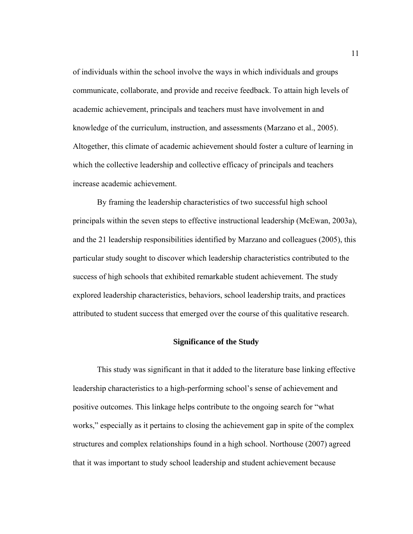of individuals within the school involve the ways in which individuals and groups communicate, collaborate, and provide and receive feedback. To attain high levels of academic achievement, principals and teachers must have involvement in and knowledge of the curriculum, instruction, and assessments (Marzano et al., 2005). Altogether, this climate of academic achievement should foster a culture of learning in which the collective leadership and collective efficacy of principals and teachers increase academic achievement.

 By framing the leadership characteristics of two successful high school principals within the seven steps to effective instructional leadership (McEwan, 2003a), and the 21 leadership responsibilities identified by Marzano and colleagues (2005), this particular study sought to discover which leadership characteristics contributed to the success of high schools that exhibited remarkable student achievement. The study explored leadership characteristics, behaviors, school leadership traits, and practices attributed to student success that emerged over the course of this qualitative research.

### **Significance of the Study**

 This study was significant in that it added to the literature base linking effective leadership characteristics to a high-performing school's sense of achievement and positive outcomes. This linkage helps contribute to the ongoing search for "what works," especially as it pertains to closing the achievement gap in spite of the complex structures and complex relationships found in a high school. Northouse (2007) agreed that it was important to study school leadership and student achievement because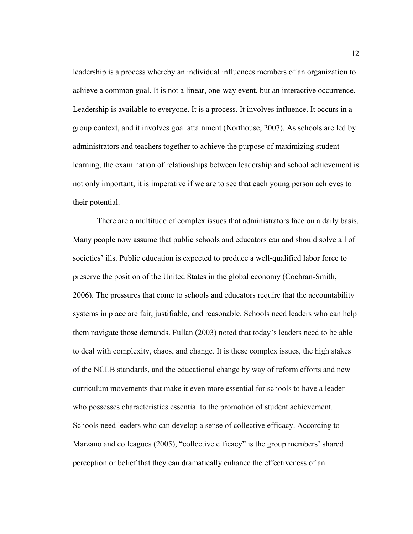leadership is a process whereby an individual influences members of an organization to achieve a common goal. It is not a linear, one-way event, but an interactive occurrence. Leadership is available to everyone. It is a process. It involves influence. It occurs in a group context, and it involves goal attainment (Northouse, 2007). As schools are led by administrators and teachers together to achieve the purpose of maximizing student learning, the examination of relationships between leadership and school achievement is not only important, it is imperative if we are to see that each young person achieves to their potential.

 There are a multitude of complex issues that administrators face on a daily basis. Many people now assume that public schools and educators can and should solve all of societies' ills. Public education is expected to produce a well-qualified labor force to preserve the position of the United States in the global economy (Cochran-Smith, 2006). The pressures that come to schools and educators require that the accountability systems in place are fair, justifiable, and reasonable. Schools need leaders who can help them navigate those demands. Fullan (2003) noted that today's leaders need to be able to deal with complexity, chaos, and change. It is these complex issues, the high stakes of the NCLB standards, and the educational change by way of reform efforts and new curriculum movements that make it even more essential for schools to have a leader who possesses characteristics essential to the promotion of student achievement. Schools need leaders who can develop a sense of collective efficacy. According to Marzano and colleagues (2005), "collective efficacy" is the group members' shared perception or belief that they can dramatically enhance the effectiveness of an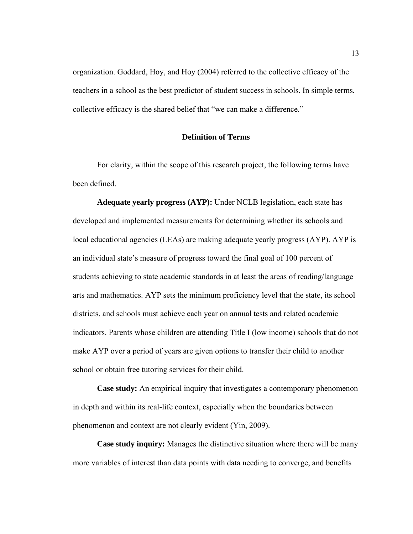organization. Goddard, Hoy, and Hoy (2004) referred to the collective efficacy of the teachers in a school as the best predictor of student success in schools. In simple terms, collective efficacy is the shared belief that "we can make a difference."

### **Definition of Terms**

For clarity, within the scope of this research project, the following terms have been defined.

**Adequate yearly progress (AYP):** Under NCLB legislation, each state has developed and implemented measurements for determining whether its schools and local educational agencies (LEAs) are making adequate yearly progress (AYP). AYP is an individual state's measure of progress toward the final goal of 100 percent of students achieving to state academic standards in at least the areas of reading/language arts and mathematics. AYP sets the minimum proficiency level that the state, its school districts, and schools must achieve each year on annual tests and related academic indicators. Parents whose children are attending Title I (low income) schools that do not make AYP over a period of years are given options to transfer their child to another school or obtain free tutoring services for their child.

**Case study:** An empirical inquiry that investigates a contemporary phenomenon in depth and within its real-life context, especially when the boundaries between phenomenon and context are not clearly evident (Yin, 2009).

**Case study inquiry:** Manages the distinctive situation where there will be many more variables of interest than data points with data needing to converge, and benefits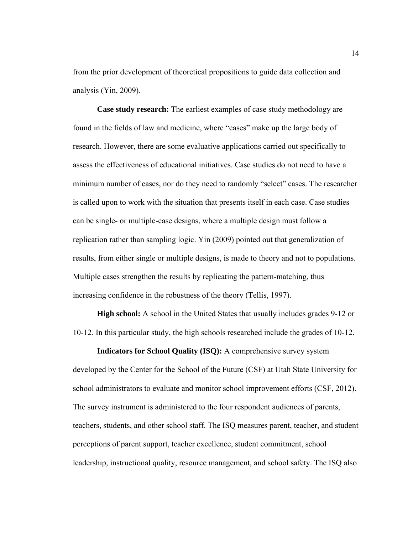from the prior development of theoretical propositions to guide data collection and analysis (Yin, 2009).

**Case study research:** The earliest examples of case study methodology are found in the fields of law and medicine, where "cases" make up the large body of research. However, there are some evaluative applications carried out specifically to assess the effectiveness of educational initiatives. Case studies do not need to have a minimum number of cases, nor do they need to randomly "select" cases. The researcher is called upon to work with the situation that presents itself in each case. Case studies can be single- or multiple-case designs, where a multiple design must follow a replication rather than sampling logic. Yin (2009) pointed out that generalization of results, from either single or multiple designs, is made to theory and not to populations. Multiple cases strengthen the results by replicating the pattern-matching, thus increasing confidence in the robustness of the theory (Tellis, 1997).

**High school:** A school in the United States that usually includes grades 9-12 or 10-12. In this particular study, the high schools researched include the grades of 10-12.

**Indicators for School Quality (ISQ):** A comprehensive survey system developed by the Center for the School of the Future (CSF) at Utah State University for school administrators to evaluate and monitor school improvement efforts (CSF, 2012). The survey instrument is administered to the four respondent audiences of parents, teachers, students, and other school staff. The ISQ measures parent, teacher, and student perceptions of parent support, teacher excellence, student commitment, school leadership, instructional quality, resource management, and school safety. The ISQ also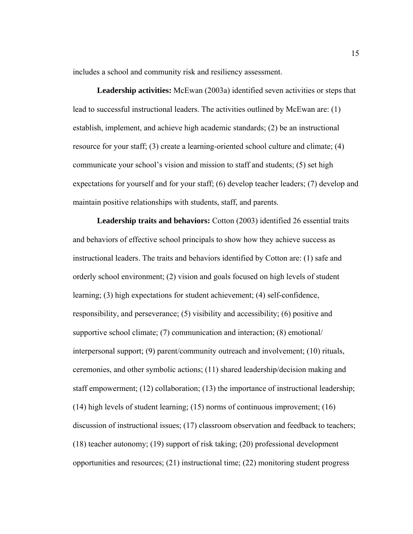includes a school and community risk and resiliency assessment.

**Leadership activities:** McEwan (2003a) identified seven activities or steps that lead to successful instructional leaders. The activities outlined by McEwan are: (1) establish, implement, and achieve high academic standards; (2) be an instructional resource for your staff; (3) create a learning-oriented school culture and climate; (4) communicate your school's vision and mission to staff and students; (5) set high expectations for yourself and for your staff; (6) develop teacher leaders; (7) develop and maintain positive relationships with students, staff, and parents.

**Leadership traits and behaviors:** Cotton (2003) identified 26 essential traits and behaviors of effective school principals to show how they achieve success as instructional leaders. The traits and behaviors identified by Cotton are: (1) safe and orderly school environment; (2) vision and goals focused on high levels of student learning; (3) high expectations for student achievement; (4) self-confidence, responsibility, and perseverance; (5) visibility and accessibility; (6) positive and supportive school climate; (7) communication and interaction; (8) emotional/ interpersonal support; (9) parent/community outreach and involvement; (10) rituals, ceremonies, and other symbolic actions; (11) shared leadership/decision making and staff empowerment; (12) collaboration; (13) the importance of instructional leadership; (14) high levels of student learning; (15) norms of continuous improvement; (16) discussion of instructional issues; (17) classroom observation and feedback to teachers; (18) teacher autonomy; (19) support of risk taking; (20) professional development opportunities and resources; (21) instructional time; (22) monitoring student progress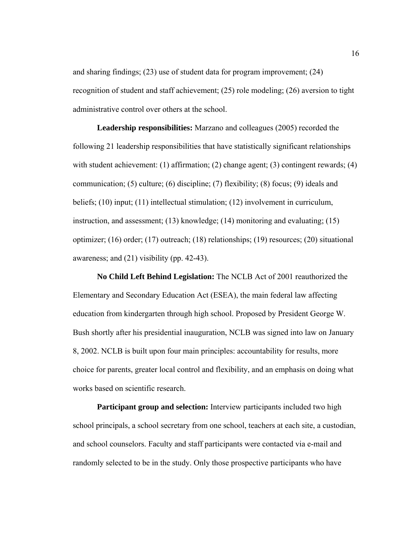and sharing findings; (23) use of student data for program improvement; (24) recognition of student and staff achievement; (25) role modeling; (26) aversion to tight administrative control over others at the school.

**Leadership responsibilities:** Marzano and colleagues (2005) recorded the following 21 leadership responsibilities that have statistically significant relationships with student achievement: (1) affirmation; (2) change agent; (3) contingent rewards; (4) communication; (5) culture; (6) discipline; (7) flexibility; (8) focus; (9) ideals and beliefs; (10) input; (11) intellectual stimulation; (12) involvement in curriculum, instruction, and assessment; (13) knowledge; (14) monitoring and evaluating; (15) optimizer; (16) order; (17) outreach; (18) relationships; (19) resources; (20) situational awareness; and (21) visibility (pp. 42-43).

**No Child Left Behind Legislation:** The NCLB Act of 2001 reauthorized the Elementary and Secondary Education Act (ESEA), the main federal law affecting education from kindergarten through high school. Proposed by President George W. Bush shortly after his presidential inauguration, NCLB was signed into law on January 8, 2002. NCLB is built upon four main principles: accountability for results, more choice for parents, greater local control and flexibility, and an emphasis on doing what works based on scientific research.

**Participant group and selection:** Interview participants included two high school principals, a school secretary from one school, teachers at each site, a custodian, and school counselors. Faculty and staff participants were contacted via e-mail and randomly selected to be in the study. Only those prospective participants who have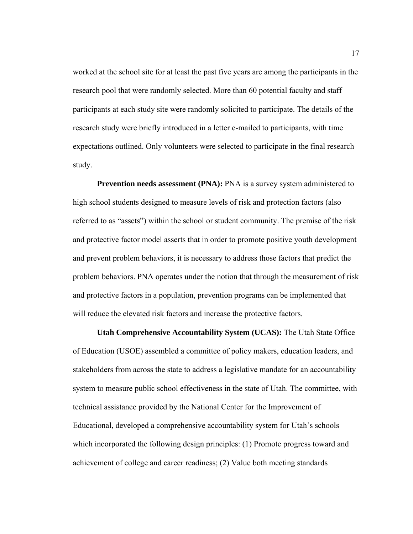worked at the school site for at least the past five years are among the participants in the research pool that were randomly selected. More than 60 potential faculty and staff participants at each study site were randomly solicited to participate. The details of the research study were briefly introduced in a letter e-mailed to participants, with time expectations outlined. Only volunteers were selected to participate in the final research study.

**Prevention needs assessment (PNA):** PNA is a survey system administered to high school students designed to measure levels of risk and protection factors (also referred to as "assets") within the school or student community. The premise of the risk and protective factor model asserts that in order to promote positive youth development and prevent problem behaviors, it is necessary to address those factors that predict the problem behaviors. PNA operates under the notion that through the measurement of risk and protective factors in a population, prevention programs can be implemented that will reduce the elevated risk factors and increase the protective factors.

**Utah Comprehensive Accountability System (UCAS):** The Utah State Office of Education (USOE) assembled a committee of policy makers, education leaders, and stakeholders from across the state to address a legislative mandate for an accountability system to measure public school effectiveness in the state of Utah. The committee, with technical assistance provided by the National Center for the Improvement of Educational, developed a comprehensive accountability system for Utah's schools which incorporated the following design principles: (1) Promote progress toward and achievement of college and career readiness; (2) Value both meeting standards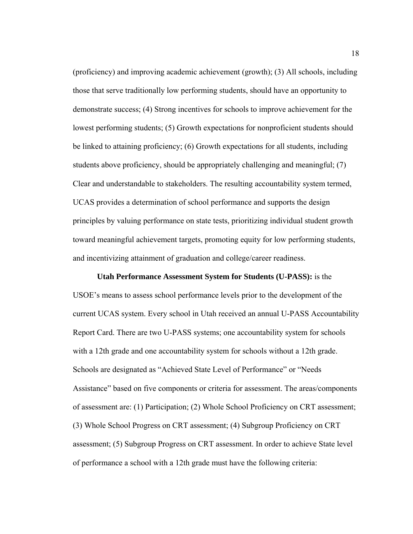(proficiency) and improving academic achievement (growth); (3) All schools, including those that serve traditionally low performing students, should have an opportunity to demonstrate success; (4) Strong incentives for schools to improve achievement for the lowest performing students; (5) Growth expectations for nonproficient students should be linked to attaining proficiency; (6) Growth expectations for all students, including students above proficiency, should be appropriately challenging and meaningful; (7) Clear and understandable to stakeholders. The resulting accountability system termed, UCAS provides a determination of school performance and supports the design principles by valuing performance on state tests, prioritizing individual student growth toward meaningful achievement targets, promoting equity for low performing students, and incentivizing attainment of graduation and college/career readiness.

**Utah Performance Assessment System for Students (U-PASS):** is the USOE's means to assess school performance levels prior to the development of the current UCAS system. Every school in Utah received an annual U-PASS Accountability Report Card. There are two U-PASS systems; one accountability system for schools with a 12th grade and one accountability system for schools without a 12th grade. Schools are designated as "Achieved State Level of Performance" or "Needs Assistance" based on five components or criteria for assessment. The areas/components of assessment are: (1) Participation; (2) Whole School Proficiency on CRT assessment; (3) Whole School Progress on CRT assessment; (4) Subgroup Proficiency on CRT assessment; (5) Subgroup Progress on CRT assessment. In order to achieve State level of performance a school with a 12th grade must have the following criteria: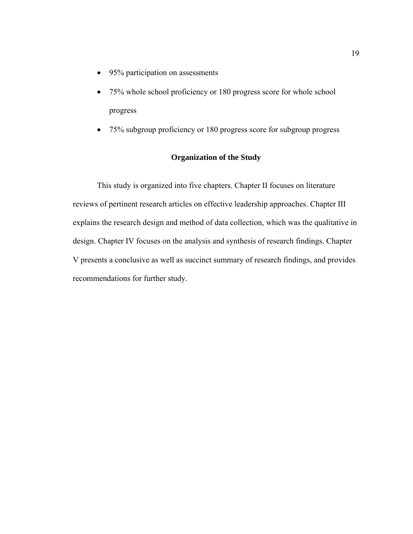- 95% participation on assessments
- 75% whole school proficiency or 180 progress score for whole school progress
- 75% subgroup proficiency or 180 progress score for subgroup progress

### **Organization of the Study**

This study is organized into five chapters. Chapter II focuses on literature reviews of pertinent research articles on effective leadership approaches. Chapter III explains the research design and method of data collection, which was the qualitative in design. Chapter IV focuses on the analysis and synthesis of research findings. Chapter V presents a conclusive as well as succinct summary of research findings, and provides recommendations for further study.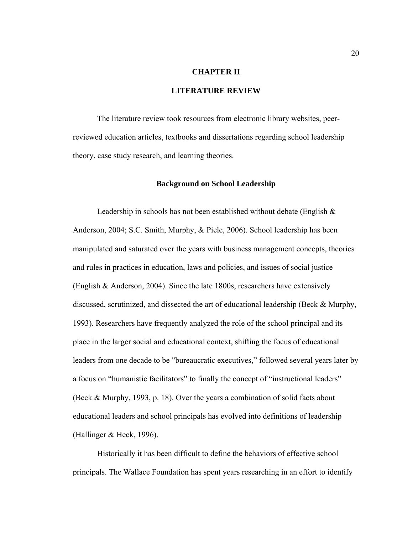### **CHAPTER II**

### **LITERATURE REVIEW**

The literature review took resources from electronic library websites, peerreviewed education articles, textbooks and dissertations regarding school leadership theory, case study research, and learning theories.

### **Background on School Leadership**

Leadership in schools has not been established without debate (English  $\&$ Anderson, 2004; S.C. Smith, Murphy, & Piele, 2006). School leadership has been manipulated and saturated over the years with business management concepts, theories and rules in practices in education, laws and policies, and issues of social justice (English & Anderson, 2004). Since the late 1800s, researchers have extensively discussed, scrutinized, and dissected the art of educational leadership (Beck & Murphy, 1993). Researchers have frequently analyzed the role of the school principal and its place in the larger social and educational context, shifting the focus of educational leaders from one decade to be "bureaucratic executives," followed several years later by a focus on "humanistic facilitators" to finally the concept of "instructional leaders" (Beck & Murphy, 1993, p. 18). Over the years a combination of solid facts about educational leaders and school principals has evolved into definitions of leadership (Hallinger & Heck, 1996).

Historically it has been difficult to define the behaviors of effective school principals. The Wallace Foundation has spent years researching in an effort to identify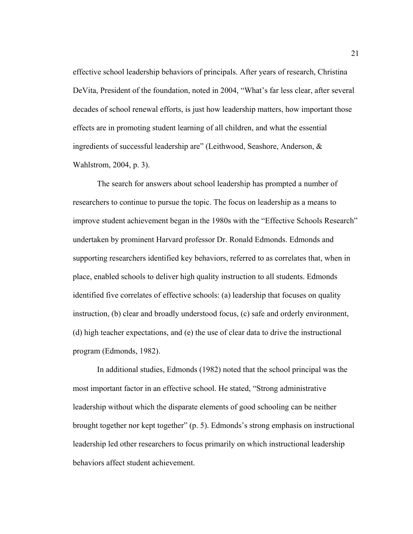effective school leadership behaviors of principals. After years of research, Christina DeVita, President of the foundation, noted in 2004, "What's far less clear, after several decades of school renewal efforts, is just how leadership matters, how important those effects are in promoting student learning of all children, and what the essential ingredients of successful leadership are" (Leithwood, Seashore, Anderson, & Wahlstrom, 2004, p. 3).

The search for answers about school leadership has prompted a number of researchers to continue to pursue the topic. The focus on leadership as a means to improve student achievement began in the 1980s with the "Effective Schools Research" undertaken by prominent Harvard professor Dr. Ronald Edmonds. Edmonds and supporting researchers identified key behaviors, referred to as correlates that, when in place, enabled schools to deliver high quality instruction to all students. Edmonds identified five correlates of effective schools: (a) leadership that focuses on quality instruction, (b) clear and broadly understood focus, (c) safe and orderly environment, (d) high teacher expectations, and (e) the use of clear data to drive the instructional program (Edmonds, 1982).

In additional studies, Edmonds (1982) noted that the school principal was the most important factor in an effective school. He stated, "Strong administrative leadership without which the disparate elements of good schooling can be neither brought together nor kept together" (p. 5). Edmonds's strong emphasis on instructional leadership led other researchers to focus primarily on which instructional leadership behaviors affect student achievement.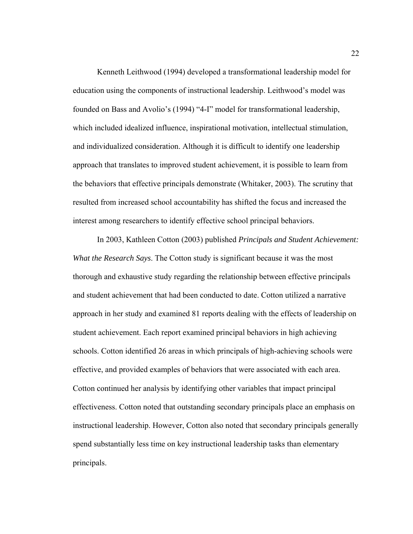Kenneth Leithwood (1994) developed a transformational leadership model for education using the components of instructional leadership. Leithwood's model was founded on Bass and Avolio's (1994) "4-I" model for transformational leadership, which included idealized influence, inspirational motivation, intellectual stimulation, and individualized consideration. Although it is difficult to identify one leadership approach that translates to improved student achievement, it is possible to learn from the behaviors that effective principals demonstrate (Whitaker, 2003). The scrutiny that resulted from increased school accountability has shifted the focus and increased the interest among researchers to identify effective school principal behaviors.

In 2003, Kathleen Cotton (2003) published *Principals and Student Achievement: What the Research Says*. The Cotton study is significant because it was the most thorough and exhaustive study regarding the relationship between effective principals and student achievement that had been conducted to date. Cotton utilized a narrative approach in her study and examined 81 reports dealing with the effects of leadership on student achievement. Each report examined principal behaviors in high achieving schools. Cotton identified 26 areas in which principals of high-achieving schools were effective, and provided examples of behaviors that were associated with each area. Cotton continued her analysis by identifying other variables that impact principal effectiveness. Cotton noted that outstanding secondary principals place an emphasis on instructional leadership. However, Cotton also noted that secondary principals generally spend substantially less time on key instructional leadership tasks than elementary principals.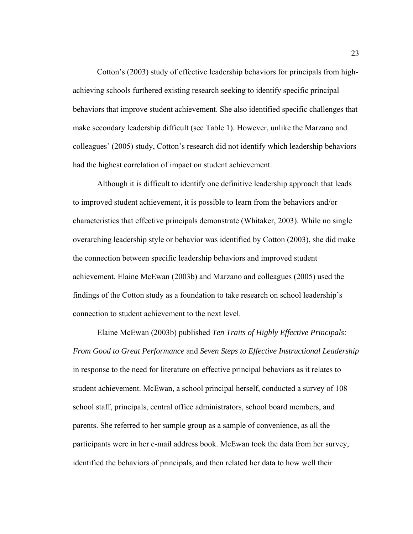Cotton's (2003) study of effective leadership behaviors for principals from highachieving schools furthered existing research seeking to identify specific principal behaviors that improve student achievement. She also identified specific challenges that make secondary leadership difficult (see Table 1). However, unlike the Marzano and colleagues' (2005) study, Cotton's research did not identify which leadership behaviors had the highest correlation of impact on student achievement.

Although it is difficult to identify one definitive leadership approach that leads to improved student achievement, it is possible to learn from the behaviors and/or characteristics that effective principals demonstrate (Whitaker, 2003). While no single overarching leadership style or behavior was identified by Cotton (2003), she did make the connection between specific leadership behaviors and improved student achievement. Elaine McEwan (2003b) and Marzano and colleagues (2005) used the findings of the Cotton study as a foundation to take research on school leadership's connection to student achievement to the next level.

Elaine McEwan (2003b) published *Ten Traits of Highly Effective Principals: From Good to Great Performance* and *Seven Steps to Effective Instructional Leadership*  in response to the need for literature on effective principal behaviors as it relates to student achievement. McEwan, a school principal herself, conducted a survey of 108 school staff, principals, central office administrators, school board members, and parents. She referred to her *s*ample group as a sample of convenience, as all the participants were in her e-mail address book. McEwan took the data from her survey, identified the behaviors of principals, and then related her data to how well their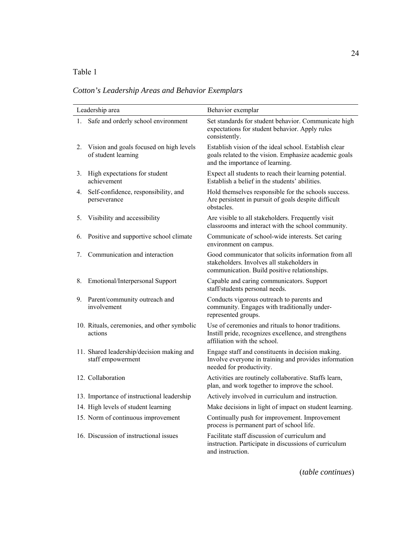# Table 1

*Cotton's Leadership Areas and Behavior Exemplars* 

| Leadership area |                                                                | Behavior exemplar                                                                                                                                  |  |
|-----------------|----------------------------------------------------------------|----------------------------------------------------------------------------------------------------------------------------------------------------|--|
|                 | 1. Safe and orderly school environment                         | Set standards for student behavior. Communicate high<br>expectations for student behavior. Apply rules<br>consistently.                            |  |
| 2.              | Vision and goals focused on high levels<br>of student learning | Establish vision of the ideal school. Establish clear<br>goals related to the vision. Emphasize academic goals<br>and the importance of learning.  |  |
| 3.              | High expectations for student<br>achievement                   | Expect all students to reach their learning potential.<br>Establish a belief in the students' abilities.                                           |  |
| 4.              | Self-confidence, responsibility, and<br>perseverance           | Hold themselves responsible for the schools success.<br>Are persistent in pursuit of goals despite difficult<br>obstacles.                         |  |
| 5.              | Visibility and accessibility                                   | Are visible to all stakeholders. Frequently visit<br>classrooms and interact with the school community.                                            |  |
| 6.              | Positive and supportive school climate                         | Communicate of school-wide interests. Set caring<br>environment on campus.                                                                         |  |
| 7.              | Communication and interaction                                  | Good communicator that solicits information from all<br>stakeholders. Involves all stakeholders in<br>communication. Build positive relationships. |  |
| 8.              | Emotional/Interpersonal Support                                | Capable and caring communicators. Support<br>staff/students personal needs.                                                                        |  |
| 9.              | Parent/community outreach and<br>involvement                   | Conducts vigorous outreach to parents and<br>community. Engages with traditionally under-<br>represented groups.                                   |  |
|                 | 10. Rituals, ceremonies, and other symbolic<br>actions         | Use of ceremonies and rituals to honor traditions.<br>Instill pride, recognizes excellence, and strengthens<br>affiliation with the school.        |  |
|                 | 11. Shared leadership/decision making and<br>staff empowerment | Engage staff and constituents in decision making.<br>Involve everyone in training and provides information<br>needed for productivity.             |  |
|                 | 12. Collaboration                                              | Activities are routinely collaborative. Staffs learn,<br>plan, and work together to improve the school.                                            |  |
|                 | 13. Importance of instructional leadership                     | Actively involved in curriculum and instruction.                                                                                                   |  |
|                 | 14. High levels of student learning                            | Make decisions in light of impact on student learning.                                                                                             |  |
|                 | 15. Norm of continuous improvement                             | Continually push for improvement. Improvement<br>process is permanent part of school life.                                                         |  |
|                 | 16. Discussion of instructional issues                         | Facilitate staff discussion of curriculum and<br>instruction. Participate in discussions of curriculum<br>and instruction.                         |  |

(*table continues*)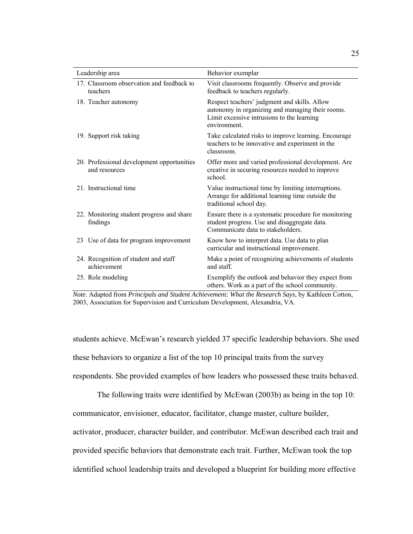| Leadership area                                             | Behavior exemplar                                                                                                                                              |
|-------------------------------------------------------------|----------------------------------------------------------------------------------------------------------------------------------------------------------------|
| 17. Classroom observation and feedback to<br>teachers       | Visit classrooms frequently. Observe and provide<br>feedback to teachers regularly.                                                                            |
| 18. Teacher autonomy                                        | Respect teachers' judgment and skills. Allow<br>autonomy in organizing and managing their rooms.<br>Limit excessive intrusions to the learning<br>environment. |
| 19. Support risk taking                                     | Take calculated risks to improve learning. Encourage<br>teachers to be innovative and experiment in the<br>classroom                                           |
| 20. Professional development opportunities<br>and resources | Offer more and varied professional development. Are<br>creative in securing resources needed to improve<br>school.                                             |
| 21. Instructional time                                      | Value instructional time by limiting interruptions.<br>Arrange for additional learning time outside the<br>traditional school day.                             |
| 22. Monitoring student progress and share<br>findings       | Ensure there is a systematic procedure for monitoring<br>student progress. Use and disaggregate data.<br>Communicate data to stakeholders.                     |
| 23 Use of data for program improvement                      | Know how to interpret data. Use data to plan<br>curricular and instructional improvement.                                                                      |
| 24. Recognition of student and staff<br>achievement         | Make a point of recognizing achievements of students<br>and staff.                                                                                             |
| 25. Role modeling                                           | Exemplify the outlook and behavior they expect from<br>others. Work as a part of the school community.                                                         |

*Note*. Adapted from *Principals and Student Achievement: What the Research Says*, by Kathleen Cotton, 2003, Association for Supervision and Curriculum Development, Alexandria, VA.

students achieve. McEwan's research yielded 37 specific leadership behaviors. She used these behaviors to organize a list of the top 10 principal traits from the survey respondents. She provided examples of how leaders who possessed these traits behaved.

The following traits were identified by McEwan (2003b) as being in the top 10: communicator, envisioner, educator, facilitator, change master, culture builder,

activator, producer, character builder, and contributor. McEwan described each trait and

provided specific behaviors that demonstrate each trait. Further, McEwan took the top

identified school leadership traits and developed a blueprint for building more effective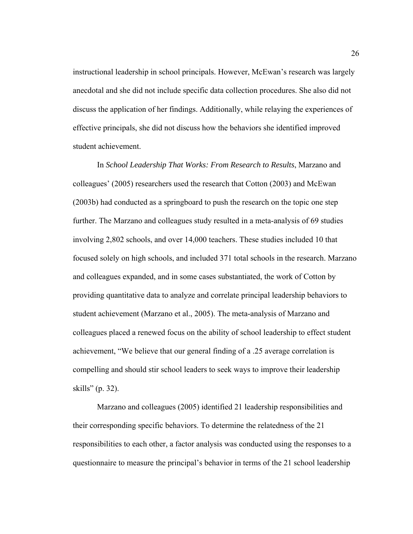instructional leadership in school principals. However, McEwan's research was largely anecdotal and she did not include specific data collection procedures. She also did not discuss the application of her findings. Additionally, while relaying the experiences of effective principals, she did not discuss how the behaviors she identified improved student achievement.

In *School Leadership That Works: From Research to Results*, Marzano and colleagues' (2005) researchers used the research that Cotton (2003) and McEwan (2003b) had conducted as a springboard to push the research on the topic one step further. The Marzano and colleagues study resulted in a meta-analysis of 69 studies involving 2,802 schools, and over 14,000 teachers. These studies included 10 that focused solely on high schools, and included 371 total schools in the research. Marzano and colleagues expanded, and in some cases substantiated, the work of Cotton by providing quantitative data to analyze and correlate principal leadership behaviors to student achievement (Marzano et al., 2005). The meta-analysis of Marzano and colleagues placed a renewed focus on the ability of school leadership to effect student achievement, "We believe that our general finding of a .25 average correlation is compelling and should stir school leaders to seek ways to improve their leadership skills" (p. 32).

Marzano and colleagues (2005) identified 21 leadership responsibilities and their corresponding specific behaviors. To determine the relatedness of the 21 responsibilities to each other, a factor analysis was conducted using the responses to a questionnaire to measure the principal's behavior in terms of the 21 school leadership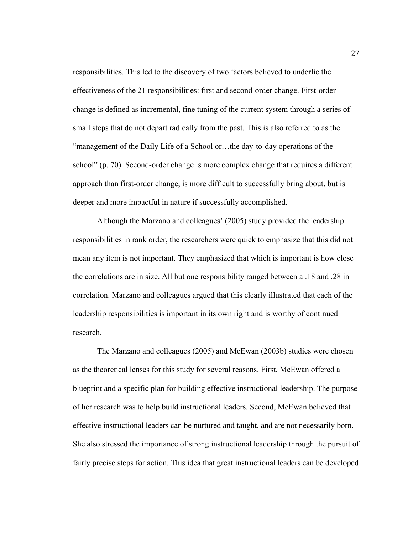responsibilities. This led to the discovery of two factors believed to underlie the effectiveness of the 21 responsibilities: first and second-order change. First-order change is defined as incremental, fine tuning of the current system through a series of small steps that do not depart radically from the past. This is also referred to as the "management of the Daily Life of a School or…the day-to-day operations of the school" (p. 70). Second-order change is more complex change that requires a different approach than first-order change, is more difficult to successfully bring about, but is deeper and more impactful in nature if successfully accomplished.

Although the Marzano and colleagues' (2005) study provided the leadership responsibilities in rank order, the researchers were quick to emphasize that this did not mean any item is not important. They emphasized that which is important is how close the correlations are in size. All but one responsibility ranged between a .18 and .28 in correlation. Marzano and colleagues argued that this clearly illustrated that each of the leadership responsibilities is important in its own right and is worthy of continued research.

The Marzano and colleagues (2005) and McEwan (2003b) studies were chosen as the theoretical lenses for this study for several reasons. First, McEwan offered a blueprint and a specific plan for building effective instructional leadership. The purpose of her research was to help build instructional leaders. Second, McEwan believed that effective instructional leaders can be nurtured and taught, and are not necessarily born. She also stressed the importance of strong instructional leadership through the pursuit of fairly precise steps for action. This idea that great instructional leaders can be developed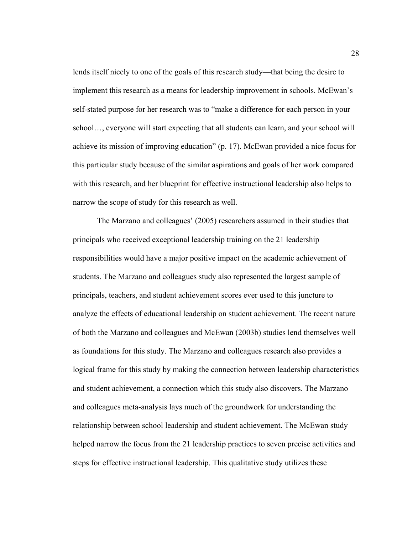lends itself nicely to one of the goals of this research study—that being the desire to implement this research as a means for leadership improvement in schools. McEwan's self-stated purpose for her research was to "make a difference for each person in your school…, everyone will start expecting that all students can learn, and your school will achieve its mission of improving education" (p. 17). McEwan provided a nice focus for this particular study because of the similar aspirations and goals of her work compared with this research, and her blueprint for effective instructional leadership also helps to narrow the scope of study for this research as well.

The Marzano and colleagues' (2005) researchers assumed in their studies that principals who received exceptional leadership training on the 21 leadership responsibilities would have a major positive impact on the academic achievement of students. The Marzano and colleagues study also represented the largest sample of principals, teachers, and student achievement scores ever used to this juncture to analyze the effects of educational leadership on student achievement. The recent nature of both the Marzano and colleagues and McEwan (2003b) studies lend themselves well as foundations for this study. The Marzano and colleagues research also provides a logical frame for this study by making the connection between leadership characteristics and student achievement, a connection which this study also discovers. The Marzano and colleagues meta-analysis lays much of the groundwork for understanding the relationship between school leadership and student achievement. The McEwan study helped narrow the focus from the 21 leadership practices to seven precise activities and steps for effective instructional leadership. This qualitative study utilizes these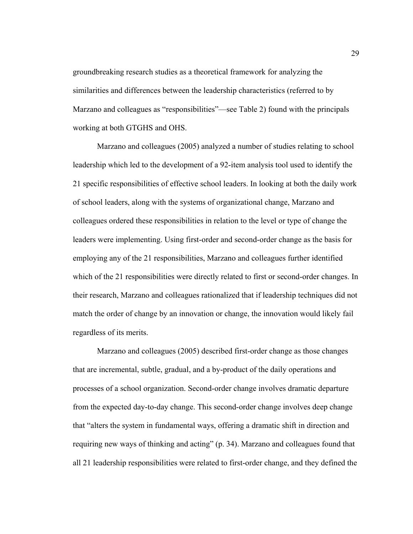groundbreaking research studies as a theoretical framework for analyzing the similarities and differences between the leadership characteristics (referred to by Marzano and colleagues as "responsibilities"—see Table 2) found with the principals working at both GTGHS and OHS.

 Marzano and colleagues (2005) analyzed a number of studies relating to school leadership which led to the development of a 92-item analysis tool used to identify the 21 specific responsibilities of effective school leaders. In looking at both the daily work of school leaders, along with the systems of organizational change, Marzano and colleagues ordered these responsibilities in relation to the level or type of change the leaders were implementing. Using first-order and second-order change as the basis for employing any of the 21 responsibilities, Marzano and colleagues further identified which of the 21 responsibilities were directly related to first or second-order changes. In their research, Marzano and colleagues rationalized that if leadership techniques did not match the order of change by an innovation or change, the innovation would likely fail regardless of its merits.

 Marzano and colleagues (2005) described first-order change as those changes that are incremental, subtle, gradual, and a by-product of the daily operations and processes of a school organization. Second-order change involves dramatic departure from the expected day-to-day change. This second-order change involves deep change that "alters the system in fundamental ways, offering a dramatic shift in direction and requiring new ways of thinking and acting" (p. 34). Marzano and colleagues found that all 21 leadership responsibilities were related to first-order change, and they defined the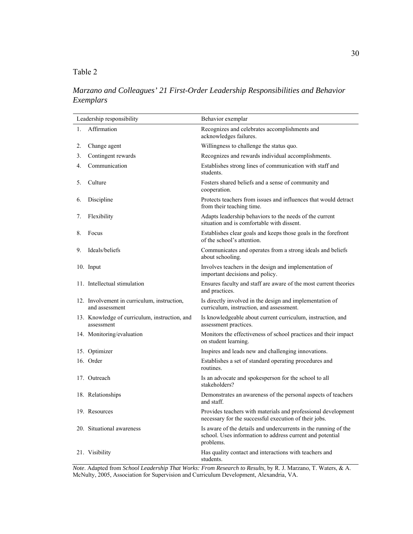# Table 2

# *Marzano and Colleagues' 21 First-Order Leadership Responsibilities and Behavior Exemplars*

|    | Leadership responsibility                                     | Behavior exemplar                                                                                                                         |
|----|---------------------------------------------------------------|-------------------------------------------------------------------------------------------------------------------------------------------|
| 1. | Affirmation                                                   | Recognizes and celebrates accomplishments and<br>acknowledges failures.                                                                   |
| 2. | Change agent                                                  | Willingness to challenge the status quo.                                                                                                  |
| 3. | Contingent rewards                                            | Recognizes and rewards individual accomplishments.                                                                                        |
| 4. | Communication                                                 | Establishes strong lines of communication with staff and<br>students.                                                                     |
| 5. | Culture                                                       | Fosters shared beliefs and a sense of community and<br>cooperation.                                                                       |
| 6. | Discipline                                                    | Protects teachers from issues and influences that would detract<br>from their teaching time.                                              |
| 7. | Flexibility                                                   | Adapts leadership behaviors to the needs of the current<br>situation and is comfortable with dissent.                                     |
| 8. | Focus                                                         | Establishes clear goals and keeps those goals in the forefront<br>of the school's attention.                                              |
| 9. | Ideals/beliefs                                                | Communicates and operates from a strong ideals and beliefs<br>about schooling.                                                            |
|    | 10. Input                                                     | Involves teachers in the design and implementation of<br>important decisions and policy.                                                  |
|    | 11. Intellectual stimulation                                  | Ensures faculty and staff are aware of the most current theories<br>and practices.                                                        |
|    | 12. Involvement in curriculum, instruction,<br>and assessment | Is directly involved in the design and implementation of<br>curriculum, instruction, and assessment.                                      |
|    | 13. Knowledge of curriculum, instruction, and<br>assessment   | Is knowledgeable about current curriculum, instruction, and<br>assessment practices.                                                      |
|    | 14. Monitoring/evaluation                                     | Monitors the effectiveness of school practices and their impact<br>on student learning.                                                   |
|    | 15. Optimizer                                                 | Inspires and leads new and challenging innovations.                                                                                       |
|    | 16. Order                                                     | Establishes a set of standard operating procedures and<br>routines.                                                                       |
|    | 17. Outreach                                                  | Is an advocate and spokesperson for the school to all<br>stakeholders?                                                                    |
|    | 18. Relationships                                             | Demonstrates an awareness of the personal aspects of teachers<br>and staff.                                                               |
|    | 19. Resources                                                 | Provides teachers with materials and professional development<br>necessary for the successful execution of their jobs.                    |
|    | 20. Situational awareness                                     | Is aware of the details and undercurrents in the running of the<br>school. Uses information to address current and potential<br>problems. |
|    | 21. Visibility                                                | Has quality contact and interactions with teachers and<br>students.                                                                       |

*Note*. Adapted from *School Leadership That Works: From Research to Results*, by R. J. Marzano, T. Waters, & A. McNulty, 2005, Association for Supervision and Curriculum Development, Alexandria, VA.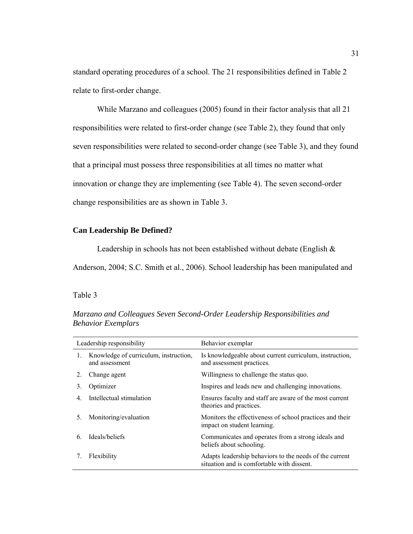standard operating procedures of a school. The 21 responsibilities defined in Table 2 relate to first-order change.

 While Marzano and colleagues (2005) found in their factor analysis that all 21 responsibilities were related to first-order change (see Table 2), they found that only seven responsibilities were related to second-order change (see Table 3), and they found that a principal must possess three responsibilities at all times no matter what innovation or change they are implementing (see Table 4). The seven second-order change responsibilities are as shown in Table 3.

## **Can Leadership Be Defined?**

Leadership in schools has not been established without debate (English &

Anderson, 2004; S.C. Smith et al., 2006). School leadership has been manipulated and

# Table 3

| Leadership responsibility |                                                         | Behavior exemplar                                                                                     |
|---------------------------|---------------------------------------------------------|-------------------------------------------------------------------------------------------------------|
| $1_{-}$                   | Knowledge of curriculum, instruction,<br>and assessment | Is knowledgeable about current curriculum, instruction,<br>and assessment practices.                  |
| 2.                        | Change agent                                            | Willingness to challenge the status quo.                                                              |
| 3.                        | Optimizer                                               | Inspires and leads new and challenging innovations.                                                   |
| 4                         | Intellectual stimulation                                | Ensures faculty and staff are aware of the most current<br>theories and practices.                    |
| 5.                        | Monitoring/evaluation                                   | Monitors the effectiveness of school practices and their<br>impact on student learning.               |
| 6                         | Ideals/beliefs                                          | Communicates and operates from a strong ideals and<br>beliefs about schooling.                        |
|                           | Flexibility                                             | Adapts leadership behaviors to the needs of the current<br>situation and is comfortable with dissent. |

*Marzano and Colleagues Seven Second-Order Leadership Responsibilities and Behavior Exemplars*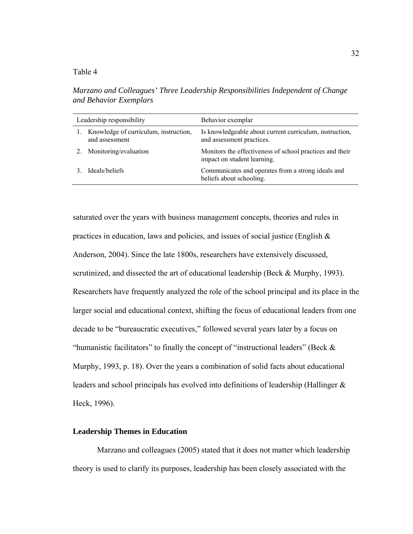## Table 4

*Marzano and Colleagues' Three Leadership Responsibilities Independent of Change and Behavior Exemplars* 

| Leadership responsibility |                                                         | Behavior exemplar                                                                       |
|---------------------------|---------------------------------------------------------|-----------------------------------------------------------------------------------------|
|                           | Knowledge of curriculum, instruction,<br>and assessment | Is knowledgeable about current curriculum, instruction,<br>and assessment practices.    |
|                           | Monitoring/evaluation                                   | Monitors the effectiveness of school practices and their<br>impact on student learning. |
|                           | Ideals/beliefs                                          | Communicates and operates from a strong ideals and<br>beliefs about schooling.          |

saturated over the years with business management concepts, theories and rules in practices in education, laws and policies, and issues of social justice (English  $\&$ Anderson, 2004). Since the late 1800s, researchers have extensively discussed, scrutinized, and dissected the art of educational leadership (Beck & Murphy, 1993). Researchers have frequently analyzed the role of the school principal and its place in the larger social and educational context, shifting the focus of educational leaders from one decade to be "bureaucratic executives," followed several years later by a focus on "humanistic facilitators" to finally the concept of "instructional leaders" (Beck  $\&$ Murphy, 1993, p. 18). Over the years a combination of solid facts about educational leaders and school principals has evolved into definitions of leadership (Hallinger & Heck, 1996).

#### **Leadership Themes in Education**

Marzano and colleagues (2005) stated that it does not matter which leadership theory is used to clarify its purposes, leadership has been closely associated with the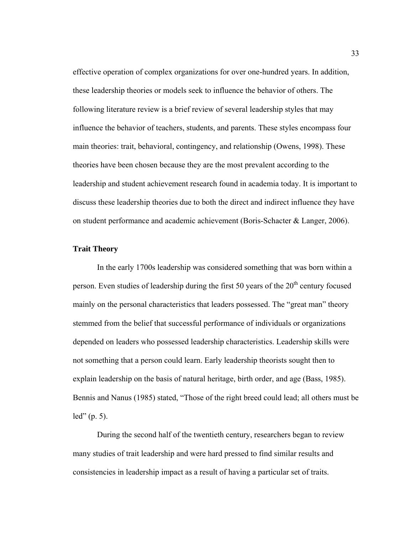effective operation of complex organizations for over one-hundred years. In addition, these leadership theories or models seek to influence the behavior of others. The following literature review is a brief review of several leadership styles that may influence the behavior of teachers, students, and parents. These styles encompass four main theories: trait, behavioral, contingency, and relationship (Owens, 1998). These theories have been chosen because they are the most prevalent according to the leadership and student achievement research found in academia today. It is important to discuss these leadership theories due to both the direct and indirect influence they have on student performance and academic achievement (Boris-Schacter & Langer, 2006).

# **Trait Theory**

 In the early 1700s leadership was considered something that was born within a person. Even studies of leadership during the first 50 years of the  $20<sup>th</sup>$  century focused mainly on the personal characteristics that leaders possessed. The "great man" theory stemmed from the belief that successful performance of individuals or organizations depended on leaders who possessed leadership characteristics. Leadership skills were not something that a person could learn. Early leadership theorists sought then to explain leadership on the basis of natural heritage, birth order, and age (Bass, 1985). Bennis and Nanus (1985) stated, "Those of the right breed could lead; all others must be led" (p. 5).

During the second half of the twentieth century, researchers began to review many studies of trait leadership and were hard pressed to find similar results and consistencies in leadership impact as a result of having a particular set of traits.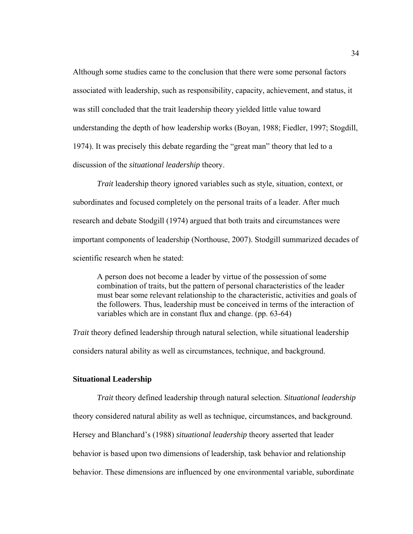Although some studies came to the conclusion that there were some personal factors associated with leadership, such as responsibility, capacity, achievement, and status, it was still concluded that the trait leadership theory yielded little value toward understanding the depth of how leadership works (Boyan, 1988; Fiedler, 1997; Stogdill, 1974). It was precisely this debate regarding the "great man" theory that led to a discussion of the *situational leadership* theory.

*Trait* leadership theory ignored variables such as style, situation, context, or subordinates and focused completely on the personal traits of a leader. After much research and debate Stodgill (1974) argued that both traits and circumstances were important components of leadership (Northouse, 2007). Stodgill summarized decades of scientific research when he stated:

A person does not become a leader by virtue of the possession of some combination of traits, but the pattern of personal characteristics of the leader must bear some relevant relationship to the characteristic, activities and goals of the followers. Thus, leadership must be conceived in terms of the interaction of variables which are in constant flux and change. (pp. 63-64)

*Trait* theory defined leadership through natural selection, while situational leadership considers natural ability as well as circumstances, technique, and background.

#### **Situational Leadership**

*Trait* theory defined leadership through natural selection. *Situational leadership* theory considered natural ability as well as technique, circumstances, and background. Hersey and Blanchard's (1988) *situational leadership* theory asserted that leader behavior is based upon two dimensions of leadership, task behavior and relationship behavior. These dimensions are influenced by one environmental variable, subordinate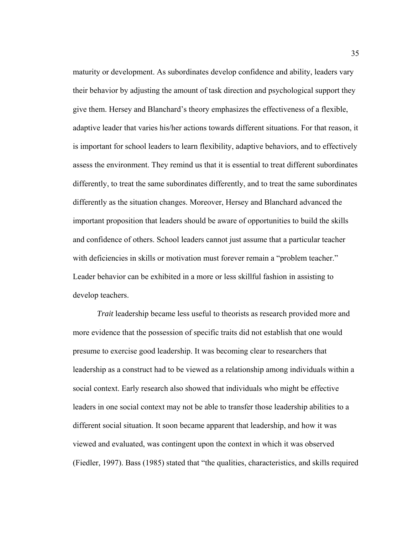maturity or development. As subordinates develop confidence and ability, leaders vary their behavior by adjusting the amount of task direction and psychological support they give them. Hersey and Blanchard's theory emphasizes the effectiveness of a flexible, adaptive leader that varies his/her actions towards different situations. For that reason, it is important for school leaders to learn flexibility, adaptive behaviors, and to effectively assess the environment. They remind us that it is essential to treat different subordinates differently, to treat the same subordinates differently, and to treat the same subordinates differently as the situation changes. Moreover, Hersey and Blanchard advanced the important proposition that leaders should be aware of opportunities to build the skills and confidence of others. School leaders cannot just assume that a particular teacher with deficiencies in skills or motivation must forever remain a "problem teacher." Leader behavior can be exhibited in a more or less skillful fashion in assisting to develop teachers.

*Trait* leadership became less useful to theorists as research provided more and more evidence that the possession of specific traits did not establish that one would presume to exercise good leadership. It was becoming clear to researchers that leadership as a construct had to be viewed as a relationship among individuals within a social context. Early research also showed that individuals who might be effective leaders in one social context may not be able to transfer those leadership abilities to a different social situation. It soon became apparent that leadership, and how it was viewed and evaluated, was contingent upon the context in which it was observed (Fiedler, 1997). Bass (1985) stated that "the qualities, characteristics, and skills required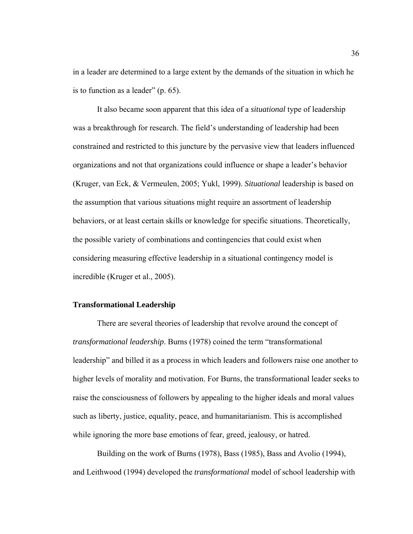in a leader are determined to a large extent by the demands of the situation in which he is to function as a leader" (p. 65).

It also became soon apparent that this idea of a *situational* type of leadership was a breakthrough for research. The field's understanding of leadership had been constrained and restricted to this juncture by the pervasive view that leaders influenced organizations and not that organizations could influence or shape a leader's behavior (Kruger, van Eck, & Vermeulen, 2005; Yukl, 1999). *Situational* leadership is based on the assumption that various situations might require an assortment of leadership behaviors, or at least certain skills or knowledge for specific situations. Theoretically, the possible variety of combinations and contingencies that could exist when considering measuring effective leadership in a situational contingency model is incredible (Kruger et al., 2005).

#### **Transformational Leadership**

There are several theories of leadership that revolve around the concept of *transformational leadership*. Burns (1978) coined the term "transformational leadership" and billed it as a process in which leaders and followers raise one another to higher levels of morality and motivation. For Burns, the transformational leader seeks to raise the consciousness of followers by appealing to the higher ideals and moral values such as liberty, justice, equality, peace, and humanitarianism. This is accomplished while ignoring the more base emotions of fear, greed, jealousy, or hatred.

Building on the work of Burns (1978), Bass (1985), Bass and Avolio (1994), and Leithwood (1994) developed the *transformational* model of school leadership with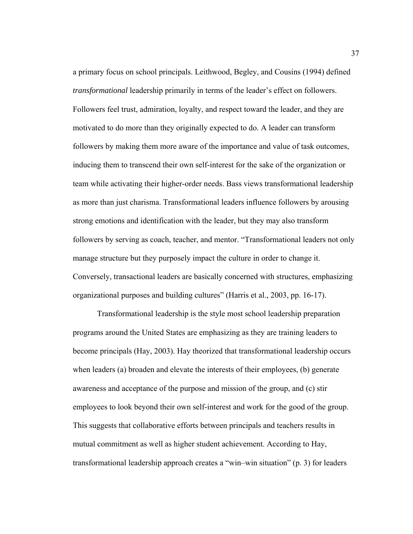a primary focus on school principals. Leithwood, Begley, and Cousins (1994) defined *transformational* leadership primarily in terms of the leader's effect on followers. Followers feel trust, admiration, loyalty, and respect toward the leader, and they are motivated to do more than they originally expected to do. A leader can transform followers by making them more aware of the importance and value of task outcomes, inducing them to transcend their own self-interest for the sake of the organization or team while activating their higher-order needs. Bass views transformational leadership as more than just charisma. Transformational leaders influence followers by arousing strong emotions and identification with the leader, but they may also transform followers by serving as coach, teacher, and mentor. "Transformational leaders not only manage structure but they purposely impact the culture in order to change it. Conversely, transactional leaders are basically concerned with structures, emphasizing organizational purposes and building cultures" (Harris et al., 2003, pp. 16-17).

Transformational leadership is the style most school leadership preparation programs around the United States are emphasizing as they are training leaders to become principals (Hay, 2003). Hay theorized that transformational leadership occurs when leaders (a) broaden and elevate the interests of their employees, (b) generate awareness and acceptance of the purpose and mission of the group, and (c) stir employees to look beyond their own self-interest and work for the good of the group. This suggests that collaborative efforts between principals and teachers results in mutual commitment as well as higher student achievement. According to Hay, transformational leadership approach creates a "win–win situation" (p. 3) for leaders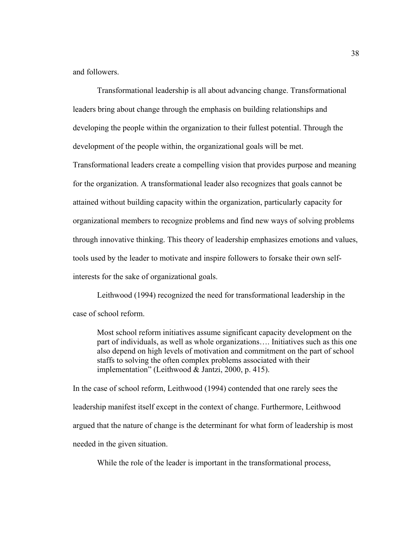and followers.

Transformational leadership is all about advancing change. Transformational leaders bring about change through the emphasis on building relationships and developing the people within the organization to their fullest potential. Through the development of the people within, the organizational goals will be met.

Transformational leaders create a compelling vision that provides purpose and meaning for the organization. A transformational leader also recognizes that goals cannot be attained without building capacity within the organization, particularly capacity for organizational members to recognize problems and find new ways of solving problems through innovative thinking. This theory of leadership emphasizes emotions and values, tools used by the leader to motivate and inspire followers to forsake their own selfinterests for the sake of organizational goals.

Leithwood (1994) recognized the need for transformational leadership in the case of school reform.

Most school reform initiatives assume significant capacity development on the part of individuals, as well as whole organizations…. Initiatives such as this one also depend on high levels of motivation and commitment on the part of school staffs to solving the often complex problems associated with their implementation" (Leithwood & Jantzi, 2000, p. 415).

In the case of school reform, Leithwood (1994) contended that one rarely sees the leadership manifest itself except in the context of change. Furthermore, Leithwood argued that the nature of change is the determinant for what form of leadership is most needed in the given situation.

While the role of the leader is important in the transformational process,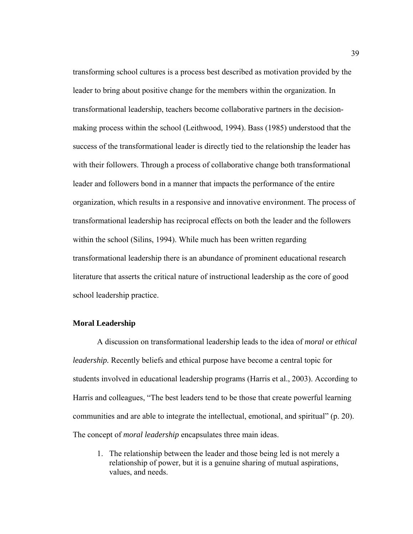transforming school cultures is a process best described as motivation provided by the leader to bring about positive change for the members within the organization. In transformational leadership, teachers become collaborative partners in the decisionmaking process within the school (Leithwood, 1994). Bass (1985) understood that the success of the transformational leader is directly tied to the relationship the leader has with their followers. Through a process of collaborative change both transformational leader and followers bond in a manner that impacts the performance of the entire organization, which results in a responsive and innovative environment. The process of transformational leadership has reciprocal effects on both the leader and the followers within the school (Silins, 1994). While much has been written regarding transformational leadership there is an abundance of prominent educational research literature that asserts the critical nature of instructional leadership as the core of good school leadership practice.

## **Moral Leadership**

A discussion on transformational leadership leads to the idea of *moral* or *ethical leadership.* Recently beliefs and ethical purpose have become a central topic for students involved in educational leadership programs (Harris et al., 2003). According to Harris and colleagues, "The best leaders tend to be those that create powerful learning communities and are able to integrate the intellectual, emotional, and spiritual" (p. 20). The concept of *moral leadership* encapsulates three main ideas.

1. The relationship between the leader and those being led is not merely a relationship of power, but it is a genuine sharing of mutual aspirations, values, and needs.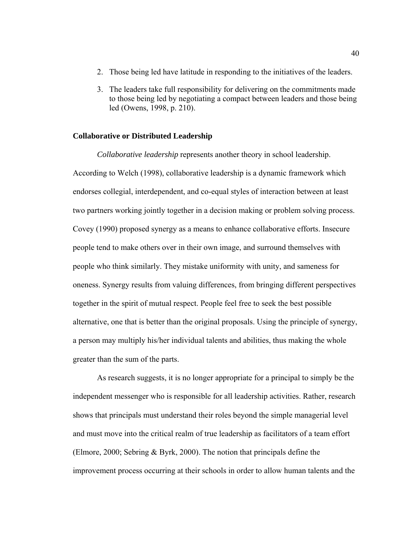- 2. Those being led have latitude in responding to the initiatives of the leaders.
- 3. The leaders take full responsibility for delivering on the commitments made to those being led by negotiating a compact between leaders and those being led (Owens, 1998, p. 210).

#### **Collaborative or Distributed Leadership**

*Collaborative leadership* represents another theory in school leadership. According to Welch (1998), collaborative leadership is a dynamic framework which endorses collegial, interdependent, and co-equal styles of interaction between at least two partners working jointly together in a decision making or problem solving process. Covey (1990) proposed synergy as a means to enhance collaborative efforts. Insecure people tend to make others over in their own image, and surround themselves with people who think similarly. They mistake uniformity with unity, and sameness for oneness. Synergy results from valuing differences, from bringing different perspectives together in the spirit of mutual respect. People feel free to seek the best possible alternative, one that is better than the original proposals. Using the principle of synergy, a person may multiply his/her individual talents and abilities, thus making the whole greater than the sum of the parts.

As research suggests, it is no longer appropriate for a principal to simply be the independent messenger who is responsible for all leadership activities. Rather, research shows that principals must understand their roles beyond the simple managerial level and must move into the critical realm of true leadership as facilitators of a team effort (Elmore, 2000; Sebring & Byrk, 2000). The notion that principals define the improvement process occurring at their schools in order to allow human talents and the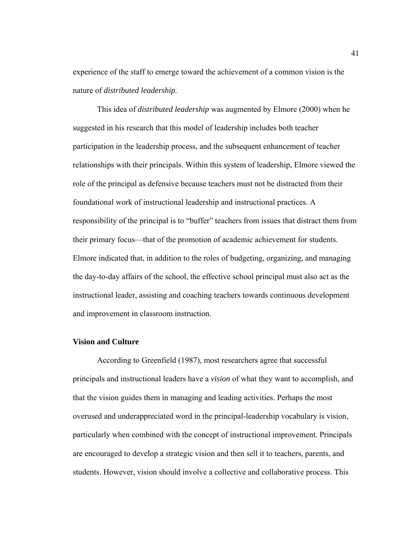experience of the staff to emerge toward the achievement of a common vision is the nature of *distributed leadership*.

This idea of *distributed leadership* was augmented by Elmore (2000) when he suggested in his research that this model of leadership includes both teacher participation in the leadership process, and the subsequent enhancement of teacher relationships with their principals. Within this system of leadership, Elmore viewed the role of the principal as defensive because teachers must not be distracted from their foundational work of instructional leadership and instructional practices. A responsibility of the principal is to "buffer" teachers from issues that distract them from their primary focus—that of the promotion of academic achievement for students. Elmore indicated that, in addition to the roles of budgeting, organizing, and managing the day-to-day affairs of the school, the effective school principal must also act as the instructional leader, assisting and coaching teachers towards continuous development and improvement in classroom instruction.

#### **Vision and Culture**

According to Greenfield (1987), most researchers agree that successful principals and instructional leaders have a *vision* of what they want to accomplish, and that the vision guides them in managing and leading activities. Perhaps the most overused and underappreciated word in the principal-leadership vocabulary is vision, particularly when combined with the concept of instructional improvement. Principals are encouraged to develop a strategic vision and then sell it to teachers, parents, and students. However, vision should involve a collective and collaborative process. This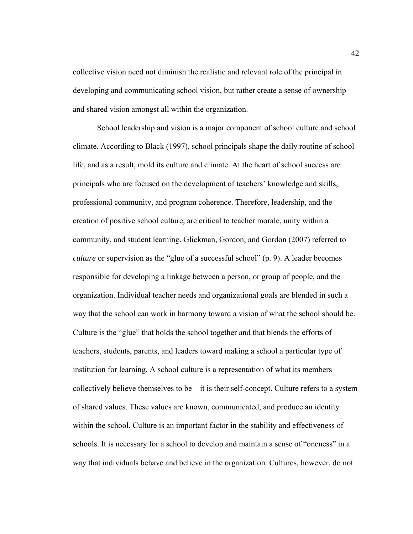collective vision need not diminish the realistic and relevant role of the principal in developing and communicating school vision, but rather create a sense of ownership and shared vision amongst all within the organization.

School leadership and vision is a major component of school culture and school climate. According to Black (1997), school principals shape the daily routine of school life, and as a result, mold its culture and climate. At the heart of school success are principals who are focused on the development of teachers' knowledge and skills, professional community, and program coherence. Therefore, leadership, and the creation of positive school culture, are critical to teacher morale, unity within a community, and student learning. Glickman, Gordon, and Gordon (2007) referred to *culture* or supervision as the "glue of a successful school" (p. 9). A leader becomes responsible for developing a linkage between a person, or group of people, and the organization. Individual teacher needs and organizational goals are blended in such a way that the school can work in harmony toward a vision of what the school should be. Culture is the "glue" that holds the school together and that blends the efforts of teachers, students, parents, and leaders toward making a school a particular type of institution for learning. A school culture is a representation of what its members collectively believe themselves to be—it is their self-concept. Culture refers to a system of shared values. These values are known, communicated, and produce an identity within the school. Culture is an important factor in the stability and effectiveness of schools. It is necessary for a school to develop and maintain a sense of "oneness" in a way that individuals behave and believe in the organization. Cultures, however, do not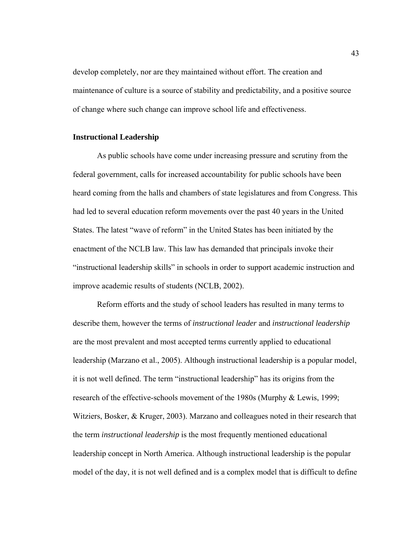develop completely, nor are they maintained without effort. The creation and maintenance of culture is a source of stability and predictability, and a positive source of change where such change can improve school life and effectiveness.

#### **Instructional Leadership**

As public schools have come under increasing pressure and scrutiny from the federal government, calls for increased accountability for public schools have been heard coming from the halls and chambers of state legislatures and from Congress. This had led to several education reform movements over the past 40 years in the United States. The latest "wave of reform" in the United States has been initiated by the enactment of the NCLB law. This law has demanded that principals invoke their "instructional leadership skills" in schools in order to support academic instruction and improve academic results of students (NCLB, 2002).

Reform efforts and the study of school leaders has resulted in many terms to describe them, however the terms of *instructional leader* and *instructional leadership* are the most prevalent and most accepted terms currently applied to educational leadership (Marzano et al., 2005). Although instructional leadership is a popular model, it is not well defined. The term "instructional leadership" has its origins from the research of the effective-schools movement of the 1980s (Murphy & Lewis, 1999; Witziers, Bosker, & Kruger, 2003). Marzano and colleagues noted in their research that the term *instructional leadership* is the most frequently mentioned educational leadership concept in North America. Although instructional leadership is the popular model of the day, it is not well defined and is a complex model that is difficult to define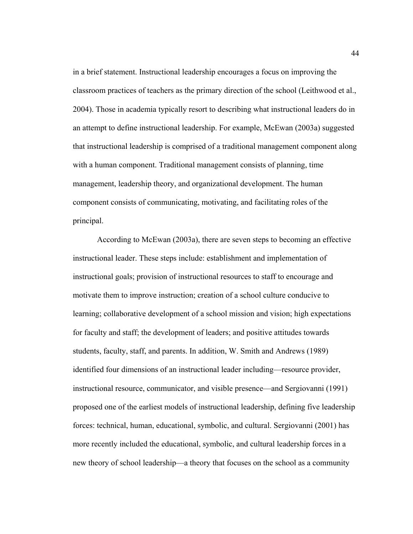in a brief statement. Instructional leadership encourages a focus on improving the classroom practices of teachers as the primary direction of the school (Leithwood et al., 2004). Those in academia typically resort to describing what instructional leaders do in an attempt to define instructional leadership. For example, McEwan (2003a) suggested that instructional leadership is comprised of a traditional management component along with a human component. Traditional management consists of planning, time management, leadership theory, and organizational development. The human component consists of communicating, motivating, and facilitating roles of the principal.

According to McEwan (2003a), there are seven steps to becoming an effective instructional leader. These steps include: establishment and implementation of instructional goals; provision of instructional resources to staff to encourage and motivate them to improve instruction; creation of a school culture conducive to learning; collaborative development of a school mission and vision; high expectations for faculty and staff; the development of leaders; and positive attitudes towards students, faculty, staff, and parents. In addition, W. Smith and Andrews (1989) identified four dimensions of an instructional leader including—resource provider, instructional resource, communicator, and visible presence—and Sergiovanni (1991) proposed one of the earliest models of instructional leadership, defining five leadership forces: technical, human, educational, symbolic, and cultural. Sergiovanni (2001) has more recently included the educational, symbolic, and cultural leadership forces in a new theory of school leadership—a theory that focuses on the school as a community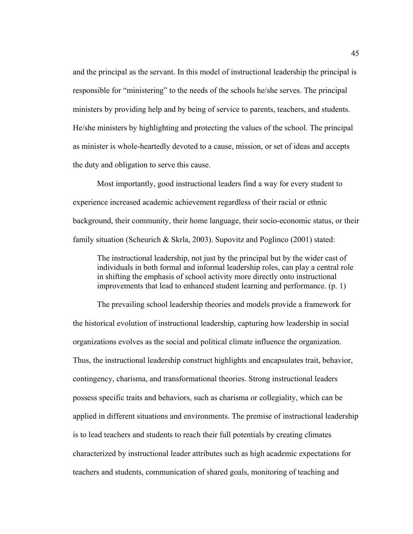and the principal as the servant. In this model of instructional leadership the principal is responsible for "ministering" to the needs of the schools he/she serves. The principal ministers by providing help and by being of service to parents, teachers, and students. He/she ministers by highlighting and protecting the values of the school. The principal as minister is whole-heartedly devoted to a cause, mission, or set of ideas and accepts the duty and obligation to serve this cause.

Most importantly, good instructional leaders find a way for every student to experience increased academic achievement regardless of their racial or ethnic background, their community, their home language, their socio-economic status, or their family situation (Scheurich & Skrla, 2003). Supovitz and Poglinco (2001) stated:

The instructional leadership, not just by the principal but by the wider cast of individuals in both formal and informal leadership roles, can play a central role in shifting the emphasis of school activity more directly onto instructional improvements that lead to enhanced student learning and performance. (p. 1)

The prevailing school leadership theories and models provide a framework for the historical evolution of instructional leadership, capturing how leadership in social organizations evolves as the social and political climate influence the organization. Thus, the instructional leadership construct highlights and encapsulates trait, behavior, contingency, charisma, and transformational theories. Strong instructional leaders possess specific traits and behaviors, such as charisma or collegiality, which can be applied in different situations and environments. The premise of instructional leadership is to lead teachers and students to reach their full potentials by creating climates characterized by instructional leader attributes such as high academic expectations for teachers and students, communication of shared goals, monitoring of teaching and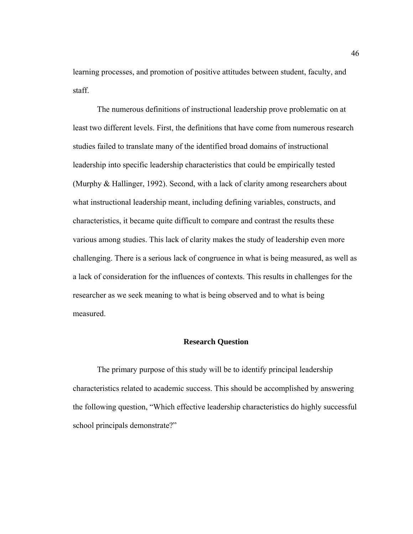learning processes, and promotion of positive attitudes between student, faculty, and staff.

The numerous definitions of instructional leadership prove problematic on at least two different levels. First, the definitions that have come from numerous research studies failed to translate many of the identified broad domains of instructional leadership into specific leadership characteristics that could be empirically tested (Murphy & Hallinger, 1992). Second, with a lack of clarity among researchers about what instructional leadership meant, including defining variables, constructs, and characteristics, it became quite difficult to compare and contrast the results these various among studies. This lack of clarity makes the study of leadership even more challenging. There is a serious lack of congruence in what is being measured, as well as a lack of consideration for the influences of contexts. This results in challenges for the researcher as we seek meaning to what is being observed and to what is being measured.

#### **Research Question**

 The primary purpose of this study will be to identify principal leadership characteristics related to academic success. This should be accomplished by answering the following question, "Which effective leadership characteristics do highly successful school principals demonstrate?"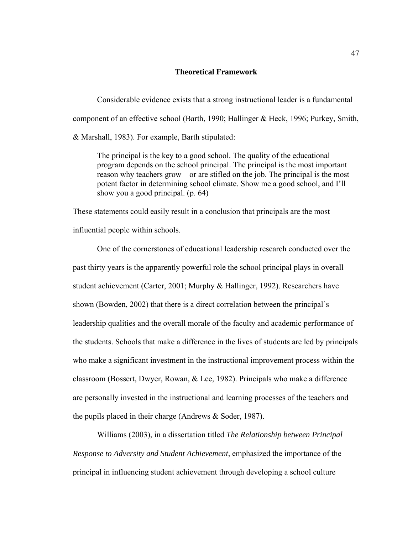# **Theoretical Framework**

Considerable evidence exists that a strong instructional leader is a fundamental component of an effective school (Barth, 1990; Hallinger & Heck, 1996; Purkey, Smith, & Marshall, 1983). For example, Barth stipulated:

The principal is the key to a good school. The quality of the educational program depends on the school principal. The principal is the most important reason why teachers grow—or are stifled on the job. The principal is the most potent factor in determining school climate. Show me a good school, and I'll show you a good principal. (p. 64)

These statements could easily result in a conclusion that principals are the most influential people within schools.

 One of the cornerstones of educational leadership research conducted over the past thirty years is the apparently powerful role the school principal plays in overall student achievement (Carter, 2001; Murphy & Hallinger, 1992). Researchers have shown (Bowden, 2002) that there is a direct correlation between the principal's leadership qualities and the overall morale of the faculty and academic performance of the students. Schools that make a difference in the lives of students are led by principals who make a significant investment in the instructional improvement process within the classroom (Bossert, Dwyer, Rowan, & Lee, 1982). Principals who make a difference are personally invested in the instructional and learning processes of the teachers and the pupils placed in their charge (Andrews & Soder, 1987).

 Williams (2003), in a dissertation titled *The Relationship between Principal Response to Adversity and Student Achievement,* emphasized the importance of the principal in influencing student achievement through developing a school culture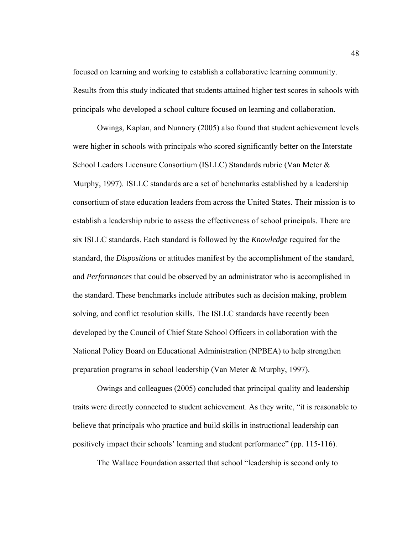focused on learning and working to establish a collaborative learning community. Results from this study indicated that students attained higher test scores in schools with principals who developed a school culture focused on learning and collaboration.

Owings, Kaplan, and Nunnery (2005) also found that student achievement levels were higher in schools with principals who scored significantly better on the Interstate School Leaders Licensure Consortium (ISLLC) Standards rubric (Van Meter & Murphy, 1997). ISLLC standards are a set of benchmarks established by a leadership consortium of state education leaders from across the United States. Their mission is to establish a leadership rubric to assess the effectiveness of school principals. There are six ISLLC standards. Each standard is followed by the *Knowledge* required for the standard, the *Dispositions* or attitudes manifest by the accomplishment of the standard, and *Performances* that could be observed by an administrator who is accomplished in the standard. These benchmarks include attributes such as decision making, problem solving, and conflict resolution skills. The ISLLC standards have recently been developed by the Council of Chief State School Officers in collaboration with the National Policy Board on Educational Administration (NPBEA) to help strengthen preparation programs in school leadership (Van Meter & Murphy, 1997).

Owings and colleagues (2005) concluded that principal quality and leadership traits were directly connected to student achievement. As they write, "it is reasonable to believe that principals who practice and build skills in instructional leadership can positively impact their schools' learning and student performance" (pp. 115-116).

The Wallace Foundation asserted that school "leadership is second only to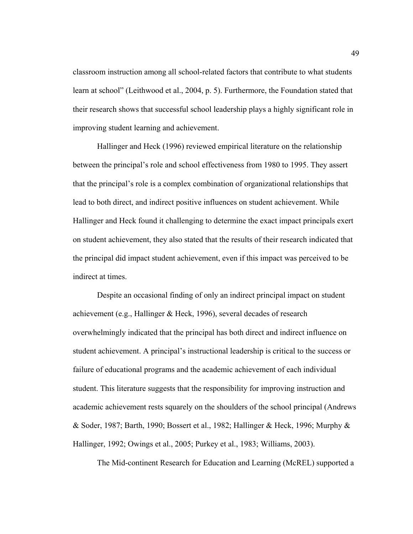classroom instruction among all school-related factors that contribute to what students learn at school" (Leithwood et al., 2004, p. 5). Furthermore, the Foundation stated that their research shows that successful school leadership plays a highly significant role in improving student learning and achievement.

Hallinger and Heck (1996) reviewed empirical literature on the relationship between the principal's role and school effectiveness from 1980 to 1995. They assert that the principal's role is a complex combination of organizational relationships that lead to both direct, and indirect positive influences on student achievement. While Hallinger and Heck found it challenging to determine the exact impact principals exert on student achievement, they also stated that the results of their research indicated that the principal did impact student achievement, even if this impact was perceived to be indirect at times.

Despite an occasional finding of only an indirect principal impact on student achievement (e.g., Hallinger & Heck, 1996), several decades of research overwhelmingly indicated that the principal has both direct and indirect influence on student achievement. A principal's instructional leadership is critical to the success or failure of educational programs and the academic achievement of each individual student. This literature suggests that the responsibility for improving instruction and academic achievement rests squarely on the shoulders of the school principal (Andrews & Soder, 1987; Barth, 1990; Bossert et al., 1982; Hallinger & Heck, 1996; Murphy & Hallinger, 1992; Owings et al., 2005; Purkey et al., 1983; Williams, 2003).

The Mid-continent Research for Education and Learning (McREL) supported a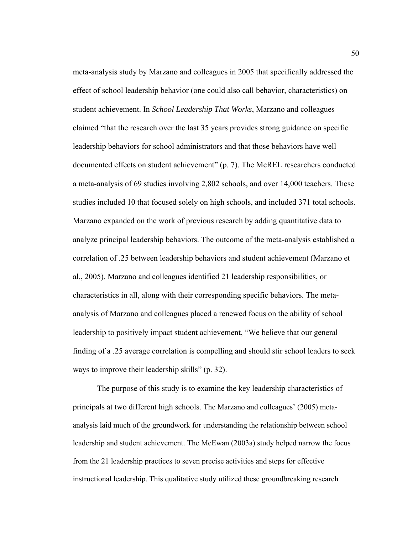meta-analysis study by Marzano and colleagues in 2005 that specifically addressed the effect of school leadership behavior (one could also call behavior, characteristics) on student achievement. In *School Leadership That Works*, Marzano and colleagues claimed "that the research over the last 35 years provides strong guidance on specific leadership behaviors for school administrators and that those behaviors have well documented effects on student achievement" (p. 7). The McREL researchers conducted a meta-analysis of 69 studies involving 2,802 schools, and over 14,000 teachers. These studies included 10 that focused solely on high schools, and included 371 total schools. Marzano expanded on the work of previous research by adding quantitative data to analyze principal leadership behaviors. The outcome of the meta-analysis established a correlation of .25 between leadership behaviors and student achievement (Marzano et al., 2005). Marzano and colleagues identified 21 leadership responsibilities, or characteristics in all, along with their corresponding specific behaviors. The metaanalysis of Marzano and colleagues placed a renewed focus on the ability of school leadership to positively impact student achievement, "We believe that our general finding of a .25 average correlation is compelling and should stir school leaders to seek ways to improve their leadership skills" (p. 32).

The purpose of this study is to examine the key leadership characteristics of principals at two different high schools. The Marzano and colleagues' (2005) metaanalysis laid much of the groundwork for understanding the relationship between school leadership and student achievement. The McEwan (2003a) study helped narrow the focus from the 21 leadership practices to seven precise activities and steps for effective instructional leadership. This qualitative study utilized these groundbreaking research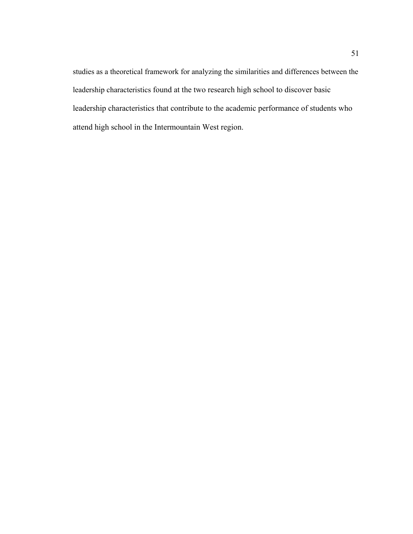studies as a theoretical framework for analyzing the similarities and differences between the leadership characteristics found at the two research high school to discover basic leadership characteristics that contribute to the academic performance of students who attend high school in the Intermountain West region.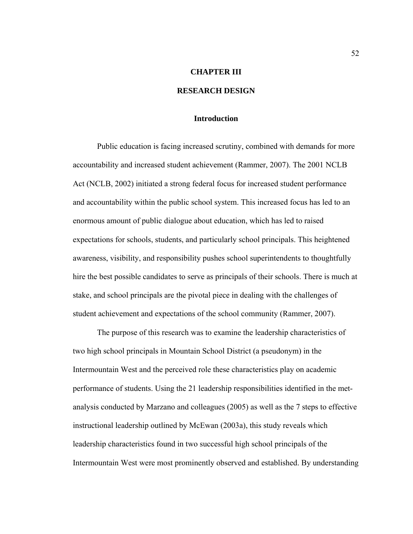#### **CHAPTER III**

# **RESEARCH DESIGN**

# **Introduction**

Public education is facing increased scrutiny, combined with demands for more accountability and increased student achievement (Rammer, 2007). The 2001 NCLB Act (NCLB, 2002) initiated a strong federal focus for increased student performance and accountability within the public school system. This increased focus has led to an enormous amount of public dialogue about education, which has led to raised expectations for schools, students, and particularly school principals. This heightened awareness, visibility, and responsibility pushes school superintendents to thoughtfully hire the best possible candidates to serve as principals of their schools. There is much at stake, and school principals are the pivotal piece in dealing with the challenges of student achievement and expectations of the school community (Rammer, 2007).

The purpose of this research was to examine the leadership characteristics of two high school principals in Mountain School District (a pseudonym) in the Intermountain West and the perceived role these characteristics play on academic performance of students. Using the 21 leadership responsibilities identified in the metanalysis conducted by Marzano and colleagues (2005) as well as the 7 steps to effective instructional leadership outlined by McEwan (2003a), this study reveals which leadership characteristics found in two successful high school principals of the Intermountain West were most prominently observed and established. By understanding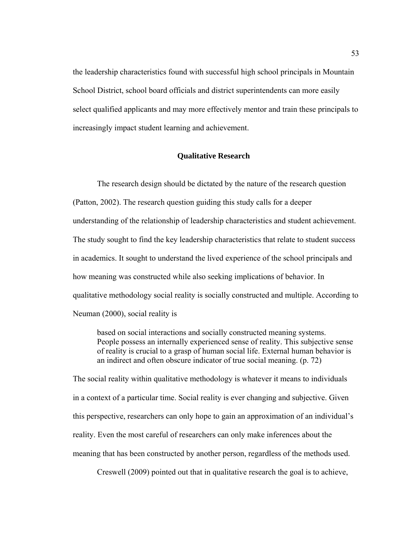the leadership characteristics found with successful high school principals in Mountain School District, school board officials and district superintendents can more easily select qualified applicants and may more effectively mentor and train these principals to increasingly impact student learning and achievement.

# **Qualitative Research**

 The research design should be dictated by the nature of the research question (Patton, 2002). The research question guiding this study calls for a deeper understanding of the relationship of leadership characteristics and student achievement. The study sought to find the key leadership characteristics that relate to student success in academics. It sought to understand the lived experience of the school principals and how meaning was constructed while also seeking implications of behavior. In qualitative methodology social reality is socially constructed and multiple. According to Neuman (2000), social reality is

 based on social interactions and socially constructed meaning systems. People possess an internally experienced sense of reality. This subjective sense of reality is crucial to a grasp of human social life. External human behavior is an indirect and often obscure indicator of true social meaning. (p. 72)

The social reality within qualitative methodology is whatever it means to individuals in a context of a particular time. Social reality is ever changing and subjective. Given this perspective, researchers can only hope to gain an approximation of an individual's reality. Even the most careful of researchers can only make inferences about the meaning that has been constructed by another person, regardless of the methods used.

Creswell (2009) pointed out that in qualitative research the goal is to achieve,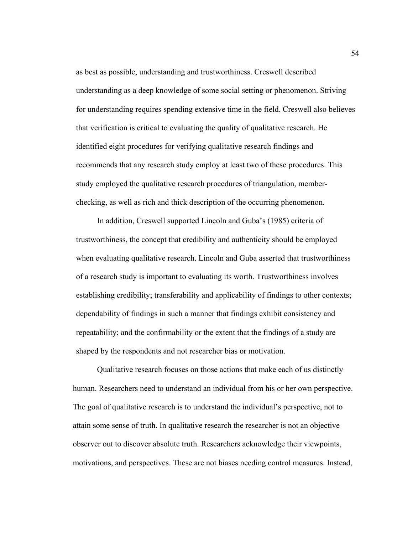as best as possible, understanding and trustworthiness. Creswell described understanding as a deep knowledge of some social setting or phenomenon. Striving for understanding requires spending extensive time in the field. Creswell also believes that verification is critical to evaluating the quality of qualitative research. He identified eight procedures for verifying qualitative research findings and recommends that any research study employ at least two of these procedures. This study employed the qualitative research procedures of triangulation, memberchecking, as well as rich and thick description of the occurring phenomenon.

In addition, Creswell supported Lincoln and Guba's (1985) criteria of trustworthiness, the concept that credibility and authenticity should be employed when evaluating qualitative research. Lincoln and Guba asserted that trustworthiness of a research study is important to evaluating its worth. Trustworthiness involves establishing credibility; transferability and applicability of findings to other contexts; dependability of findings in such a manner that findings exhibit consistency and repeatability; and the confirmability or the extent that the findings of a study are shaped by the respondents and not researcher bias or motivation.

 Qualitative research focuses on those actions that make each of us distinctly human. Researchers need to understand an individual from his or her own perspective. The goal of qualitative research is to understand the individual's perspective, not to attain some sense of truth. In qualitative research the researcher is not an objective observer out to discover absolute truth. Researchers acknowledge their viewpoints, motivations, and perspectives. These are not biases needing control measures. Instead,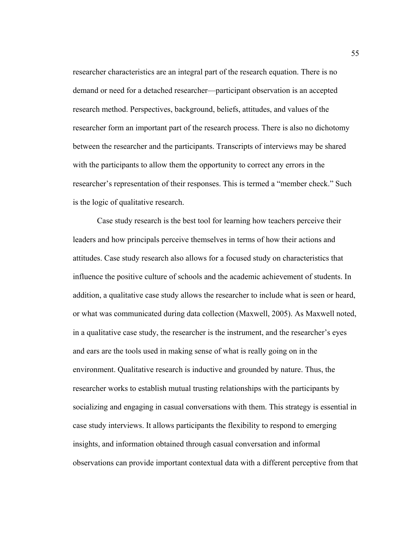researcher characteristics are an integral part of the research equation. There is no demand or need for a detached researcher—participant observation is an accepted research method. Perspectives, background, beliefs, attitudes, and values of the researcher form an important part of the research process. There is also no dichotomy between the researcher and the participants. Transcripts of interviews may be shared with the participants to allow them the opportunity to correct any errors in the researcher's representation of their responses. This is termed a "member check." Such is the logic of qualitative research.

 Case study research is the best tool for learning how teachers perceive their leaders and how principals perceive themselves in terms of how their actions and attitudes. Case study research also allows for a focused study on characteristics that influence the positive culture of schools and the academic achievement of students. In addition, a qualitative case study allows the researcher to include what is seen or heard, or what was communicated during data collection (Maxwell, 2005). As Maxwell noted, in a qualitative case study, the researcher is the instrument, and the researcher's eyes and ears are the tools used in making sense of what is really going on in the environment. Qualitative research is inductive and grounded by nature. Thus, the researcher works to establish mutual trusting relationships with the participants by socializing and engaging in casual conversations with them. This strategy is essential in case study interviews. It allows participants the flexibility to respond to emerging insights, and information obtained through casual conversation and informal observations can provide important contextual data with a different perceptive from that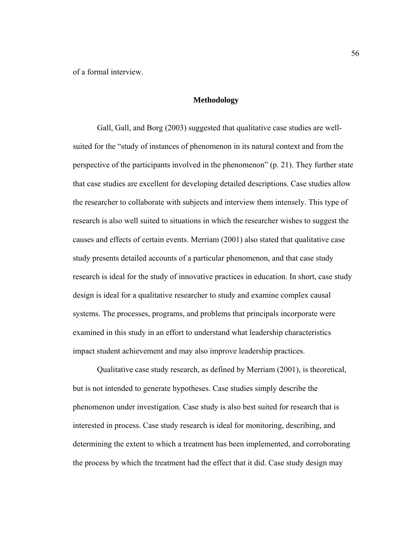of a formal interview.

## **Methodology**

Gall, Gall, and Borg (2003) suggested that qualitative case studies are wellsuited for the "study of instances of phenomenon in its natural context and from the perspective of the participants involved in the phenomenon" (p. 21). They further state that case studies are excellent for developing detailed descriptions. Case studies allow the researcher to collaborate with subjects and interview them intensely. This type of research is also well suited to situations in which the researcher wishes to suggest the causes and effects of certain events. Merriam (2001) also stated that qualitative case study presents detailed accounts of a particular phenomenon, and that case study research is ideal for the study of innovative practices in education. In short, case study design is ideal for a qualitative researcher to study and examine complex causal systems. The processes, programs, and problems that principals incorporate were examined in this study in an effort to understand what leadership characteristics impact student achievement and may also improve leadership practices.

Qualitative case study research, as defined by Merriam (2001), is theoretical, but is not intended to generate hypotheses. Case studies simply describe the phenomenon under investigation. Case study is also best suited for research that is interested in process. Case study research is ideal for monitoring, describing, and determining the extent to which a treatment has been implemented, and corroborating the process by which the treatment had the effect that it did. Case study design may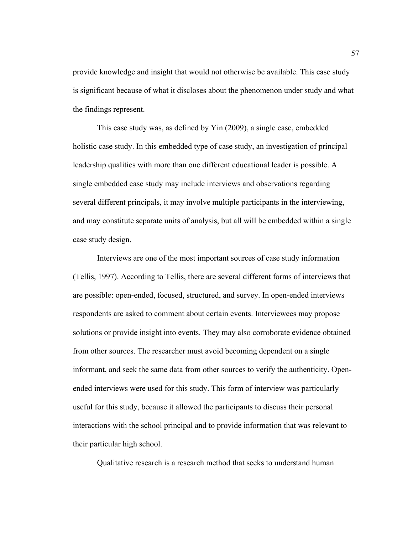provide knowledge and insight that would not otherwise be available. This case study is significant because of what it discloses about the phenomenon under study and what the findings represent.

This case study was, as defined by Yin (2009), a single case, embedded holistic case study. In this embedded type of case study, an investigation of principal leadership qualities with more than one different educational leader is possible. A single embedded case study may include interviews and observations regarding several different principals, it may involve multiple participants in the interviewing, and may constitute separate units of analysis, but all will be embedded within a single case study design.

Interviews are one of the most important sources of case study information (Tellis, 1997). According to Tellis, there are several different forms of interviews that are possible: open-ended, focused, structured, and survey. In open-ended interviews respondents are asked to comment about certain events. Interviewees may propose solutions or provide insight into events. They may also corroborate evidence obtained from other sources. The researcher must avoid becoming dependent on a single informant, and seek the same data from other sources to verify the authenticity. Openended interviews were used for this study. This form of interview was particularly useful for this study, because it allowed the participants to discuss their personal interactions with the school principal and to provide information that was relevant to their particular high school.

Qualitative research is a research method that seeks to understand human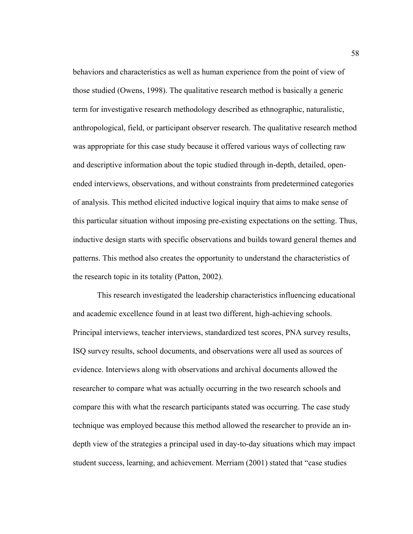behaviors and characteristics as well as human experience from the point of view of those studied (Owens, 1998). The qualitative research method is basically a generic term for investigative research methodology described as ethnographic, naturalistic, anthropological, field, or participant observer research. The qualitative research method was appropriate for this case study because it offered various ways of collecting raw and descriptive information about the topic studied through in-depth, detailed, openended interviews, observations, and without constraints from predetermined categories of analysis. This method elicited inductive logical inquiry that aims to make sense of this particular situation without imposing pre-existing expectations on the setting. Thus, inductive design starts with specific observations and builds toward general themes and patterns. This method also creates the opportunity to understand the characteristics of the research topic in its totality (Patton, 2002).

This research investigated the leadership characteristics influencing educational and academic excellence found in at least two different, high-achieving schools. Principal interviews, teacher interviews, standardized test scores, PNA survey results, ISQ survey results, school documents, and observations were all used as sources of evidence. Interviews along with observations and archival documents allowed the researcher to compare what was actually occurring in the two research schools and compare this with what the research participants stated was occurring. The case study technique was employed because this method allowed the researcher to provide an indepth view of the strategies a principal used in day-to-day situations which may impact student success, learning, and achievement. Merriam (2001) stated that "case studies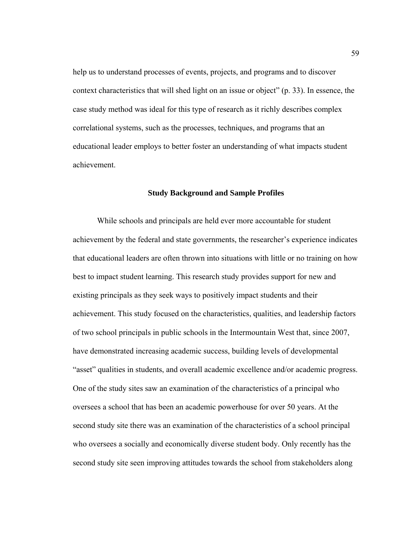help us to understand processes of events, projects, and programs and to discover context characteristics that will shed light on an issue or object" (p. 33). In essence, the case study method was ideal for this type of research as it richly describes complex correlational systems, such as the processes, techniques, and programs that an educational leader employs to better foster an understanding of what impacts student achievement.

#### **Study Background and Sample Profiles**

While schools and principals are held ever more accountable for student achievement by the federal and state governments, the researcher's experience indicates that educational leaders are often thrown into situations with little or no training on how best to impact student learning. This research study provides support for new and existing principals as they seek ways to positively impact students and their achievement. This study focused on the characteristics, qualities, and leadership factors of two school principals in public schools in the Intermountain West that, since 2007, have demonstrated increasing academic success, building levels of developmental "asset" qualities in students, and overall academic excellence and/or academic progress. One of the study sites saw an examination of the characteristics of a principal who oversees a school that has been an academic powerhouse for over 50 years. At the second study site there was an examination of the characteristics of a school principal who oversees a socially and economically diverse student body. Only recently has the second study site seen improving attitudes towards the school from stakeholders along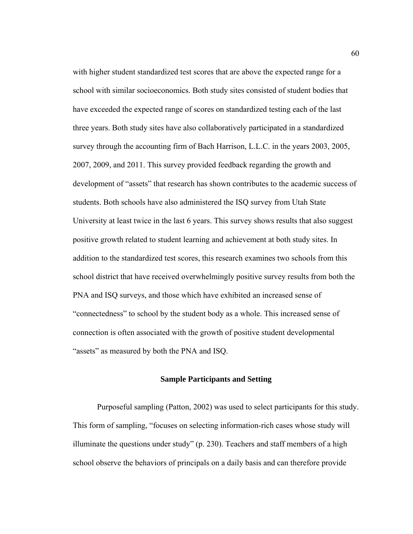with higher student standardized test scores that are above the expected range for a school with similar socioeconomics. Both study sites consisted of student bodies that have exceeded the expected range of scores on standardized testing each of the last three years. Both study sites have also collaboratively participated in a standardized survey through the accounting firm of Bach Harrison, L.L.C. in the years 2003, 2005, 2007, 2009, and 2011. This survey provided feedback regarding the growth and development of "assets" that research has shown contributes to the academic success of students. Both schools have also administered the ISQ survey from Utah State University at least twice in the last 6 years. This survey shows results that also suggest positive growth related to student learning and achievement at both study sites. In addition to the standardized test scores, this research examines two schools from this school district that have received overwhelmingly positive survey results from both the PNA and ISQ surveys, and those which have exhibited an increased sense of "connectedness" to school by the student body as a whole. This increased sense of connection is often associated with the growth of positive student developmental "assets" as measured by both the PNA and ISQ.

### **Sample Participants and Setting**

Purposeful sampling (Patton, 2002) was used to select participants for this study. This form of sampling, "focuses on selecting information-rich cases whose study will illuminate the questions under study"  $(p. 230)$ . Teachers and staff members of a high school observe the behaviors of principals on a daily basis and can therefore provide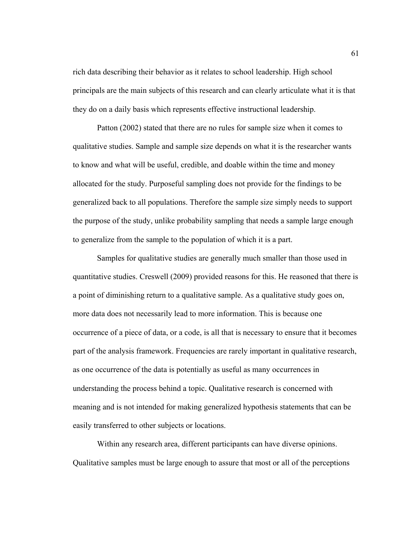rich data describing their behavior as it relates to school leadership. High school principals are the main subjects of this research and can clearly articulate what it is that they do on a daily basis which represents effective instructional leadership.

 Patton (2002) stated that there are no rules for sample size when it comes to qualitative studies. Sample and sample size depends on what it is the researcher wants to know and what will be useful, credible, and doable within the time and money allocated for the study. Purposeful sampling does not provide for the findings to be generalized back to all populations. Therefore the sample size simply needs to support the purpose of the study, unlike probability sampling that needs a sample large enough to generalize from the sample to the population of which it is a part.

 Samples for qualitative studies are generally much smaller than those used in quantitative studies. Creswell (2009) provided reasons for this. He reasoned that there is a point of diminishing return to a qualitative sample. As a qualitative study goes on, more data does not necessarily lead to more information. This is because one occurrence of a piece of data, or a code, is all that is necessary to ensure that it becomes part of the analysis framework. Frequencies are rarely important in qualitative research, as one occurrence of the data is potentially as useful as many occurrences in understanding the process behind a topic. Qualitative research is concerned with meaning and is not intended for making generalized hypothesis statements that can be easily transferred to other subjects or locations.

 Within any research area, different participants can have diverse opinions. Qualitative samples must be large enough to assure that most or all of the perceptions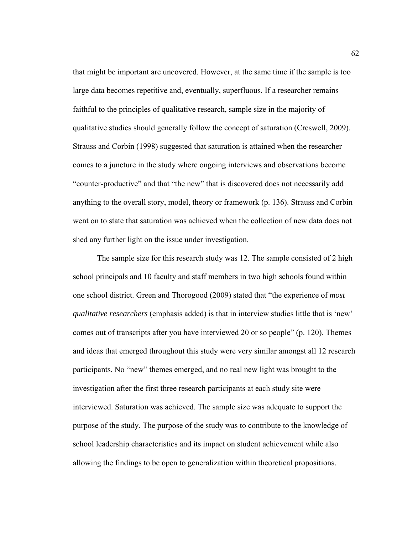that might be important are uncovered. However, at the same time if the sample is too large data becomes repetitive and, eventually, superfluous. If a researcher remains faithful to the principles of qualitative research, sample size in the majority of qualitative studies should generally follow the concept of saturation (Creswell, 2009). Strauss and Corbin (1998) suggested that saturation is attained when the researcher comes to a juncture in the study where ongoing interviews and observations become "counter-productive" and that "the new" that is discovered does not necessarily add anything to the overall story, model, theory or framework (p. 136). Strauss and Corbin went on to state that saturation was achieved when the collection of new data does not shed any further light on the issue under investigation.

 The sample size for this research study was 12. The sample consisted of 2 high school principals and 10 faculty and staff members in two high schools found within one school district. Green and Thorogood (2009) stated that "the experience of *most qualitative researchers* (emphasis added) is that in interview studies little that is 'new' comes out of transcripts after you have interviewed 20 or so people" (p. 120). Themes and ideas that emerged throughout this study were very similar amongst all 12 research participants. No "new" themes emerged, and no real new light was brought to the investigation after the first three research participants at each study site were interviewed. Saturation was achieved. The sample size was adequate to support the purpose of the study. The purpose of the study was to contribute to the knowledge of school leadership characteristics and its impact on student achievement while also allowing the findings to be open to generalization within theoretical propositions.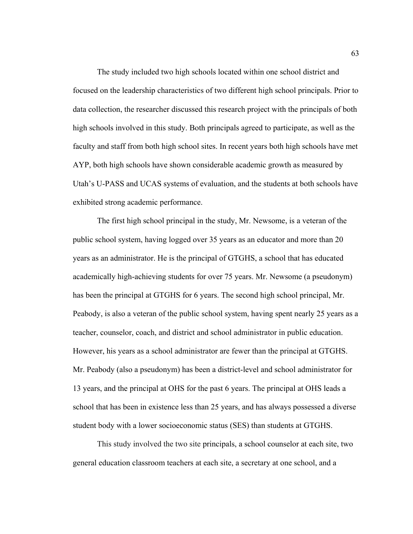The study included two high schools located within one school district and focused on the leadership characteristics of two different high school principals. Prior to data collection, the researcher discussed this research project with the principals of both high schools involved in this study. Both principals agreed to participate, as well as the faculty and staff from both high school sites. In recent years both high schools have met AYP, both high schools have shown considerable academic growth as measured by Utah's U-PASS and UCAS systems of evaluation, and the students at both schools have exhibited strong academic performance.

The first high school principal in the study, Mr. Newsome, is a veteran of the public school system, having logged over 35 years as an educator and more than 20 years as an administrator. He is the principal of GTGHS, a school that has educated academically high-achieving students for over 75 years. Mr. Newsome (a pseudonym) has been the principal at GTGHS for 6 years. The second high school principal, Mr. Peabody, is also a veteran of the public school system, having spent nearly 25 years as a teacher, counselor, coach, and district and school administrator in public education. However, his years as a school administrator are fewer than the principal at GTGHS. Mr. Peabody (also a pseudonym) has been a district-level and school administrator for 13 years, and the principal at OHS for the past 6 years. The principal at OHS leads a school that has been in existence less than 25 years, and has always possessed a diverse student body with a lower socioeconomic status (SES) than students at GTGHS.

This study involved the two site principals, a school counselor at each site, two general education classroom teachers at each site, a secretary at one school, and a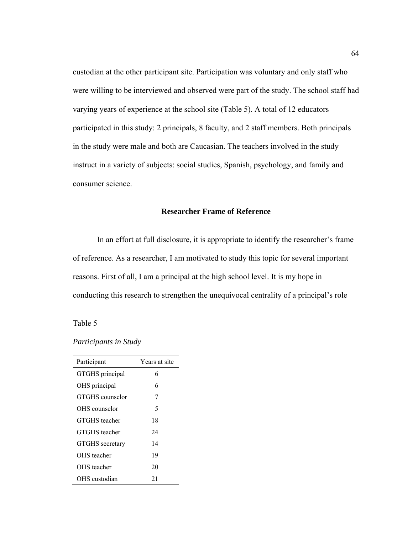custodian at the other participant site. Participation was voluntary and only staff who were willing to be interviewed and observed were part of the study. The school staff had varying years of experience at the school site (Table 5). A total of 12 educators participated in this study: 2 principals, 8 faculty, and 2 staff members. Both principals in the study were male and both are Caucasian. The teachers involved in the study instruct in a variety of subjects: social studies, Spanish, psychology, and family and consumer science.

# **Researcher Frame of Reference**

In an effort at full disclosure, it is appropriate to identify the researcher's frame of reference. As a researcher, I am motivated to study this topic for several important reasons. First of all, I am a principal at the high school level. It is my hope in conducting this research to strengthen the unequivocal centrality of a principal's role

# Table 5

#### *Participants in Study*

| Participant          | Years at site |
|----------------------|---------------|
| GTGHS principal      | 6             |
| OHS principal        | 6             |
| GTGHS counselor      | 7             |
| OHS counselor        | 5             |
| <b>GTGHS</b> teacher | 18            |
| <b>GTGHS</b> teacher | 24            |
| GTGHS secretary      | 14            |
| OHS teacher          | 19            |
| OHS teacher          | 20            |
| OHS custodian        | 21            |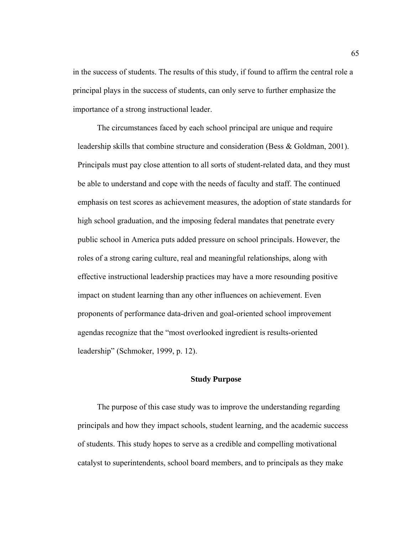in the success of students. The results of this study, if found to affirm the central role a principal plays in the success of students, can only serve to further emphasize the importance of a strong instructional leader.

The circumstances faced by each school principal are unique and require leadership skills that combine structure and consideration (Bess & Goldman, 2001). Principals must pay close attention to all sorts of student-related data, and they must be able to understand and cope with the needs of faculty and staff. The continued emphasis on test scores as achievement measures, the adoption of state standards for high school graduation, and the imposing federal mandates that penetrate every public school in America puts added pressure on school principals. However, the roles of a strong caring culture, real and meaningful relationships, along with effective instructional leadership practices may have a more resounding positive impact on student learning than any other influences on achievement. Even proponents of performance data-driven and goal-oriented school improvement agendas recognize that the "most overlooked ingredient is results-oriented leadership" (Schmoker, 1999, p. 12).

# **Study Purpose**

The purpose of this case study was to improve the understanding regarding principals and how they impact schools, student learning, and the academic success of students. This study hopes to serve as a credible and compelling motivational catalyst to superintendents, school board members, and to principals as they make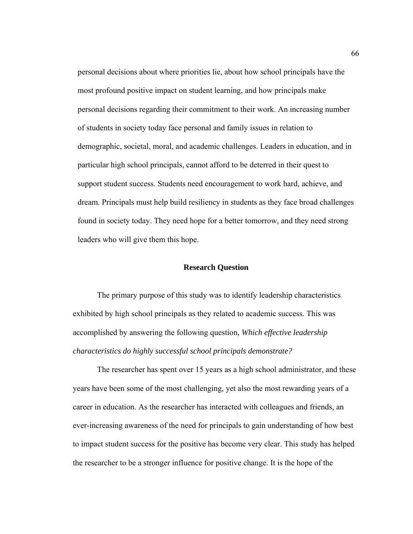personal decisions about where priorities lie, about how school principals have the most profound positive impact on student learning, and how principals make personal decisions regarding their commitment to their work. An increasing number of students in society today face personal and family issues in relation to demographic, societal, moral, and academic challenges. Leaders in education, and in particular high school principals, cannot afford to be deterred in their quest to support student success. Students need encouragement to work hard, achieve, and dream. Principals must help build resiliency in students as they face broad challenges found in society today. They need hope for a better tomorrow, and they need strong leaders who will give them this hope.

#### **Research Question**

 The primary purpose of this study was to identify leadership characteristics exhibited by high school principals as they related to academic success. This was accomplished by answering the following question, *Which effective leadership characteristics do highly successful school principals demonstrate?* 

The researcher has spent over 15 years as a high school administrator, and these years have been some of the most challenging, yet also the most rewarding years of a career in education. As the researcher has interacted with colleagues and friends, an ever-increasing awareness of the need for principals to gain understanding of how best to impact student success for the positive has become very clear. This study has helped the researcher to be a stronger influence for positive change. It is the hope of the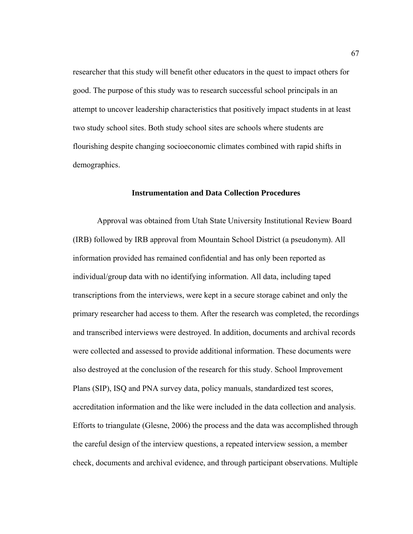researcher that this study will benefit other educators in the quest to impact others for good. The purpose of this study was to research successful school principals in an attempt to uncover leadership characteristics that positively impact students in at least two study school sites. Both study school sites are schools where students are flourishing despite changing socioeconomic climates combined with rapid shifts in demographics.

## **Instrumentation and Data Collection Procedures**

Approval was obtained from Utah State University Institutional Review Board (IRB) followed by IRB approval from Mountain School District (a pseudonym). All information provided has remained confidential and has only been reported as individual/group data with no identifying information. All data, including taped transcriptions from the interviews, were kept in a secure storage cabinet and only the primary researcher had access to them. After the research was completed, the recordings and transcribed interviews were destroyed. In addition, documents and archival records were collected and assessed to provide additional information. These documents were also destroyed at the conclusion of the research for this study. School Improvement Plans (SIP), ISQ and PNA survey data, policy manuals, standardized test scores, accreditation information and the like were included in the data collection and analysis. Efforts to triangulate (Glesne, 2006) the process and the data was accomplished through the careful design of the interview questions, a repeated interview session, a member check, documents and archival evidence, and through participant observations. Multiple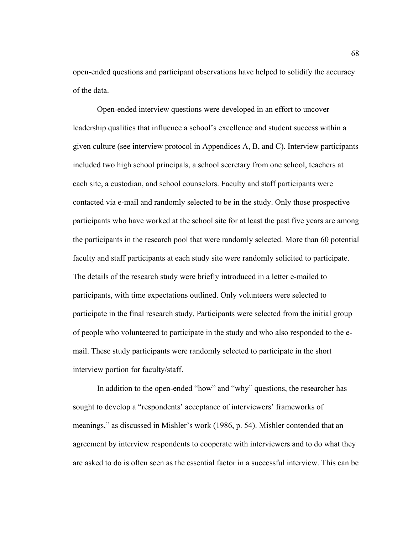open-ended questions and participant observations have helped to solidify the accuracy of the data.

Open-ended interview questions were developed in an effort to uncover leadership qualities that influence a school's excellence and student success within a given culture (see interview protocol in Appendices A, B, and C). Interview participants included two high school principals, a school secretary from one school, teachers at each site, a custodian, and school counselors. Faculty and staff participants were contacted via e-mail and randomly selected to be in the study. Only those prospective participants who have worked at the school site for at least the past five years are among the participants in the research pool that were randomly selected. More than 60 potential faculty and staff participants at each study site were randomly solicited to participate. The details of the research study were briefly introduced in a letter e-mailed to participants, with time expectations outlined. Only volunteers were selected to participate in the final research study. Participants were selected from the initial group of people who volunteered to participate in the study and who also responded to the email. These study participants were randomly selected to participate in the short interview portion for faculty/staff.

In addition to the open-ended "how" and "why" questions, the researcher has sought to develop a "respondents' acceptance of interviewers' frameworks of meanings," as discussed in Mishler's work (1986, p. 54). Mishler contended that an agreement by interview respondents to cooperate with interviewers and to do what they are asked to do is often seen as the essential factor in a successful interview. This can be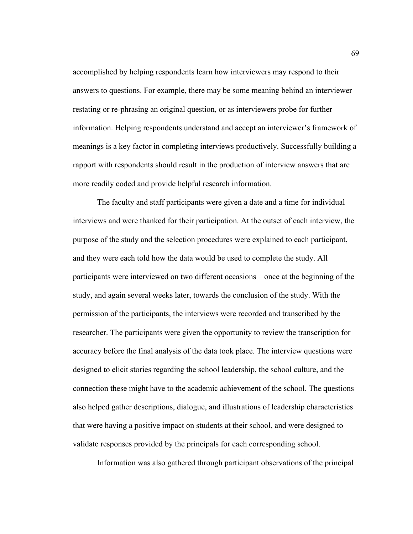accomplished by helping respondents learn how interviewers may respond to their answers to questions. For example, there may be some meaning behind an interviewer restating or re-phrasing an original question, or as interviewers probe for further information. Helping respondents understand and accept an interviewer's framework of meanings is a key factor in completing interviews productively. Successfully building a rapport with respondents should result in the production of interview answers that are more readily coded and provide helpful research information.

The faculty and staff participants were given a date and a time for individual interviews and were thanked for their participation. At the outset of each interview, the purpose of the study and the selection procedures were explained to each participant, and they were each told how the data would be used to complete the study. All participants were interviewed on two different occasions—once at the beginning of the study, and again several weeks later, towards the conclusion of the study. With the permission of the participants, the interviews were recorded and transcribed by the researcher. The participants were given the opportunity to review the transcription for accuracy before the final analysis of the data took place. The interview questions were designed to elicit stories regarding the school leadership, the school culture, and the connection these might have to the academic achievement of the school. The questions also helped gather descriptions, dialogue, and illustrations of leadership characteristics that were having a positive impact on students at their school, and were designed to validate responses provided by the principals for each corresponding school.

Information was also gathered through participant observations of the principal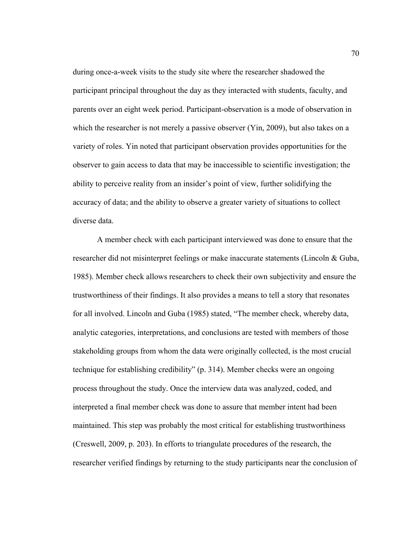during once-a-week visits to the study site where the researcher shadowed the participant principal throughout the day as they interacted with students, faculty, and parents over an eight week period. Participant-observation is a mode of observation in which the researcher is not merely a passive observer (Yin, 2009), but also takes on a variety of roles. Yin noted that participant observation provides opportunities for the observer to gain access to data that may be inaccessible to scientific investigation; the ability to perceive reality from an insider's point of view, further solidifying the accuracy of data; and the ability to observe a greater variety of situations to collect diverse data.

A member check with each participant interviewed was done to ensure that the researcher did not misinterpret feelings or make inaccurate statements (Lincoln & Guba, 1985). Member check allows researchers to check their own subjectivity and ensure the trustworthiness of their findings. It also provides a means to tell a story that resonates for all involved. Lincoln and Guba (1985) stated, "The member check, whereby data, analytic categories, interpretations, and conclusions are tested with members of those stakeholding groups from whom the data were originally collected, is the most crucial technique for establishing credibility" (p. 314). Member checks were an ongoing process throughout the study. Once the interview data was analyzed, coded, and interpreted a final member check was done to assure that member intent had been maintained. This step was probably the most critical for establishing trustworthiness (Creswell, 2009, p. 203). In efforts to triangulate procedures of the research, the researcher verified findings by returning to the study participants near the conclusion of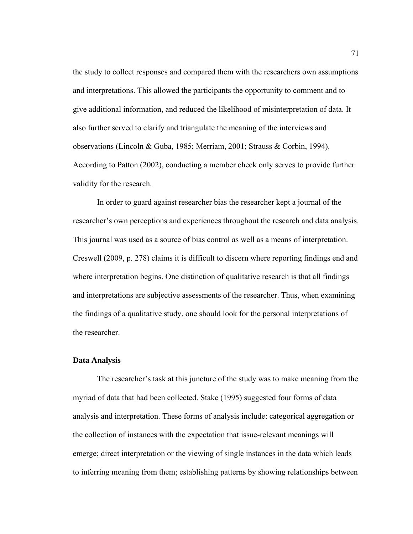the study to collect responses and compared them with the researchers own assumptions and interpretations. This allowed the participants the opportunity to comment and to give additional information, and reduced the likelihood of misinterpretation of data. It also further served to clarify and triangulate the meaning of the interviews and observations (Lincoln & Guba, 1985; Merriam, 2001; Strauss & Corbin, 1994). According to Patton (2002), conducting a member check only serves to provide further validity for the research.

In order to guard against researcher bias the researcher kept a journal of the researcher's own perceptions and experiences throughout the research and data analysis. This journal was used as a source of bias control as well as a means of interpretation. Creswell (2009, p. 278) claims it is difficult to discern where reporting findings end and where interpretation begins. One distinction of qualitative research is that all findings and interpretations are subjective assessments of the researcher. Thus, when examining the findings of a qualitative study, one should look for the personal interpretations of the researcher.

#### **Data Analysis**

 The researcher's task at this juncture of the study was to make meaning from the myriad of data that had been collected. Stake (1995) suggested four forms of data analysis and interpretation. These forms of analysis include: categorical aggregation or the collection of instances with the expectation that issue-relevant meanings will emerge; direct interpretation or the viewing of single instances in the data which leads to inferring meaning from them; establishing patterns by showing relationships between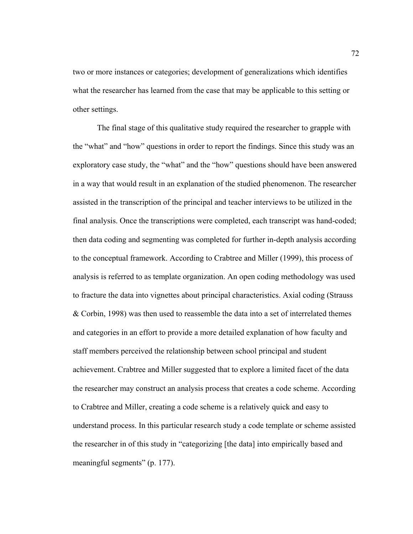two or more instances or categories; development of generalizations which identifies what the researcher has learned from the case that may be applicable to this setting or other settings.

The final stage of this qualitative study required the researcher to grapple with the "what" and "how" questions in order to report the findings. Since this study was an exploratory case study, the "what" and the "how" questions should have been answered in a way that would result in an explanation of the studied phenomenon. The researcher assisted in the transcription of the principal and teacher interviews to be utilized in the final analysis. Once the transcriptions were completed, each transcript was hand-coded; then data coding and segmenting was completed for further in-depth analysis according to the conceptual framework. According to Crabtree and Miller (1999), this process of analysis is referred to as template organization. An open coding methodology was used to fracture the data into vignettes about principal characteristics. Axial coding (Strauss & Corbin, 1998) was then used to reassemble the data into a set of interrelated themes and categories in an effort to provide a more detailed explanation of how faculty and staff members perceived the relationship between school principal and student achievement. Crabtree and Miller suggested that to explore a limited facet of the data the researcher may construct an analysis process that creates a code scheme. According to Crabtree and Miller, creating a code scheme is a relatively quick and easy to understand process. In this particular research study a code template or scheme assisted the researcher in of this study in "categorizing [the data] into empirically based and meaningful segments" (p. 177).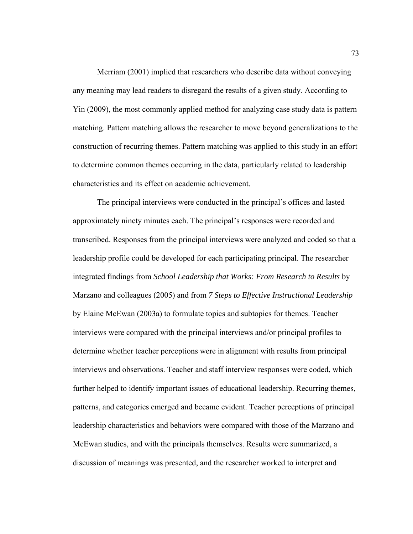Merriam (2001) implied that researchers who describe data without conveying any meaning may lead readers to disregard the results of a given study. According to Yin (2009), the most commonly applied method for analyzing case study data is pattern matching. Pattern matching allows the researcher to move beyond generalizations to the construction of recurring themes. Pattern matching was applied to this study in an effort to determine common themes occurring in the data, particularly related to leadership characteristics and its effect on academic achievement.

The principal interviews were conducted in the principal's offices and lasted approximately ninety minutes each. The principal's responses were recorded and transcribed. Responses from the principal interviews were analyzed and coded so that a leadership profile could be developed for each participating principal. The researcher integrated findings from *School Leadership that Works: From Research to Results* by Marzano and colleagues (2005) and from *7 Steps to Effective Instructional Leadership*  by Elaine McEwan (2003a) to formulate topics and subtopics for themes. Teacher interviews were compared with the principal interviews and/or principal profiles to determine whether teacher perceptions were in alignment with results from principal interviews and observations. Teacher and staff interview responses were coded, which further helped to identify important issues of educational leadership. Recurring themes, patterns, and categories emerged and became evident. Teacher perceptions of principal leadership characteristics and behaviors were compared with those of the Marzano and McEwan studies, and with the principals themselves. Results were summarized, a discussion of meanings was presented, and the researcher worked to interpret and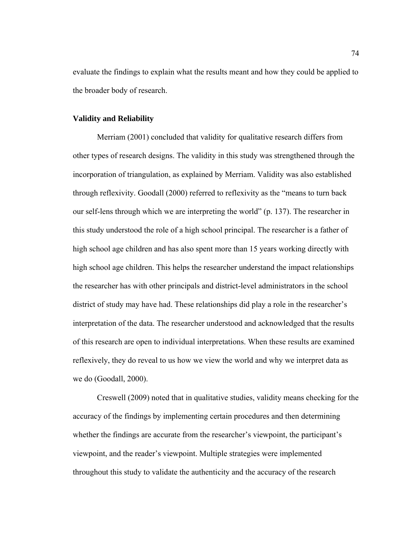evaluate the findings to explain what the results meant and how they could be applied to the broader body of research.

# **Validity and Reliability**

 Merriam (2001) concluded that validity for qualitative research differs from other types of research designs. The validity in this study was strengthened through the incorporation of triangulation, as explained by Merriam. Validity was also established through reflexivity. Goodall (2000) referred to reflexivity as the "means to turn back our self-lens through which we are interpreting the world" (p. 137). The researcher in this study understood the role of a high school principal. The researcher is a father of high school age children and has also spent more than 15 years working directly with high school age children. This helps the researcher understand the impact relationships the researcher has with other principals and district-level administrators in the school district of study may have had. These relationships did play a role in the researcher's interpretation of the data. The researcher understood and acknowledged that the results of this research are open to individual interpretations. When these results are examined reflexively, they do reveal to us how we view the world and why we interpret data as we do (Goodall, 2000).

Creswell (2009) noted that in qualitative studies, validity means checking for the accuracy of the findings by implementing certain procedures and then determining whether the findings are accurate from the researcher's viewpoint, the participant's viewpoint, and the reader's viewpoint. Multiple strategies were implemented throughout this study to validate the authenticity and the accuracy of the research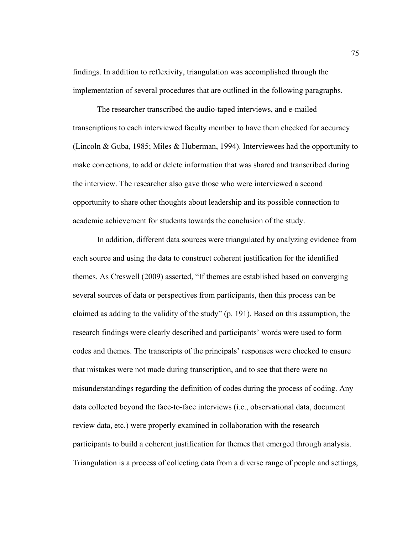findings. In addition to reflexivity, triangulation was accomplished through the implementation of several procedures that are outlined in the following paragraphs.

The researcher transcribed the audio-taped interviews, and e-mailed transcriptions to each interviewed faculty member to have them checked for accuracy (Lincoln & Guba, 1985; Miles & Huberman, 1994). Interviewees had the opportunity to make corrections, to add or delete information that was shared and transcribed during the interview. The researcher also gave those who were interviewed a second opportunity to share other thoughts about leadership and its possible connection to academic achievement for students towards the conclusion of the study.

In addition, different data sources were triangulated by analyzing evidence from each source and using the data to construct coherent justification for the identified themes. As Creswell (2009) asserted, "If themes are established based on converging several sources of data or perspectives from participants, then this process can be claimed as adding to the validity of the study" (p. 191). Based on this assumption, the research findings were clearly described and participants' words were used to form codes and themes. The transcripts of the principals' responses were checked to ensure that mistakes were not made during transcription, and to see that there were no misunderstandings regarding the definition of codes during the process of coding. Any data collected beyond the face-to-face interviews (i.e., observational data, document review data, etc.) were properly examined in collaboration with the research participants to build a coherent justification for themes that emerged through analysis. Triangulation is a process of collecting data from a diverse range of people and settings,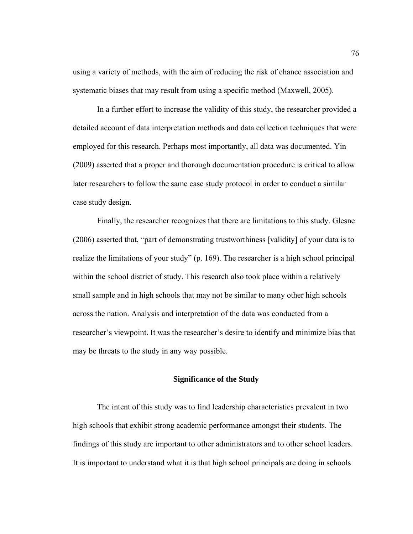using a variety of methods, with the aim of reducing the risk of chance association and systematic biases that may result from using a specific method (Maxwell, 2005).

 In a further effort to increase the validity of this study, the researcher provided a detailed account of data interpretation methods and data collection techniques that were employed for this research. Perhaps most importantly, all data was documented. Yin (2009) asserted that a proper and thorough documentation procedure is critical to allow later researchers to follow the same case study protocol in order to conduct a similar case study design.

 Finally, the researcher recognizes that there are limitations to this study. Glesne (2006) asserted that, "part of demonstrating trustworthiness [validity] of your data is to realize the limitations of your study" (p. 169). The researcher is a high school principal within the school district of study. This research also took place within a relatively small sample and in high schools that may not be similar to many other high schools across the nation. Analysis and interpretation of the data was conducted from a researcher's viewpoint. It was the researcher's desire to identify and minimize bias that may be threats to the study in any way possible.

### **Significance of the Study**

 The intent of this study was to find leadership characteristics prevalent in two high schools that exhibit strong academic performance amongst their students. The findings of this study are important to other administrators and to other school leaders. It is important to understand what it is that high school principals are doing in schools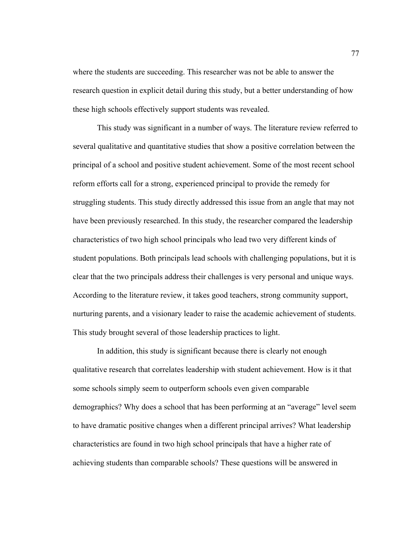where the students are succeeding. This researcher was not be able to answer the research question in explicit detail during this study, but a better understanding of how these high schools effectively support students was revealed.

 This study was significant in a number of ways. The literature review referred to several qualitative and quantitative studies that show a positive correlation between the principal of a school and positive student achievement. Some of the most recent school reform efforts call for a strong, experienced principal to provide the remedy for struggling students. This study directly addressed this issue from an angle that may not have been previously researched. In this study, the researcher compared the leadership characteristics of two high school principals who lead two very different kinds of student populations. Both principals lead schools with challenging populations, but it is clear that the two principals address their challenges is very personal and unique ways. According to the literature review, it takes good teachers, strong community support, nurturing parents, and a visionary leader to raise the academic achievement of students. This study brought several of those leadership practices to light.

 In addition, this study is significant because there is clearly not enough qualitative research that correlates leadership with student achievement. How is it that some schools simply seem to outperform schools even given comparable demographics? Why does a school that has been performing at an "average" level seem to have dramatic positive changes when a different principal arrives? What leadership characteristics are found in two high school principals that have a higher rate of achieving students than comparable schools? These questions will be answered in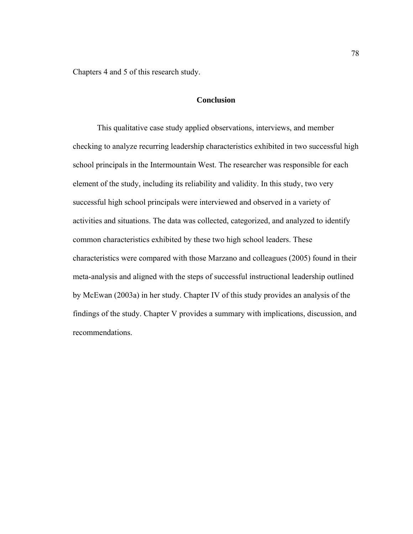Chapters 4 and 5 of this research study.

# **Conclusion**

 This qualitative case study applied observations, interviews, and member checking to analyze recurring leadership characteristics exhibited in two successful high school principals in the Intermountain West. The researcher was responsible for each element of the study, including its reliability and validity. In this study, two very successful high school principals were interviewed and observed in a variety of activities and situations. The data was collected, categorized, and analyzed to identify common characteristics exhibited by these two high school leaders. These characteristics were compared with those Marzano and colleagues (2005) found in their meta-analysis and aligned with the steps of successful instructional leadership outlined by McEwan (2003a) in her study. Chapter IV of this study provides an analysis of the findings of the study. Chapter V provides a summary with implications, discussion, and recommendations.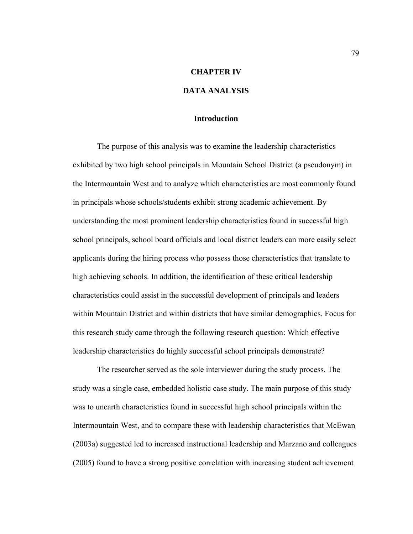## **CHAPTER IV**

# **DATA ANALYSIS**

# **Introduction**

 The purpose of this analysis was to examine the leadership characteristics exhibited by two high school principals in Mountain School District (a pseudonym) in the Intermountain West and to analyze which characteristics are most commonly found in principals whose schools/students exhibit strong academic achievement. By understanding the most prominent leadership characteristics found in successful high school principals, school board officials and local district leaders can more easily select applicants during the hiring process who possess those characteristics that translate to high achieving schools. In addition, the identification of these critical leadership characteristics could assist in the successful development of principals and leaders within Mountain District and within districts that have similar demographics. Focus for this research study came through the following research question: Which effective leadership characteristics do highly successful school principals demonstrate?

 The researcher served as the sole interviewer during the study process. The study was a single case, embedded holistic case study. The main purpose of this study was to unearth characteristics found in successful high school principals within the Intermountain West, and to compare these with leadership characteristics that McEwan (2003a) suggested led to increased instructional leadership and Marzano and colleagues (2005) found to have a strong positive correlation with increasing student achievement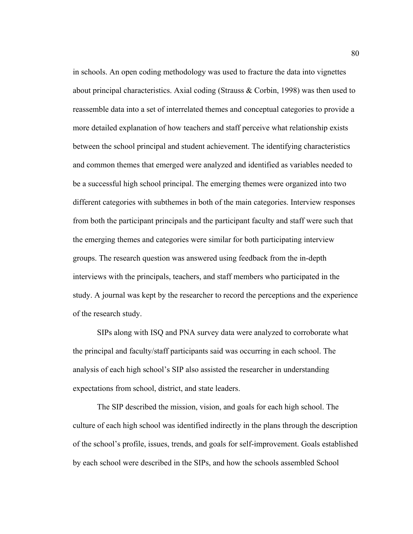in schools. An open coding methodology was used to fracture the data into vignettes about principal characteristics. Axial coding (Strauss & Corbin, 1998) was then used to reassemble data into a set of interrelated themes and conceptual categories to provide a more detailed explanation of how teachers and staff perceive what relationship exists between the school principal and student achievement. The identifying characteristics and common themes that emerged were analyzed and identified as variables needed to be a successful high school principal. The emerging themes were organized into two different categories with subthemes in both of the main categories. Interview responses from both the participant principals and the participant faculty and staff were such that the emerging themes and categories were similar for both participating interview groups. The research question was answered using feedback from the in-depth interviews with the principals, teachers, and staff members who participated in the study. A journal was kept by the researcher to record the perceptions and the experience of the research study.

 SIPs along with ISQ and PNA survey data were analyzed to corroborate what the principal and faculty/staff participants said was occurring in each school. The analysis of each high school's SIP also assisted the researcher in understanding expectations from school, district, and state leaders.

The SIP described the mission, vision, and goals for each high school. The culture of each high school was identified indirectly in the plans through the description of the school's profile, issues, trends, and goals for self-improvement. Goals established by each school were described in the SIPs, and how the schools assembled School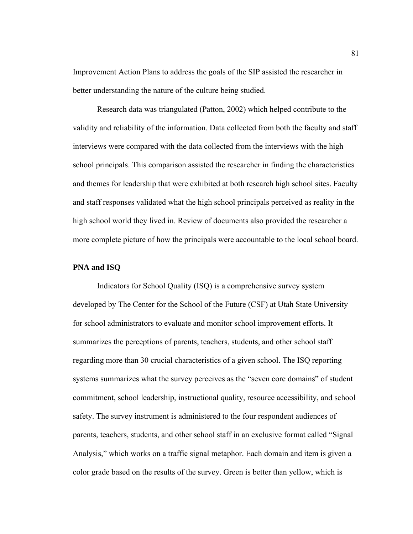Improvement Action Plans to address the goals of the SIP assisted the researcher in better understanding the nature of the culture being studied.

 Research data was triangulated (Patton, 2002) which helped contribute to the validity and reliability of the information. Data collected from both the faculty and staff interviews were compared with the data collected from the interviews with the high school principals. This comparison assisted the researcher in finding the characteristics and themes for leadership that were exhibited at both research high school sites. Faculty and staff responses validated what the high school principals perceived as reality in the high school world they lived in. Review of documents also provided the researcher a more complete picture of how the principals were accountable to the local school board.

# **PNA and ISQ**

Indicators for School Quality (ISQ) is a comprehensive survey system developed by The Center for the School of the Future (CSF) at Utah State University for school administrators to evaluate and monitor school improvement efforts. It summarizes the perceptions of parents, teachers, students, and other school staff regarding more than 30 crucial characteristics of a given school. The ISQ reporting systems summarizes what the survey perceives as the "seven core domains" of student commitment, school leadership, instructional quality, resource accessibility, and school safety. The survey instrument is administered to the four respondent audiences of parents, teachers, students, and other school staff in an exclusive format called "Signal Analysis," which works on a traffic signal metaphor. Each domain and item is given a color grade based on the results of the survey. Green is better than yellow, which is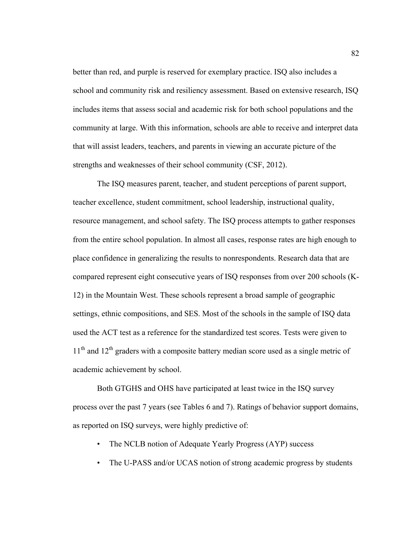better than red, and purple is reserved for exemplary practice. ISQ also includes a school and community risk and resiliency assessment. Based on extensive research, ISQ includes items that assess social and academic risk for both school populations and the community at large. With this information, schools are able to receive and interpret data that will assist leaders, teachers, and parents in viewing an accurate picture of the strengths and weaknesses of their school community (CSF, 2012).

The ISQ measures parent, teacher, and student perceptions of parent support, teacher excellence, student commitment, school leadership, instructional quality, resource management, and school safety. The ISQ process attempts to gather responses from the entire school population. In almost all cases, response rates are high enough to place confidence in generalizing the results to nonrespondents. Research data that are compared represent eight consecutive years of ISQ responses from over 200 schools (K-12) in the Mountain West. These schools represent a broad sample of geographic settings, ethnic compositions, and SES. Most of the schools in the sample of ISQ data used the ACT test as a reference for the standardized test scores. Tests were given to  $11<sup>th</sup>$  and  $12<sup>th</sup>$  graders with a composite battery median score used as a single metric of academic achievement by school.

Both GTGHS and OHS have participated at least twice in the ISQ survey process over the past 7 years (see Tables 6 and 7). Ratings of behavior support domains, as reported on ISQ surveys, were highly predictive of:

- The NCLB notion of Adequate Yearly Progress (AYP) success
- The U-PASS and/or UCAS notion of strong academic progress by students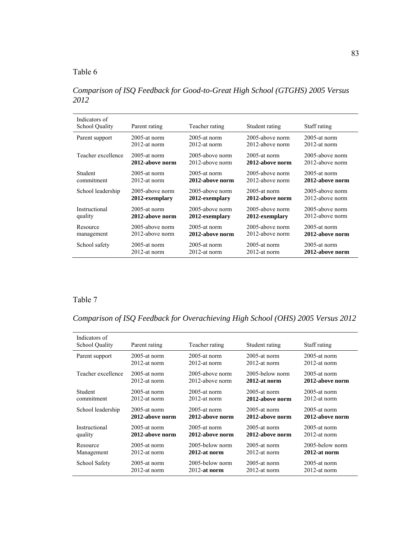*Comparison of ISQ Feedback for Good-to-Great High School (GTGHS) 2005 Versus 2012* 

| Indicators of<br><b>School Quality</b> | Parent rating   | Teacher rating  | Student rating  | Staff rating    |
|----------------------------------------|-----------------|-----------------|-----------------|-----------------|
| Parent support                         | $2005$ -at norm | 2005-at norm    | 2005-above norm | $2005$ -at norm |
|                                        | $2012$ -at norm | $2012$ -at norm | 2012-above norm | $2012$ -at norm |
| Teacher excellence                     | $2005$ -at norm | 2005-above norm | $2005$ -at norm | 2005-above norm |
|                                        | 2012-above norm | 2012-above norm | 2012-above norm | 2012-above norm |
| Student                                | $2005$ -at norm | $2005$ -at norm | 2005-above norm | $2005$ -at norm |
| commitment                             | $2012$ -at norm | 2012-above norm | 2012-above norm | 2012-above norm |
| School leadership                      | 2005-above norm | 2005-above norm | $2005$ -at norm | 2005-above norm |
|                                        | 2012-exemplary  | 2012-exemplary  | 2012-above norm | 2012-above norm |
| Instructional                          | $2005$ -at norm | 2005-above norm | 2005-above norm | 2005-above norm |
| quality                                | 2012-above norm | 2012-exemplary  | 2012-exemplary  | 2012-above norm |
| Resource                               | 2005-above norm | $2005$ -at norm | 2005-above norm | $2005$ -at norm |
| management                             | 2012-above norm | 2012-above norm | 2012-above norm | 2012-above norm |
| School safety                          | 2005-at norm    | $2005$ -at norm | $2005$ -at norm | 2005-at norm    |
|                                        | $2012$ -at norm | $2012$ -at norm | $2012$ -at norm | 2012-above norm |

# Table 7

*Comparison of ISQ Feedback for Overachieving High School (OHS) 2005 Versus 2012* 

| Indicators of         |                 |                 |                 |                 |
|-----------------------|-----------------|-----------------|-----------------|-----------------|
| <b>School Quality</b> | Parent rating   | Teacher rating  | Student rating  | Staff rating    |
| Parent support        | $2005$ -at norm | $2005$ -at norm | $2005$ -at norm | $2005$ -at norm |
|                       | $2012$ -at norm | $2012$ -at norm | $2012$ -at norm | $2012$ -at norm |
| Teacher excellence    | $2005$ -at norm | 2005-above norm | 2005-below norm | $2005$ -at norm |
|                       | $2012$ -at norm | 2012-above norm | 2012-at norm    | 2012-above norm |
| Student               | 2005-at norm    | $2005$ -at norm | $2005$ -at norm | $2005$ -at norm |
| commitment            | $2012$ -at norm | $2012$ -at norm | 2012-above norm | $2012$ -at norm |
| School leadership     | $2005$ -at norm | $2005$ -at norm | $2005$ -at norm | $2005$ -at norm |
|                       | 2012-above norm | 2012-above norm | 2012-above norm | 2012-above norm |
| Instructional         | $2005$ -at norm | $2005$ -at norm | $2005$ -at norm | $2005$ -at norm |
| quality               | 2012-above norm | 2012-above norm | 2012-above norm | $2012$ -at norm |
| Resource              | $2005$ -at norm | 2005-below norm | $2005$ -at norm | 2005-below norm |
| Management            | $2012$ -at norm | 2012-at norm    | $2012$ -at norm | 2012-at norm    |
| School Safety         | $2005$ -at norm | 2005-below norm | $2005$ -at norm | 2005-at norm    |
|                       | 2012-at norm    | $2012$ -at norm | 2012-at norm    | 2012-at norm    |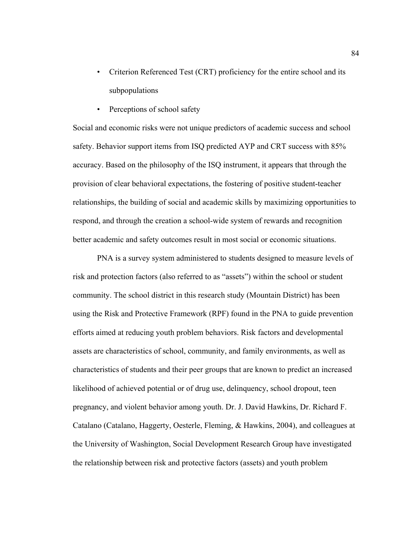- Criterion Referenced Test (CRT) proficiency for the entire school and its subpopulations
- Perceptions of school safety

Social and economic risks were not unique predictors of academic success and school safety. Behavior support items from ISQ predicted AYP and CRT success with 85% accuracy. Based on the philosophy of the ISQ instrument, it appears that through the provision of clear behavioral expectations, the fostering of positive student-teacher relationships, the building of social and academic skills by maximizing opportunities to respond, and through the creation a school-wide system of rewards and recognition better academic and safety outcomes result in most social or economic situations.

 PNA is a survey system administered to students designed to measure levels of risk and protection factors (also referred to as "assets") within the school or student community. The school district in this research study (Mountain District) has been using the Risk and Protective Framework (RPF) found in the PNA to guide prevention efforts aimed at reducing youth problem behaviors. Risk factors and developmental assets are characteristics of school, community, and family environments, as well as characteristics of students and their peer groups that are known to predict an increased likelihood of achieved potential or of drug use, delinquency, school dropout, teen pregnancy, and violent behavior among youth. Dr. J. David Hawkins, Dr. Richard F. Catalano (Catalano, Haggerty, Oesterle, Fleming, & Hawkins, 2004), and colleagues at the University of Washington, Social Development Research Group have investigated the relationship between risk and protective factors (assets) and youth problem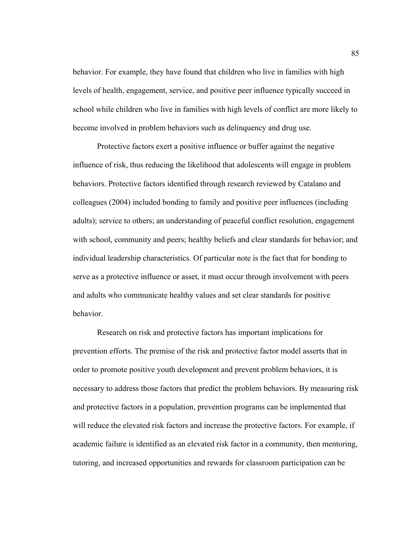behavior. For example, they have found that children who live in families with high levels of health, engagement, service, and positive peer influence typically succeed in school while children who live in families with high levels of conflict are more likely to become involved in problem behaviors such as delinquency and drug use.

Protective factors exert a positive influence or buffer against the negative influence of risk, thus reducing the likelihood that adolescents will engage in problem behaviors. Protective factors identified through research reviewed by Catalano and colleagues (2004) included bonding to family and positive peer influences (including adults); service to others; an understanding of peaceful conflict resolution, engagement with school, community and peers; healthy beliefs and clear standards for behavior; and individual leadership characteristics. Of particular note is the fact that for bonding to serve as a protective influence or asset, it must occur through involvement with peers and adults who communicate healthy values and set clear standards for positive behavior.

Research on risk and protective factors has important implications for prevention efforts. The premise of the risk and protective factor model asserts that in order to promote positive youth development and prevent problem behaviors, it is necessary to address those factors that predict the problem behaviors. By measuring risk and protective factors in a population, prevention programs can be implemented that will reduce the elevated risk factors and increase the protective factors. For example, if academic failure is identified as an elevated risk factor in a community, then mentoring, tutoring, and increased opportunities and rewards for classroom participation can be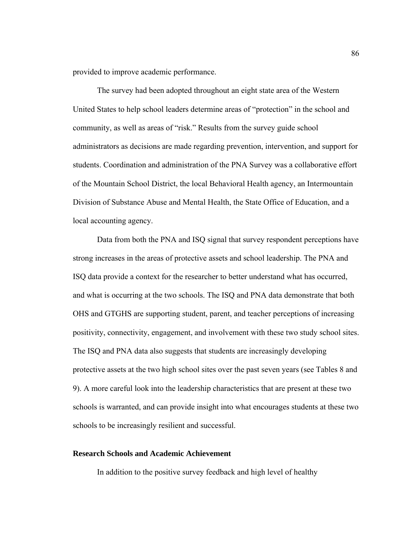provided to improve academic performance.

The survey had been adopted throughout an eight state area of the Western United States to help school leaders determine areas of "protection" in the school and community, as well as areas of "risk." Results from the survey guide school administrators as decisions are made regarding prevention, intervention, and support for students. Coordination and administration of the PNA Survey was a collaborative effort of the Mountain School District, the local Behavioral Health agency, an Intermountain Division of Substance Abuse and Mental Health, the State Office of Education, and a local accounting agency.

Data from both the PNA and ISQ signal that survey respondent perceptions have strong increases in the areas of protective assets and school leadership. The PNA and ISQ data provide a context for the researcher to better understand what has occurred, and what is occurring at the two schools. The ISQ and PNA data demonstrate that both OHS and GTGHS are supporting student, parent, and teacher perceptions of increasing positivity, connectivity, engagement, and involvement with these two study school sites. The ISQ and PNA data also suggests that students are increasingly developing protective assets at the two high school sites over the past seven years (see Tables 8 and 9). A more careful look into the leadership characteristics that are present at these two schools is warranted, and can provide insight into what encourages students at these two schools to be increasingly resilient and successful.

# **Research Schools and Academic Achievement**

In addition to the positive survey feedback and high level of healthy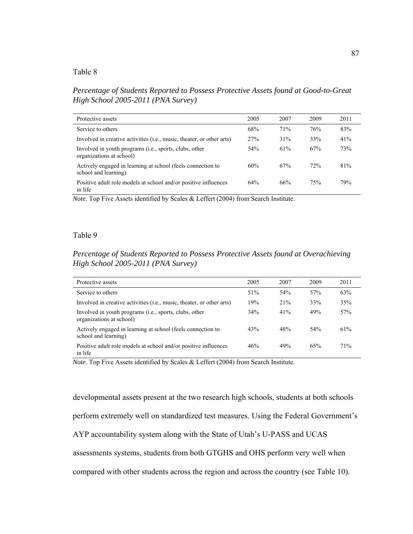*Percentage of Students Reported to Possess Protective Assets found at Good-to-Great High School 2005-2011 (PNA Survey)* 

| Protective assets                                                                   | 2005 | 2007 | 2009 | 2011 |
|-------------------------------------------------------------------------------------|------|------|------|------|
| Service to others                                                                   | 68%  | 71%  | 76%  | 83%  |
| Involved in creative activities ( <i>i.e.</i> , music, theater, or other arts)      | 27%  | 31%  | 33%  | 41%  |
| Involved in youth programs (i.e., sports, clubs, other<br>organizations at school)  | 54%  | 61%  | 67%  | 73%  |
| Actively engaged in learning at school (feels connection to<br>school and learning) | 60%  | 67%  | 72%  | 81%  |
| Positive adult role models at school and/or positive influences<br>in life          | 64%  | 66%  | 75%  | 79%  |

*Note.* Top Five Assets identified by Scales & Leffert (2004) from Search Institute.

#### Table 9

# *Percentage of Students Reported to Possess Protective Assets found at Overachieving High School 2005-2011 (PNA Survey)*

| Protective assets                                                                   | 2005 | 2007 | 2009 | 2011 |
|-------------------------------------------------------------------------------------|------|------|------|------|
| Service to others                                                                   | 51%  | 54%  | 57%  | 63%  |
| Involved in creative activities ( <i>i.e.</i> , music, theater, or other arts)      | 19%  | 21%  | 33%  | 35%  |
| Involved in youth programs (i.e., sports, clubs, other<br>organizations at school)  | 34%  | 41%  | 49%  | 57%  |
| Actively engaged in learning at school (feels connection to<br>school and learning) | 43%  | 48%  | 54%  | 61%  |
| Positive adult role models at school and/or positive influences<br>in life          | 46%  | 49%  | 65%  | 71%  |

*Note.* Top Five Assets identified by Scales & Leffert (2004) from Search Institute.

developmental assets present at the two research high schools, students at both schools perform extremely well on standardized test measures. Using the Federal Government's AYP accountability system along with the State of Utah's U-PASS and UCAS assessments systems, students from both GTGHS and OHS perform very well when compared with other students across the region and across the country (see Table 10).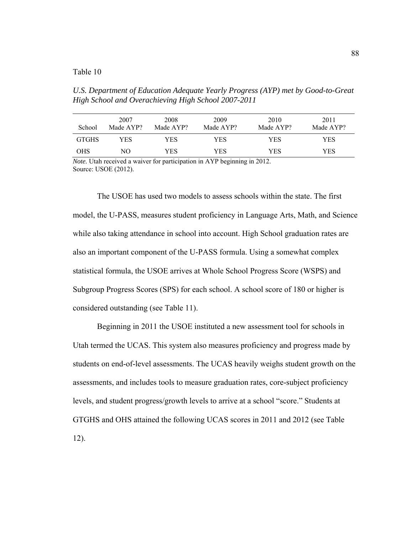*U.S. Department of Education Adequate Yearly Progress (AYP) met by Good-to-Great High School and Overachieving High School 2007-2011* 

| School       | 2007<br>Made AYP? | 2008<br>Made AYP? | 2009<br>Made AYP? | 2010<br>Made AYP? | 2011<br>Made AYP? |
|--------------|-------------------|-------------------|-------------------|-------------------|-------------------|
| <b>GTGHS</b> | YES               | YES               | YES               | YES               | YES               |
| <b>OHS</b>   | NО                | YES               | YES               | YES               | YES               |

*Note*. Utah received a waiver for participation in AYP beginning in 2012. Source: USOE (2012).

The USOE has used two models to assess schools within the state. The first model, the U-PASS, measures student proficiency in Language Arts, Math, and Science while also taking attendance in school into account. High School graduation rates are also an important component of the U-PASS formula. Using a somewhat complex statistical formula, the USOE arrives at Whole School Progress Score (WSPS) and Subgroup Progress Scores (SPS) for each school. A school score of 180 or higher is considered outstanding (see Table 11).

Beginning in 2011 the USOE instituted a new assessment tool for schools in Utah termed the UCAS. This system also measures proficiency and progress made by students on end-of-level assessments. The UCAS heavily weighs student growth on the assessments, and includes tools to measure graduation rates, core-subject proficiency levels, and student progress/growth levels to arrive at a school "score." Students at GTGHS and OHS attained the following UCAS scores in 2011 and 2012 (see Table 12).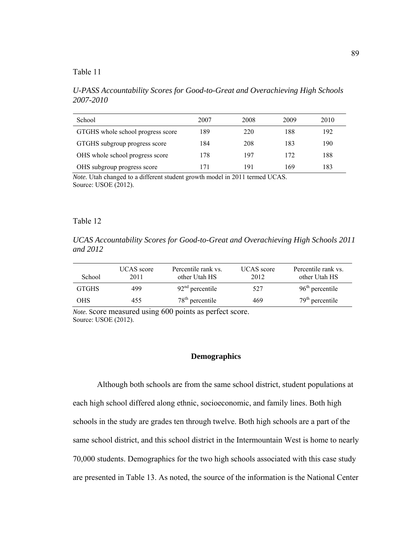*U-PASS Accountability Scores for Good-to-Great and Overachieving High Schools 2007-2010* 

| School                            | 2007 | 2008 | 2009 | 2010 |
|-----------------------------------|------|------|------|------|
| GTGHS whole school progress score | 189  | 220  | 188  | 192  |
| GTGHS subgroup progress score     | 184  | 208  | 183  | 190  |
| OHS whole school progress score   | 178  | 197  | 172  | 188  |
| OHS subgroup progress score       | 171  | 191  | 169  | 183  |

*Note.* Utah changed to a different student growth model in 2011 termed UCAS. Source: USOE (2012).

#### Table 12

*UCAS Accountability Scores for Good-to-Great and Overachieving High Schools 2011 and 2012* 

| School       | <b>UCAS</b> score<br>2011 | Percentile rank vs.<br>other Utah HS | <b>UCAS</b> score<br>2012 | Percentile rank vs.<br>other Utah HS |
|--------------|---------------------------|--------------------------------------|---------------------------|--------------------------------------|
| <b>GTGHS</b> | 499                       | $92nd$ percentile                    | 527                       | $96th$ percentile                    |
| <b>OHS</b>   | 455                       | $78th$ percentile                    | 469                       | $79th$ percentile                    |

*Note.* Score measured using 600 points as perfect score. Source: USOE (2012).

# **Demographics**

 Although both schools are from the same school district, student populations at each high school differed along ethnic, socioeconomic, and family lines. Both high schools in the study are grades ten through twelve. Both high schools are a part of the same school district, and this school district in the Intermountain West is home to nearly 70,000 students. Demographics for the two high schools associated with this case study are presented in Table 13. As noted, the source of the information is the National Center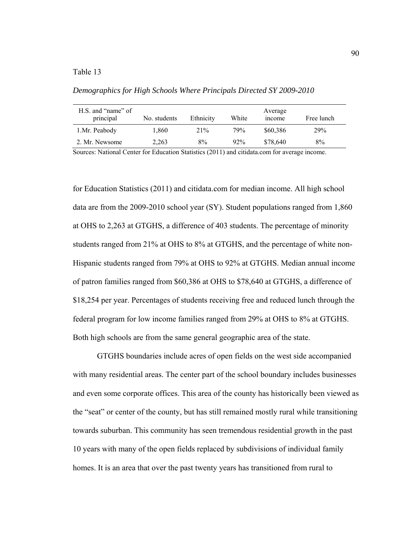*Demographics for High Schools Where Principals Directed SY 2009-2010* 

| H.S. and "name" of<br>principal | No. students | Ethnicity | White  | Average<br>mcome | Free lunch |
|---------------------------------|--------------|-----------|--------|------------------|------------|
| 1.Mr. Peabody                   | 1.860        | 21%       | 79%    | \$60,386         | 29%        |
| 2. Mr. Newsome                  | 2,263        | 8%        | $92\%$ | \$78,640         | 8%         |

Sources: National Center for Education Statistics (2011) and citidata.com for average income.

for Education Statistics (2011) and citidata.com for median income. All high school data are from the 2009-2010 school year (SY). Student populations ranged from 1,860 at OHS to 2,263 at GTGHS, a difference of 403 students. The percentage of minority students ranged from 21% at OHS to 8% at GTGHS, and the percentage of white non-Hispanic students ranged from 79% at OHS to 92% at GTGHS. Median annual income of patron families ranged from \$60,386 at OHS to \$78,640 at GTGHS, a difference of \$18,254 per year. Percentages of students receiving free and reduced lunch through the federal program for low income families ranged from 29% at OHS to 8% at GTGHS. Both high schools are from the same general geographic area of the state.

GTGHS boundaries include acres of open fields on the west side accompanied with many residential areas. The center part of the school boundary includes businesses and even some corporate offices. This area of the county has historically been viewed as the "seat" or center of the county, but has still remained mostly rural while transitioning towards suburban. This community has seen tremendous residential growth in the past 10 years with many of the open fields replaced by subdivisions of individual family homes. It is an area that over the past twenty years has transitioned from rural to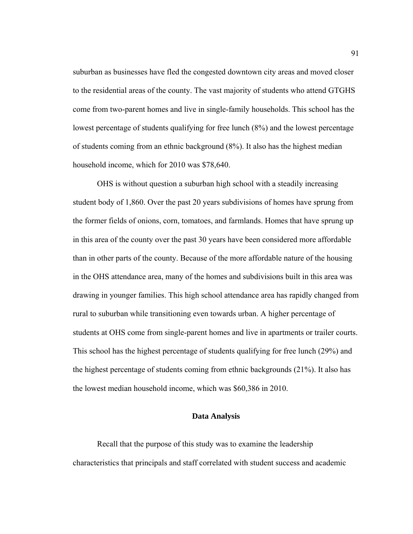suburban as businesses have fled the congested downtown city areas and moved closer to the residential areas of the county. The vast majority of students who attend GTGHS come from two-parent homes and live in single-family households. This school has the lowest percentage of students qualifying for free lunch (8%) and the lowest percentage of students coming from an ethnic background (8%). It also has the highest median household income, which for 2010 was \$78,640.

OHS is without question a suburban high school with a steadily increasing student body of 1,860. Over the past 20 years subdivisions of homes have sprung from the former fields of onions, corn, tomatoes, and farmlands. Homes that have sprung up in this area of the county over the past 30 years have been considered more affordable than in other parts of the county. Because of the more affordable nature of the housing in the OHS attendance area, many of the homes and subdivisions built in this area was drawing in younger families. This high school attendance area has rapidly changed from rural to suburban while transitioning even towards urban. A higher percentage of students at OHS come from single-parent homes and live in apartments or trailer courts. This school has the highest percentage of students qualifying for free lunch (29%) and the highest percentage of students coming from ethnic backgrounds (21%). It also has the lowest median household income, which was \$60,386 in 2010.

# **Data Analysis**

Recall that the purpose of this study was to examine the leadership characteristics that principals and staff correlated with student success and academic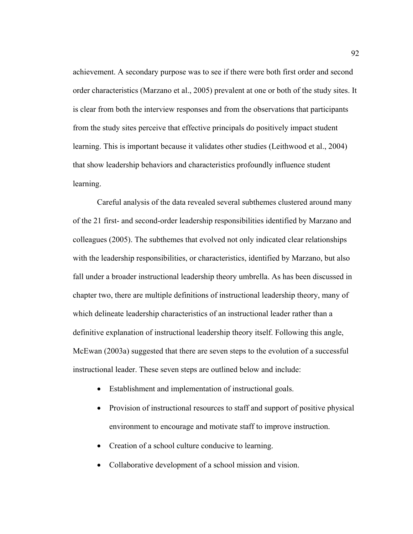achievement. A secondary purpose was to see if there were both first order and second order characteristics (Marzano et al., 2005) prevalent at one or both of the study sites. It is clear from both the interview responses and from the observations that participants from the study sites perceive that effective principals do positively impact student learning. This is important because it validates other studies (Leithwood et al., 2004) that show leadership behaviors and characteristics profoundly influence student learning.

Careful analysis of the data revealed several subthemes clustered around many of the 21 first- and second-order leadership responsibilities identified by Marzano and colleagues (2005). The subthemes that evolved not only indicated clear relationships with the leadership responsibilities, or characteristics, identified by Marzano, but also fall under a broader instructional leadership theory umbrella. As has been discussed in chapter two, there are multiple definitions of instructional leadership theory, many of which delineate leadership characteristics of an instructional leader rather than a definitive explanation of instructional leadership theory itself. Following this angle, McEwan (2003a) suggested that there are seven steps to the evolution of a successful instructional leader. These seven steps are outlined below and include:

- Establishment and implementation of instructional goals.
- Provision of instructional resources to staff and support of positive physical environment to encourage and motivate staff to improve instruction.
- Creation of a school culture conducive to learning.
- Collaborative development of a school mission and vision.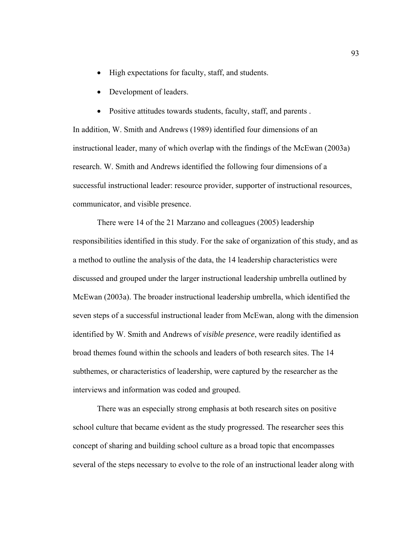- High expectations for faculty, staff, and students.
- Development of leaders.
- Positive attitudes towards students, faculty, staff, and parents .

In addition, W. Smith and Andrews (1989) identified four dimensions of an instructional leader, many of which overlap with the findings of the McEwan (2003a) research. W. Smith and Andrews identified the following four dimensions of a successful instructional leader: resource provider, supporter of instructional resources, communicator, and visible presence.

There were 14 of the 21 Marzano and colleagues (2005) leadership responsibilities identified in this study. For the sake of organization of this study, and as a method to outline the analysis of the data, the 14 leadership characteristics were discussed and grouped under the larger instructional leadership umbrella outlined by McEwan (2003a). The broader instructional leadership umbrella, which identified the seven steps of a successful instructional leader from McEwan, along with the dimension identified by W. Smith and Andrews of *visible presence*, were readily identified as broad themes found within the schools and leaders of both research sites. The 14 subthemes, or characteristics of leadership, were captured by the researcher as the interviews and information was coded and grouped.

There was an especially strong emphasis at both research sites on positive school culture that became evident as the study progressed. The researcher sees this concept of sharing and building school culture as a broad topic that encompasses several of the steps necessary to evolve to the role of an instructional leader along with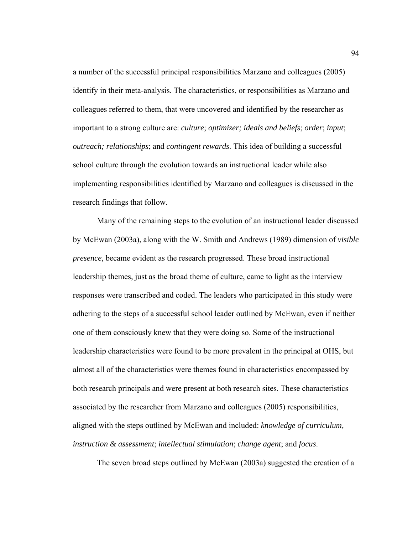a number of the successful principal responsibilities Marzano and colleagues (2005) identify in their meta-analysis. The characteristics, or responsibilities as Marzano and colleagues referred to them, that were uncovered and identified by the researcher as important to a strong culture are: *culture*; *optimizer; ideals and beliefs*; *order*; *input*; *outreach; relationships*; and *contingent rewards*. This idea of building a successful school culture through the evolution towards an instructional leader while also implementing responsibilities identified by Marzano and colleagues is discussed in the research findings that follow.

Many of the remaining steps to the evolution of an instructional leader discussed by McEwan (2003a), along with the W. Smith and Andrews (1989) dimension of *visible presence*, became evident as the research progressed. These broad instructional leadership themes, just as the broad theme of culture, came to light as the interview responses were transcribed and coded. The leaders who participated in this study were adhering to the steps of a successful school leader outlined by McEwan, even if neither one of them consciously knew that they were doing so. Some of the instructional leadership characteristics were found to be more prevalent in the principal at OHS, but almost all of the characteristics were themes found in characteristics encompassed by both research principals and were present at both research sites. These characteristics associated by the researcher from Marzano and colleagues (2005) responsibilities, aligned with the steps outlined by McEwan and included: *knowledge of curriculum, instruction & assessment*; *intellectual stimulation*; *change agent*; and *focus*.

The seven broad steps outlined by McEwan (2003a) suggested the creation of a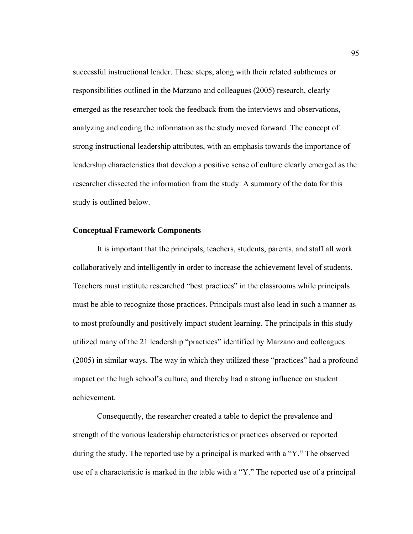successful instructional leader. These steps, along with their related subthemes or responsibilities outlined in the Marzano and colleagues (2005) research, clearly emerged as the researcher took the feedback from the interviews and observations, analyzing and coding the information as the study moved forward. The concept of strong instructional leadership attributes, with an emphasis towards the importance of leadership characteristics that develop a positive sense of culture clearly emerged as the researcher dissected the information from the study. A summary of the data for this study is outlined below.

#### **Conceptual Framework Components**

It is important that the principals, teachers, students, parents, and staff all work collaboratively and intelligently in order to increase the achievement level of students. Teachers must institute researched "best practices" in the classrooms while principals must be able to recognize those practices. Principals must also lead in such a manner as to most profoundly and positively impact student learning. The principals in this study utilized many of the 21 leadership "practices" identified by Marzano and colleagues (2005) in similar ways. The way in which they utilized these "practices" had a profound impact on the high school's culture, and thereby had a strong influence on student achievement.

Consequently, the researcher created a table to depict the prevalence and strength of the various leadership characteristics or practices observed or reported during the study. The reported use by a principal is marked with a "Y." The observed use of a characteristic is marked in the table with a "Y." The reported use of a principal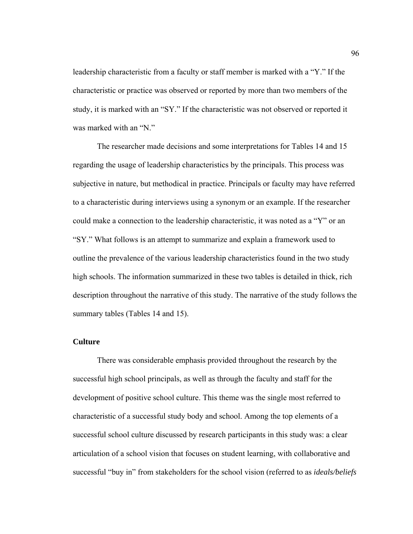leadership characteristic from a faculty or staff member is marked with a "Y." If the characteristic or practice was observed or reported by more than two members of the study, it is marked with an "SY." If the characteristic was not observed or reported it was marked with an "N."

The researcher made decisions and some interpretations for Tables 14 and 15 regarding the usage of leadership characteristics by the principals. This process was subjective in nature, but methodical in practice. Principals or faculty may have referred to a characteristic during interviews using a synonym or an example. If the researcher could make a connection to the leadership characteristic, it was noted as a "Y" or an "SY." What follows is an attempt to summarize and explain a framework used to outline the prevalence of the various leadership characteristics found in the two study high schools. The information summarized in these two tables is detailed in thick, rich description throughout the narrative of this study. The narrative of the study follows the summary tables (Tables 14 and 15).

#### **Culture**

There was considerable emphasis provided throughout the research by the successful high school principals, as well as through the faculty and staff for the development of positive school culture. This theme was the single most referred to characteristic of a successful study body and school. Among the top elements of a successful school culture discussed by research participants in this study was: a clear articulation of a school vision that focuses on student learning, with collaborative and successful "buy in" from stakeholders for the school vision (referred to as *ideals/beliefs*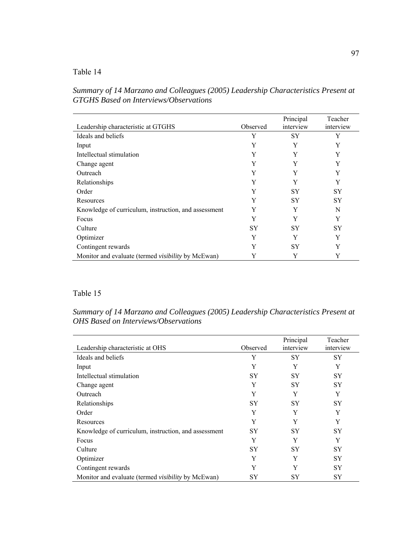# Table 14

*Summary of 14 Marzano and Colleagues (2005) Leadership Characteristics Present at GTGHS Based on Interviews/Observations* 

|                                                           |          | Principal | Teacher   |
|-----------------------------------------------------------|----------|-----------|-----------|
| Leadership characteristic at GTGHS                        | Observed | interview | interview |
| Ideals and beliefs                                        | Y        | SY        | Y         |
| Input                                                     | Y        | Y         | Y         |
| Intellectual stimulation                                  | Y        | Y         | Y         |
| Change agent                                              | Y        | Y         | Y         |
| Outreach                                                  | Y        | Y         | Y         |
| Relationships                                             | Y        | Y         | Y         |
| Order                                                     | Y        | SY        | <b>SY</b> |
| Resources                                                 | Y        | SY        | SY        |
| Knowledge of curriculum, instruction, and assessment      | Y        | Y         | N         |
| Focus                                                     | Y        | Y         | Y         |
| Culture                                                   | SY       | SY        | SY        |
| Optimizer                                                 | Y        | Y         | Y         |
| Contingent rewards                                        | Y        | SY        | Y         |
| Monitor and evaluate (termed <i>visibility</i> by McEwan) | Y        | Y         | Y         |

## Table 15

*Summary of 14 Marzano and Colleagues (2005) Leadership Characteristics Present at OHS Based on Interviews/Observations* 

|                                                           |           | Principal | Teacher   |
|-----------------------------------------------------------|-----------|-----------|-----------|
| Leadership characteristic at OHS                          | Observed  | interview | interview |
| Ideals and beliefs                                        | Y         | <b>SY</b> | <b>SY</b> |
| Input                                                     | Y         | Y         | Y         |
| Intellectual stimulation                                  | <b>SY</b> | <b>SY</b> | <b>SY</b> |
| Change agent                                              | Y         | <b>SY</b> | <b>SY</b> |
| Outreach                                                  | Y         | Y         | Y         |
| Relationships                                             | <b>SY</b> | <b>SY</b> | <b>SY</b> |
| Order                                                     | Y         | Y         | Y         |
| Resources                                                 | Y         | Y         | Y         |
| Knowledge of curriculum, instruction, and assessment      | <b>SY</b> | <b>SY</b> | <b>SY</b> |
| Focus                                                     | Y         | Y         | Y         |
| Culture                                                   | SY        | SY        | <b>SY</b> |
| Optimizer                                                 | Y         | Y         | <b>SY</b> |
| Contingent rewards                                        | Y         | Y         | <b>SY</b> |
| Monitor and evaluate (termed <i>visibility</i> by McEwan) | SY        | SY        | SY        |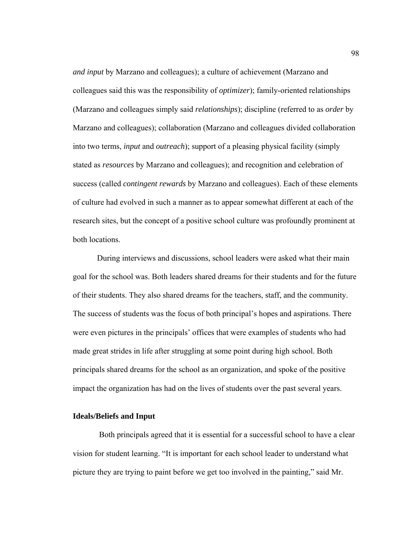*and input* by Marzano and colleagues); a culture of achievement (Marzano and colleagues said this was the responsibility of *optimizer*); family-oriented relationships (Marzano and colleagues simply said *relationships*); discipline (referred to as *order* by Marzano and colleagues); collaboration (Marzano and colleagues divided collaboration into two terms, *input* and *outreach*); support of a pleasing physical facility (simply stated as *resources* by Marzano and colleagues); and recognition and celebration of success (called *contingent rewards* by Marzano and colleagues). Each of these elements of culture had evolved in such a manner as to appear somewhat different at each of the research sites, but the concept of a positive school culture was profoundly prominent at both locations.

During interviews and discussions, school leaders were asked what their main goal for the school was. Both leaders shared dreams for their students and for the future of their students. They also shared dreams for the teachers, staff, and the community. The success of students was the focus of both principal's hopes and aspirations. There were even pictures in the principals' offices that were examples of students who had made great strides in life after struggling at some point during high school. Both principals shared dreams for the school as an organization, and spoke of the positive impact the organization has had on the lives of students over the past several years.

## **Ideals/Beliefs and Input**

 Both principals agreed that it is essential for a successful school to have a clear vision for student learning. "It is important for each school leader to understand what picture they are trying to paint before we get too involved in the painting," said Mr.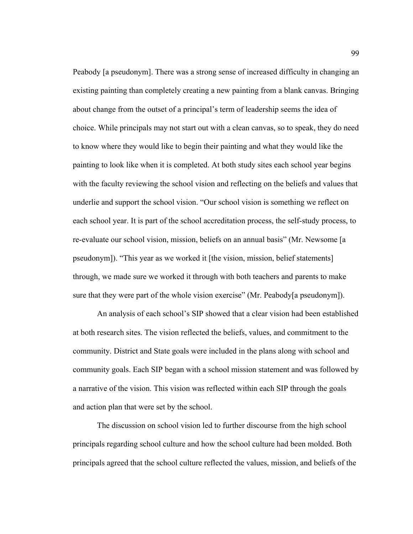Peabody [a pseudonym]. There was a strong sense of increased difficulty in changing an existing painting than completely creating a new painting from a blank canvas. Bringing about change from the outset of a principal's term of leadership seems the idea of choice. While principals may not start out with a clean canvas, so to speak, they do need to know where they would like to begin their painting and what they would like the painting to look like when it is completed. At both study sites each school year begins with the faculty reviewing the school vision and reflecting on the beliefs and values that underlie and support the school vision. "Our school vision is something we reflect on each school year. It is part of the school accreditation process, the self-study process, to re-evaluate our school vision, mission, beliefs on an annual basis" (Mr. Newsome [a pseudonym]). "This year as we worked it [the vision, mission, belief statements] through, we made sure we worked it through with both teachers and parents to make sure that they were part of the whole vision exercise" (Mr. Peabody[a pseudonym]).

An analysis of each school's SIP showed that a clear vision had been established at both research sites. The vision reflected the beliefs, values, and commitment to the community. District and State goals were included in the plans along with school and community goals. Each SIP began with a school mission statement and was followed by a narrative of the vision. This vision was reflected within each SIP through the goals and action plan that were set by the school.

The discussion on school vision led to further discourse from the high school principals regarding school culture and how the school culture had been molded. Both principals agreed that the school culture reflected the values, mission, and beliefs of the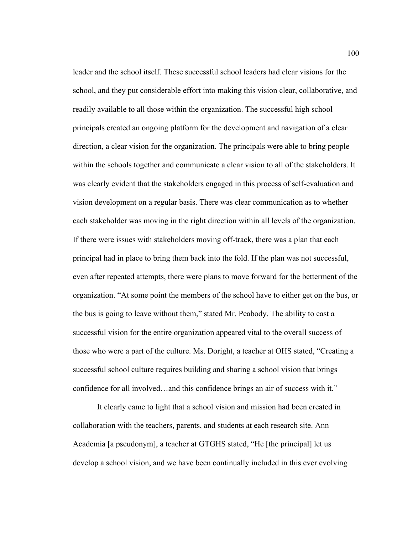leader and the school itself. These successful school leaders had clear visions for the school, and they put considerable effort into making this vision clear, collaborative, and readily available to all those within the organization. The successful high school principals created an ongoing platform for the development and navigation of a clear direction, a clear vision for the organization. The principals were able to bring people within the schools together and communicate a clear vision to all of the stakeholders. It was clearly evident that the stakeholders engaged in this process of self-evaluation and vision development on a regular basis. There was clear communication as to whether each stakeholder was moving in the right direction within all levels of the organization. If there were issues with stakeholders moving off-track, there was a plan that each principal had in place to bring them back into the fold. If the plan was not successful, even after repeated attempts, there were plans to move forward for the betterment of the organization. "At some point the members of the school have to either get on the bus, or the bus is going to leave without them," stated Mr. Peabody. The ability to cast a successful vision for the entire organization appeared vital to the overall success of those who were a part of the culture. Ms. Doright, a teacher at OHS stated, "Creating a successful school culture requires building and sharing a school vision that brings confidence for all involved…and this confidence brings an air of success with it."

It clearly came to light that a school vision and mission had been created in collaboration with the teachers, parents, and students at each research site. Ann Academia [a pseudonym], a teacher at GTGHS stated, "He [the principal] let us develop a school vision, and we have been continually included in this ever evolving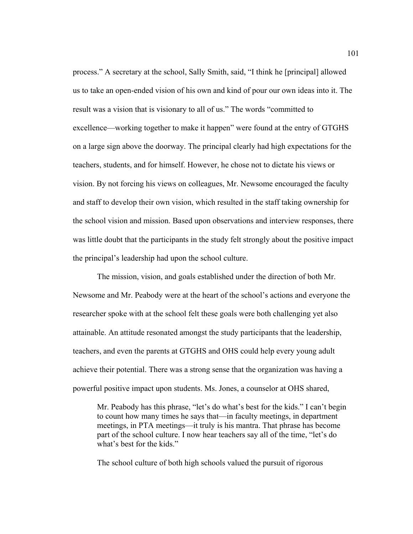process." A secretary at the school, Sally Smith, said, "I think he [principal] allowed us to take an open-ended vision of his own and kind of pour our own ideas into it. The result was a vision that is visionary to all of us." The words "committed to excellence—working together to make it happen" were found at the entry of GTGHS on a large sign above the doorway. The principal clearly had high expectations for the teachers, students, and for himself. However, he chose not to dictate his views or vision. By not forcing his views on colleagues, Mr. Newsome encouraged the faculty and staff to develop their own vision, which resulted in the staff taking ownership for the school vision and mission. Based upon observations and interview responses, there was little doubt that the participants in the study felt strongly about the positive impact the principal's leadership had upon the school culture.

 The mission, vision, and goals established under the direction of both Mr. Newsome and Mr. Peabody were at the heart of the school's actions and everyone the researcher spoke with at the school felt these goals were both challenging yet also attainable. An attitude resonated amongst the study participants that the leadership, teachers, and even the parents at GTGHS and OHS could help every young adult achieve their potential. There was a strong sense that the organization was having a powerful positive impact upon students. Ms. Jones, a counselor at OHS shared,

Mr. Peabody has this phrase, "let's do what's best for the kids." I can't begin to count how many times he says that—in faculty meetings, in department meetings, in PTA meetings—it truly is his mantra. That phrase has become part of the school culture. I now hear teachers say all of the time, "let's do what's best for the kids."

The school culture of both high schools valued the pursuit of rigorous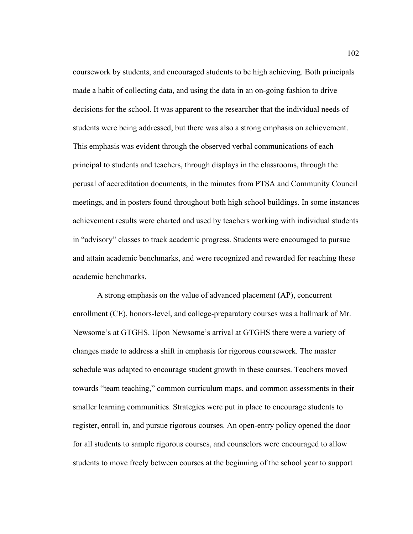coursework by students, and encouraged students to be high achieving. Both principals made a habit of collecting data, and using the data in an on-going fashion to drive decisions for the school. It was apparent to the researcher that the individual needs of students were being addressed, but there was also a strong emphasis on achievement. This emphasis was evident through the observed verbal communications of each principal to students and teachers, through displays in the classrooms, through the perusal of accreditation documents, in the minutes from PTSA and Community Council meetings, and in posters found throughout both high school buildings. In some instances achievement results were charted and used by teachers working with individual students in "advisory" classes to track academic progress. Students were encouraged to pursue and attain academic benchmarks, and were recognized and rewarded for reaching these academic benchmarks.

A strong emphasis on the value of advanced placement (AP), concurrent enrollment (CE), honors-level, and college-preparatory courses was a hallmark of Mr. Newsome's at GTGHS. Upon Newsome's arrival at GTGHS there were a variety of changes made to address a shift in emphasis for rigorous coursework. The master schedule was adapted to encourage student growth in these courses. Teachers moved towards "team teaching," common curriculum maps, and common assessments in their smaller learning communities. Strategies were put in place to encourage students to register, enroll in, and pursue rigorous courses. An open-entry policy opened the door for all students to sample rigorous courses, and counselors were encouraged to allow students to move freely between courses at the beginning of the school year to support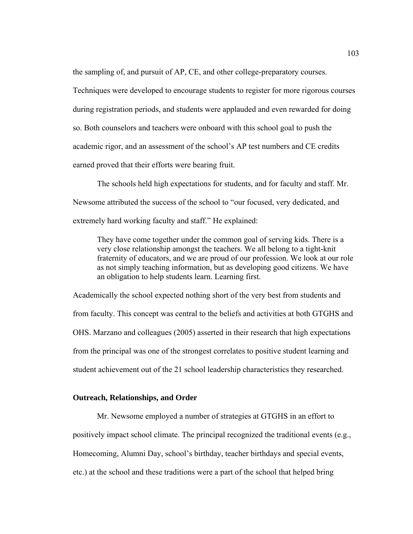the sampling of, and pursuit of AP, CE, and other college-preparatory courses.

Techniques were developed to encourage students to register for more rigorous courses during registration periods, and students were applauded and even rewarded for doing so. Both counselors and teachers were onboard with this school goal to push the academic rigor, and an assessment of the school's AP test numbers and CE credits earned proved that their efforts were bearing fruit.

The schools held high expectations for students, and for faculty and staff. Mr. Newsome attributed the success of the school to "our focused, very dedicated, and extremely hard working faculty and staff." He explained:

They have come together under the common goal of serving kids. There is a very close relationship amongst the teachers. We all belong to a tight-knit fraternity of educators, and we are proud of our profession. We look at our role as not simply teaching information, but as developing good citizens. We have an obligation to help students learn. Learning first.

Academically the school expected nothing short of the very best from students and from faculty. This concept was central to the beliefs and activities at both GTGHS and OHS. Marzano and colleagues (2005) asserted in their research that high expectations from the principal was one of the strongest correlates to positive student learning and student achievement out of the 21 school leadership characteristics they researched.

## **Outreach, Relationships, and Order**

Mr. Newsome employed a number of strategies at GTGHS in an effort to positively impact school climate. The principal recognized the traditional events (e.g., Homecoming, Alumni Day, school's birthday, teacher birthdays and special events, etc.) at the school and these traditions were a part of the school that helped bring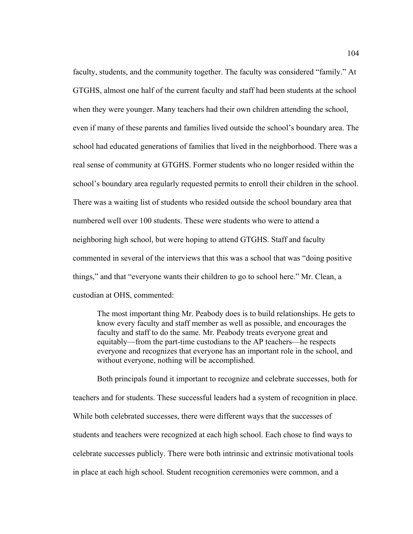faculty, students, and the community together. The faculty was considered "family." At GTGHS, almost one half of the current faculty and staff had been students at the school when they were younger. Many teachers had their own children attending the school, even if many of these parents and families lived outside the school's boundary area. The school had educated generations of families that lived in the neighborhood. There was a real sense of community at GTGHS. Former students who no longer resided within the school's boundary area regularly requested permits to enroll their children in the school. There was a waiting list of students who resided outside the school boundary area that numbered well over 100 students. These were students who were to attend a neighboring high school, but were hoping to attend GTGHS. Staff and faculty commented in several of the interviews that this was a school that was "doing positive things," and that "everyone wants their children to go to school here." Mr. Clean, a custodian at OHS, commented:

The most important thing Mr. Peabody does is to build relationships. He gets to know every faculty and staff member as well as possible, and encourages the faculty and staff to do the same. Mr. Peabody treats everyone great and equitably—from the part-time custodians to the AP teachers—he respects everyone and recognizes that everyone has an important role in the school, and without everyone, nothing will be accomplished.

Both principals found it important to recognize and celebrate successes, both for teachers and for students. These successful leaders had a system of recognition in place. While both celebrated successes, there were different ways that the successes of students and teachers were recognized at each high school. Each chose to find ways to celebrate successes publicly. There were both intrinsic and extrinsic motivational tools in place at each high school. Student recognition ceremonies were common, and a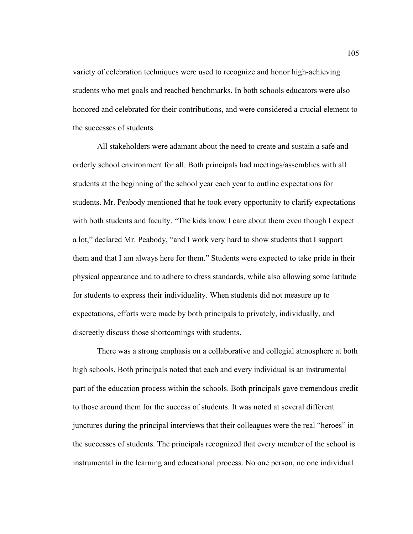variety of celebration techniques were used to recognize and honor high-achieving students who met goals and reached benchmarks. In both schools educators were also honored and celebrated for their contributions, and were considered a crucial element to the successes of students.

All stakeholders were adamant about the need to create and sustain a safe and orderly school environment for all. Both principals had meetings/assemblies with all students at the beginning of the school year each year to outline expectations for students. Mr. Peabody mentioned that he took every opportunity to clarify expectations with both students and faculty. "The kids know I care about them even though I expect a lot," declared Mr. Peabody, "and I work very hard to show students that I support them and that I am always here for them." Students were expected to take pride in their physical appearance and to adhere to dress standards, while also allowing some latitude for students to express their individuality. When students did not measure up to expectations, efforts were made by both principals to privately, individually, and discreetly discuss those shortcomings with students.

There was a strong emphasis on a collaborative and collegial atmosphere at both high schools. Both principals noted that each and every individual is an instrumental part of the education process within the schools. Both principals gave tremendous credit to those around them for the success of students. It was noted at several different junctures during the principal interviews that their colleagues were the real "heroes" in the successes of students. The principals recognized that every member of the school is instrumental in the learning and educational process. No one person, no one individual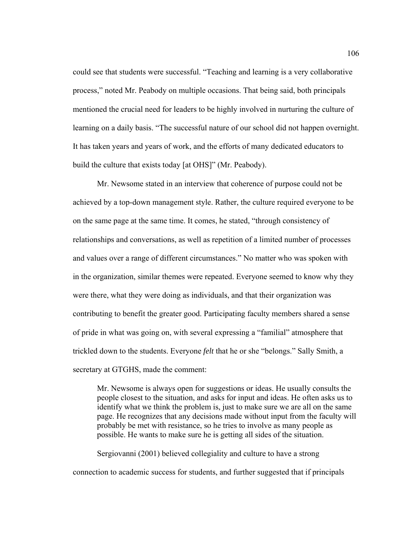could see that students were successful. "Teaching and learning is a very collaborative process," noted Mr. Peabody on multiple occasions. That being said, both principals mentioned the crucial need for leaders to be highly involved in nurturing the culture of learning on a daily basis. "The successful nature of our school did not happen overnight. It has taken years and years of work, and the efforts of many dedicated educators to build the culture that exists today [at OHS]" (Mr. Peabody).

Mr. Newsome stated in an interview that coherence of purpose could not be achieved by a top-down management style. Rather, the culture required everyone to be on the same page at the same time. It comes, he stated, "through consistency of relationships and conversations, as well as repetition of a limited number of processes and values over a range of different circumstances." No matter who was spoken with in the organization, similar themes were repeated. Everyone seemed to know why they were there, what they were doing as individuals, and that their organization was contributing to benefit the greater good. Participating faculty members shared a sense of pride in what was going on, with several expressing a "familial" atmosphere that trickled down to the students. Everyone *felt* that he or she "belongs." Sally Smith, a secretary at GTGHS, made the comment:

Mr. Newsome is always open for suggestions or ideas. He usually consults the people closest to the situation, and asks for input and ideas. He often asks us to identify what we think the problem is, just to make sure we are all on the same page. He recognizes that any decisions made without input from the faculty will probably be met with resistance, so he tries to involve as many people as possible. He wants to make sure he is getting all sides of the situation.

Sergiovanni (2001) believed collegiality and culture to have a strong connection to academic success for students, and further suggested that if principals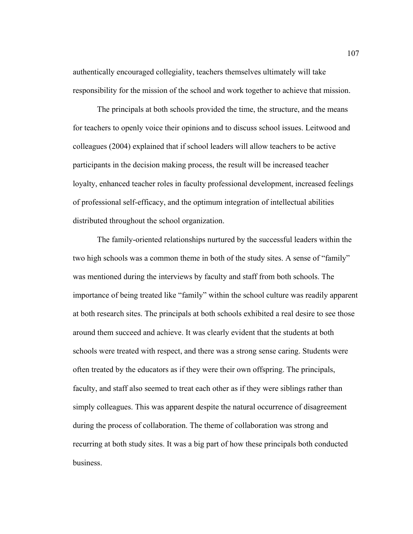authentically encouraged collegiality, teachers themselves ultimately will take responsibility for the mission of the school and work together to achieve that mission.

The principals at both schools provided the time, the structure, and the means for teachers to openly voice their opinions and to discuss school issues. Leitwood and colleagues (2004) explained that if school leaders will allow teachers to be active participants in the decision making process, the result will be increased teacher loyalty, enhanced teacher roles in faculty professional development, increased feelings of professional self-efficacy, and the optimum integration of intellectual abilities distributed throughout the school organization.

The family-oriented relationships nurtured by the successful leaders within the two high schools was a common theme in both of the study sites. A sense of "family" was mentioned during the interviews by faculty and staff from both schools. The importance of being treated like "family" within the school culture was readily apparent at both research sites. The principals at both schools exhibited a real desire to see those around them succeed and achieve. It was clearly evident that the students at both schools were treated with respect, and there was a strong sense caring. Students were often treated by the educators as if they were their own offspring. The principals, faculty, and staff also seemed to treat each other as if they were siblings rather than simply colleagues. This was apparent despite the natural occurrence of disagreement during the process of collaboration. The theme of collaboration was strong and recurring at both study sites. It was a big part of how these principals both conducted business.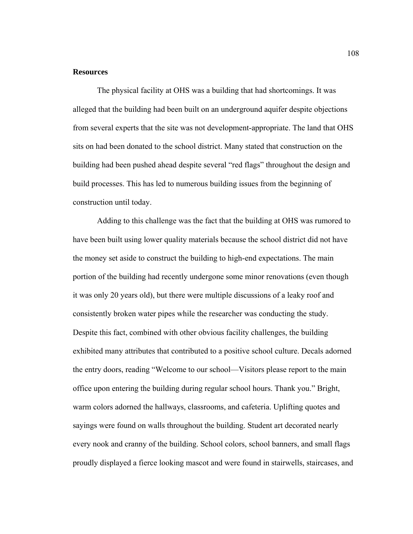#### **Resources**

The physical facility at OHS was a building that had shortcomings. It was alleged that the building had been built on an underground aquifer despite objections from several experts that the site was not development-appropriate. The land that OHS sits on had been donated to the school district. Many stated that construction on the building had been pushed ahead despite several "red flags" throughout the design and build processes. This has led to numerous building issues from the beginning of construction until today.

Adding to this challenge was the fact that the building at OHS was rumored to have been built using lower quality materials because the school district did not have the money set aside to construct the building to high-end expectations. The main portion of the building had recently undergone some minor renovations (even though it was only 20 years old), but there were multiple discussions of a leaky roof and consistently broken water pipes while the researcher was conducting the study. Despite this fact, combined with other obvious facility challenges, the building exhibited many attributes that contributed to a positive school culture. Decals adorned the entry doors, reading "Welcome to our school—Visitors please report to the main office upon entering the building during regular school hours. Thank you." Bright, warm colors adorned the hallways, classrooms, and cafeteria. Uplifting quotes and sayings were found on walls throughout the building. Student art decorated nearly every nook and cranny of the building. School colors, school banners, and small flags proudly displayed a fierce looking mascot and were found in stairwells, staircases, and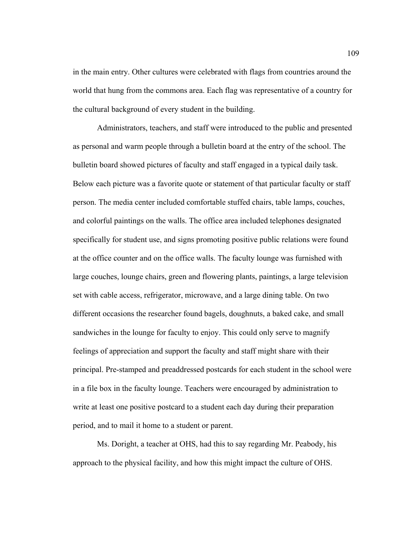in the main entry. Other cultures were celebrated with flags from countries around the world that hung from the commons area. Each flag was representative of a country for the cultural background of every student in the building.

Administrators, teachers, and staff were introduced to the public and presented as personal and warm people through a bulletin board at the entry of the school. The bulletin board showed pictures of faculty and staff engaged in a typical daily task. Below each picture was a favorite quote or statement of that particular faculty or staff person. The media center included comfortable stuffed chairs, table lamps, couches, and colorful paintings on the walls. The office area included telephones designated specifically for student use, and signs promoting positive public relations were found at the office counter and on the office walls. The faculty lounge was furnished with large couches, lounge chairs, green and flowering plants, paintings, a large television set with cable access, refrigerator, microwave, and a large dining table. On two different occasions the researcher found bagels, doughnuts, a baked cake, and small sandwiches in the lounge for faculty to enjoy. This could only serve to magnify feelings of appreciation and support the faculty and staff might share with their principal. Pre-stamped and preaddressed postcards for each student in the school were in a file box in the faculty lounge. Teachers were encouraged by administration to write at least one positive postcard to a student each day during their preparation period, and to mail it home to a student or parent.

Ms. Doright, a teacher at OHS, had this to say regarding Mr. Peabody, his approach to the physical facility, and how this might impact the culture of OHS.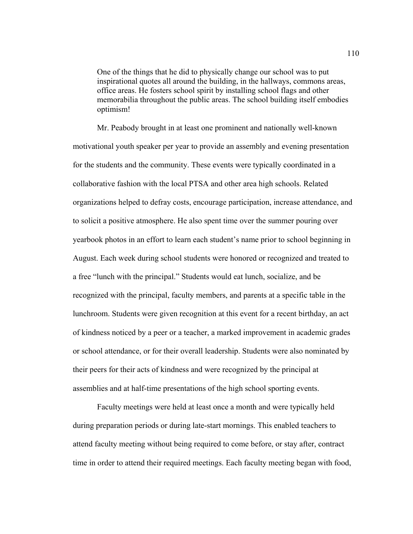One of the things that he did to physically change our school was to put inspirational quotes all around the building, in the hallways, commons areas, office areas. He fosters school spirit by installing school flags and other memorabilia throughout the public areas. The school building itself embodies optimism!

Mr. Peabody brought in at least one prominent and nationally well-known motivational youth speaker per year to provide an assembly and evening presentation for the students and the community. These events were typically coordinated in a collaborative fashion with the local PTSA and other area high schools. Related organizations helped to defray costs, encourage participation, increase attendance, and to solicit a positive atmosphere. He also spent time over the summer pouring over yearbook photos in an effort to learn each student's name prior to school beginning in August. Each week during school students were honored or recognized and treated to a free "lunch with the principal." Students would eat lunch, socialize, and be recognized with the principal, faculty members, and parents at a specific table in the lunchroom. Students were given recognition at this event for a recent birthday, an act of kindness noticed by a peer or a teacher, a marked improvement in academic grades or school attendance, or for their overall leadership. Students were also nominated by their peers for their acts of kindness and were recognized by the principal at assemblies and at half-time presentations of the high school sporting events.

Faculty meetings were held at least once a month and were typically held during preparation periods or during late-start mornings. This enabled teachers to attend faculty meeting without being required to come before, or stay after, contract time in order to attend their required meetings. Each faculty meeting began with food,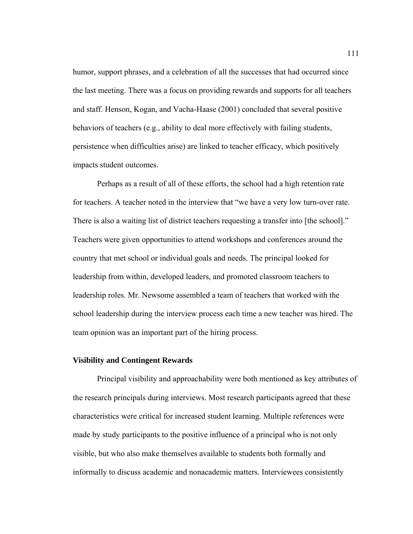humor, support phrases, and a celebration of all the successes that had occurred since the last meeting. There was a focus on providing rewards and supports for all teachers and staff. Henson, Kogan, and Vacha-Haase (2001) concluded that several positive behaviors of teachers (e.g., ability to deal more effectively with failing students, persistence when difficulties arise) are linked to teacher efficacy, which positively impacts student outcomes.

 Perhaps as a result of all of these efforts, the school had a high retention rate for teachers. A teacher noted in the interview that "we have a very low turn-over rate. There is also a waiting list of district teachers requesting a transfer into [the school]." Teachers were given opportunities to attend workshops and conferences around the country that met school or individual goals and needs. The principal looked for leadership from within, developed leaders, and promoted classroom teachers to leadership roles. Mr. Newsome assembled a team of teachers that worked with the school leadership during the interview process each time a new teacher was hired. The team opinion was an important part of the hiring process.

## **Visibility and Contingent Rewards**

Principal visibility and approachability were both mentioned as key attributes of the research principals during interviews. Most research participants agreed that these characteristics were critical for increased student learning. Multiple references were made by study participants to the positive influence of a principal who is not only visible, but who also make themselves available to students both formally and informally to discuss academic and nonacademic matters. Interviewees consistently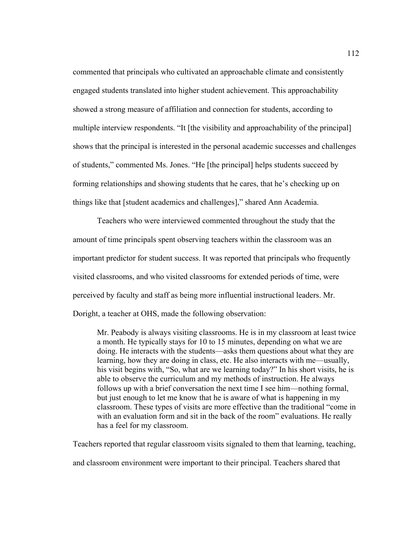commented that principals who cultivated an approachable climate and consistently engaged students translated into higher student achievement. This approachability showed a strong measure of affiliation and connection for students, according to multiple interview respondents. "It [the visibility and approachability of the principal] shows that the principal is interested in the personal academic successes and challenges of students," commented Ms. Jones. "He [the principal] helps students succeed by forming relationships and showing students that he cares, that he's checking up on things like that [student academics and challenges]," shared Ann Academia.

Teachers who were interviewed commented throughout the study that the amount of time principals spent observing teachers within the classroom was an important predictor for student success. It was reported that principals who frequently visited classrooms, and who visited classrooms for extended periods of time, were perceived by faculty and staff as being more influential instructional leaders. Mr. Doright, a teacher at OHS, made the following observation:

Mr. Peabody is always visiting classrooms. He is in my classroom at least twice a month. He typically stays for 10 to 15 minutes, depending on what we are doing. He interacts with the students—asks them questions about what they are learning, how they are doing in class, etc. He also interacts with me—usually, his visit begins with, "So, what are we learning today?" In his short visits, he is able to observe the curriculum and my methods of instruction. He always follows up with a brief conversation the next time I see him—nothing formal, but just enough to let me know that he is aware of what is happening in my classroom. These types of visits are more effective than the traditional "come in with an evaluation form and sit in the back of the room" evaluations. He really has a feel for my classroom.

Teachers reported that regular classroom visits signaled to them that learning, teaching,

and classroom environment were important to their principal. Teachers shared that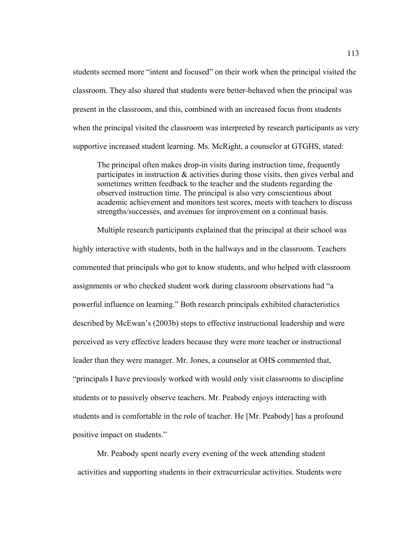students seemed more "intent and focused" on their work when the principal visited the classroom. They also shared that students were better-behaved when the principal was present in the classroom, and this, combined with an increased focus from students when the principal visited the classroom was interpreted by research participants as very supportive increased student learning. Ms. McRight, a counselor at GTGHS, stated:

The principal often makes drop-in visits during instruction time, frequently participates in instruction & activities during those visits, then gives verbal and sometimes written feedback to the teacher and the students regarding the observed instruction time. The principal is also very conscientious about academic achievement and monitors test scores, meets with teachers to discuss strengths/successes, and avenues for improvement on a continual basis.

 Multiple research participants explained that the principal at their school was highly interactive with students, both in the hallways and in the classroom. Teachers commented that principals who got to know students, and who helped with classroom assignments or who checked student work during classroom observations had "a powerful influence on learning." Both research principals exhibited characteristics described by McEwan's (2003b) steps to effective instructional leadership and were perceived as very effective leaders because they were more teacher or instructional leader than they were manager. Mr. Jones, a counselor at OHS commented that, "principals I have previously worked with would only visit classrooms to discipline students or to passively observe teachers. Mr. Peabody enjoys interacting with students and is comfortable in the role of teacher. He [Mr. Peabody] has a profound positive impact on students."

Mr. Peabody spent nearly every evening of the week attending student activities and supporting students in their extracurricular activities. Students were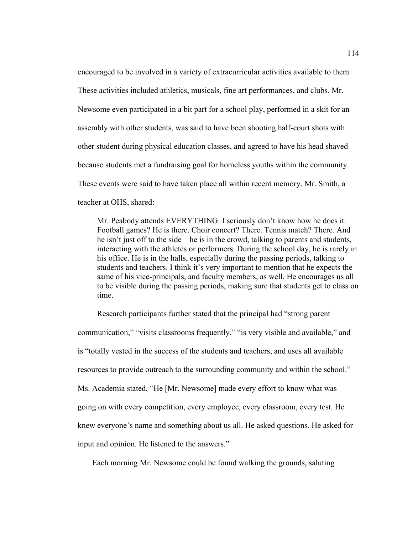encouraged to be involved in a variety of extracurricular activities available to them. These activities included athletics, musicals, fine art performances, and clubs. Mr. Newsome even participated in a bit part for a school play, performed in a skit for an assembly with other students, was said to have been shooting half-court shots with other student during physical education classes, and agreed to have his head shaved because students met a fundraising goal for homeless youths within the community. These events were said to have taken place all within recent memory. Mr. Smith, a teacher at OHS, shared:

Mr. Peabody attends EVERYTHING. I seriously don't know how he does it. Football games? He is there. Choir concert? There. Tennis match? There. And he isn't just off to the side—he is in the crowd, talking to parents and students, interacting with the athletes or performers. During the school day, he is rarely in his office. He is in the halls, especially during the passing periods, talking to students and teachers. I think it's very important to mention that he expects the same of his vice-principals, and faculty members, as well. He encourages us all to be visible during the passing periods, making sure that students get to class on time.

Research participants further stated that the principal had "strong parent communication," "visits classrooms frequently," "is very visible and available," and is "totally vested in the success of the students and teachers, and uses all available resources to provide outreach to the surrounding community and within the school." Ms. Academia stated, "He [Mr. Newsome] made every effort to know what was going on with every competition, every employee, every classroom, every test. He knew everyone's name and something about us all. He asked questions. He asked for input and opinion. He listened to the answers."

Each morning Mr. Newsome could be found walking the grounds, saluting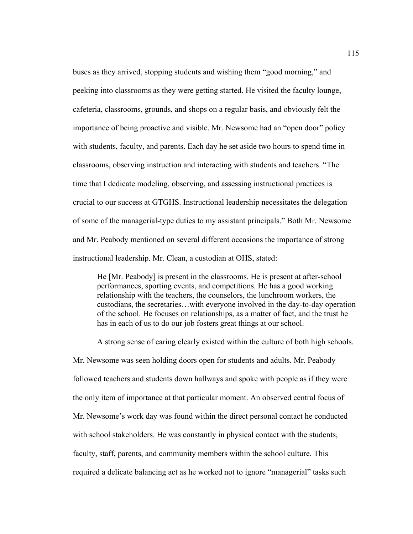buses as they arrived, stopping students and wishing them "good morning," and peeking into classrooms as they were getting started. He visited the faculty lounge, cafeteria, classrooms, grounds, and shops on a regular basis, and obviously felt the importance of being proactive and visible. Mr. Newsome had an "open door" policy with students, faculty, and parents. Each day he set aside two hours to spend time in classrooms, observing instruction and interacting with students and teachers. "The time that I dedicate modeling, observing, and assessing instructional practices is crucial to our success at GTGHS. Instructional leadership necessitates the delegation of some of the managerial-type duties to my assistant principals." Both Mr. Newsome and Mr. Peabody mentioned on several different occasions the importance of strong instructional leadership. Mr. Clean, a custodian at OHS, stated:

He [Mr. Peabody] is present in the classrooms. He is present at after-school performances, sporting events, and competitions. He has a good working relationship with the teachers, the counselors, the lunchroom workers, the custodians, the secretaries…with everyone involved in the day-to-day operation of the school. He focuses on relationships, as a matter of fact, and the trust he has in each of us to do our job fosters great things at our school.

A strong sense of caring clearly existed within the culture of both high schools. Mr. Newsome was seen holding doors open for students and adults. Mr. Peabody followed teachers and students down hallways and spoke with people as if they were the only item of importance at that particular moment. An observed central focus of Mr. Newsome's work day was found within the direct personal contact he conducted with school stakeholders. He was constantly in physical contact with the students, faculty, staff, parents, and community members within the school culture. This required a delicate balancing act as he worked not to ignore "managerial" tasks such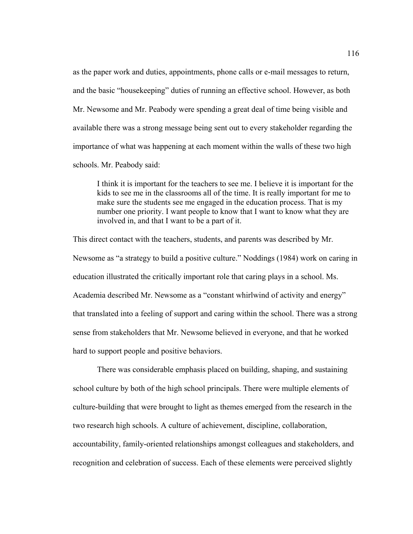as the paper work and duties, appointments, phone calls or e-mail messages to return, and the basic "housekeeping" duties of running an effective school. However, as both Mr. Newsome and Mr. Peabody were spending a great deal of time being visible and available there was a strong message being sent out to every stakeholder regarding the importance of what was happening at each moment within the walls of these two high schools. Mr. Peabody said:

I think it is important for the teachers to see me. I believe it is important for the kids to see me in the classrooms all of the time. It is really important for me to make sure the students see me engaged in the education process. That is my number one priority. I want people to know that I want to know what they are involved in, and that I want to be a part of it.

This direct contact with the teachers, students, and parents was described by Mr. Newsome as "a strategy to build a positive culture." Noddings (1984) work on caring in education illustrated the critically important role that caring plays in a school. Ms. Academia described Mr. Newsome as a "constant whirlwind of activity and energy" that translated into a feeling of support and caring within the school. There was a strong sense from stakeholders that Mr. Newsome believed in everyone, and that he worked hard to support people and positive behaviors.

There was considerable emphasis placed on building, shaping, and sustaining school culture by both of the high school principals. There were multiple elements of culture-building that were brought to light as themes emerged from the research in the two research high schools. A culture of achievement, discipline, collaboration, accountability, family-oriented relationships amongst colleagues and stakeholders, and recognition and celebration of success. Each of these elements were perceived slightly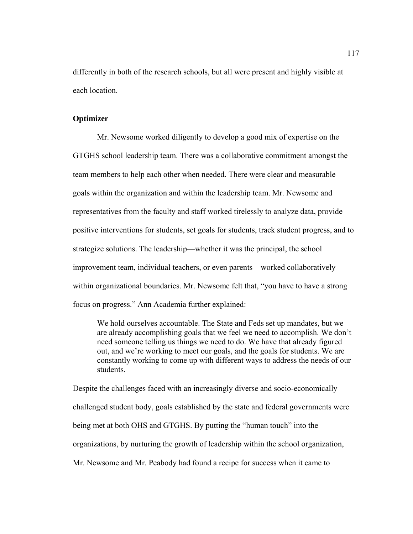differently in both of the research schools, but all were present and highly visible at each location.

## **Optimizer**

Mr. Newsome worked diligently to develop a good mix of expertise on the GTGHS school leadership team. There was a collaborative commitment amongst the team members to help each other when needed. There were clear and measurable goals within the organization and within the leadership team. Mr. Newsome and representatives from the faculty and staff worked tirelessly to analyze data, provide positive interventions for students, set goals for students, track student progress, and to strategize solutions. The leadership—whether it was the principal, the school improvement team, individual teachers, or even parents—worked collaboratively within organizational boundaries. Mr. Newsome felt that, "you have to have a strong focus on progress." Ann Academia further explained:

We hold ourselves accountable. The State and Feds set up mandates, but we are already accomplishing goals that we feel we need to accomplish. We don't need someone telling us things we need to do. We have that already figured out, and we're working to meet our goals, and the goals for students. We are constantly working to come up with different ways to address the needs of our students.

Despite the challenges faced with an increasingly diverse and socio-economically challenged student body, goals established by the state and federal governments were being met at both OHS and GTGHS. By putting the "human touch" into the organizations, by nurturing the growth of leadership within the school organization, Mr. Newsome and Mr. Peabody had found a recipe for success when it came to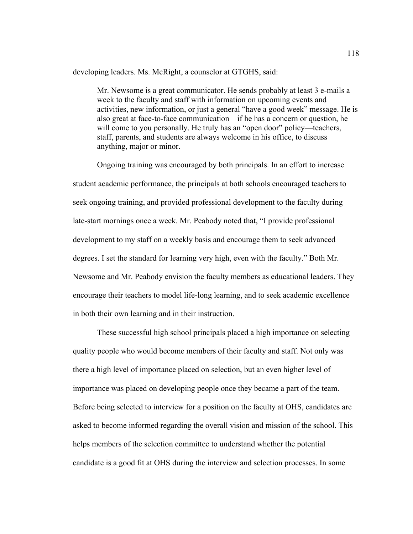developing leaders. Ms. McRight, a counselor at GTGHS, said:

Mr. Newsome is a great communicator. He sends probably at least 3 e-mails a week to the faculty and staff with information on upcoming events and activities, new information, or just a general "have a good week" message. He is also great at face-to-face communication—if he has a concern or question, he will come to you personally. He truly has an "open door" policy—teachers, staff, parents, and students are always welcome in his office, to discuss anything, major or minor.

 Ongoing training was encouraged by both principals. In an effort to increase student academic performance, the principals at both schools encouraged teachers to seek ongoing training, and provided professional development to the faculty during late-start mornings once a week. Mr. Peabody noted that, "I provide professional development to my staff on a weekly basis and encourage them to seek advanced degrees. I set the standard for learning very high, even with the faculty." Both Mr. Newsome and Mr. Peabody envision the faculty members as educational leaders. They encourage their teachers to model life-long learning, and to seek academic excellence in both their own learning and in their instruction.

 These successful high school principals placed a high importance on selecting quality people who would become members of their faculty and staff. Not only was there a high level of importance placed on selection, but an even higher level of importance was placed on developing people once they became a part of the team. Before being selected to interview for a position on the faculty at OHS, candidates are asked to become informed regarding the overall vision and mission of the school. This helps members of the selection committee to understand whether the potential candidate is a good fit at OHS during the interview and selection processes. In some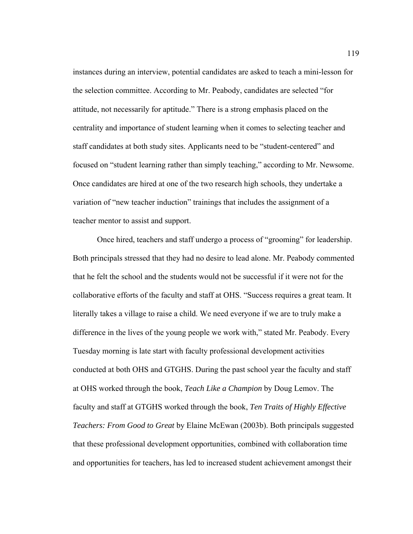instances during an interview, potential candidates are asked to teach a mini-lesson for the selection committee. According to Mr. Peabody, candidates are selected "for attitude, not necessarily for aptitude." There is a strong emphasis placed on the centrality and importance of student learning when it comes to selecting teacher and staff candidates at both study sites. Applicants need to be "student-centered" and focused on "student learning rather than simply teaching," according to Mr. Newsome. Once candidates are hired at one of the two research high schools, they undertake a variation of "new teacher induction" trainings that includes the assignment of a teacher mentor to assist and support.

 Once hired, teachers and staff undergo a process of "grooming" for leadership. Both principals stressed that they had no desire to lead alone. Mr. Peabody commented that he felt the school and the students would not be successful if it were not for the collaborative efforts of the faculty and staff at OHS. "Success requires a great team. It literally takes a village to raise a child. We need everyone if we are to truly make a difference in the lives of the young people we work with," stated Mr. Peabody. Every Tuesday morning is late start with faculty professional development activities conducted at both OHS and GTGHS. During the past school year the faculty and staff at OHS worked through the book, *Teach Like a Champion* by Doug Lemov. The faculty and staff at GTGHS worked through the book, *Ten Traits of Highly Effective Teachers: From Good to Great* by Elaine McEwan (2003b). Both principals suggested that these professional development opportunities, combined with collaboration time and opportunities for teachers, has led to increased student achievement amongst their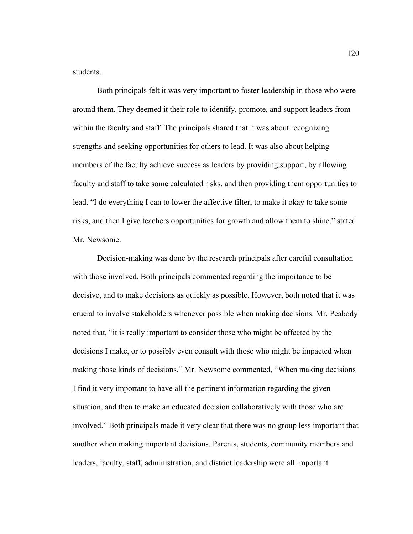students.

 Both principals felt it was very important to foster leadership in those who were around them. They deemed it their role to identify, promote, and support leaders from within the faculty and staff. The principals shared that it was about recognizing strengths and seeking opportunities for others to lead. It was also about helping members of the faculty achieve success as leaders by providing support, by allowing faculty and staff to take some calculated risks, and then providing them opportunities to lead. "I do everything I can to lower the affective filter, to make it okay to take some risks, and then I give teachers opportunities for growth and allow them to shine," stated Mr. Newsome.

 Decision-making was done by the research principals after careful consultation with those involved. Both principals commented regarding the importance to be decisive, and to make decisions as quickly as possible. However, both noted that it was crucial to involve stakeholders whenever possible when making decisions. Mr. Peabody noted that, "it is really important to consider those who might be affected by the decisions I make, or to possibly even consult with those who might be impacted when making those kinds of decisions." Mr. Newsome commented, "When making decisions I find it very important to have all the pertinent information regarding the given situation, and then to make an educated decision collaboratively with those who are involved." Both principals made it very clear that there was no group less important that another when making important decisions. Parents, students, community members and leaders, faculty, staff, administration, and district leadership were all important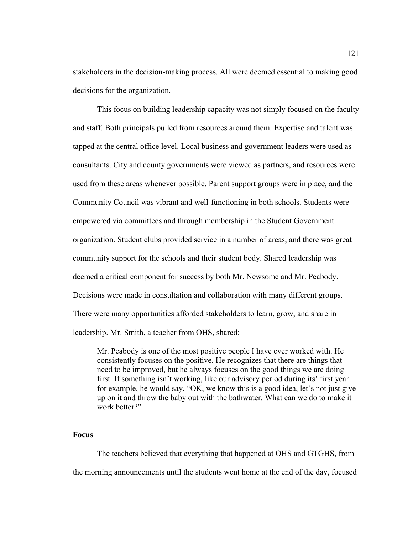stakeholders in the decision-making process. All were deemed essential to making good decisions for the organization.

 This focus on building leadership capacity was not simply focused on the faculty and staff. Both principals pulled from resources around them. Expertise and talent was tapped at the central office level. Local business and government leaders were used as consultants. City and county governments were viewed as partners, and resources were used from these areas whenever possible. Parent support groups were in place, and the Community Council was vibrant and well-functioning in both schools. Students were empowered via committees and through membership in the Student Government organization. Student clubs provided service in a number of areas, and there was great community support for the schools and their student body. Shared leadership was deemed a critical component for success by both Mr. Newsome and Mr. Peabody. Decisions were made in consultation and collaboration with many different groups. There were many opportunities afforded stakeholders to learn, grow, and share in leadership. Mr. Smith, a teacher from OHS, shared:

Mr. Peabody is one of the most positive people I have ever worked with. He consistently focuses on the positive. He recognizes that there are things that need to be improved, but he always focuses on the good things we are doing first. If something isn't working, like our advisory period during its' first year for example, he would say, "OK, we know this is a good idea, let's not just give up on it and throw the baby out with the bathwater. What can we do to make it work better?"

#### **Focus**

The teachers believed that everything that happened at OHS and GTGHS, from the morning announcements until the students went home at the end of the day, focused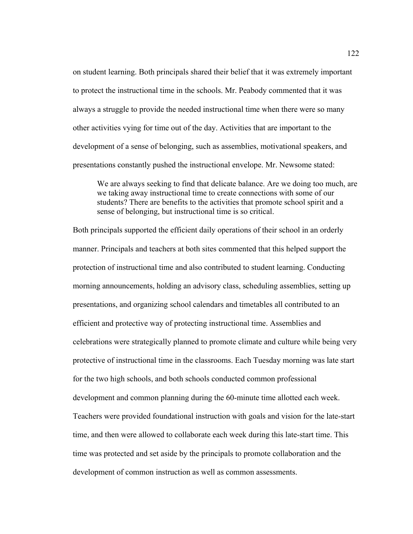on student learning. Both principals shared their belief that it was extremely important to protect the instructional time in the schools. Mr. Peabody commented that it was always a struggle to provide the needed instructional time when there were so many other activities vying for time out of the day. Activities that are important to the development of a sense of belonging, such as assemblies, motivational speakers, and presentations constantly pushed the instructional envelope. Mr. Newsome stated:

We are always seeking to find that delicate balance. Are we doing too much, are we taking away instructional time to create connections with some of our students? There are benefits to the activities that promote school spirit and a sense of belonging, but instructional time is so critical.

Both principals supported the efficient daily operations of their school in an orderly manner. Principals and teachers at both sites commented that this helped support the protection of instructional time and also contributed to student learning. Conducting morning announcements, holding an advisory class, scheduling assemblies, setting up presentations, and organizing school calendars and timetables all contributed to an efficient and protective way of protecting instructional time. Assemblies and celebrations were strategically planned to promote climate and culture while being very protective of instructional time in the classrooms. Each Tuesday morning was late start for the two high schools, and both schools conducted common professional development and common planning during the 60-minute time allotted each week. Teachers were provided foundational instruction with goals and vision for the late-start time, and then were allowed to collaborate each week during this late-start time. This time was protected and set aside by the principals to promote collaboration and the development of common instruction as well as common assessments.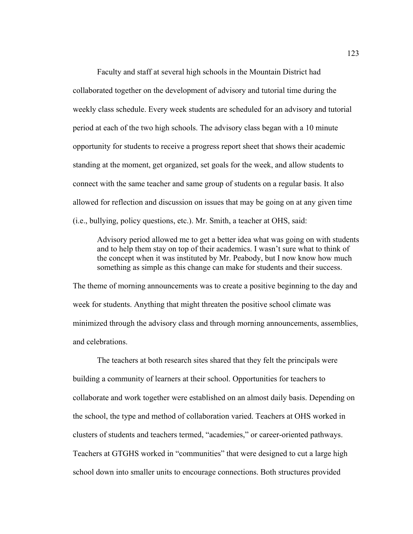Faculty and staff at several high schools in the Mountain District had collaborated together on the development of advisory and tutorial time during the weekly class schedule. Every week students are scheduled for an advisory and tutorial period at each of the two high schools. The advisory class began with a 10 minute opportunity for students to receive a progress report sheet that shows their academic standing at the moment, get organized, set goals for the week, and allow students to connect with the same teacher and same group of students on a regular basis. It also allowed for reflection and discussion on issues that may be going on at any given time (i.e., bullying, policy questions, etc.). Mr. Smith, a teacher at OHS, said:

Advisory period allowed me to get a better idea what was going on with students and to help them stay on top of their academics. I wasn't sure what to think of the concept when it was instituted by Mr. Peabody, but I now know how much something as simple as this change can make for students and their success.

The theme of morning announcements was to create a positive beginning to the day and week for students. Anything that might threaten the positive school climate was minimized through the advisory class and through morning announcements, assemblies, and celebrations.

 The teachers at both research sites shared that they felt the principals were building a community of learners at their school. Opportunities for teachers to collaborate and work together were established on an almost daily basis. Depending on the school, the type and method of collaboration varied. Teachers at OHS worked in clusters of students and teachers termed, "academies," or career-oriented pathways. Teachers at GTGHS worked in "communities" that were designed to cut a large high school down into smaller units to encourage connections. Both structures provided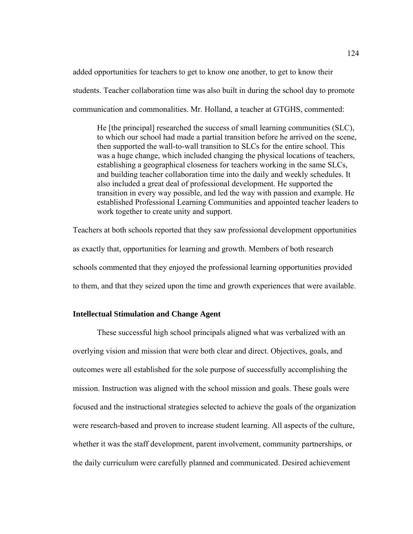added opportunities for teachers to get to know one another, to get to know their students. Teacher collaboration time was also built in during the school day to promote communication and commonalities. Mr. Holland, a teacher at GTGHS, commented:

He [the principal] researched the success of small learning communities (SLC), to which our school had made a partial transition before he arrived on the scene, then supported the wall-to-wall transition to SLCs for the entire school. This was a huge change, which included changing the physical locations of teachers, establishing a geographical closeness for teachers working in the same SLCs, and building teacher collaboration time into the daily and weekly schedules. It also included a great deal of professional development. He supported the transition in every way possible, and led the way with passion and example. He established Professional Learning Communities and appointed teacher leaders to work together to create unity and support.

Teachers at both schools reported that they saw professional development opportunities as exactly that, opportunities for learning and growth. Members of both research schools commented that they enjoyed the professional learning opportunities provided to them, and that they seized upon the time and growth experiences that were available.

## **Intellectual Stimulation and Change Agent**

These successful high school principals aligned what was verbalized with an overlying vision and mission that were both clear and direct. Objectives, goals, and outcomes were all established for the sole purpose of successfully accomplishing the mission. Instruction was aligned with the school mission and goals. These goals were focused and the instructional strategies selected to achieve the goals of the organization were research-based and proven to increase student learning. All aspects of the culture, whether it was the staff development, parent involvement, community partnerships, or the daily curriculum were carefully planned and communicated. Desired achievement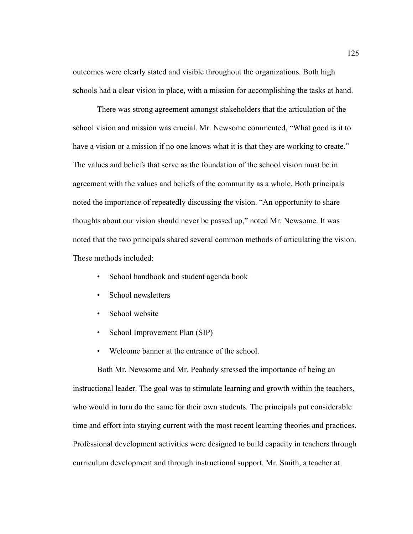outcomes were clearly stated and visible throughout the organizations. Both high schools had a clear vision in place, with a mission for accomplishing the tasks at hand.

 There was strong agreement amongst stakeholders that the articulation of the school vision and mission was crucial. Mr. Newsome commented, "What good is it to have a vision or a mission if no one knows what it is that they are working to create." The values and beliefs that serve as the foundation of the school vision must be in agreement with the values and beliefs of the community as a whole. Both principals noted the importance of repeatedly discussing the vision. "An opportunity to share thoughts about our vision should never be passed up," noted Mr. Newsome. It was noted that the two principals shared several common methods of articulating the vision. These methods included:

- School handbook and student agenda book
- School newsletters
- School website
- School Improvement Plan (SIP)
- Welcome banner at the entrance of the school.

Both Mr. Newsome and Mr. Peabody stressed the importance of being an instructional leader. The goal was to stimulate learning and growth within the teachers, who would in turn do the same for their own students. The principals put considerable time and effort into staying current with the most recent learning theories and practices. Professional development activities were designed to build capacity in teachers through curriculum development and through instructional support. Mr. Smith, a teacher at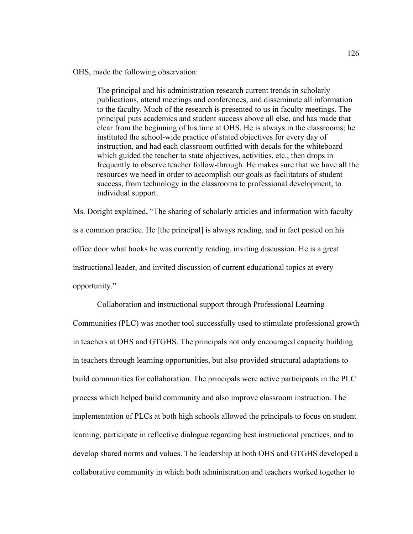OHS, made the following observation:

The principal and his administration research current trends in scholarly publications, attend meetings and conferences, and disseminate all information to the faculty. Much of the research is presented to us in faculty meetings. The principal puts academics and student success above all else, and has made that clear from the beginning of his time at OHS. He is always in the classrooms; he instituted the school-wide practice of stated objectives for every day of instruction, and had each classroom outfitted with decals for the whiteboard which guided the teacher to state objectives, activities, etc., then drops in frequently to observe teacher follow-through. He makes sure that we have all the resources we need in order to accomplish our goals as facilitators of student success, from technology in the classrooms to professional development, to individual support.

Ms. Doright explained, "The sharing of scholarly articles and information with faculty is a common practice. He [the principal] is always reading, and in fact posted on his office door what books he was currently reading, inviting discussion. He is a great instructional leader, and invited discussion of current educational topics at every opportunity."

 Collaboration and instructional support through Professional Learning Communities (PLC) was another tool successfully used to stimulate professional growth in teachers at OHS and GTGHS. The principals not only encouraged capacity building in teachers through learning opportunities, but also provided structural adaptations to build communities for collaboration. The principals were active participants in the PLC process which helped build community and also improve classroom instruction. The implementation of PLCs at both high schools allowed the principals to focus on student learning, participate in reflective dialogue regarding best instructional practices, and to develop shared norms and values. The leadership at both OHS and GTGHS developed a collaborative community in which both administration and teachers worked together to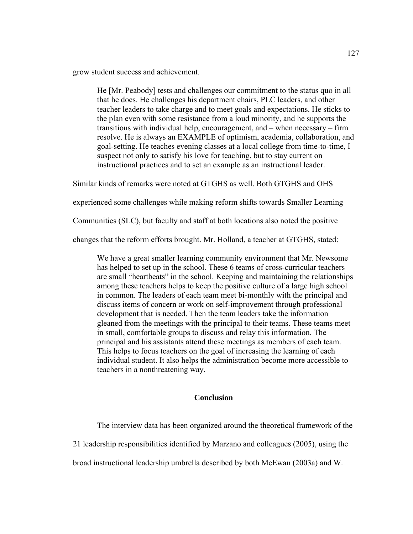grow student success and achievement.

He [Mr. Peabody] tests and challenges our commitment to the status quo in all that he does. He challenges his department chairs, PLC leaders, and other teacher leaders to take charge and to meet goals and expectations. He sticks to the plan even with some resistance from a loud minority, and he supports the transitions with individual help, encouragement, and – when necessary – firm resolve. He is always an EXAMPLE of optimism, academia, collaboration, and goal-setting. He teaches evening classes at a local college from time-to-time, I suspect not only to satisfy his love for teaching, but to stay current on instructional practices and to set an example as an instructional leader.

Similar kinds of remarks were noted at GTGHS as well. Both GTGHS and OHS

experienced some challenges while making reform shifts towards Smaller Learning

Communities (SLC), but faculty and staff at both locations also noted the positive

changes that the reform efforts brought. Mr. Holland, a teacher at GTGHS, stated:

We have a great smaller learning community environment that Mr. Newsome has helped to set up in the school. These 6 teams of cross-curricular teachers are small "heartbeats" in the school. Keeping and maintaining the relationships among these teachers helps to keep the positive culture of a large high school in common. The leaders of each team meet bi-monthly with the principal and discuss items of concern or work on self-improvement through professional development that is needed. Then the team leaders take the information gleaned from the meetings with the principal to their teams. These teams meet in small, comfortable groups to discuss and relay this information. The principal and his assistants attend these meetings as members of each team. This helps to focus teachers on the goal of increasing the learning of each individual student. It also helps the administration become more accessible to teachers in a nonthreatening way.

## **Conclusion**

The interview data has been organized around the theoretical framework of the

21 leadership responsibilities identified by Marzano and colleagues (2005), using the

broad instructional leadership umbrella described by both McEwan (2003a) and W.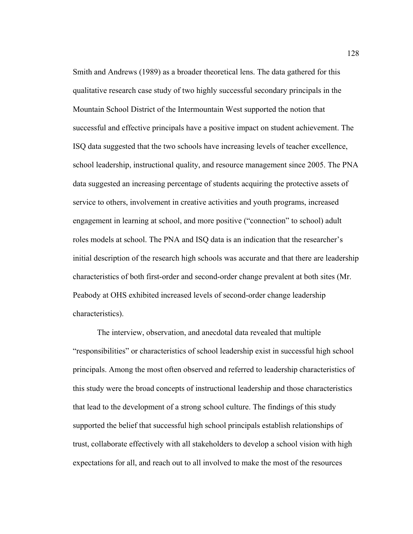Smith and Andrews (1989) as a broader theoretical lens. The data gathered for this qualitative research case study of two highly successful secondary principals in the Mountain School District of the Intermountain West supported the notion that successful and effective principals have a positive impact on student achievement. The ISQ data suggested that the two schools have increasing levels of teacher excellence, school leadership, instructional quality, and resource management since 2005. The PNA data suggested an increasing percentage of students acquiring the protective assets of service to others, involvement in creative activities and youth programs, increased engagement in learning at school, and more positive ("connection" to school) adult roles models at school. The PNA and ISQ data is an indication that the researcher's initial description of the research high schools was accurate and that there are leadership characteristics of both first-order and second-order change prevalent at both sites (Mr. Peabody at OHS exhibited increased levels of second-order change leadership characteristics).

The interview, observation, and anecdotal data revealed that multiple "responsibilities" or characteristics of school leadership exist in successful high school principals. Among the most often observed and referred to leadership characteristics of this study were the broad concepts of instructional leadership and those characteristics that lead to the development of a strong school culture. The findings of this study supported the belief that successful high school principals establish relationships of trust, collaborate effectively with all stakeholders to develop a school vision with high expectations for all, and reach out to all involved to make the most of the resources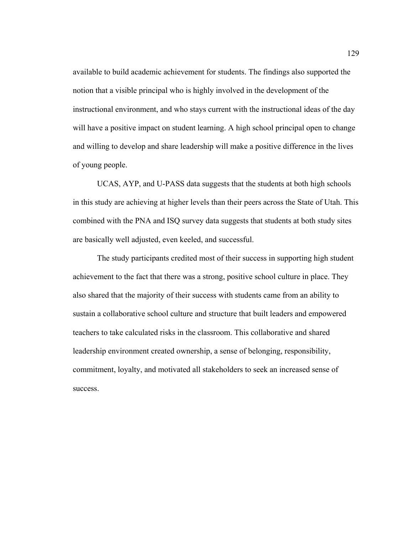available to build academic achievement for students. The findings also supported the notion that a visible principal who is highly involved in the development of the instructional environment, and who stays current with the instructional ideas of the day will have a positive impact on student learning. A high school principal open to change and willing to develop and share leadership will make a positive difference in the lives of young people.

UCAS, AYP, and U-PASS data suggests that the students at both high schools in this study are achieving at higher levels than their peers across the State of Utah. This combined with the PNA and ISQ survey data suggests that students at both study sites are basically well adjusted, even keeled, and successful.

The study participants credited most of their success in supporting high student achievement to the fact that there was a strong, positive school culture in place. They also shared that the majority of their success with students came from an ability to sustain a collaborative school culture and structure that built leaders and empowered teachers to take calculated risks in the classroom. This collaborative and shared leadership environment created ownership, a sense of belonging, responsibility, commitment, loyalty, and motivated all stakeholders to seek an increased sense of success.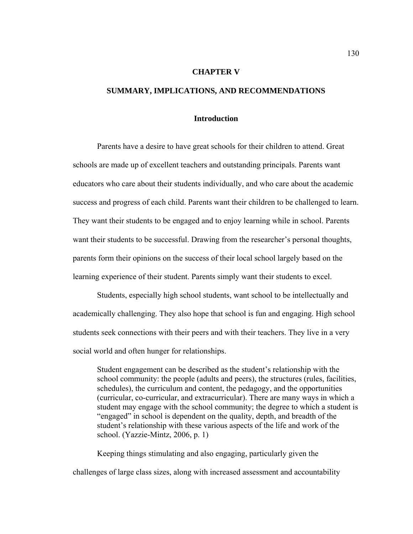### **CHAPTER V**

## **SUMMARY, IMPLICATIONS, AND RECOMMENDATIONS**

## **Introduction**

Parents have a desire to have great schools for their children to attend. Great schools are made up of excellent teachers and outstanding principals. Parents want educators who care about their students individually, and who care about the academic success and progress of each child. Parents want their children to be challenged to learn. They want their students to be engaged and to enjoy learning while in school. Parents want their students to be successful. Drawing from the researcher's personal thoughts, parents form their opinions on the success of their local school largely based on the learning experience of their student. Parents simply want their students to excel.

Students, especially high school students, want school to be intellectually and academically challenging. They also hope that school is fun and engaging. High school students seek connections with their peers and with their teachers. They live in a very social world and often hunger for relationships.

Student engagement can be described as the student's relationship with the school community: the people (adults and peers), the structures (rules, facilities, schedules), the curriculum and content, the pedagogy, and the opportunities (curricular, co-curricular, and extracurricular). There are many ways in which a student may engage with the school community; the degree to which a student is "engaged" in school is dependent on the quality, depth, and breadth of the student's relationship with these various aspects of the life and work of the school. (Yazzie-Mintz, 2006, p. 1)

Keeping things stimulating and also engaging, particularly given the challenges of large class sizes, along with increased assessment and accountability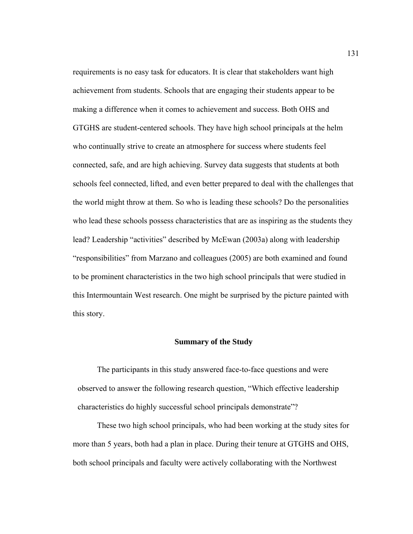requirements is no easy task for educators. It is clear that stakeholders want high achievement from students. Schools that are engaging their students appear to be making a difference when it comes to achievement and success. Both OHS and GTGHS are student-centered schools. They have high school principals at the helm who continually strive to create an atmosphere for success where students feel connected, safe, and are high achieving. Survey data suggests that students at both schools feel connected, lifted, and even better prepared to deal with the challenges that the world might throw at them. So who is leading these schools? Do the personalities who lead these schools possess characteristics that are as inspiring as the students they lead? Leadership "activities" described by McEwan (2003a) along with leadership "responsibilities" from Marzano and colleagues (2005) are both examined and found to be prominent characteristics in the two high school principals that were studied in this Intermountain West research. One might be surprised by the picture painted with this story.

### **Summary of the Study**

The participants in this study answered face-to-face questions and were observed to answer the following research question, "Which effective leadership characteristics do highly successful school principals demonstrate"?

These two high school principals, who had been working at the study sites for more than 5 years, both had a plan in place. During their tenure at GTGHS and OHS, both school principals and faculty were actively collaborating with the Northwest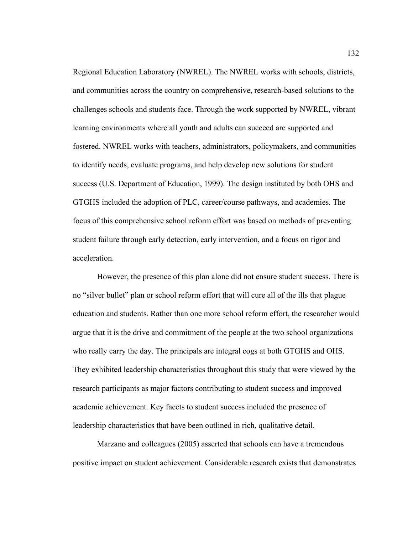Regional Education Laboratory (NWREL). The NWREL works with schools, districts, and communities across the country on comprehensive, research-based solutions to the challenges schools and students face. Through the work supported by NWREL, vibrant learning environments where all youth and adults can succeed are supported and fostered. NWREL works with teachers, administrators, policymakers, and communities to identify needs, evaluate programs, and help develop new solutions for student success (U.S. Department of Education, 1999). The design instituted by both OHS and GTGHS included the adoption of PLC, career/course pathways, and academies. The focus of this comprehensive school reform effort was based on methods of preventing student failure through early detection, early intervention, and a focus on rigor and acceleration.

However, the presence of this plan alone did not ensure student success. There is no "silver bullet" plan or school reform effort that will cure all of the ills that plague education and students. Rather than one more school reform effort, the researcher would argue that it is the drive and commitment of the people at the two school organizations who really carry the day. The principals are integral cogs at both GTGHS and OHS. They exhibited leadership characteristics throughout this study that were viewed by the research participants as major factors contributing to student success and improved academic achievement. Key facets to student success included the presence of leadership characteristics that have been outlined in rich, qualitative detail.

Marzano and colleagues (2005) asserted that schools can have a tremendous positive impact on student achievement. Considerable research exists that demonstrates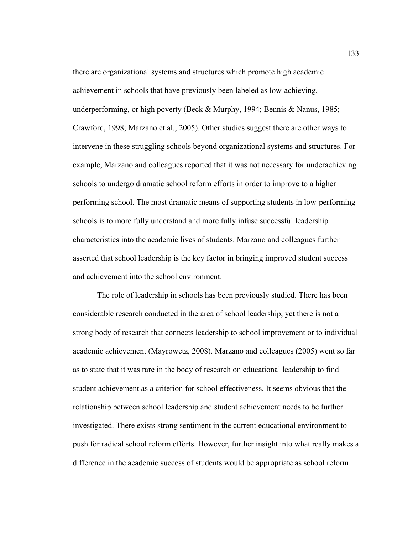there are organizational systems and structures which promote high academic achievement in schools that have previously been labeled as low-achieving, underperforming, or high poverty (Beck & Murphy, 1994; Bennis & Nanus, 1985; Crawford, 1998; Marzano et al., 2005). Other studies suggest there are other ways to intervene in these struggling schools beyond organizational systems and structures. For example, Marzano and colleagues reported that it was not necessary for underachieving schools to undergo dramatic school reform efforts in order to improve to a higher performing school. The most dramatic means of supporting students in low-performing schools is to more fully understand and more fully infuse successful leadership characteristics into the academic lives of students. Marzano and colleagues further asserted that school leadership is the key factor in bringing improved student success and achievement into the school environment.

The role of leadership in schools has been previously studied. There has been considerable research conducted in the area of school leadership, yet there is not a strong body of research that connects leadership to school improvement or to individual academic achievement (Mayrowetz, 2008). Marzano and colleagues (2005) went so far as to state that it was rare in the body of research on educational leadership to find student achievement as a criterion for school effectiveness. It seems obvious that the relationship between school leadership and student achievement needs to be further investigated. There exists strong sentiment in the current educational environment to push for radical school reform efforts. However, further insight into what really makes a difference in the academic success of students would be appropriate as school reform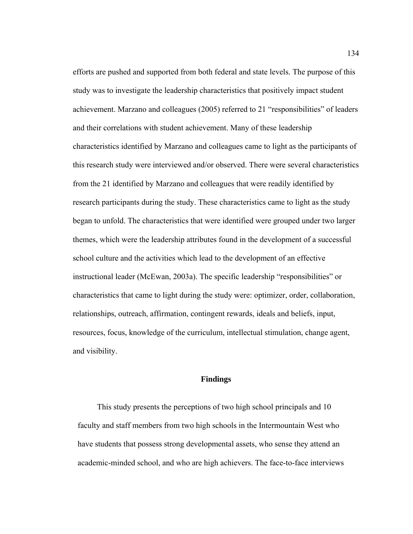efforts are pushed and supported from both federal and state levels. The purpose of this study was to investigate the leadership characteristics that positively impact student achievement. Marzano and colleagues (2005) referred to 21 "responsibilities" of leaders and their correlations with student achievement. Many of these leadership characteristics identified by Marzano and colleagues came to light as the participants of this research study were interviewed and/or observed. There were several characteristics from the 21 identified by Marzano and colleagues that were readily identified by research participants during the study. These characteristics came to light as the study began to unfold. The characteristics that were identified were grouped under two larger themes, which were the leadership attributes found in the development of a successful school culture and the activities which lead to the development of an effective instructional leader (McEwan, 2003a). The specific leadership "responsibilities" or characteristics that came to light during the study were: optimizer, order, collaboration, relationships, outreach, affirmation, contingent rewards, ideals and beliefs, input, resources, focus, knowledge of the curriculum, intellectual stimulation, change agent, and visibility.

#### **Findings**

This study presents the perceptions of two high school principals and 10 faculty and staff members from two high schools in the Intermountain West who have students that possess strong developmental assets, who sense they attend an academic-minded school, and who are high achievers. The face-to-face interviews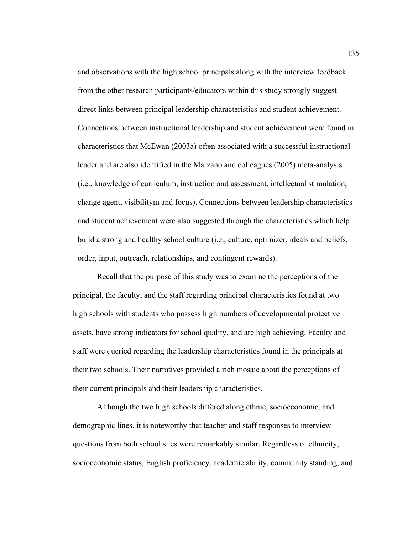and observations with the high school principals along with the interview feedback from the other research participants/educators within this study strongly suggest direct links between principal leadership characteristics and student achievement. Connections between instructional leadership and student achievement were found in characteristics that McEwan (2003a) often associated with a successful instructional leader and are also identified in the Marzano and colleagues (2005) meta-analysis (i.e., knowledge of curriculum, instruction and assessment, intellectual stimulation, change agent, visibilitym and focus). Connections between leadership characteristics and student achievement were also suggested through the characteristics which help build a strong and healthy school culture (i.e., culture, optimizer, ideals and beliefs, order, input, outreach, relationships, and contingent rewards).

Recall that the purpose of this study was to examine the perceptions of the principal, the faculty, and the staff regarding principal characteristics found at two high schools with students who possess high numbers of developmental protective assets, have strong indicators for school quality, and are high achieving. Faculty and staff were queried regarding the leadership characteristics found in the principals at their two schools. Their narratives provided a rich mosaic about the perceptions of their current principals and their leadership characteristics.

Although the two high schools differed along ethnic, socioeconomic, and demographic lines, it is noteworthy that teacher and staff responses to interview questions from both school sites were remarkably similar. Regardless of ethnicity, socioeconomic status, English proficiency, academic ability, community standing, and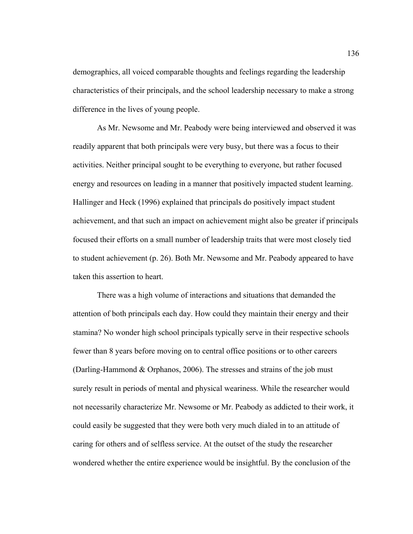demographics, all voiced comparable thoughts and feelings regarding the leadership characteristics of their principals, and the school leadership necessary to make a strong difference in the lives of young people.

As Mr. Newsome and Mr. Peabody were being interviewed and observed it was readily apparent that both principals were very busy, but there was a focus to their activities. Neither principal sought to be everything to everyone, but rather focused energy and resources on leading in a manner that positively impacted student learning. Hallinger and Heck (1996) explained that principals do positively impact student achievement, and that such an impact on achievement might also be greater if principals focused their efforts on a small number of leadership traits that were most closely tied to student achievement (p. 26). Both Mr. Newsome and Mr. Peabody appeared to have taken this assertion to heart.

There was a high volume of interactions and situations that demanded the attention of both principals each day. How could they maintain their energy and their stamina? No wonder high school principals typically serve in their respective schools fewer than 8 years before moving on to central office positions or to other careers (Darling-Hammond & Orphanos, 2006). The stresses and strains of the job must surely result in periods of mental and physical weariness. While the researcher would not necessarily characterize Mr. Newsome or Mr. Peabody as addicted to their work, it could easily be suggested that they were both very much dialed in to an attitude of caring for others and of selfless service. At the outset of the study the researcher wondered whether the entire experience would be insightful. By the conclusion of the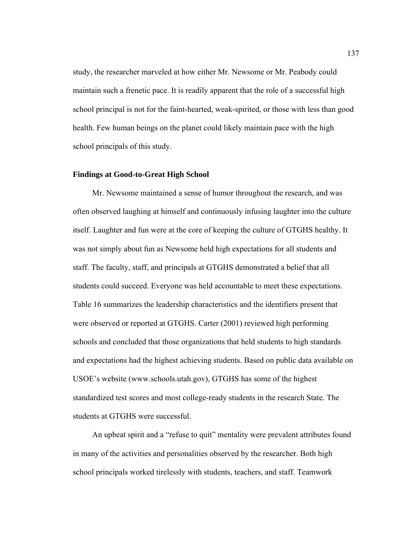study, the researcher marveled at how either Mr. Newsome or Mr. Peabody could maintain such a frenetic pace. It is readily apparent that the role of a successful high school principal is not for the faint-hearted, weak-spirited, or those with less than good health. Few human beings on the planet could likely maintain pace with the high school principals of this study.

### **Findings at Good-to-Great High School**

Mr. Newsome maintained a sense of humor throughout the research, and was often observed laughing at himself and continuously infusing laughter into the culture itself. Laughter and fun were at the core of keeping the culture of GTGHS healthy. It was not simply about fun as Newsome held high expectations for all students and staff. The faculty, staff, and principals at GTGHS demonstrated a belief that all students could succeed. Everyone was held accountable to meet these expectations. Table 16 summarizes the leadership characteristics and the identifiers present that were observed or reported at GTGHS. Carter (2001) reviewed high performing schools and concluded that those organizations that held students to high standards and expectations had the highest achieving students. Based on public data available on USOE's website (www.schools.utah.gov), GTGHS has some of the highest standardized test scores and most college-ready students in the research State. The students at GTGHS were successful.

An upbeat spirit and a "refuse to quit" mentality were prevalent attributes found in many of the activities and personalities observed by the researcher. Both high school principals worked tirelessly with students, teachers, and staff. Teamwork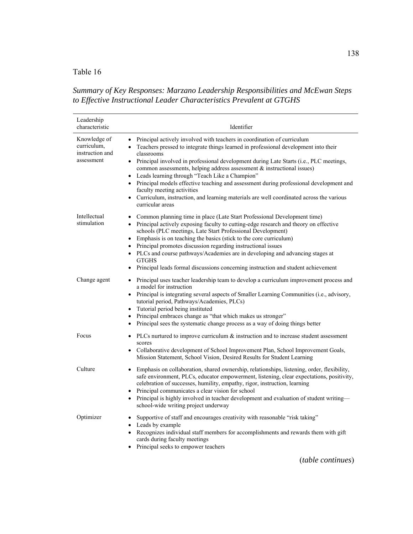# Table 16

# *Summary of Key Responses: Marzano Leadership Responsibilities and McEwan Steps to Effective Instructional Leader Characteristics Prevalent at GTGHS*

| Leadership<br>characteristic                                 | Identifier                                                                                                                                                                                                                                                                                                                                                                                                                                                                                                                                                                                                                                        |
|--------------------------------------------------------------|---------------------------------------------------------------------------------------------------------------------------------------------------------------------------------------------------------------------------------------------------------------------------------------------------------------------------------------------------------------------------------------------------------------------------------------------------------------------------------------------------------------------------------------------------------------------------------------------------------------------------------------------------|
| Knowledge of<br>curriculum,<br>instruction and<br>assessment | • Principal actively involved with teachers in coordination of curriculum<br>Teachers pressed to integrate things learned in professional development into their<br>classrooms<br>• Principal involved in professional development during Late Starts (i.e., PLC meetings,<br>common assessments, helping address assessment & instructional issues)<br>• Leads learning through "Teach Like a Champion"<br>Principal models effective teaching and assessment during professional development and<br>faculty meeting activities<br>• Curriculum, instruction, and learning materials are well coordinated across the various<br>curricular areas |
| Intellectual<br>stimulation                                  | Common planning time in place (Late Start Professional Development time)<br>• Principal actively exposing faculty to cutting-edge research and theory on effective<br>schools (PLC meetings, Late Start Professional Development)<br>• Emphasis is on teaching the basics (stick to the core curriculum)<br>Principal promotes discussion regarding instructional issues<br>• PLCs and course pathways/Academies are in developing and advancing stages at<br><b>GTGHS</b><br>Principal leads formal discussions concerning instruction and student achievement                                                                                   |
| Change agent                                                 | • Principal uses teacher leadership team to develop a curriculum improvement process and<br>a model for instruction<br>• Principal is integrating several aspects of Smaller Learning Communities (i.e., advisory,<br>tutorial period, Pathways/Academies, PLCs)<br>Tutorial period being instituted<br>Principal embraces change as "that which makes us stronger"<br>Principal sees the systematic change process as a way of doing things better                                                                                                                                                                                               |
| Focus                                                        | $\bullet$ PLCs nurtured to improve curriculum $\&$ instruction and to increase student assessment<br>scores<br>• Collaborative development of School Improvement Plan, School Improvement Goals,<br>Mission Statement, School Vision, Desired Results for Student Learning                                                                                                                                                                                                                                                                                                                                                                        |
| Culture                                                      | Emphasis on collaboration, shared ownership, relationships, listening, order, flexibility,<br>safe environment, PLCs, educator empowerment, listening, clear expectations, positivity,<br>celebration of successes, humility, empathy, rigor, instruction, learning<br>• Principal communicates a clear vision for school<br>Principal is highly involved in teacher development and evaluation of student writing-<br>$\bullet$<br>school-wide writing project underway                                                                                                                                                                          |
| Optimizer                                                    | Supportive of staff and encourages creativity with reasonable "risk taking"<br>$\bullet$<br>• Leads by example<br>• Recognizes individual staff members for accomplishments and rewards them with gift<br>cards during faculty meetings<br>Principal seeks to empower teachers                                                                                                                                                                                                                                                                                                                                                                    |

138

(*table continues*)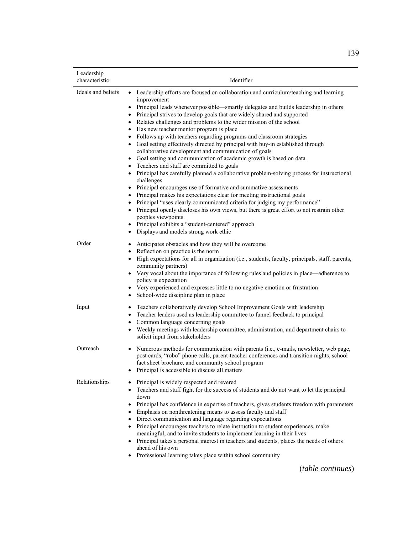| Leadership<br>characteristic | Identifier                                                                                                                                                                                                                                                                                                                                                                                                                                                                                                                                                                                                                                                                                                                                                                                                                                                                                                                                                                                                                                                                                                                                                                                                                                                                                                                                       |
|------------------------------|--------------------------------------------------------------------------------------------------------------------------------------------------------------------------------------------------------------------------------------------------------------------------------------------------------------------------------------------------------------------------------------------------------------------------------------------------------------------------------------------------------------------------------------------------------------------------------------------------------------------------------------------------------------------------------------------------------------------------------------------------------------------------------------------------------------------------------------------------------------------------------------------------------------------------------------------------------------------------------------------------------------------------------------------------------------------------------------------------------------------------------------------------------------------------------------------------------------------------------------------------------------------------------------------------------------------------------------------------|
| Ideals and beliefs           | • Leadership efforts are focused on collaboration and curriculum/teaching and learning<br>improvement<br>Principal leads whenever possible—smartly delegates and builds leadership in others<br>$\bullet$<br>• Principal strives to develop goals that are widely shared and supported<br>Relates challenges and problems to the wider mission of the school<br>$\bullet$<br>Has new teacher mentor program is place<br>Follows up with teachers regarding programs and classroom strategies<br>• Goal setting effectively directed by principal with buy-in established through<br>collaborative development and communication of goals<br>Goal setting and communication of academic growth is based on data<br>Teachers and staff are committed to goals<br>$\bullet$<br>Principal has carefully planned a collaborative problem-solving process for instructional<br>challenges<br>• Principal encourages use of formative and summative assessments<br>• Principal makes his expectations clear for meeting instructional goals<br>• Principal "uses clearly communicated criteria for judging my performance"<br>Principal openly discloses his own views, but there is great effort to not restrain other<br>peoples viewpoints<br>Principal exhibits a "student-centered" approach<br>Displays and models strong work ethic<br>$\bullet$ |
| Order                        | Anticipates obstacles and how they will be overcome<br>٠<br>Reflection on practice is the norm<br>High expectations for all in organization (i.e., students, faculty, principals, staff, parents,<br>$\bullet$<br>community partners)<br>• Very vocal about the importance of following rules and policies in place—adherence to<br>policy is expectation<br>Very experienced and expresses little to no negative emotion or frustration<br>$\bullet$<br>School-wide discipline plan in place                                                                                                                                                                                                                                                                                                                                                                                                                                                                                                                                                                                                                                                                                                                                                                                                                                                    |
| Input                        | Teachers collaboratively develop School Improvement Goals with leadership<br>$\bullet$<br>Teacher leaders used as leadership committee to funnel feedback to principal<br>٠<br>Common language concerning goals<br>Weekly meetings with leadership committee, administration, and department chairs to<br>solicit input from stakeholders                                                                                                                                                                                                                                                                                                                                                                                                                                                                                                                                                                                                                                                                                                                                                                                                                                                                                                                                                                                                        |
| Outreach                     | Numerous methods for communication with parents (i.e., e-mails, newsletter, web page,<br>$\bullet$<br>post cards, "robo" phone calls, parent-teacher conferences and transition nights, school<br>fact sheet brochure, and community school program<br>Principal is accessible to discuss all matters<br>$\bullet$                                                                                                                                                                                                                                                                                                                                                                                                                                                                                                                                                                                                                                                                                                                                                                                                                                                                                                                                                                                                                               |
| Relationships                | Principal is widely respected and revered<br>Teachers and staff fight for the success of students and do not want to let the principal<br>$\bullet$<br>down<br>Principal has confidence in expertise of teachers, gives students freedom with parameters<br>Emphasis on nonthreatening means to assess faculty and staff<br>• Direct communication and language regarding expectations<br>• Principal encourages teachers to relate instruction to student experiences, make<br>meaningful, and to invite students to implement learning in their lives<br>• Principal takes a personal interest in teachers and students, places the needs of others<br>ahead of his own<br>Professional learning takes place within school community<br>$\bullet$                                                                                                                                                                                                                                                                                                                                                                                                                                                                                                                                                                                              |

(*table continues*)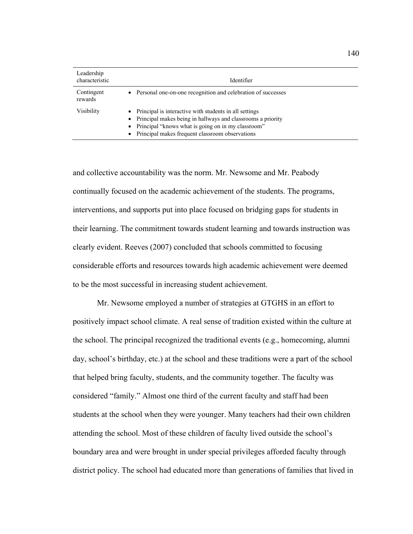| Leadership<br>characteristic | Identifier                                                                                                                                                                                                                                                   |
|------------------------------|--------------------------------------------------------------------------------------------------------------------------------------------------------------------------------------------------------------------------------------------------------------|
| Contingent<br>rewards        | • Personal one-on-one recognition and celebration of successes                                                                                                                                                                                               |
| Visibility                   | Principal is interactive with students in all settings<br>$\bullet$<br>• Principal makes being in hallways and classrooms a priority<br>Principal "knows what is going on in my classroom"<br>$\bullet$<br>• Principal makes frequent classroom observations |

and collective accountability was the norm. Mr. Newsome and Mr. Peabody continually focused on the academic achievement of the students. The programs, interventions, and supports put into place focused on bridging gaps for students in their learning. The commitment towards student learning and towards instruction was clearly evident. Reeves (2007) concluded that schools committed to focusing considerable efforts and resources towards high academic achievement were deemed to be the most successful in increasing student achievement.

Mr. Newsome employed a number of strategies at GTGHS in an effort to positively impact school climate. A real sense of tradition existed within the culture at the school. The principal recognized the traditional events (e.g., homecoming, alumni day, school's birthday, etc.) at the school and these traditions were a part of the school that helped bring faculty, students, and the community together. The faculty was considered "family." Almost one third of the current faculty and staff had been students at the school when they were younger. Many teachers had their own children attending the school. Most of these children of faculty lived outside the school's boundary area and were brought in under special privileges afforded faculty through district policy. The school had educated more than generations of families that lived in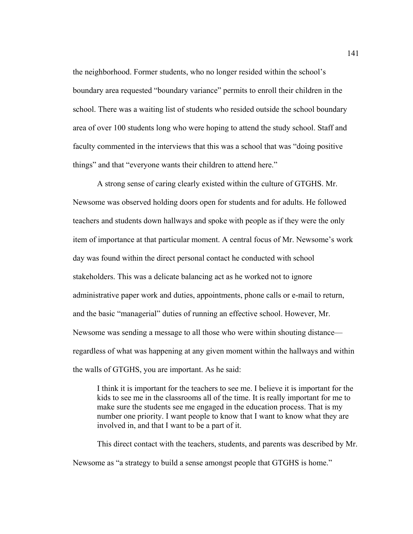the neighborhood. Former students, who no longer resided within the school's boundary area requested "boundary variance" permits to enroll their children in the school. There was a waiting list of students who resided outside the school boundary area of over 100 students long who were hoping to attend the study school. Staff and faculty commented in the interviews that this was a school that was "doing positive things" and that "everyone wants their children to attend here."

A strong sense of caring clearly existed within the culture of GTGHS. Mr. Newsome was observed holding doors open for students and for adults. He followed teachers and students down hallways and spoke with people as if they were the only item of importance at that particular moment. A central focus of Mr. Newsome's work day was found within the direct personal contact he conducted with school stakeholders. This was a delicate balancing act as he worked not to ignore administrative paper work and duties, appointments, phone calls or e-mail to return, and the basic "managerial" duties of running an effective school. However, Mr. Newsome was sending a message to all those who were within shouting distance regardless of what was happening at any given moment within the hallways and within the walls of GTGHS, you are important. As he said:

I think it is important for the teachers to see me. I believe it is important for the kids to see me in the classrooms all of the time. It is really important for me to make sure the students see me engaged in the education process. That is my number one priority. I want people to know that I want to know what they are involved in, and that I want to be a part of it.

This direct contact with the teachers, students, and parents was described by Mr. Newsome as "a strategy to build a sense amongst people that GTGHS is home."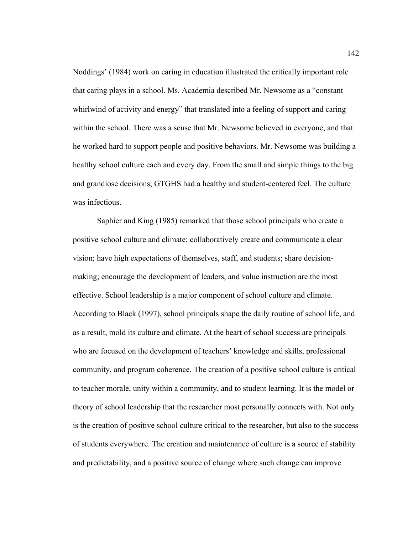Noddings' (1984) work on caring in education illustrated the critically important role that caring plays in a school. Ms. Academia described Mr. Newsome as a "constant whirlwind of activity and energy" that translated into a feeling of support and caring within the school. There was a sense that Mr. Newsome believed in everyone, and that he worked hard to support people and positive behaviors. Mr. Newsome was building a healthy school culture each and every day. From the small and simple things to the big and grandiose decisions, GTGHS had a healthy and student-centered feel. The culture was infectious.

Saphier and King (1985) remarked that those school principals who create a positive school culture and climate; collaboratively create and communicate a clear vision; have high expectations of themselves, staff, and students; share decisionmaking; encourage the development of leaders, and value instruction are the most effective. School leadership is a major component of school culture and climate. According to Black (1997), school principals shape the daily routine of school life, and as a result, mold its culture and climate. At the heart of school success are principals who are focused on the development of teachers' knowledge and skills, professional community, and program coherence. The creation of a positive school culture is critical to teacher morale, unity within a community, and to student learning. It is the model or theory of school leadership that the researcher most personally connects with. Not only is the creation of positive school culture critical to the researcher, but also to the success of students everywhere. The creation and maintenance of culture is a source of stability and predictability, and a positive source of change where such change can improve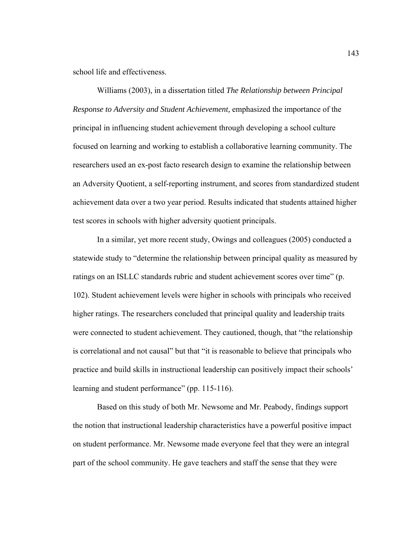school life and effectiveness.

Williams (2003), in a dissertation titled *The Relationship between Principal Response to Adversity and Student Achievement,* emphasized the importance of the principal in influencing student achievement through developing a school culture focused on learning and working to establish a collaborative learning community. The researchers used an ex-post facto research design to examine the relationship between an Adversity Quotient, a self-reporting instrument, and scores from standardized student achievement data over a two year period. Results indicated that students attained higher test scores in schools with higher adversity quotient principals.

In a similar, yet more recent study, Owings and colleagues (2005) conducted a statewide study to "determine the relationship between principal quality as measured by ratings on an ISLLC standards rubric and student achievement scores over time" (p. 102). Student achievement levels were higher in schools with principals who received higher ratings. The researchers concluded that principal quality and leadership traits were connected to student achievement. They cautioned, though, that "the relationship is correlational and not causal" but that "it is reasonable to believe that principals who practice and build skills in instructional leadership can positively impact their schools' learning and student performance" (pp. 115-116).

Based on this study of both Mr. Newsome and Mr. Peabody, findings support the notion that instructional leadership characteristics have a powerful positive impact on student performance. Mr. Newsome made everyone feel that they were an integral part of the school community. He gave teachers and staff the sense that they were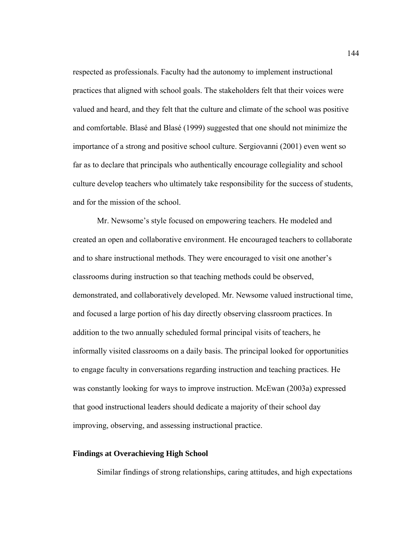respected as professionals. Faculty had the autonomy to implement instructional practices that aligned with school goals. The stakeholders felt that their voices were valued and heard, and they felt that the culture and climate of the school was positive and comfortable. Blasé and Blasé (1999) suggested that one should not minimize the importance of a strong and positive school culture. Sergiovanni (2001) even went so far as to declare that principals who authentically encourage collegiality and school culture develop teachers who ultimately take responsibility for the success of students, and for the mission of the school.

Mr. Newsome's style focused on empowering teachers. He modeled and created an open and collaborative environment. He encouraged teachers to collaborate and to share instructional methods. They were encouraged to visit one another's classrooms during instruction so that teaching methods could be observed, demonstrated, and collaboratively developed. Mr. Newsome valued instructional time, and focused a large portion of his day directly observing classroom practices. In addition to the two annually scheduled formal principal visits of teachers, he informally visited classrooms on a daily basis. The principal looked for opportunities to engage faculty in conversations regarding instruction and teaching practices. He was constantly looking for ways to improve instruction. McEwan (2003a) expressed that good instructional leaders should dedicate a majority of their school day improving, observing, and assessing instructional practice.

## **Findings at Overachieving High School**

Similar findings of strong relationships, caring attitudes, and high expectations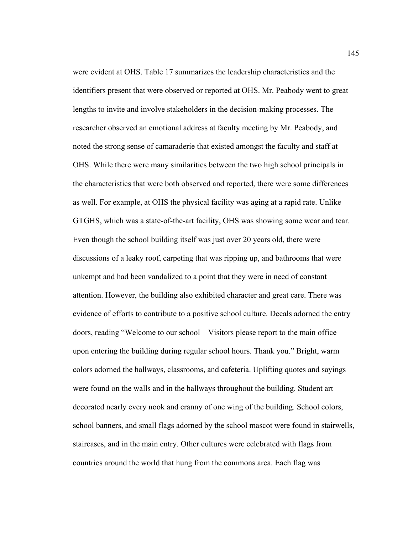were evident at OHS. Table 17 summarizes the leadership characteristics and the identifiers present that were observed or reported at OHS. Mr. Peabody went to great lengths to invite and involve stakeholders in the decision-making processes. The researcher observed an emotional address at faculty meeting by Mr. Peabody, and noted the strong sense of camaraderie that existed amongst the faculty and staff at OHS. While there were many similarities between the two high school principals in the characteristics that were both observed and reported, there were some differences as well. For example, at OHS the physical facility was aging at a rapid rate. Unlike GTGHS, which was a state-of-the-art facility, OHS was showing some wear and tear. Even though the school building itself was just over 20 years old, there were discussions of a leaky roof, carpeting that was ripping up, and bathrooms that were unkempt and had been vandalized to a point that they were in need of constant attention. However, the building also exhibited character and great care. There was evidence of efforts to contribute to a positive school culture. Decals adorned the entry doors, reading "Welcome to our school—Visitors please report to the main office upon entering the building during regular school hours. Thank you." Bright, warm colors adorned the hallways, classrooms, and cafeteria. Uplifting quotes and sayings were found on the walls and in the hallways throughout the building. Student art decorated nearly every nook and cranny of one wing of the building. School colors, school banners, and small flags adorned by the school mascot were found in stairwells, staircases, and in the main entry. Other cultures were celebrated with flags from countries around the world that hung from the commons area. Each flag was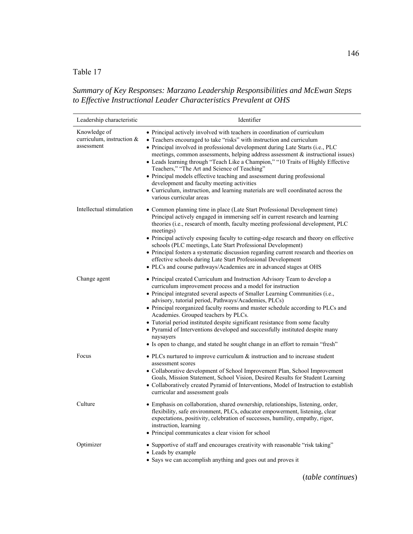Table 17

*Summary of Key Responses: Marzano Leadership Responsibilities and McEwan Steps to Effective Instructional Leader Characteristics Prevalent at OHS* 

| Leadership characteristic                               | Identifier                                                                                                                                                                                                                                                                                                                                                                                                                                                                                                                                                                                                                                                                  |
|---------------------------------------------------------|-----------------------------------------------------------------------------------------------------------------------------------------------------------------------------------------------------------------------------------------------------------------------------------------------------------------------------------------------------------------------------------------------------------------------------------------------------------------------------------------------------------------------------------------------------------------------------------------------------------------------------------------------------------------------------|
| Knowledge of<br>curriculum, instruction &<br>assessment | • Principal actively involved with teachers in coordination of curriculum<br>• Teachers encouraged to take "risks" with instruction and curriculum<br>• Principal involved in professional development during Late Starts (i.e., PLC<br>meetings, common assessments, helping address assessment & instructional issues)<br>• Leads learning through "Teach Like a Champion," "10 Traits of Highly Effective<br>Teachers," "The Art and Science of Teaching"<br>• Principal models effective teaching and assessment during professional<br>development and faculty meeting activities<br>• Curriculum, instruction, and learning materials are well coordinated across the |
|                                                         | various curricular areas                                                                                                                                                                                                                                                                                                                                                                                                                                                                                                                                                                                                                                                    |
| Intellectual stimulation                                | • Common planning time in place (Late Start Professional Development time)<br>Principal actively engaged in immersing self in current research and learning<br>theories (i.e., research of month, faculty meeting professional development, PLC<br>meetings)<br>• Principal actively exposing faculty to cutting-edge research and theory on effective                                                                                                                                                                                                                                                                                                                      |
|                                                         | schools (PLC meetings, Late Start Professional Development)<br>• Principal fosters a systematic discussion regarding current research and theories on<br>effective schools during Late Start Professional Development                                                                                                                                                                                                                                                                                                                                                                                                                                                       |
|                                                         | • PLCs and course pathways/Academies are in advanced stages at OHS                                                                                                                                                                                                                                                                                                                                                                                                                                                                                                                                                                                                          |
| Change agent                                            | • Principal created Curriculum and Instruction Advisory Team to develop a<br>curriculum improvement process and a model for instruction<br>• Principal integrated several aspects of Smaller Learning Communities (i.e.,<br>advisory, tutorial period, Pathways/Academies, PLCs)<br>• Principal reorganized faculty rooms and master schedule according to PLCs and                                                                                                                                                                                                                                                                                                         |
|                                                         | Academies. Grouped teachers by PLCs.<br>• Tutorial period instituted despite significant resistance from some faculty<br>• Pyramid of Interventions developed and successfully instituted despite many<br>naysayers<br>• Is open to change, and stated he sought change in an effort to remain "fresh"                                                                                                                                                                                                                                                                                                                                                                      |
| Focus                                                   | • PLCs nurtured to improve curriculum $\&$ instruction and to increase student<br>assessment scores<br>• Collaborative development of School Improvement Plan, School Improvement<br>Goals, Mission Statement, School Vision, Desired Results for Student Learning<br>• Collaboratively created Pyramid of Interventions, Model of Instruction to establish<br>curricular and assessment goals                                                                                                                                                                                                                                                                              |
| Culture                                                 | • Emphasis on collaboration, shared ownership, relationships, listening, order,<br>flexibility, safe environment, PLCs, educator empowerment, listening, clear<br>expectations, positivity, celebration of successes, humility, empathy, rigor,<br>instruction, learning<br>• Principal communicates a clear vision for school                                                                                                                                                                                                                                                                                                                                              |
| Optimizer                                               | • Supportive of staff and encourages creativity with reasonable "risk taking"<br>• Leads by example<br>• Says we can accomplish anything and goes out and proves it                                                                                                                                                                                                                                                                                                                                                                                                                                                                                                         |

(*table continues*)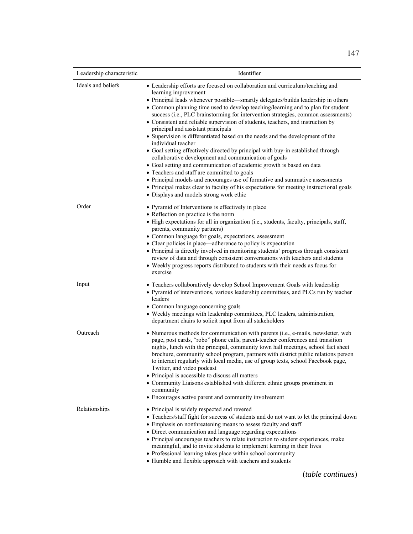| Leadership characteristic | Identifier                                                                                                                                                                                                                                                                                                                                                                                                                                                                                                                                                                                                                                                                                                                                                                                                                                                                                                                                                                                                                                                                                  |
|---------------------------|---------------------------------------------------------------------------------------------------------------------------------------------------------------------------------------------------------------------------------------------------------------------------------------------------------------------------------------------------------------------------------------------------------------------------------------------------------------------------------------------------------------------------------------------------------------------------------------------------------------------------------------------------------------------------------------------------------------------------------------------------------------------------------------------------------------------------------------------------------------------------------------------------------------------------------------------------------------------------------------------------------------------------------------------------------------------------------------------|
| Ideals and beliefs        | • Leadership efforts are focused on collaboration and curriculum/teaching and<br>learning improvement<br>• Principal leads whenever possible-smartly delegates/builds leadership in others<br>• Common planning time used to develop teaching/learning and to plan for student<br>success (i.e., PLC brainstorming for intervention strategies, common assessments)<br>• Consistent and reliable supervision of students, teachers, and instruction by<br>principal and assistant principals<br>• Supervision is differentiated based on the needs and the development of the<br>individual teacher<br>• Goal setting effectively directed by principal with buy-in established through<br>collaborative development and communication of goals<br>• Goal setting and communication of academic growth is based on data<br>• Teachers and staff are committed to goals<br>• Principal models and encourages use of formative and summative assessments<br>• Principal makes clear to faculty of his expectations for meeting instructional goals<br>· Displays and models strong work ethic |
| Order                     | • Pyramid of Interventions is effectively in place<br>• Reflection on practice is the norm<br>• High expectations for all in organization (i.e., students, faculty, principals, staff,<br>parents, community partners)<br>• Common language for goals, expectations, assessment<br>• Clear policies in place—adherence to policy is expectation<br>• Principal is directly involved in monitoring students' progress through consistent<br>review of data and through consistent conversations with teachers and students<br>• Weekly progress reports distributed to students with their needs as focus for<br>exercise                                                                                                                                                                                                                                                                                                                                                                                                                                                                    |
| Input                     | • Teachers collaboratively develop School Improvement Goals with leadership<br>• Pyramid of interventions, various leadership committees, and PLCs run by teacher<br>leaders<br>• Common language concerning goals<br>• Weekly meetings with leadership committees, PLC leaders, administration,<br>department chairs to solicit input from all stakeholders                                                                                                                                                                                                                                                                                                                                                                                                                                                                                                                                                                                                                                                                                                                                |
| Outreach                  | • Numerous methods for communication with parents (i.e., e-mails, newsletter, web<br>page, post cards, "robo" phone calls, parent-teacher conferences and transition<br>nights, lunch with the principal, community town hall meetings, school fact sheet<br>brochure, community school program, partners with district public relations person<br>to interact regularly with local media, use of group texts, school Facebook page,<br>Twitter, and video podcast<br>• Principal is accessible to discuss all matters<br>• Community Liaisons established with different ethnic groups prominent in<br>community<br>• Encourages active parent and community involvement                                                                                                                                                                                                                                                                                                                                                                                                                   |
| Relationships             | • Principal is widely respected and revered<br>• Teachers/staff fight for success of students and do not want to let the principal down<br>• Emphasis on nonthreatening means to assess faculty and staff<br>• Direct communication and language regarding expectations<br>• Principal encourages teachers to relate instruction to student experiences, make<br>meaningful, and to invite students to implement learning in their lives<br>• Professional learning takes place within school community<br>• Humble and flexible approach with teachers and students                                                                                                                                                                                                                                                                                                                                                                                                                                                                                                                        |

(*table continues*)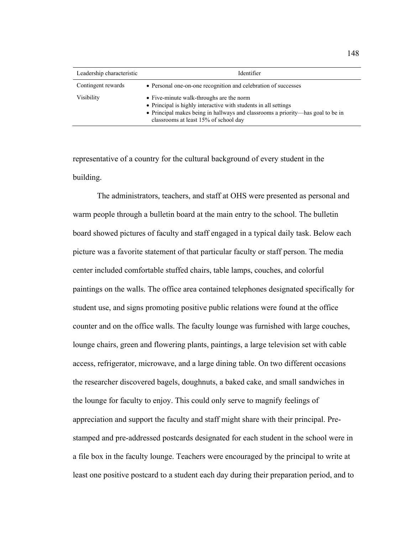| Leadership characteristic | Identifier                                                                                                                                                                                                                              |
|---------------------------|-----------------------------------------------------------------------------------------------------------------------------------------------------------------------------------------------------------------------------------------|
| Contingent rewards        | • Personal one-on-one recognition and celebration of successes                                                                                                                                                                          |
| <b>Visibility</b>         | • Five-minute walk-throughs are the norm<br>• Principal is highly interactive with students in all settings<br>• Principal makes being in hallways and classrooms a priority—has goal to be in<br>classrooms at least 15% of school day |

representative of a country for the cultural background of every student in the building.

The administrators, teachers, and staff at OHS were presented as personal and warm people through a bulletin board at the main entry to the school. The bulletin board showed pictures of faculty and staff engaged in a typical daily task. Below each picture was a favorite statement of that particular faculty or staff person. The media center included comfortable stuffed chairs, table lamps, couches, and colorful paintings on the walls. The office area contained telephones designated specifically for student use, and signs promoting positive public relations were found at the office counter and on the office walls. The faculty lounge was furnished with large couches, lounge chairs, green and flowering plants, paintings, a large television set with cable access, refrigerator, microwave, and a large dining table. On two different occasions the researcher discovered bagels, doughnuts, a baked cake, and small sandwiches in the lounge for faculty to enjoy. This could only serve to magnify feelings of appreciation and support the faculty and staff might share with their principal. Prestamped and pre-addressed postcards designated for each student in the school were in a file box in the faculty lounge. Teachers were encouraged by the principal to write at least one positive postcard to a student each day during their preparation period, and to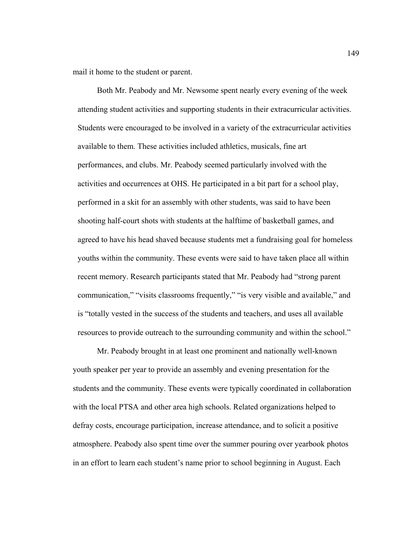mail it home to the student or parent.

Both Mr. Peabody and Mr. Newsome spent nearly every evening of the week attending student activities and supporting students in their extracurricular activities. Students were encouraged to be involved in a variety of the extracurricular activities available to them. These activities included athletics, musicals, fine art performances, and clubs. Mr. Peabody seemed particularly involved with the activities and occurrences at OHS. He participated in a bit part for a school play, performed in a skit for an assembly with other students, was said to have been shooting half-court shots with students at the halftime of basketball games, and agreed to have his head shaved because students met a fundraising goal for homeless youths within the community. These events were said to have taken place all within recent memory. Research participants stated that Mr. Peabody had "strong parent communication," "visits classrooms frequently," "is very visible and available," and is "totally vested in the success of the students and teachers, and uses all available resources to provide outreach to the surrounding community and within the school."

Mr. Peabody brought in at least one prominent and nationally well-known youth speaker per year to provide an assembly and evening presentation for the students and the community. These events were typically coordinated in collaboration with the local PTSA and other area high schools. Related organizations helped to defray costs, encourage participation, increase attendance, and to solicit a positive atmosphere. Peabody also spent time over the summer pouring over yearbook photos in an effort to learn each student's name prior to school beginning in August. Each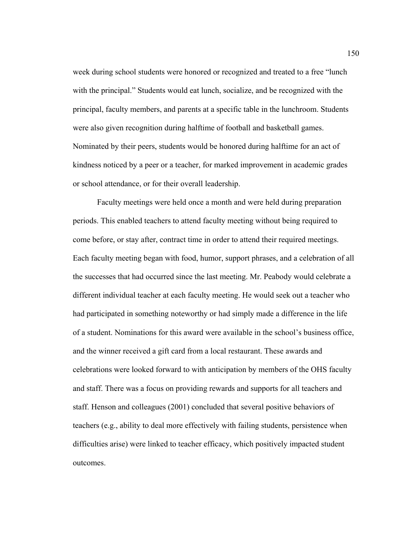week during school students were honored or recognized and treated to a free "lunch with the principal." Students would eat lunch, socialize, and be recognized with the principal, faculty members, and parents at a specific table in the lunchroom. Students were also given recognition during halftime of football and basketball games. Nominated by their peers, students would be honored during halftime for an act of kindness noticed by a peer or a teacher, for marked improvement in academic grades or school attendance, or for their overall leadership.

Faculty meetings were held once a month and were held during preparation periods. This enabled teachers to attend faculty meeting without being required to come before, or stay after, contract time in order to attend their required meetings. Each faculty meeting began with food, humor, support phrases, and a celebration of all the successes that had occurred since the last meeting. Mr. Peabody would celebrate a different individual teacher at each faculty meeting. He would seek out a teacher who had participated in something noteworthy or had simply made a difference in the life of a student. Nominations for this award were available in the school's business office, and the winner received a gift card from a local restaurant. These awards and celebrations were looked forward to with anticipation by members of the OHS faculty and staff. There was a focus on providing rewards and supports for all teachers and staff. Henson and colleagues (2001) concluded that several positive behaviors of teachers (e.g., ability to deal more effectively with failing students, persistence when difficulties arise) were linked to teacher efficacy, which positively impacted student outcomes.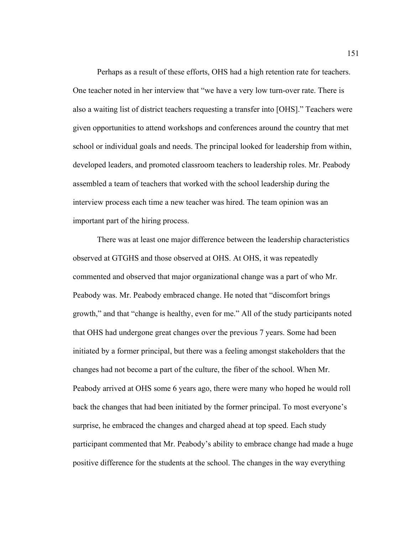Perhaps as a result of these efforts, OHS had a high retention rate for teachers. One teacher noted in her interview that "we have a very low turn-over rate. There is also a waiting list of district teachers requesting a transfer into [OHS]." Teachers were given opportunities to attend workshops and conferences around the country that met school or individual goals and needs. The principal looked for leadership from within, developed leaders, and promoted classroom teachers to leadership roles. Mr. Peabody assembled a team of teachers that worked with the school leadership during the interview process each time a new teacher was hired. The team opinion was an important part of the hiring process.

 There was at least one major difference between the leadership characteristics observed at GTGHS and those observed at OHS. At OHS, it was repeatedly commented and observed that major organizational change was a part of who Mr. Peabody was. Mr. Peabody embraced change. He noted that "discomfort brings growth," and that "change is healthy, even for me." All of the study participants noted that OHS had undergone great changes over the previous 7 years. Some had been initiated by a former principal, but there was a feeling amongst stakeholders that the changes had not become a part of the culture, the fiber of the school. When Mr. Peabody arrived at OHS some 6 years ago, there were many who hoped he would roll back the changes that had been initiated by the former principal. To most everyone's surprise, he embraced the changes and charged ahead at top speed. Each study participant commented that Mr. Peabody's ability to embrace change had made a huge positive difference for the students at the school. The changes in the way everything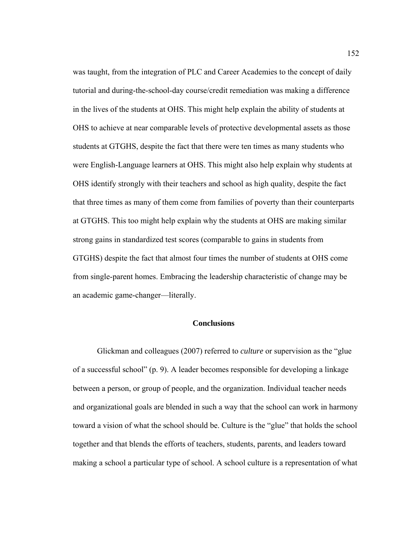was taught, from the integration of PLC and Career Academies to the concept of daily tutorial and during-the-school-day course/credit remediation was making a difference in the lives of the students at OHS. This might help explain the ability of students at OHS to achieve at near comparable levels of protective developmental assets as those students at GTGHS, despite the fact that there were ten times as many students who were English-Language learners at OHS. This might also help explain why students at OHS identify strongly with their teachers and school as high quality, despite the fact that three times as many of them come from families of poverty than their counterparts at GTGHS. This too might help explain why the students at OHS are making similar strong gains in standardized test scores (comparable to gains in students from GTGHS) despite the fact that almost four times the number of students at OHS come from single-parent homes. Embracing the leadership characteristic of change may be an academic game-changer—literally.

## **Conclusions**

Glickman and colleagues (2007) referred to *culture* or supervision as the "glue of a successful school" (p. 9). A leader becomes responsible for developing a linkage between a person, or group of people, and the organization. Individual teacher needs and organizational goals are blended in such a way that the school can work in harmony toward a vision of what the school should be. Culture is the "glue" that holds the school together and that blends the efforts of teachers, students, parents, and leaders toward making a school a particular type of school. A school culture is a representation of what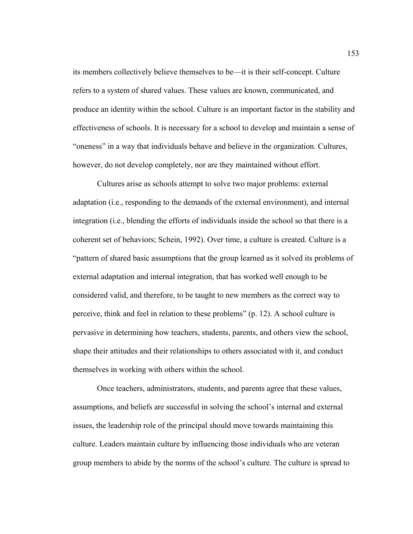its members collectively believe themselves to be—it is their self-concept. Culture refers to a system of shared values. These values are known, communicated, and produce an identity within the school. Culture is an important factor in the stability and effectiveness of schools. It is necessary for a school to develop and maintain a sense of "oneness" in a way that individuals behave and believe in the organization. Cultures, however, do not develop completely, nor are they maintained without effort.

Cultures arise as schools attempt to solve two major problems: external adaptation (i.e., responding to the demands of the external environment), and internal integration (i.e., blending the efforts of individuals inside the school so that there is a coherent set of behaviors; Schein, 1992). Over time, a culture is created. Culture is a "pattern of shared basic assumptions that the group learned as it solved its problems of external adaptation and internal integration, that has worked well enough to be considered valid, and therefore, to be taught to new members as the correct way to perceive, think and feel in relation to these problems" (p. 12). A school culture is pervasive in determining how teachers, students, parents, and others view the school, shape their attitudes and their relationships to others associated with it, and conduct themselves in working with others within the school.

Once teachers, administrators, students, and parents agree that these values, assumptions, and beliefs are successful in solving the school's internal and external issues, the leadership role of the principal should move towards maintaining this culture. Leaders maintain culture by influencing those individuals who are veteran group members to abide by the norms of the school's culture. The culture is spread to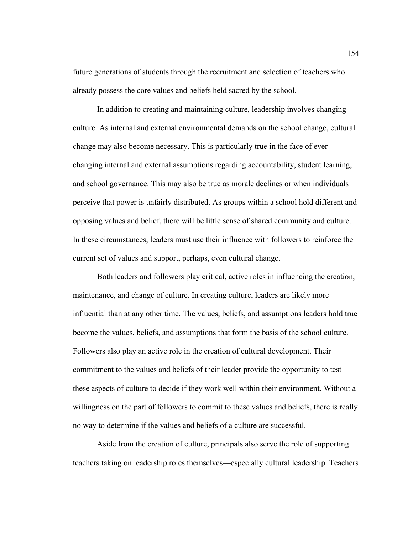future generations of students through the recruitment and selection of teachers who already possess the core values and beliefs held sacred by the school.

In addition to creating and maintaining culture, leadership involves changing culture. As internal and external environmental demands on the school change, cultural change may also become necessary. This is particularly true in the face of everchanging internal and external assumptions regarding accountability, student learning, and school governance. This may also be true as morale declines or when individuals perceive that power is unfairly distributed. As groups within a school hold different and opposing values and belief, there will be little sense of shared community and culture. In these circumstances, leaders must use their influence with followers to reinforce the current set of values and support, perhaps, even cultural change.

Both leaders and followers play critical, active roles in influencing the creation, maintenance, and change of culture. In creating culture, leaders are likely more influential than at any other time. The values, beliefs, and assumptions leaders hold true become the values, beliefs, and assumptions that form the basis of the school culture. Followers also play an active role in the creation of cultural development. Their commitment to the values and beliefs of their leader provide the opportunity to test these aspects of culture to decide if they work well within their environment. Without a willingness on the part of followers to commit to these values and beliefs, there is really no way to determine if the values and beliefs of a culture are successful.

Aside from the creation of culture, principals also serve the role of supporting teachers taking on leadership roles themselves—especially cultural leadership. Teachers

154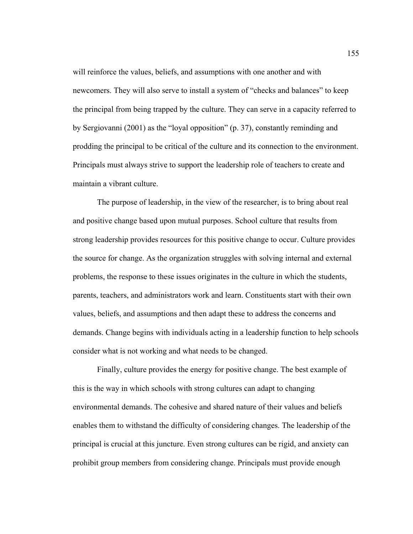will reinforce the values, beliefs, and assumptions with one another and with newcomers. They will also serve to install a system of "checks and balances" to keep the principal from being trapped by the culture. They can serve in a capacity referred to by Sergiovanni (2001) as the "loyal opposition" (p. 37), constantly reminding and prodding the principal to be critical of the culture and its connection to the environment. Principals must always strive to support the leadership role of teachers to create and maintain a vibrant culture.

The purpose of leadership, in the view of the researcher, is to bring about real and positive change based upon mutual purposes. School culture that results from strong leadership provides resources for this positive change to occur. Culture provides the source for change. As the organization struggles with solving internal and external problems, the response to these issues originates in the culture in which the students, parents, teachers, and administrators work and learn. Constituents start with their own values, beliefs, and assumptions and then adapt these to address the concerns and demands. Change begins with individuals acting in a leadership function to help schools consider what is not working and what needs to be changed.

Finally, culture provides the energy for positive change. The best example of this is the way in which schools with strong cultures can adapt to changing environmental demands. The cohesive and shared nature of their values and beliefs enables them to withstand the difficulty of considering changes. The leadership of the principal is crucial at this juncture. Even strong cultures can be rigid, and anxiety can prohibit group members from considering change. Principals must provide enough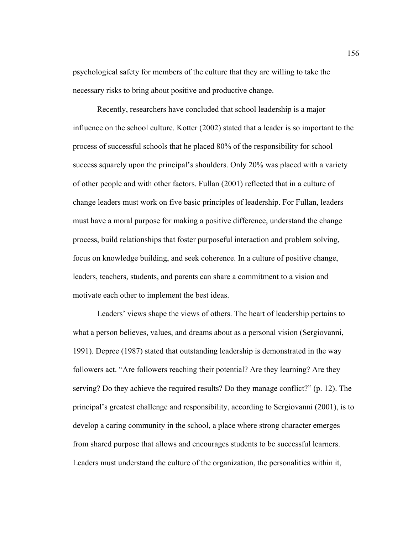psychological safety for members of the culture that they are willing to take the necessary risks to bring about positive and productive change.

Recently, researchers have concluded that school leadership is a major influence on the school culture. Kotter (2002) stated that a leader is so important to the process of successful schools that he placed 80% of the responsibility for school success squarely upon the principal's shoulders. Only 20% was placed with a variety of other people and with other factors. Fullan (2001) reflected that in a culture of change leaders must work on five basic principles of leadership. For Fullan, leaders must have a moral purpose for making a positive difference, understand the change process, build relationships that foster purposeful interaction and problem solving, focus on knowledge building, and seek coherence. In a culture of positive change, leaders, teachers, students, and parents can share a commitment to a vision and motivate each other to implement the best ideas.

Leaders' views shape the views of others. The heart of leadership pertains to what a person believes, values, and dreams about as a personal vision (Sergiovanni, 1991). Depree (1987) stated that outstanding leadership is demonstrated in the way followers act. "Are followers reaching their potential? Are they learning? Are they serving? Do they achieve the required results? Do they manage conflict?" (p. 12). The principal's greatest challenge and responsibility, according to Sergiovanni (2001), is to develop a caring community in the school, a place where strong character emerges from shared purpose that allows and encourages students to be successful learners. Leaders must understand the culture of the organization, the personalities within it,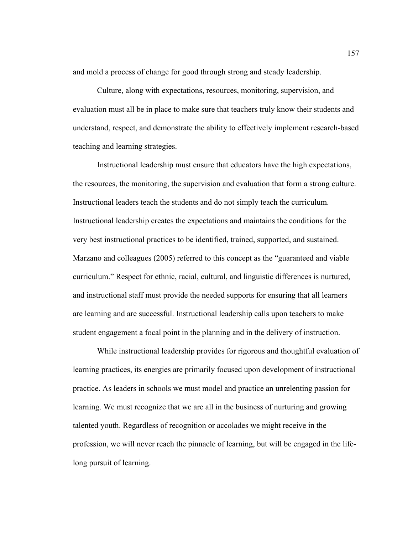and mold a process of change for good through strong and steady leadership.

Culture, along with expectations, resources, monitoring, supervision, and evaluation must all be in place to make sure that teachers truly know their students and understand, respect, and demonstrate the ability to effectively implement research-based teaching and learning strategies.

Instructional leadership must ensure that educators have the high expectations, the resources, the monitoring, the supervision and evaluation that form a strong culture. Instructional leaders teach the students and do not simply teach the curriculum. Instructional leadership creates the expectations and maintains the conditions for the very best instructional practices to be identified, trained, supported, and sustained. Marzano and colleagues (2005) referred to this concept as the "guaranteed and viable curriculum." Respect for ethnic, racial, cultural, and linguistic differences is nurtured, and instructional staff must provide the needed supports for ensuring that all learners are learning and are successful. Instructional leadership calls upon teachers to make student engagement a focal point in the planning and in the delivery of instruction.

While instructional leadership provides for rigorous and thoughtful evaluation of learning practices, its energies are primarily focused upon development of instructional practice. As leaders in schools we must model and practice an unrelenting passion for learning. We must recognize that we are all in the business of nurturing and growing talented youth. Regardless of recognition or accolades we might receive in the profession, we will never reach the pinnacle of learning, but will be engaged in the lifelong pursuit of learning.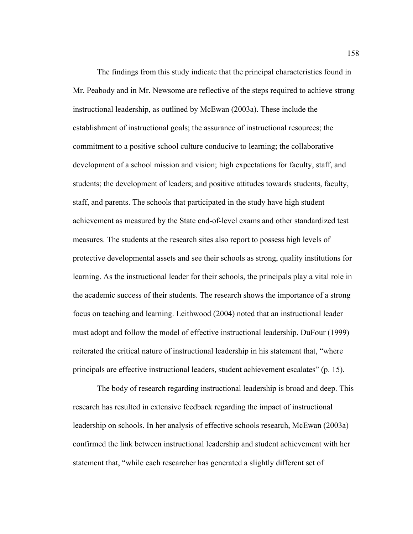The findings from this study indicate that the principal characteristics found in Mr. Peabody and in Mr. Newsome are reflective of the steps required to achieve strong instructional leadership, as outlined by McEwan (2003a). These include the establishment of instructional goals; the assurance of instructional resources; the commitment to a positive school culture conducive to learning; the collaborative development of a school mission and vision; high expectations for faculty, staff, and students; the development of leaders; and positive attitudes towards students, faculty, staff, and parents. The schools that participated in the study have high student achievement as measured by the State end-of-level exams and other standardized test measures. The students at the research sites also report to possess high levels of protective developmental assets and see their schools as strong, quality institutions for learning. As the instructional leader for their schools, the principals play a vital role in the academic success of their students. The research shows the importance of a strong focus on teaching and learning. Leithwood (2004) noted that an instructional leader must adopt and follow the model of effective instructional leadership. DuFour (1999) reiterated the critical nature of instructional leadership in his statement that, "where principals are effective instructional leaders, student achievement escalates" (p. 15).

The body of research regarding instructional leadership is broad and deep. This research has resulted in extensive feedback regarding the impact of instructional leadership on schools. In her analysis of effective schools research, McEwan (2003a) confirmed the link between instructional leadership and student achievement with her statement that, "while each researcher has generated a slightly different set of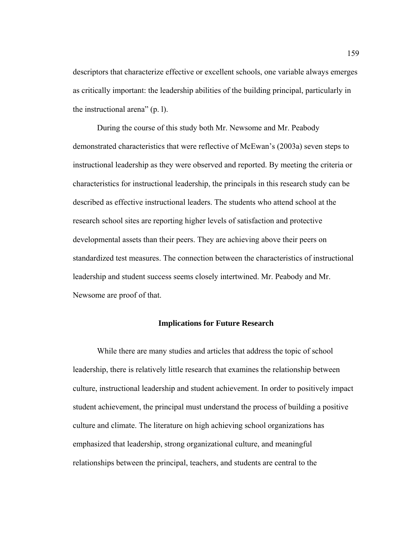descriptors that characterize effective or excellent schools, one variable always emerges as critically important: the leadership abilities of the building principal, particularly in the instructional arena" (p. l).

During the course of this study both Mr. Newsome and Mr. Peabody demonstrated characteristics that were reflective of McEwan's (2003a) seven steps to instructional leadership as they were observed and reported. By meeting the criteria or characteristics for instructional leadership, the principals in this research study can be described as effective instructional leaders. The students who attend school at the research school sites are reporting higher levels of satisfaction and protective developmental assets than their peers. They are achieving above their peers on standardized test measures. The connection between the characteristics of instructional leadership and student success seems closely intertwined. Mr. Peabody and Mr. Newsome are proof of that.

### **Implications for Future Research**

 While there are many studies and articles that address the topic of school leadership, there is relatively little research that examines the relationship between culture, instructional leadership and student achievement. In order to positively impact student achievement, the principal must understand the process of building a positive culture and climate. The literature on high achieving school organizations has emphasized that leadership, strong organizational culture, and meaningful relationships between the principal, teachers, and students are central to the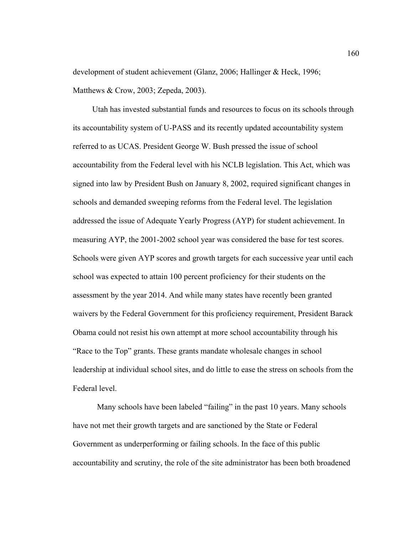development of student achievement (Glanz, 2006; Hallinger & Heck, 1996; Matthews & Crow, 2003; Zepeda, 2003).

Utah has invested substantial funds and resources to focus on its schools through its accountability system of U-PASS and its recently updated accountability system referred to as UCAS. President George W. Bush pressed the issue of school accountability from the Federal level with his NCLB legislation. This Act, which was signed into law by President Bush on January 8, 2002, required significant changes in schools and demanded sweeping reforms from the Federal level. The legislation addressed the issue of Adequate Yearly Progress (AYP) for student achievement. In measuring AYP, the 2001-2002 school year was considered the base for test scores. Schools were given AYP scores and growth targets for each successive year until each school was expected to attain 100 percent proficiency for their students on the assessment by the year 2014. And while many states have recently been granted waivers by the Federal Government for this proficiency requirement, President Barack Obama could not resist his own attempt at more school accountability through his "Race to the Top" grants. These grants mandate wholesale changes in school leadership at individual school sites, and do little to ease the stress on schools from the Federal level.

 Many schools have been labeled "failing" in the past 10 years. Many schools have not met their growth targets and are sanctioned by the State or Federal Government as underperforming or failing schools. In the face of this public accountability and scrutiny, the role of the site administrator has been both broadened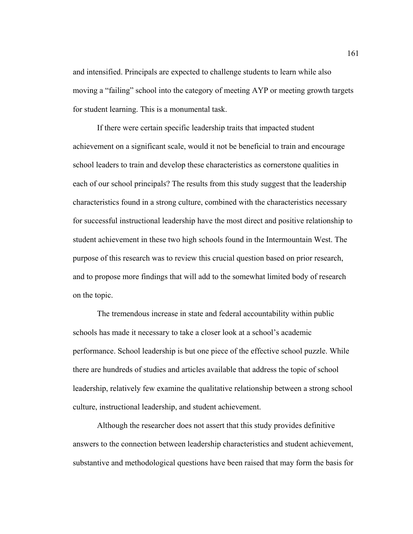and intensified. Principals are expected to challenge students to learn while also moving a "failing" school into the category of meeting AYP or meeting growth targets for student learning. This is a monumental task.

 If there were certain specific leadership traits that impacted student achievement on a significant scale, would it not be beneficial to train and encourage school leaders to train and develop these characteristics as cornerstone qualities in each of our school principals? The results from this study suggest that the leadership characteristics found in a strong culture, combined with the characteristics necessary for successful instructional leadership have the most direct and positive relationship to student achievement in these two high schools found in the Intermountain West. The purpose of this research was to review this crucial question based on prior research, and to propose more findings that will add to the somewhat limited body of research on the topic.

 The tremendous increase in state and federal accountability within public schools has made it necessary to take a closer look at a school's academic performance. School leadership is but one piece of the effective school puzzle. While there are hundreds of studies and articles available that address the topic of school leadership, relatively few examine the qualitative relationship between a strong school culture, instructional leadership, and student achievement.

Although the researcher does not assert that this study provides definitive answers to the connection between leadership characteristics and student achievement, substantive and methodological questions have been raised that may form the basis for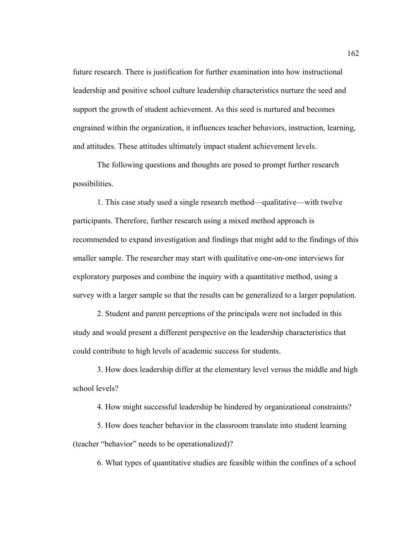future research. There is justification for further examination into how instructional leadership and positive school culture leadership characteristics nurture the seed and support the growth of student achievement. As this seed is nurtured and becomes engrained within the organization, it influences teacher behaviors, instruction, learning, and attitudes. These attitudes ultimately impact student achievement levels.

The following questions and thoughts are posed to prompt further research possibilities.

1. This case study used a single research method—qualitative—with twelve participants. Therefore, further research using a mixed method approach is recommended to expand investigation and findings that might add to the findings of this smaller sample. The researcher may start with qualitative one-on-one interviews for exploratory purposes and combine the inquiry with a quantitative method, using a survey with a larger sample so that the results can be generalized to a larger population.

2. Student and parent perceptions of the principals were not included in this study and would present a different perspective on the leadership characteristics that could contribute to high levels of academic success for students.

3. How does leadership differ at the elementary level versus the middle and high school levels?

4. How might successful leadership be hindered by organizational constraints?

5. How does teacher behavior in the classroom translate into student learning (teacher "behavior" needs to be operationalized)?

6. What types of quantitative studies are feasible within the confines of a school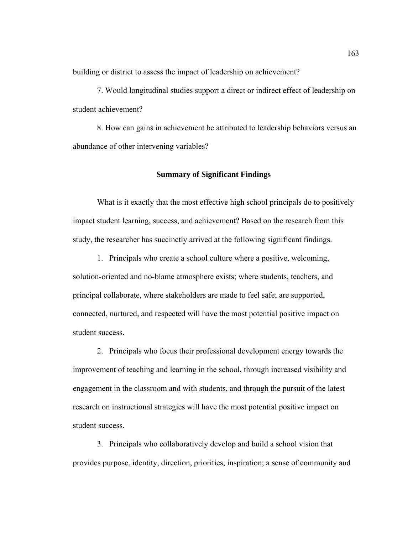building or district to assess the impact of leadership on achievement?

7. Would longitudinal studies support a direct or indirect effect of leadership on student achievement?

8. How can gains in achievement be attributed to leadership behaviors versus an abundance of other intervening variables?

### **Summary of Significant Findings**

 What is it exactly that the most effective high school principals do to positively impact student learning, success, and achievement? Based on the research from this study, the researcher has succinctly arrived at the following significant findings.

1. Principals who create a school culture where a positive, welcoming, solution-oriented and no-blame atmosphere exists; where students, teachers, and principal collaborate, where stakeholders are made to feel safe; are supported, connected, nurtured, and respected will have the most potential positive impact on student success.

2. Principals who focus their professional development energy towards the improvement of teaching and learning in the school, through increased visibility and engagement in the classroom and with students, and through the pursuit of the latest research on instructional strategies will have the most potential positive impact on student success.

3. Principals who collaboratively develop and build a school vision that provides purpose, identity, direction, priorities, inspiration; a sense of community and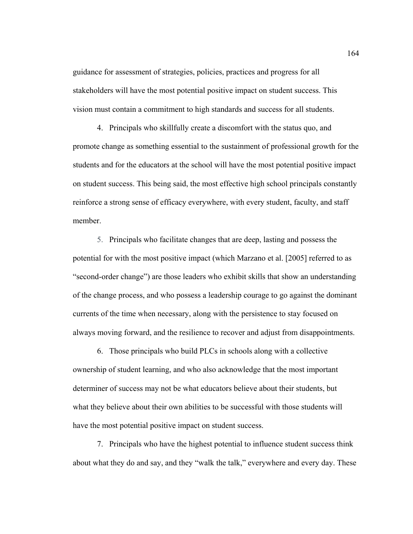guidance for assessment of strategies, policies, practices and progress for all stakeholders will have the most potential positive impact on student success. This vision must contain a commitment to high standards and success for all students.

4. Principals who skillfully create a discomfort with the status quo, and promote change as something essential to the sustainment of professional growth for the students and for the educators at the school will have the most potential positive impact on student success. This being said, the most effective high school principals constantly reinforce a strong sense of efficacy everywhere, with every student, faculty, and staff member.

5. Principals who facilitate changes that are deep, lasting and possess the potential for with the most positive impact (which Marzano et al. [2005] referred to as "second-order change") are those leaders who exhibit skills that show an understanding of the change process, and who possess a leadership courage to go against the dominant currents of the time when necessary, along with the persistence to stay focused on always moving forward, and the resilience to recover and adjust from disappointments.

6. Those principals who build PLCs in schools along with a collective ownership of student learning, and who also acknowledge that the most important determiner of success may not be what educators believe about their students, but what they believe about their own abilities to be successful with those students will have the most potential positive impact on student success.

7. Principals who have the highest potential to influence student success think about what they do and say, and they "walk the talk," everywhere and every day. These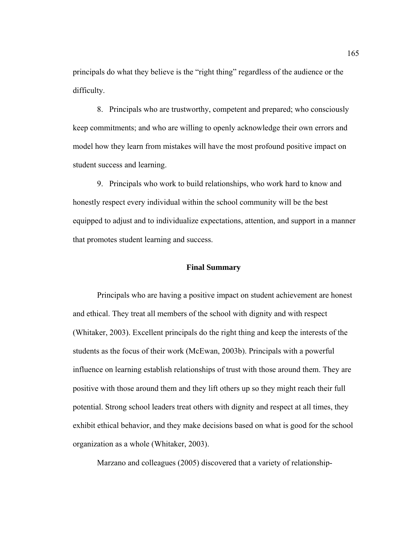principals do what they believe is the "right thing" regardless of the audience or the difficulty.

8. Principals who are trustworthy, competent and prepared; who consciously keep commitments; and who are willing to openly acknowledge their own errors and model how they learn from mistakes will have the most profound positive impact on student success and learning.

9. Principals who work to build relationships, who work hard to know and honestly respect every individual within the school community will be the best equipped to adjust and to individualize expectations, attention, and support in a manner that promotes student learning and success.

#### **Final Summary**

Principals who are having a positive impact on student achievement are honest and ethical. They treat all members of the school with dignity and with respect (Whitaker, 2003). Excellent principals do the right thing and keep the interests of the students as the focus of their work (McEwan, 2003b). Principals with a powerful influence on learning establish relationships of trust with those around them. They are positive with those around them and they lift others up so they might reach their full potential. Strong school leaders treat others with dignity and respect at all times, they exhibit ethical behavior, and they make decisions based on what is good for the school organization as a whole (Whitaker, 2003).

Marzano and colleagues (2005) discovered that a variety of relationship-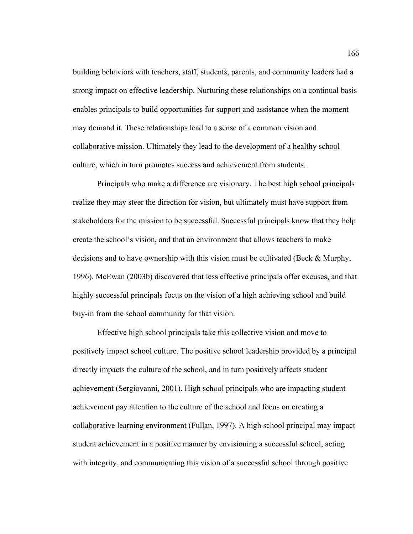building behaviors with teachers, staff, students, parents, and community leaders had a strong impact on effective leadership. Nurturing these relationships on a continual basis enables principals to build opportunities for support and assistance when the moment may demand it. These relationships lead to a sense of a common vision and collaborative mission. Ultimately they lead to the development of a healthy school culture, which in turn promotes success and achievement from students.

Principals who make a difference are visionary. The best high school principals realize they may steer the direction for vision, but ultimately must have support from stakeholders for the mission to be successful. Successful principals know that they help create the school's vision, and that an environment that allows teachers to make decisions and to have ownership with this vision must be cultivated (Beck  $\&$  Murphy, 1996). McEwan (2003b) discovered that less effective principals offer excuses, and that highly successful principals focus on the vision of a high achieving school and build buy-in from the school community for that vision.

Effective high school principals take this collective vision and move to positively impact school culture. The positive school leadership provided by a principal directly impacts the culture of the school, and in turn positively affects student achievement (Sergiovanni, 2001). High school principals who are impacting student achievement pay attention to the culture of the school and focus on creating a collaborative learning environment (Fullan, 1997). A high school principal may impact student achievement in a positive manner by envisioning a successful school, acting with integrity, and communicating this vision of a successful school through positive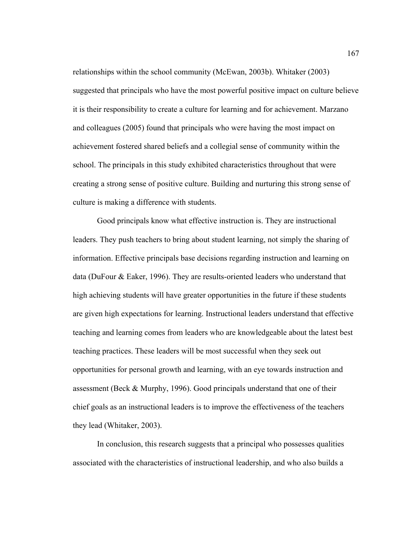relationships within the school community (McEwan, 2003b). Whitaker (2003) suggested that principals who have the most powerful positive impact on culture believe it is their responsibility to create a culture for learning and for achievement. Marzano and colleagues (2005) found that principals who were having the most impact on achievement fostered shared beliefs and a collegial sense of community within the school. The principals in this study exhibited characteristics throughout that were creating a strong sense of positive culture. Building and nurturing this strong sense of culture is making a difference with students.

Good principals know what effective instruction is. They are instructional leaders. They push teachers to bring about student learning, not simply the sharing of information. Effective principals base decisions regarding instruction and learning on data (DuFour & Eaker, 1996). They are results-oriented leaders who understand that high achieving students will have greater opportunities in the future if these students are given high expectations for learning. Instructional leaders understand that effective teaching and learning comes from leaders who are knowledgeable about the latest best teaching practices. These leaders will be most successful when they seek out opportunities for personal growth and learning, with an eye towards instruction and assessment (Beck & Murphy, 1996). Good principals understand that one of their chief goals as an instructional leaders is to improve the effectiveness of the teachers they lead (Whitaker, 2003).

In conclusion, this research suggests that a principal who possesses qualities associated with the characteristics of instructional leadership, and who also builds a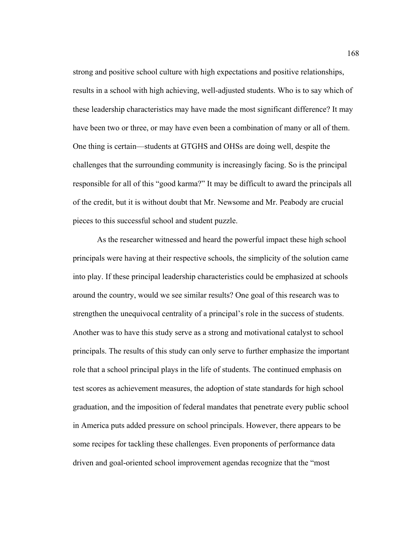strong and positive school culture with high expectations and positive relationships, results in a school with high achieving, well-adjusted students. Who is to say which of these leadership characteristics may have made the most significant difference? It may have been two or three, or may have even been a combination of many or all of them. One thing is certain—students at GTGHS and OHSs are doing well, despite the challenges that the surrounding community is increasingly facing. So is the principal responsible for all of this "good karma?" It may be difficult to award the principals all of the credit, but it is without doubt that Mr. Newsome and Mr. Peabody are crucial pieces to this successful school and student puzzle.

As the researcher witnessed and heard the powerful impact these high school principals were having at their respective schools, the simplicity of the solution came into play. If these principal leadership characteristics could be emphasized at schools around the country, would we see similar results? One goal of this research was to strengthen the unequivocal centrality of a principal's role in the success of students. Another was to have this study serve as a strong and motivational catalyst to school principals. The results of this study can only serve to further emphasize the important role that a school principal plays in the life of students. The continued emphasis on test scores as achievement measures, the adoption of state standards for high school graduation, and the imposition of federal mandates that penetrate every public school in America puts added pressure on school principals. However, there appears to be some recipes for tackling these challenges. Even proponents of performance data driven and goal-oriented school improvement agendas recognize that the "most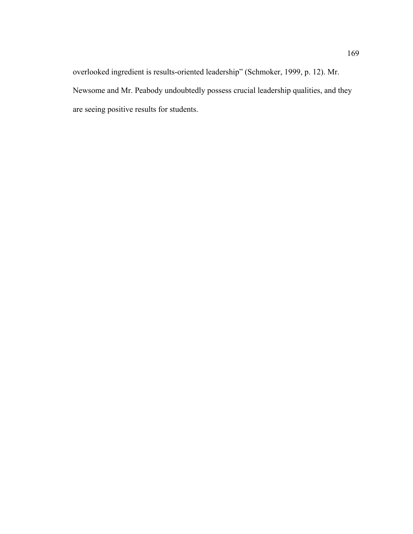overlooked ingredient is results-oriented leadership" (Schmoker, 1999, p. 12). Mr. Newsome and Mr. Peabody undoubtedly possess crucial leadership qualities, and they are seeing positive results for students.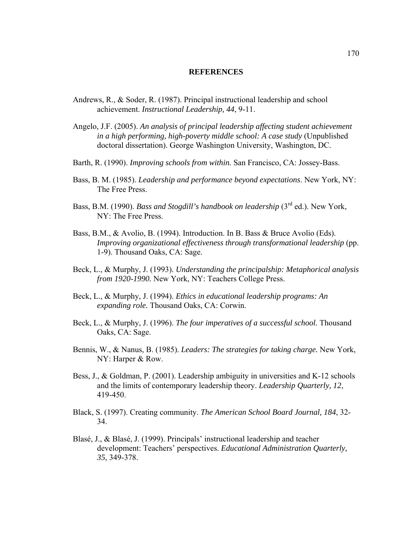#### **REFERENCES**

- Andrews, R., & Soder, R. (1987). Principal instructional leadership and school achievement. *Instructional Leadership, 44*, 9-11.
- Angelo, J.F. (2005). *An analysis of principal leadership affecting student achievement in a high performing, high-poverty middle school: A case study* (Unpublished doctoral dissertation). George Washington University, Washington, DC.
- Barth, R. (1990). *Improving schools from within.* San Francisco, CA: Jossey-Bass.
- Bass, B. M. (1985). *Leadership and performance beyond expectations*. New York, NY: The Free Press.
- Bass, B.M. (1990). *Bass and Stogdill's handbook on leadership* (3<sup>rd</sup> ed.). New York, NY: The Free Press.
- Bass, B.M., & Avolio, B. (1994). Introduction. In B. Bass & Bruce Avolio (Eds). *Improving organizational effectiveness through transformational leadership* (pp. 1-9). Thousand Oaks, CA: Sage.
- Beck, L., & Murphy, J. (1993). *Understanding the principalship: Metaphorical analysis from 1920-1990.* New York, NY: Teachers College Press.
- Beck, L., & Murphy, J. (1994). *Ethics in educational leadership programs: An expanding role.* Thousand Oaks, CA: Corwin.
- Beck, L., & Murphy, J. (1996). *The four imperatives of a successful school.* Thousand Oaks, CA: Sage.
- Bennis, W., & Nanus, B. (1985). *Leaders: The strategies for taking charge.* New York, NY: Harper & Row.
- Bess, J., & Goldman, P. (2001). Leadership ambiguity in universities and K-12 schools and the limits of contemporary leadership theory. *Leadership Quarterly, 12*, 419-450.
- Black, S. (1997). Creating community. *The American School Board Journal, 184*, 32- 34.
- Blasé, J., & Blasé, J. (1999). Principals' instructional leadership and teacher development: Teachers' perspectives. *Educational Administration Quarterly, 35*, 349-378.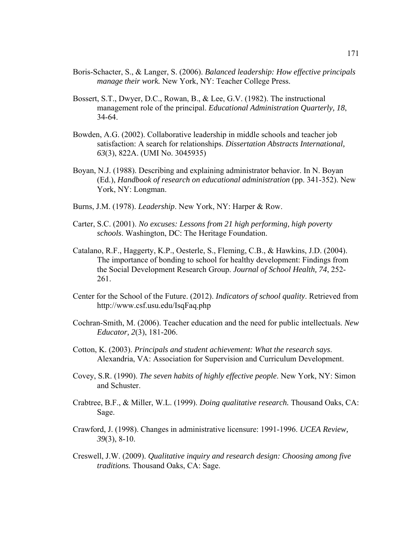- Boris-Schacter, S., & Langer, S. (2006). *Balanced leadership: How effective principals manage their work.* New York, NY: Teacher College Press.
- Bossert, S.T., Dwyer, D.C., Rowan, B., & Lee, G.V. (1982). The instructional management role of the principal. *Educational Administration Quarterly, 18*, 34-64.
- Bowden, A.G. (2002). Collaborative leadership in middle schools and teacher job satisfaction: A search for relationships. *Dissertation Abstracts International, 63*(3), 822A. (UMI No. 3045935)
- Boyan, N.J. (1988). Describing and explaining administrator behavior. In N. Boyan (Ed.), *Handbook of research on educational administration* (pp. 341-352). New York, NY: Longman.
- Burns, J.M. (1978). *Leadership*. New York, NY: Harper & Row.
- Carter, S.C. (2001). *No excuses: Lessons from 21 high performing, high poverty schools*. Washington, DC: The Heritage Foundation.
- Catalano, R.F., Haggerty, K.P., Oesterle, S., Fleming, C.B., & Hawkins, J.D. (2004). The importance of bonding to school for healthy development: Findings from the Social Development Research Group. *Journal of School Health, 74*, 252- 261.
- Center for the School of the Future. (2012). *Indicators of school quality*. Retrieved from http://www.csf.usu.edu/IsqFaq.php
- Cochran-Smith, M. (2006). Teacher education and the need for public intellectuals. *New Educator, 2*(3), 181-206.
- Cotton, K. (2003). *Principals and student achievement: What the research says*. Alexandria, VA: Association for Supervision and Curriculum Development.
- Covey, S.R. (1990). *The seven habits of highly effective people*. New York, NY: Simon and Schuster.
- Crabtree, B.F., & Miller, W.L. (1999). *Doing qualitative research.* Thousand Oaks, CA: Sage.
- Crawford, J. (1998). Changes in administrative licensure: 1991-1996. *UCEA Review, 39*(3), 8-10.
- Creswell, J.W. (2009). *Qualitative inquiry and research design: Choosing among five traditions.* Thousand Oaks, CA: Sage.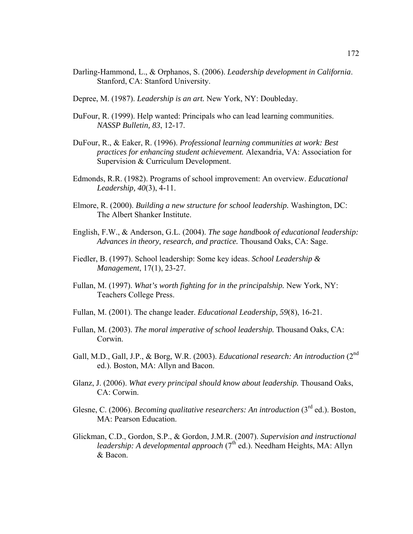- Darling-Hammond, L., & Orphanos, S. (2006). *Leadership development in California*. Stanford, CA: Stanford University.
- Depree, M. (1987). *Leadership is an art.* New York, NY: Doubleday.
- DuFour, R. (1999). Help wanted: Principals who can lead learning communities. *NASSP Bulletin, 83*, 12-17.
- DuFour, R., & Eaker, R. (1996). *Professional learning communities at work: Best practices for enhancing student achievement.* Alexandria, VA: Association for Supervision & Curriculum Development.
- Edmonds, R.R. (1982). Programs of school improvement: An overview. *Educational Leadership, 40*(3), 4-11.
- Elmore, R. (2000). *Building a new structure for school leadership.* Washington, DC: The Albert Shanker Institute.
- English, F.W., & Anderson, G.L. (2004). *The sage handbook of educational leadership: Advances in theory, research, and practice.* Thousand Oaks, CA: Sage.
- Fiedler, B. (1997). School leadership: Some key ideas. *School Leadership & Management*, 17(1), 23-27.
- Fullan, M. (1997). *What's worth fighting for in the principalship.* New York, NY: Teachers College Press.
- Fullan, M. (2001). The change leader. *Educational Leadership, 59*(8), 16-21.
- Fullan, M. (2003). *The moral imperative of school leadership.* Thousand Oaks, CA: Corwin.
- Gall, M.D., Gall, J.P., & Borg, W.R. (2003). *Educational research: An introduction* (2nd ed.). Boston, MA: Allyn and Bacon.
- Glanz, J. (2006). *What every principal should know about leadership.* Thousand Oaks, CA: Corwin.
- Glesne, C. (2006). *Becoming qualitative researchers: An introduction* (3<sup>rd</sup> ed.). Boston. MA: Pearson Education.
- Glickman, C.D., Gordon, S.P., & Gordon, J.M.R. (2007). *Supervision and instructional leadership: A developmental approach* (7<sup>th</sup> ed.). Needham Heights, MA: Allyn & Bacon.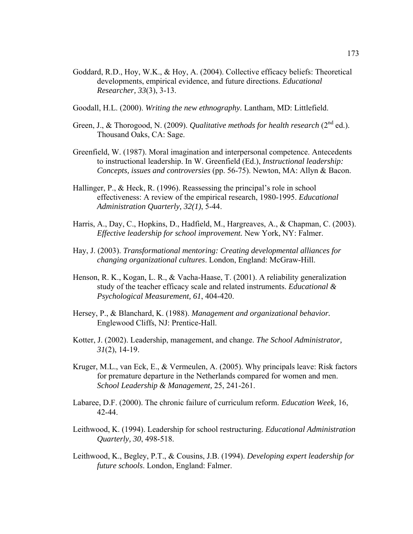- Goddard, R.D., Hoy, W.K., & Hoy, A. (2004). Collective efficacy beliefs: Theoretical developments, empirical evidence, and future directions. *Educational Researcher, 33*(3), 3-13.
- Goodall, H.L. (2000). *Writing the new ethnography.* Lantham, MD: Littlefield.
- Green, J., & Thorogood, N. (2009). *Qualitative methods for health research* (2<sup>nd</sup> ed.). Thousand Oaks, CA: Sage.
- Greenfield, W. (1987). Moral imagination and interpersonal competence. Antecedents to instructional leadership. In W. Greenfield (Ed.), *Instructional leadership: Concepts, issues and controversies* (pp. 56-75). Newton, MA: Allyn & Bacon.
- Hallinger, P., & Heck, R. (1996). Reassessing the principal's role in school effectiveness: A review of the empirical research, 1980-1995. *Educational Administration Quarterly, 32(1)*, 5-44.
- Harris, A., Day, C., Hopkins, D., Hadfield, M., Hargreaves, A., & Chapman, C. (2003). *Effective leadership for school improvement.* New York, NY: Falmer.
- Hay, J. (2003). *Transformational mentoring: Creating developmental alliances for changing organizational cultures*. London, England: McGraw-Hill.
- Henson, R. K., Kogan, L. R., & Vacha-Haase, T. (2001). A reliability generalization study of the teacher efficacy scale and related instruments. *Educational & Psychological Measurement, 61*, 404-420.
- Hersey, P., & Blanchard, K. (1988). *Management and organizational behavior.*  Englewood Cliffs, NJ: Prentice-Hall.
- Kotter, J. (2002). Leadership, management, and change. *The School Administrator, 31*(2), 14-19.
- Kruger, M.L., van Eck, E., & Vermeulen, A. (2005). Why principals leave: Risk factors for premature departure in the Netherlands compared for women and men. *School Leadership & Management,* 25, 241-261.
- Labaree, D.F. (2000). The chronic failure of curriculum reform. *Education Week,* 16, 42-44.
- Leithwood, K. (1994). Leadership for school restructuring. *Educational Administration Quarterly, 30*, 498-518.
- Leithwood, K., Begley, P.T., & Cousins, J.B. (1994). *Developing expert leadership for future schools*. London, England: Falmer.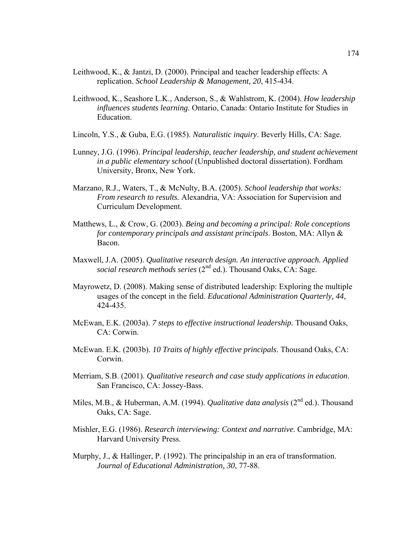- Leithwood, K., & Jantzi, D. (2000). Principal and teacher leadership effects: A replication. *School Leadership & Management, 20*, 415-434.
- Leithwood, K., Seashore L.K., Anderson, S., & Wahlstrom, K. (2004). *How leadership influences students learning*. Ontario, Canada: Ontario Institute for Studies in Education.
- Lincoln, Y.S., & Guba, E.G. (1985). *Naturalistic inquiry*. Beverly Hills, CA: Sage.
- Lunney, J.G. (1996). *Principal leadership, teacher leadership, and student achievement in a public elementary school* (Unpublished doctoral dissertation). Fordham University, Bronx, New York.
- Marzano, R.J., Waters, T., & McNulty, B.A. (2005). *School leadership that works: From research to results.* Alexandria, VA: Association for Supervision and Curriculum Development.
- Matthews, L., & Crow, G. (2003). *Being and becoming a principal: Role conceptions for contemporary principals and assistant principals*. Boston, MA: Allyn & Bacon.
- Maxwell, J.A. (2005). *Qualitative research design. An interactive approach. Applied social research methods series* (2<sup>nd</sup> ed.). Thousand Oaks, CA: Sage.
- Mayrowetz, D. (2008). Making sense of distributed leadership: Exploring the multiple usages of the concept in the field. *Educational Administration Quarterly, 44*, 424-435.
- McEwan, E.K. (2003a). *7 steps to effective instructional leadership.* Thousand Oaks, CA: Corwin.
- McEwan. E.K. (2003b). *10 Traits of highly effective principals*. Thousand Oaks, CA: Corwin.
- Merriam, S.B. (2001). *Qualitative research and case study applications in education*. San Francisco, CA: Jossey-Bass.
- Miles, M.B., & Huberman, A.M. (1994). *Qualitative data analysis* (2<sup>nd</sup> ed.). Thousand Oaks, CA: Sage.
- Mishler, E.G. (1986). *Research interviewing: Context and narrative*. Cambridge, MA: Harvard University Press.
- Murphy, J., & Hallinger, P. (1992). The principalship in an era of transformation. *Journal of Educational Administration, 30*, 77-88.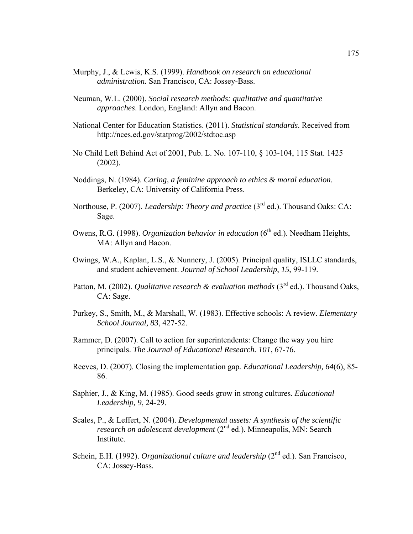- Murphy, J., & Lewis, K.S. (1999). *Handbook on research on educational administration.* San Francisco, CA: Jossey-Bass.
- Neuman, W.L. (2000). *Social research methods: qualitative and quantitative approaches*. London, England: Allyn and Bacon.
- National Center for Education Statistics. (2011). *Statistical standards*. Received from http://nces.ed.gov/statprog/2002/stdtoc.asp
- No Child Left Behind Act of 2001, Pub. L. No. 107-110, § 103-104, 115 Stat. 1425 (2002).
- Noddings, N. (1984). *Caring, a feminine approach to ethics & moral education*. Berkeley, CA: University of California Press.
- Northouse, P. (2007). *Leadership: Theory and practice* (3<sup>rd</sup> ed.). Thousand Oaks: CA: Sage.
- Owens, R.G. (1998). *Organization behavior in education* (6<sup>th</sup> ed.). Needham Heights, MA: Allyn and Bacon.
- Owings, W.A., Kaplan, L.S., & Nunnery, J. (2005). Principal quality, ISLLC standards, and student achievement. *Journal of School Leadership*, *15*, 99-119.
- Patton, M. (2002). *Qualitative research & evaluation methods* (3<sup>rd</sup> ed.). Thousand Oaks. CA: Sage.
- Purkey, S., Smith, M., & Marshall, W. (1983). Effective schools: A review. *Elementary School Journal, 83*, 427-52.
- Rammer, D. (2007). Call to action for superintendents: Change the way you hire principals. *The Journal of Educational Research. 101*, 67-76.
- Reeves, D. (2007). Closing the implementation gap*. Educational Leadership, 64*(6), 85- 86.
- Saphier, J., & King, M. (1985). Good seeds grow in strong cultures. *Educational Leadership, 9*, 24-29*.*
- Scales, P., & Leffert, N. (2004). *Developmental assets: A synthesis of the scientific research on adolescent development* (2<sup>nd</sup> ed.). Minneapolis, MN: Search Institute.
- Schein, E.H. (1992). *Organizational culture and leadership* (2<sup>nd</sup> ed.). San Francisco, CA: Jossey-Bass.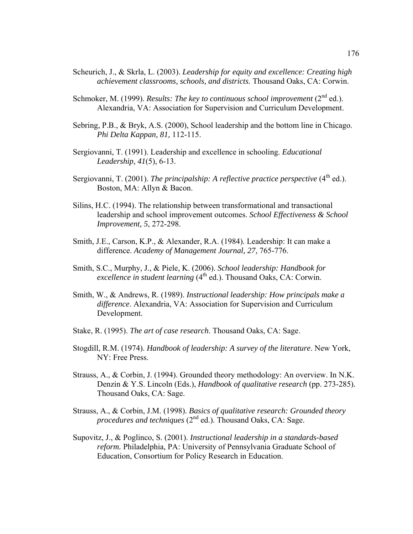- Scheurich, J., & Skrla, L. (2003). *Leadership for equity and excellence: Creating high achievement classrooms, schools, and districts*. Thousand Oaks, CA: Corwin.
- Schmoker, M. (1999). *Results: The key to continuous school improvement* (2<sup>nd</sup> ed.). Alexandria, VA: Association for Supervision and Curriculum Development.
- Sebring, P.B., & Bryk, A.S. (2000), School leadership and the bottom line in Chicago. *Phi Delta Kappan, 81,* 112-115.
- Sergiovanni, T. (1991). Leadership and excellence in schooling. *Educational Leadership, 41*(5), 6-13.
- Sergiovanni, T. (2001). *The principalship: A reflective practice perspective* (4<sup>th</sup> ed.). Boston, MA: Allyn & Bacon.
- Silins, H.C. (1994). The relationship between transformational and transactional leadership and school improvement outcomes. *School Effectiveness & School Improvement, 5*, 272-298.
- Smith, J.E., Carson, K.P., & Alexander, R.A. (1984). Leadership: It can make a difference. *Academy of Management Journal, 27*, 765-776.
- Smith, S.C., Murphy, J., & Piele, K. (2006). *School leadership: Handbook for excellence in student learning* (4<sup>th</sup> ed.). Thousand Oaks, CA: Corwin.
- Smith, W., & Andrews, R. (1989). *Instructional leadership: How principals make a difference*. Alexandria, VA: Association for Supervision and Curriculum Development.
- Stake, R. (1995). *The art of case research*. Thousand Oaks, CA: Sage.
- Stogdill, R.M. (1974). *Handbook of leadership: A survey of the literature*. New York, NY: Free Press.
- Strauss, A., & Corbin, J. (1994). Grounded theory methodology: An overview. In N.K. Denzin & Y.S. Lincoln (Eds.), *Handbook of qualitative research* (pp. 273-285)*.*  Thousand Oaks, CA: Sage.
- Strauss, A., & Corbin, J.M. (1998). *Basics of qualitative research: Grounded theory procedures and techniques* (2<sup>nd</sup> ed.). Thousand Oaks, CA: Sage.
- Supovitz, J., & Poglinco, S. (2001). *Instructional leadership in a standards-based reform.* Philadelphia, PA: University of Pennsylvania Graduate School of Education, Consortium for Policy Research in Education.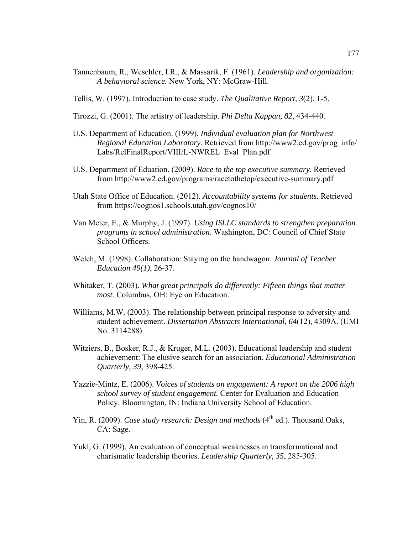- Tannenbaum, R., Weschler, I.R., & Massarik, F. (1961). *Leadership and organization: A behavioral science.* New York, NY: McGraw-Hill.
- Tellis, W. (1997). Introduction to case study. *The Qualitative Report, 3*(2), 1-5.
- Tirozzi, G. (2001). The artistry of leadership. *Phi Delta Kappan, 82*, 434-440.
- U.S. Department of Education. (1999). *Individual evaluation plan for Northwest Regional Education Laboratory*. Retrieved from http://www2.ed.gov/prog\_info/ Labs/RelFinalReport/VIII/L-NWREL\_Eval\_Plan.pdf
- U.S. Department of Eduation. (2009). *Race to the top executive summary.* Retrieved from http://www2.ed.gov/programs/racetothetop/executive-summary.pdf
- Utah State Office of Education. (2012). *Accountability systems for students.* Retrieved from https://cognos1.schools.utah.gov/cognos10/
- Van Meter, E., & Murphy, J. (1997). *Using ISLLC standards to strengthen preparation programs in school administration*. Washington, DC: Council of Chief State School Officers.
- Welch, M. (1998). Collaboration: Staying on the bandwagon. *Journal of Teacher Education 49(1)*, 26-37.
- Whitaker, T. (2003). *What great principals do differently: Fifteen things that matter most*. Columbus, OH: Eye on Education.
- Williams, M.W. (2003). The relationship between principal response to adversity and student achievement. *Dissertation Abstracts International, 64*(12), 4309A. (UMI No. 3114288)
- Witziers, B., Bosker, R.J., & Kruger, M.L. (2003). Educational leadership and student achievement: The elusive search for an association. *Educational Administration Quarterly, 39*, 398-425.
- Yazzie-Mintz, E. (2006). *Voices of students on engagement: A report on the 2006 high school survey of student engagement.* Center for Evaluation and Education Policy. Bloomington, IN: Indiana University School of Education.
- Yin, R. (2009). *Case study research: Design and methods* (4<sup>th</sup> ed.). Thousand Oaks, CA: Sage.
- Yukl, G. (1999). An evaluation of conceptual weaknesses in transformational and charismatic leadership theories. *Leadership Quarterly, 35*, 285-305.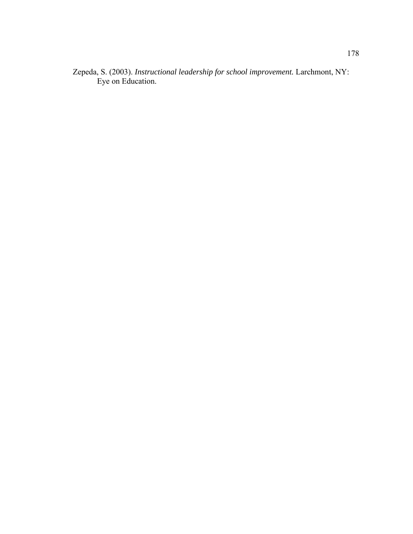Zepeda, S. (2003). *Instructional leadership for school improvement.* Larchmont, NY: Eye on Education.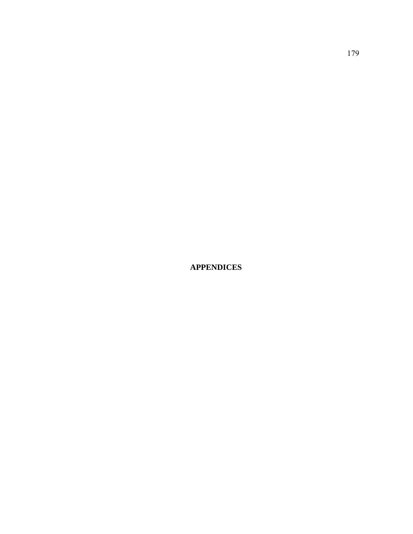**APPENDICES**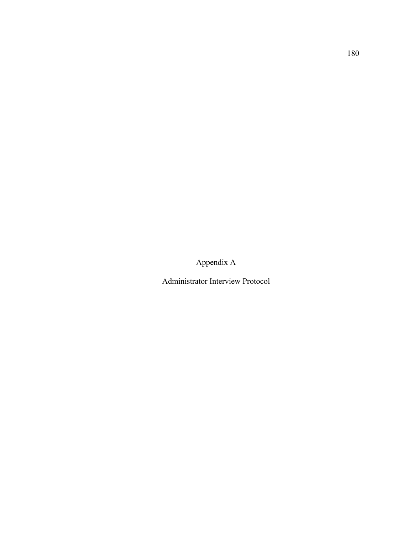Appendix A

Administrator Interview Protocol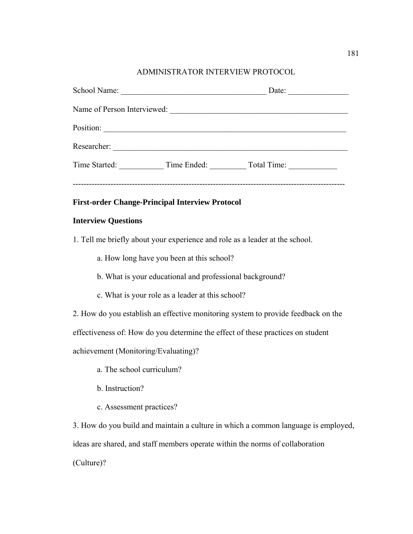## ADMINISTRATOR INTERVIEW PROTOCOL

|                             | School Name:                                                                    | Date:                                              |  |
|-----------------------------|---------------------------------------------------------------------------------|----------------------------------------------------|--|
| Name of Person Interviewed: |                                                                                 | <u> 1980 - John Stein, Amerikaansk politiker (</u> |  |
| Position:                   | the contract of the contract of the contract of the contract of the contract of |                                                    |  |
| Researcher:                 |                                                                                 |                                                    |  |
| Time Started:               |                                                                                 | Time Ended: Total Time:                            |  |
|                             |                                                                                 |                                                    |  |

## **First-order Change-Principal Interview Protocol**

#### **Interview Questions**

1. Tell me briefly about your experience and role as a leader at the school.

a. How long have you been at this school?

b. What is your educational and professional background?

c. What is your role as a leader at this school?

2. How do you establish an effective monitoring system to provide feedback on the

effectiveness of: How do you determine the effect of these practices on student

achievement (Monitoring/Evaluating)?

- a. The school curriculum?
- b. Instruction?
- c. Assessment practices?

3. How do you build and maintain a culture in which a common language is employed, ideas are shared, and staff members operate within the norms of collaboration

(Culture)?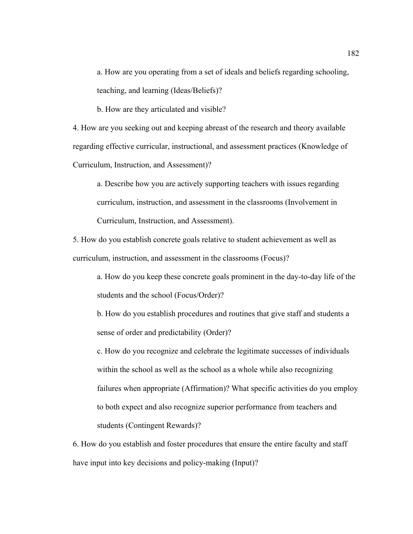a. How are you operating from a set of ideals and beliefs regarding schooling, teaching, and learning (Ideas/Beliefs)?

b. How are they articulated and visible?

4. How are you seeking out and keeping abreast of the research and theory available regarding effective curricular, instructional, and assessment practices (Knowledge of Curriculum, Instruction, and Assessment)?

a. Describe how you are actively supporting teachers with issues regarding curriculum, instruction, and assessment in the classrooms (Involvement in Curriculum, Instruction, and Assessment).

5. How do you establish concrete goals relative to student achievement as well as curriculum, instruction, and assessment in the classrooms (Focus)?

a. How do you keep these concrete goals prominent in the day-to-day life of the students and the school (Focus/Order)?

b. How do you establish procedures and routines that give staff and students a sense of order and predictability (Order)?

c. How do you recognize and celebrate the legitimate successes of individuals within the school as well as the school as a whole while also recognizing failures when appropriate (Affirmation)? What specific activities do you employ to both expect and also recognize superior performance from teachers and students (Contingent Rewards)?

6. How do you establish and foster procedures that ensure the entire faculty and staff have input into key decisions and policy-making (Input)?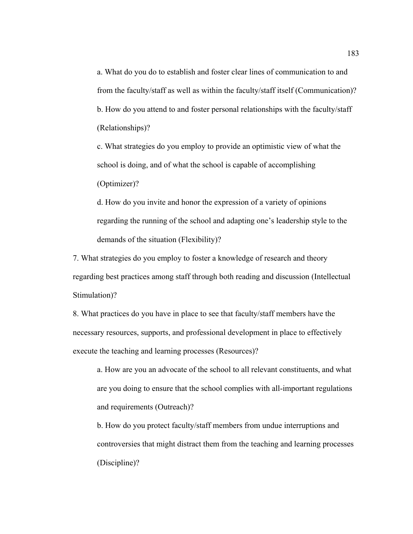a. What do you do to establish and foster clear lines of communication to and from the faculty/staff as well as within the faculty/staff itself (Communication)? b. How do you attend to and foster personal relationships with the faculty/staff (Relationships)?

c. What strategies do you employ to provide an optimistic view of what the school is doing, and of what the school is capable of accomplishing (Optimizer)?

d. How do you invite and honor the expression of a variety of opinions regarding the running of the school and adapting one's leadership style to the demands of the situation (Flexibility)?

7. What strategies do you employ to foster a knowledge of research and theory regarding best practices among staff through both reading and discussion (Intellectual Stimulation)?

8. What practices do you have in place to see that faculty/staff members have the necessary resources, supports, and professional development in place to effectively execute the teaching and learning processes (Resources)?

a. How are you an advocate of the school to all relevant constituents, and what are you doing to ensure that the school complies with all-important regulations and requirements (Outreach)?

b. How do you protect faculty/staff members from undue interruptions and controversies that might distract them from the teaching and learning processes (Discipline)?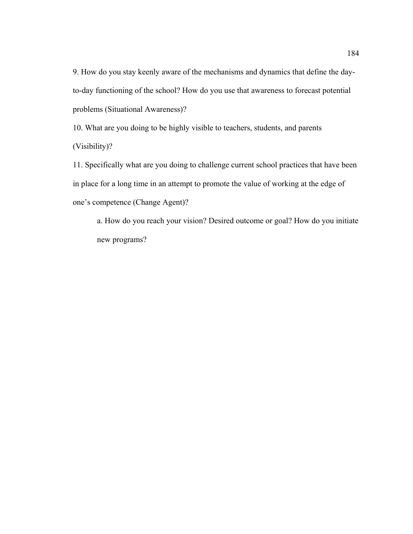9. How do you stay keenly aware of the mechanisms and dynamics that define the dayto-day functioning of the school? How do you use that awareness to forecast potential problems (Situational Awareness)?

10. What are you doing to be highly visible to teachers, students, and parents (Visibility)?

11. Specifically what are you doing to challenge current school practices that have been in place for a long time in an attempt to promote the value of working at the edge of one's competence (Change Agent)?

a. How do you reach your vision? Desired outcome or goal? How do you initiate new programs?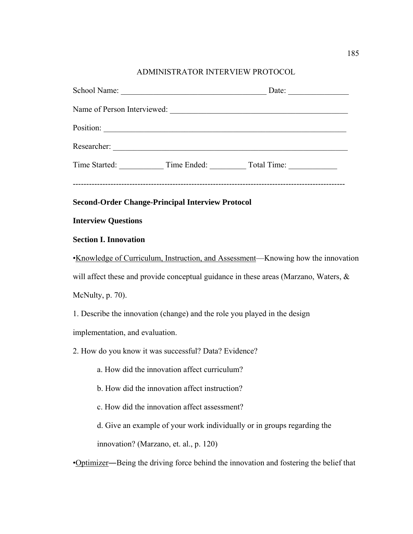# ADMINISTRATOR INTERVIEW PROTOCOL

|                                               | <b>Second-Order Change-Principal Interview Protocol</b>                   |                                                                                        |
|-----------------------------------------------|---------------------------------------------------------------------------|----------------------------------------------------------------------------------------|
| <b>Interview Questions</b>                    |                                                                           |                                                                                        |
| <b>Section I. Innovation</b>                  |                                                                           |                                                                                        |
|                                               |                                                                           | •Knowledge of Curriculum, Instruction, and Assessment-Knowing how the innovation       |
|                                               |                                                                           | will affect these and provide conceptual guidance in these areas (Marzano, Waters, &   |
| McNulty, p. 70).                              |                                                                           |                                                                                        |
|                                               | 1. Describe the innovation (change) and the role you played in the design |                                                                                        |
| implementation, and evaluation.               |                                                                           |                                                                                        |
|                                               | 2. How do you know it was successful? Data? Evidence?                     |                                                                                        |
|                                               | a. How did the innovation affect curriculum?                              |                                                                                        |
| b. How did the innovation affect instruction? |                                                                           |                                                                                        |
| c. How did the innovation affect assessment?  |                                                                           |                                                                                        |
|                                               |                                                                           | d. Give an example of your work individually or in groups regarding the                |
|                                               | innovation? (Marzano, et. al., p. 120)                                    |                                                                                        |
|                                               |                                                                           | •Optimizer—Being the driving force behind the innovation and fostering the belief that |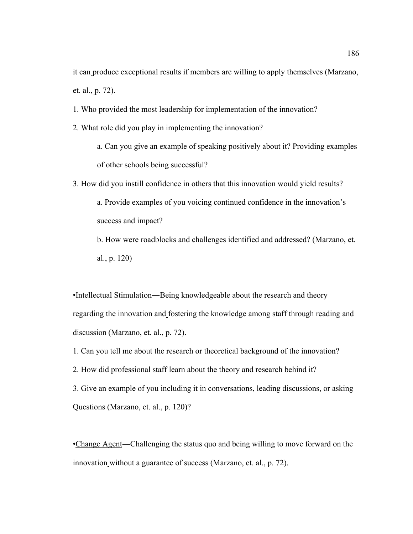it can produce exceptional results if members are willing to apply themselves (Marzano, et. al., p. 72).

1. Who provided the most leadership for implementation of the innovation?

2. What role did you play in implementing the innovation?

a. Can you give an example of speaking positively about it? Providing examples of other schools being successful?

3. How did you instill confidence in others that this innovation would yield results?

a. Provide examples of you voicing continued confidence in the innovation's success and impact?

b. How were roadblocks and challenges identified and addressed? (Marzano, et. al., p. 120)

•Intellectual Stimulation―Being knowledgeable about the research and theory regarding the innovation and fostering the knowledge among staff through reading and discussion (Marzano, et. al., p. 72).

1. Can you tell me about the research or theoretical background of the innovation?

2. How did professional staff learn about the theory and research behind it?

3. Give an example of you including it in conversations, leading discussions, or asking Questions (Marzano, et. al., p. 120)?

•Change Agent―Challenging the status quo and being willing to move forward on the innovation without a guarantee of success (Marzano, et. al., p. 72).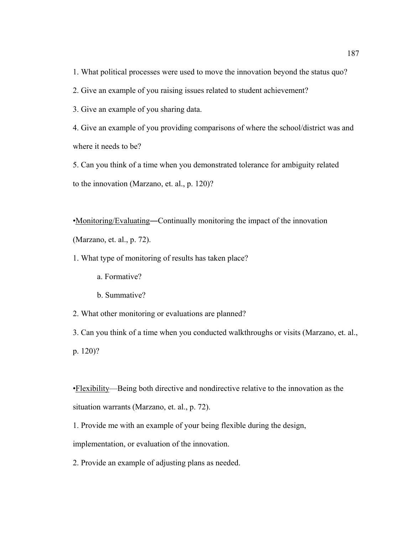1. What political processes were used to move the innovation beyond the status quo?

2. Give an example of you raising issues related to student achievement?

3. Give an example of you sharing data.

4. Give an example of you providing comparisons of where the school/district was and where it needs to be?

5. Can you think of a time when you demonstrated tolerance for ambiguity related to the innovation (Marzano, et. al., p. 120)?

•Monitoring/Evaluating―Continually monitoring the impact of the innovation (Marzano, et. al., p. 72).

1. What type of monitoring of results has taken place?

a. Formative?

b. Summative?

2. What other monitoring or evaluations are planned?

3. Can you think of a time when you conducted walkthroughs or visits (Marzano, et. al., p. 120)?

•Flexibility—Being both directive and nondirective relative to the innovation as the situation warrants (Marzano, et. al., p. 72).

1. Provide me with an example of your being flexible during the design,

implementation, or evaluation of the innovation.

2. Provide an example of adjusting plans as needed.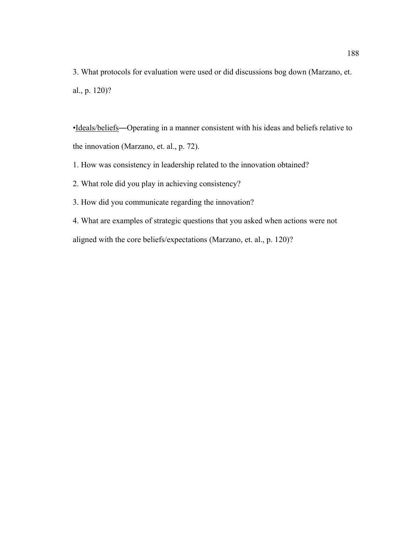3. What protocols for evaluation were used or did discussions bog down (Marzano, et. al., p. 120)?

•Ideals/beliefs―Operating in a manner consistent with his ideas and beliefs relative to the innovation (Marzano, et. al., p. 72).

1. How was consistency in leadership related to the innovation obtained?

2. What role did you play in achieving consistency?

3. How did you communicate regarding the innovation?

4. What are examples of strategic questions that you asked when actions were not aligned with the core beliefs/expectations (Marzano, et. al., p. 120)?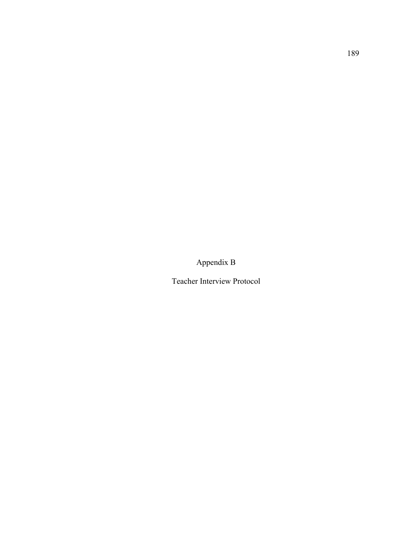Appendix B

Teacher Interview Protocol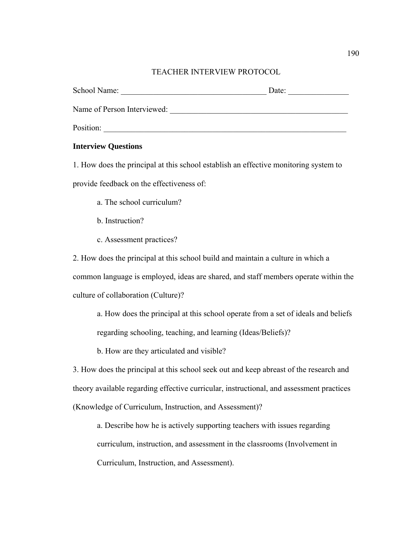## TEACHER INTERVIEW PROTOCOL

| School Name:                | Date: |
|-----------------------------|-------|
| Name of Person Interviewed: |       |
| Position:                   |       |

## **Interview Questions**

1. How does the principal at this school establish an effective monitoring system to provide feedback on the effectiveness of:

- a. The school curriculum?
- b. Instruction?
- c. Assessment practices?

2. How does the principal at this school build and maintain a culture in which a common language is employed, ideas are shared, and staff members operate within the culture of collaboration (Culture)?

a. How does the principal at this school operate from a set of ideals and beliefs regarding schooling, teaching, and learning (Ideas/Beliefs)?

b. How are they articulated and visible?

3. How does the principal at this school seek out and keep abreast of the research and theory available regarding effective curricular, instructional, and assessment practices (Knowledge of Curriculum, Instruction, and Assessment)?

a. Describe how he is actively supporting teachers with issues regarding curriculum, instruction, and assessment in the classrooms (Involvement in Curriculum, Instruction, and Assessment).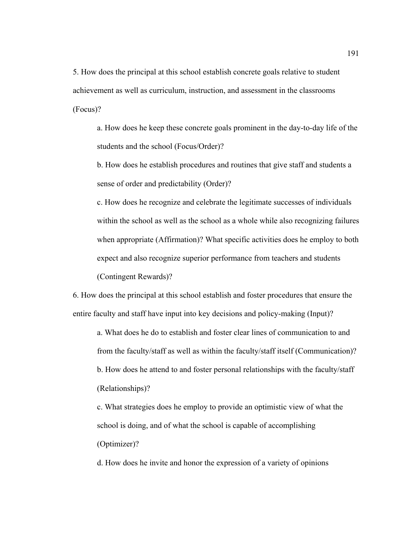5. How does the principal at this school establish concrete goals relative to student achievement as well as curriculum, instruction, and assessment in the classrooms (Focus)?

a. How does he keep these concrete goals prominent in the day-to-day life of the students and the school (Focus/Order)?

b. How does he establish procedures and routines that give staff and students a sense of order and predictability (Order)?

c. How does he recognize and celebrate the legitimate successes of individuals within the school as well as the school as a whole while also recognizing failures when appropriate (Affirmation)? What specific activities does he employ to both expect and also recognize superior performance from teachers and students (Contingent Rewards)?

6. How does the principal at this school establish and foster procedures that ensure the entire faculty and staff have input into key decisions and policy-making (Input)?

a. What does he do to establish and foster clear lines of communication to and from the faculty/staff as well as within the faculty/staff itself (Communication)? b. How does he attend to and foster personal relationships with the faculty/staff (Relationships)?

c. What strategies does he employ to provide an optimistic view of what the school is doing, and of what the school is capable of accomplishing (Optimizer)?

d. How does he invite and honor the expression of a variety of opinions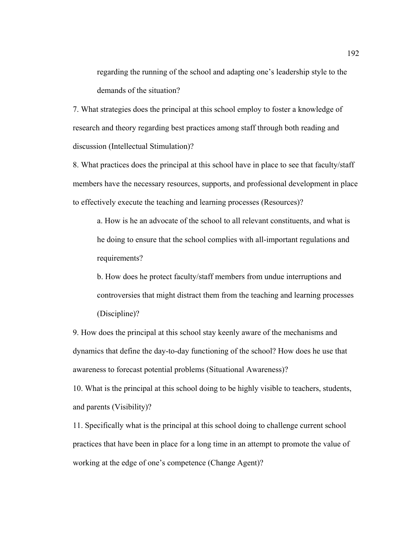regarding the running of the school and adapting one's leadership style to the demands of the situation?

7. What strategies does the principal at this school employ to foster a knowledge of research and theory regarding best practices among staff through both reading and discussion (Intellectual Stimulation)?

8. What practices does the principal at this school have in place to see that faculty/staff members have the necessary resources, supports, and professional development in place to effectively execute the teaching and learning processes (Resources)?

a. How is he an advocate of the school to all relevant constituents, and what is he doing to ensure that the school complies with all-important regulations and requirements?

b. How does he protect faculty/staff members from undue interruptions and controversies that might distract them from the teaching and learning processes (Discipline)?

9. How does the principal at this school stay keenly aware of the mechanisms and dynamics that define the day-to-day functioning of the school? How does he use that awareness to forecast potential problems (Situational Awareness)?

10. What is the principal at this school doing to be highly visible to teachers, students, and parents (Visibility)?

11. Specifically what is the principal at this school doing to challenge current school practices that have been in place for a long time in an attempt to promote the value of working at the edge of one's competence (Change Agent)?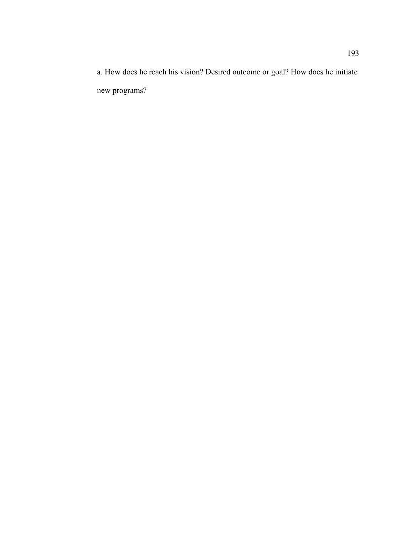a. How does he reach his vision? Desired outcome or goal? How does he initiate new programs?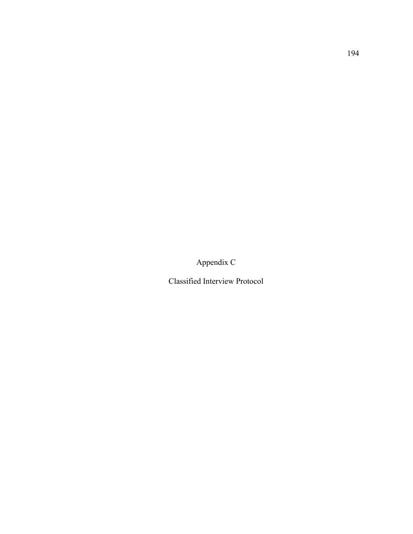Appendix C

Classified Interview Protocol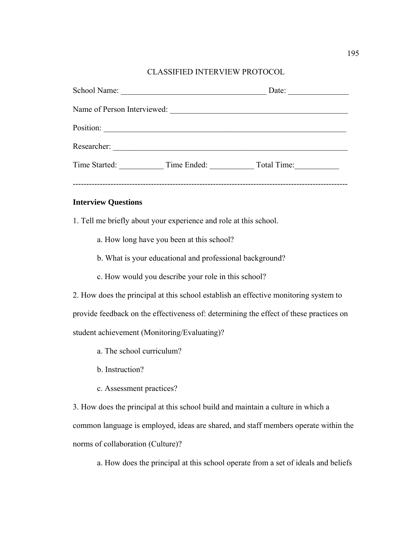## CLASSIFIED INTERVIEW PROTOCOL

| School Name:                | the control of the control of the control of the control of the control of the control of                            | Date:                                 |  |
|-----------------------------|----------------------------------------------------------------------------------------------------------------------|---------------------------------------|--|
| Name of Person Interviewed: |                                                                                                                      |                                       |  |
| Position:                   | <u> 1989 - Jan Samuel Barbara, margaret e populari e populari e populari e populari e populari e populari e popu</u> |                                       |  |
| Researcher:                 |                                                                                                                      |                                       |  |
|                             |                                                                                                                      | Time Started: Time Ended: Total Time: |  |
|                             |                                                                                                                      |                                       |  |

#### **Interview Questions**

- 1. Tell me briefly about your experience and role at this school.
	- a. How long have you been at this school?
	- b. What is your educational and professional background?
	- c. How would you describe your role in this school?
- 2. How does the principal at this school establish an effective monitoring system to provide feedback on the effectiveness of: determining the effect of these practices on student achievement (Monitoring/Evaluating)?
	- a. The school curriculum?
	- b. Instruction?
	- c. Assessment practices?

3. How does the principal at this school build and maintain a culture in which a common language is employed, ideas are shared, and staff members operate within the norms of collaboration (Culture)?

a. How does the principal at this school operate from a set of ideals and beliefs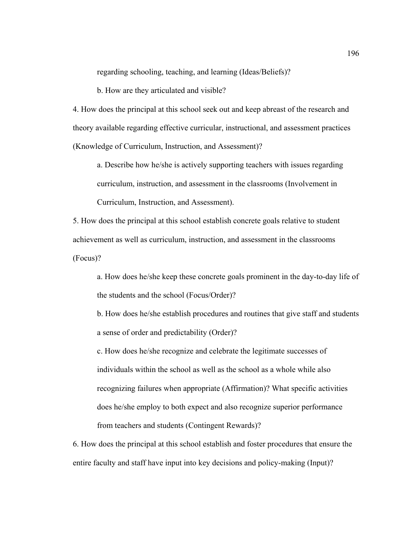regarding schooling, teaching, and learning (Ideas/Beliefs)?

b. How are they articulated and visible?

4. How does the principal at this school seek out and keep abreast of the research and theory available regarding effective curricular, instructional, and assessment practices (Knowledge of Curriculum, Instruction, and Assessment)?

a. Describe how he/she is actively supporting teachers with issues regarding curriculum, instruction, and assessment in the classrooms (Involvement in Curriculum, Instruction, and Assessment).

5. How does the principal at this school establish concrete goals relative to student achievement as well as curriculum, instruction, and assessment in the classrooms (Focus)?

a. How does he/she keep these concrete goals prominent in the day-to-day life of the students and the school (Focus/Order)?

b. How does he/she establish procedures and routines that give staff and students a sense of order and predictability (Order)?

c. How does he/she recognize and celebrate the legitimate successes of individuals within the school as well as the school as a whole while also recognizing failures when appropriate (Affirmation)? What specific activities does he/she employ to both expect and also recognize superior performance from teachers and students (Contingent Rewards)?

6. How does the principal at this school establish and foster procedures that ensure the entire faculty and staff have input into key decisions and policy-making (Input)?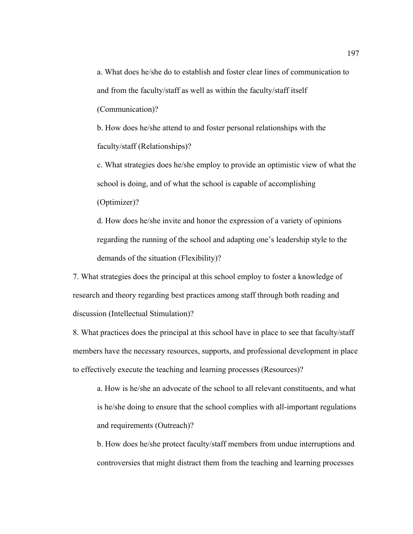a. What does he/she do to establish and foster clear lines of communication to and from the faculty/staff as well as within the faculty/staff itself (Communication)?

b. How does he/she attend to and foster personal relationships with the faculty/staff (Relationships)?

c. What strategies does he/she employ to provide an optimistic view of what the school is doing, and of what the school is capable of accomplishing (Optimizer)?

d. How does he/she invite and honor the expression of a variety of opinions regarding the running of the school and adapting one's leadership style to the demands of the situation (Flexibility)?

7. What strategies does the principal at this school employ to foster a knowledge of research and theory regarding best practices among staff through both reading and discussion (Intellectual Stimulation)?

8. What practices does the principal at this school have in place to see that faculty/staff members have the necessary resources, supports, and professional development in place to effectively execute the teaching and learning processes (Resources)?

a. How is he/she an advocate of the school to all relevant constituents, and what is he/she doing to ensure that the school complies with all-important regulations and requirements (Outreach)?

b. How does he/she protect faculty/staff members from undue interruptions and controversies that might distract them from the teaching and learning processes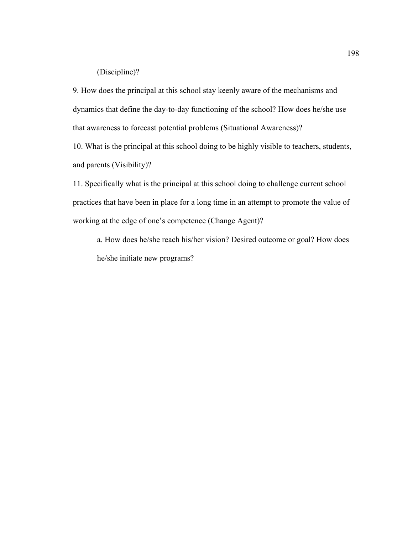## (Discipline)?

9. How does the principal at this school stay keenly aware of the mechanisms and dynamics that define the day-to-day functioning of the school? How does he/she use that awareness to forecast potential problems (Situational Awareness)?

10. What is the principal at this school doing to be highly visible to teachers, students, and parents (Visibility)?

11. Specifically what is the principal at this school doing to challenge current school practices that have been in place for a long time in an attempt to promote the value of working at the edge of one's competence (Change Agent)?

a. How does he/she reach his/her vision? Desired outcome or goal? How does he/she initiate new programs?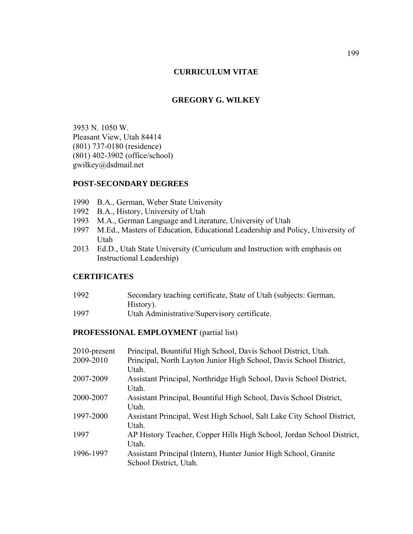## **CURRICULUM VITAE**

## **GREGORY G. WILKEY**

3953 N. 1050 W. Pleasant View, Utah 84414 (801) 737-0180 (residence) (801) 402-3902 (office/school) gwilkey@dsdmail.net

## **POST-SECONDARY DEGREES**

- 1990 B.A., German, Weber State University
- 1992 B.A., History, University of Utah
- 1993 M.A., German Language and Literature, University of Utah
- 1997 M.Ed., Masters of Education, Educational Leadership and Policy, University of Utah
- 2013 Ed.D., Utah State University (Curriculum and Instruction with emphasis on Instructional Leadership)

## **CERTIFICATES**

| 1992    | Secondary teaching certificate, State of Utah (subjects: German, |
|---------|------------------------------------------------------------------|
|         | History).                                                        |
| $100 -$ |                                                                  |

1997 Utah Administrative/Supervisory certificate.

#### **PROFESSIONAL EMPLOYMENT** (partial list)

| 2010-present | Principal, Bountiful High School, Davis School District, Utah.         |
|--------------|------------------------------------------------------------------------|
| 2009-2010    | Principal, North Layton Junior High School, Davis School District,     |
|              | Utah.                                                                  |
| 2007-2009    | Assistant Principal, Northridge High School, Davis School District,    |
|              | Utah.                                                                  |
| 2000-2007    | Assistant Principal, Bountiful High School, Davis School District,     |
|              | Utah.                                                                  |
| 1997-2000    | Assistant Principal, West High School, Salt Lake City School District, |
|              | Utah.                                                                  |
| 1997         | AP History Teacher, Copper Hills High School, Jordan School District,  |
|              | Utah.                                                                  |
| 1996-1997    | Assistant Principal (Intern), Hunter Junior High School, Granite       |
|              | School District, Utah.                                                 |
|              |                                                                        |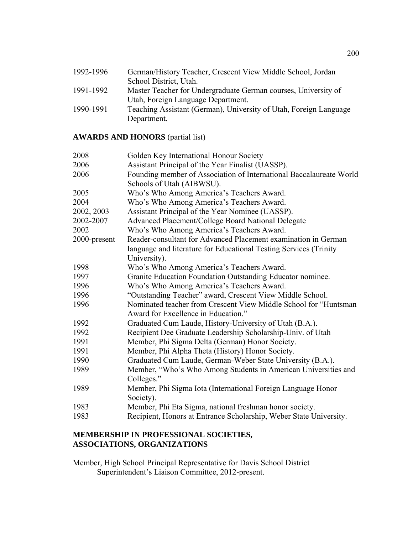| 1992-1996 | German/History Teacher, Crescent View Middle School, Jordan       |
|-----------|-------------------------------------------------------------------|
|           | School District, Utah.                                            |
| 1991-1992 | Master Teacher for Undergraduate German courses, University of    |
|           | Utah, Foreign Language Department.                                |
| 1990-1991 | Teaching Assistant (German), University of Utah, Foreign Language |
|           | Department.                                                       |

## **AWARDS AND HONORS** (partial list)

| 2008         | Golden Key International Honour Society                                                                 |
|--------------|---------------------------------------------------------------------------------------------------------|
| 2006         | Assistant Principal of the Year Finalist (UASSP).                                                       |
| 2006         | Founding member of Association of International Baccalaureate World<br>Schools of Utah (AIBWSU).        |
| 2005         | Who's Who Among America's Teachers Award.                                                               |
| 2004         | Who's Who Among America's Teachers Award.                                                               |
| 2002, 2003   | Assistant Principal of the Year Nominee (UASSP).                                                        |
| 2002-2007    | Advanced Placement/College Board National Delegate                                                      |
| 2002         | Who's Who Among America's Teachers Award.                                                               |
| 2000-present | Reader-consultant for Advanced Placement examination in German                                          |
|              | language and literature for Educational Testing Services (Trinity                                       |
|              | University).                                                                                            |
| 1998         | Who's Who Among America's Teachers Award.                                                               |
| 1997         | Granite Education Foundation Outstanding Educator nominee.                                              |
| 1996         | Who's Who Among America's Teachers Award.                                                               |
| 1996         | "Outstanding Teacher" award, Crescent View Middle School.                                               |
| 1996         | Nominated teacher from Crescent View Middle School for "Huntsman<br>Award for Excellence in Education." |
| 1992         | Graduated Cum Laude, History-University of Utah (B.A.).                                                 |
| 1992         | Recipient Dee Graduate Leadership Scholarship-Univ. of Utah                                             |
| 1991         | Member, Phi Sigma Delta (German) Honor Society.                                                         |
| 1991         | Member, Phi Alpha Theta (History) Honor Society.                                                        |
| 1990         | Graduated Cum Laude, German-Weber State University (B.A.).                                              |
| 1989         | Member, "Who's Who Among Students in American Universities and                                          |
|              | Colleges."                                                                                              |
| 1989         | Member, Phi Sigma Iota (International Foreign Language Honor                                            |
|              | Society).                                                                                               |
| 1983         | Member, Phi Eta Sigma, national freshman honor society.                                                 |
| 1983         | Recipient, Honors at Entrance Scholarship, Weber State University.                                      |
|              |                                                                                                         |

## **MEMBERSHIP IN PROFESSIONAL SOCIETIES, ASSOCIATIONS, ORGANIZATIONS**

Member, High School Principal Representative for Davis School District Superintendent's Liaison Committee, 2012-present.